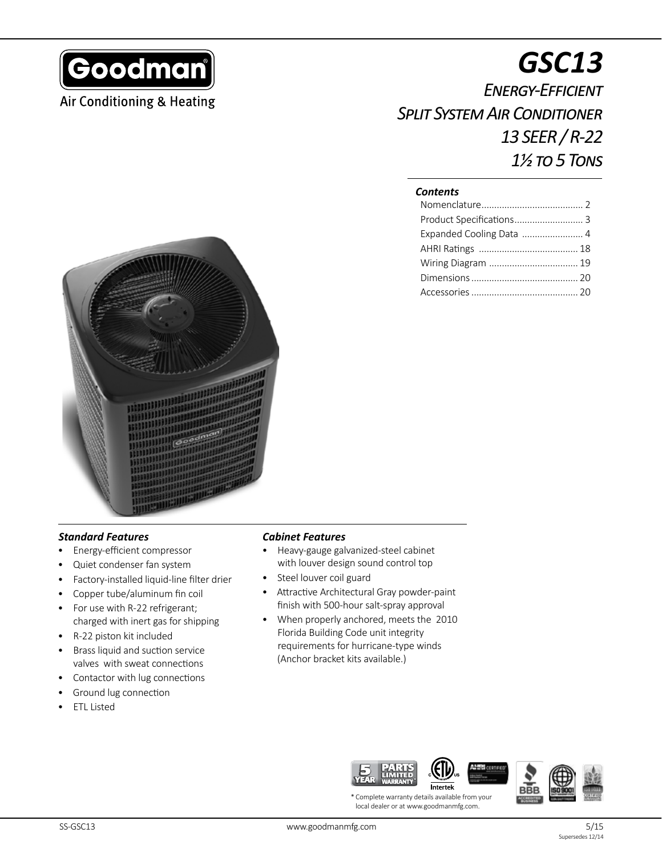

# **Air Conditioning & Heating**

# *GSC13 Energy-Efficient Split System Air Conditioner 13 SEER / R-22 1½ to 5 Tons*

### *Contents*

| Product Specifications 3 |  |
|--------------------------|--|
| Expanded Cooling Data  4 |  |
|                          |  |
|                          |  |
|                          |  |
|                          |  |



## *Standard Features*

- Energy-efficient compressor
- Quiet condenser fan system
- Factory-installed liquid-line filter drier
- Copper tube/aluminum fin coil
- For use with R-22 refrigerant; charged with inert gas for shipping
- R-22 piston kit included
- Brass liquid and suction service valves with sweat connections
- Contactor with lug connections
- Ground lug connection
- **ETL Listed**

#### *Cabinet Features*

- Heavy-gauge galvanized-steel cabinet with louver design sound control top
- Steel louver coil guard
- Attractive Architectural Gray powder-paint finish with 500-hour salt-spray approval
- When properly anchored, meets the 2010 Florida Building Code unit integrity requirements for hurricane-type winds (Anchor bracket kits available.)



\* Complete warranty details available from your local dealer or at www.goodmanmfg.com.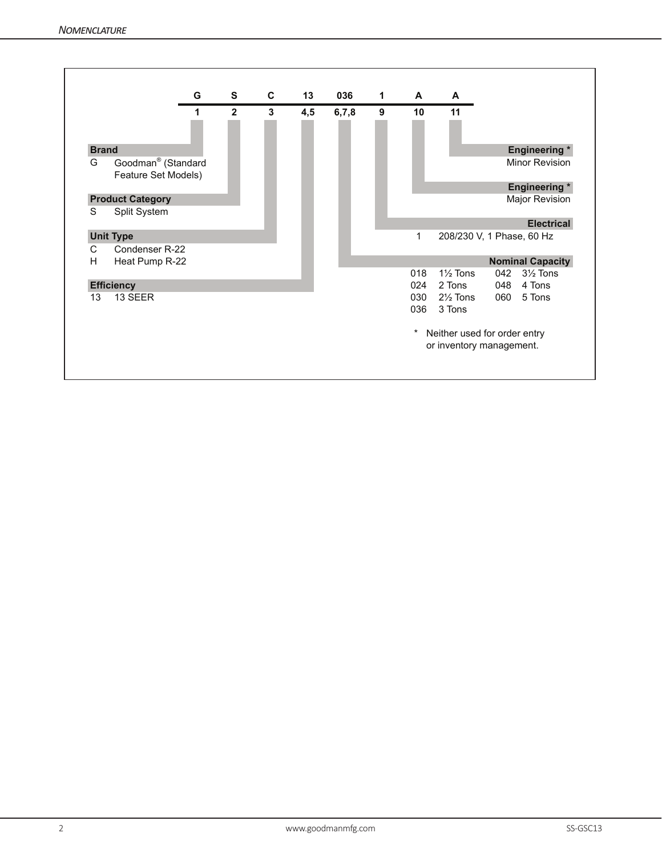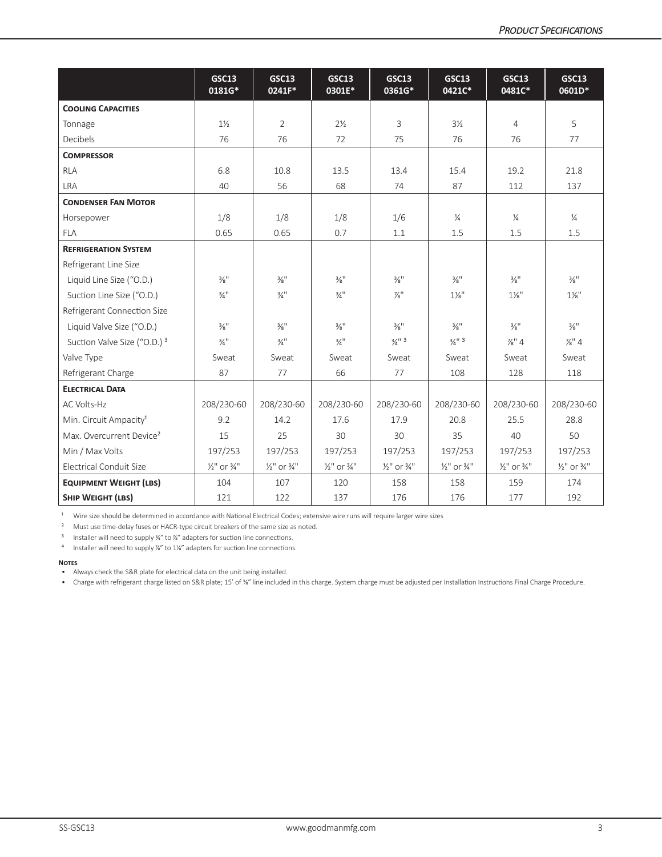|                                         | <b>GSC13</b><br>0181G*             | <b>GSC13</b><br>0241F*             | <b>GSC13</b><br>0301E*             | <b>GSC13</b><br>0361G*             | <b>GSC13</b><br>0421C*             | <b>GSC13</b><br>0481C*             | <b>GSC13</b><br>0601D*             |
|-----------------------------------------|------------------------------------|------------------------------------|------------------------------------|------------------------------------|------------------------------------|------------------------------------|------------------------------------|
| <b>COOLING CAPACITIES</b>               |                                    |                                    |                                    |                                    |                                    |                                    |                                    |
| Tonnage                                 | $1\frac{1}{2}$                     | $\overline{2}$                     | $2\frac{1}{2}$                     | 3                                  | $3\frac{1}{2}$                     | 4                                  | 5                                  |
| <b>Decibels</b>                         | 76                                 | 76                                 | 72                                 | 75                                 | 76                                 | 76                                 | 77                                 |
| <b>COMPRESSOR</b>                       |                                    |                                    |                                    |                                    |                                    |                                    |                                    |
| <b>RLA</b>                              | 6.8                                | 10.8                               | 13.5                               | 13.4                               | 15.4                               | 19.2                               | 21.8                               |
| LRA                                     | 40                                 | 56                                 | 68                                 | 74                                 | 87                                 | 112                                | 137                                |
| <b>CONDENSER FAN MOTOR</b>              |                                    |                                    |                                    |                                    |                                    |                                    |                                    |
| Horsepower                              | 1/8                                | 1/8                                | 1/8                                | 1/6                                | $\frac{1}{4}$                      | $\frac{1}{4}$                      | $\frac{1}{4}$                      |
| <b>FLA</b>                              | 0.65                               | 0.65                               | 0.7                                | 1.1                                | 1.5                                | 1.5                                | 1.5                                |
| <b>REFRIGERATION SYSTEM</b>             |                                    |                                    |                                    |                                    |                                    |                                    |                                    |
| Refrigerant Line Size                   |                                    |                                    |                                    |                                    |                                    |                                    |                                    |
| Liquid Line Size ("O.D.)                | $\frac{3}{8}$ <sup>11</sup>        | $\frac{3}{8}$ <sup>11</sup>        | $\frac{3}{8}$ <sup>11</sup>        | $\frac{3}{8}$ <sup>11</sup>        | $\frac{3}{8}$ <sup>11</sup>        | $\frac{3}{8}$ <sup>11</sup>        | $\frac{3}{8}$ <sup>11</sup>        |
| Suction Line Size ("O.D.)               | $\frac{3}{4}$ <sup>11</sup>        | $\frac{3}{4}$ <sup>11</sup>        | $\frac{3}{4}$ <sup>11</sup>        | $\frac{7}{8}$ <sup>11</sup>        | $1\frac{1}{8}$ "                   | $1\frac{1}{8}$ "                   | $1\frac{1}{8}$ "                   |
| Refrigerant Connection Size             |                                    |                                    |                                    |                                    |                                    |                                    |                                    |
| Liquid Valve Size ("O.D.)               | $\frac{3}{8}$ <sup>11</sup>        | $\frac{3}{8}$ <sup>11</sup>        | $\frac{3}{8}$ <sup>11</sup>        | $\frac{3}{8}$ <sup>11</sup>        | $\frac{3}{8}$ <sup>11</sup>        | $\frac{3}{8}$ <sup>11</sup>        | $\frac{3}{8}$ <sup>11</sup>        |
| Suction Valve Size ("O.D.) <sup>3</sup> | $\frac{3}{4}$ <sup>11</sup>        | $\frac{3}{4}$ <sup>11</sup>        | $\frac{3}{4}$ <sup>11</sup>        | $\frac{3}{4}$ <sup>11</sup> 3      | $\frac{3}{4}$ <sup>11</sup> 3      | $\frac{7}{8}$ " 4                  | $\frac{7}{8}$ " 4                  |
| Valve Type                              | Sweat                              | Sweat                              | Sweat                              | Sweat                              | Sweat                              | Sweat                              | Sweat                              |
| Refrigerant Charge                      | 87                                 | 77                                 | 66                                 | 77                                 | 108                                | 128                                | 118                                |
| <b>ELECTRICAL DATA</b>                  |                                    |                                    |                                    |                                    |                                    |                                    |                                    |
| <b>AC Volts-Hz</b>                      | 208/230-60                         | 208/230-60                         | 208/230-60                         | 208/230-60                         | 208/230-60                         | 208/230-60                         | 208/230-60                         |
| Min. Circuit Ampacity <sup>1</sup>      | 9.2                                | 14.2                               | 17.6                               | 17.9                               | 20.8                               | 25.5                               | 28.8                               |
| Max. Overcurrent Device <sup>2</sup>    | 15                                 | 25                                 | 30                                 | 30                                 | 35                                 | 40                                 | 50                                 |
| Min / Max Volts                         | 197/253                            | 197/253                            | 197/253                            | 197/253                            | 197/253                            | 197/253                            | 197/253                            |
| <b>Electrical Conduit Size</b>          | $\frac{1}{2}$ " or $\frac{3}{4}$ " | $\frac{1}{2}$ " or $\frac{3}{4}$ " | $\frac{1}{2}$ " or $\frac{3}{4}$ " | $\frac{1}{2}$ " or $\frac{3}{4}$ " | $\frac{1}{2}$ " or $\frac{3}{4}$ " | $\frac{1}{2}$ " or $\frac{3}{4}$ " | $\frac{1}{2}$ " or $\frac{3}{4}$ " |
| <b>EQUIPMENT WEIGHT (LBS)</b>           | 104                                | 107                                | 120                                | 158                                | 158                                | 159                                | 174                                |
| <b>SHIP WEIGHT (LBS)</b>                | 121                                | 122                                | 137                                | 176                                | 176                                | 177                                | 192                                |

 $1$  Wire size should be determined in accordance with National Electrical Codes; extensive wire runs will require larger wire sizes

<sup>2</sup> Must use time-delay fuses or HACR-type circuit breakers of the same size as noted.

<sup>3</sup> Installer will need to supply ¾" to ¼" adapters for suction line connections.

4 Installer will need to supply <sup>74</sup>" to 1<sup>14</sup> adapters for suction line connections.

#### **Notes**

• Always check the S&R plate for electrical data on the unit being installed.

• Charge with refrigerant charge listed on S&R plate; 15' of ¾" line included in this charge. System charge must be adjusted per Installation Instructions Final Charge Procedure.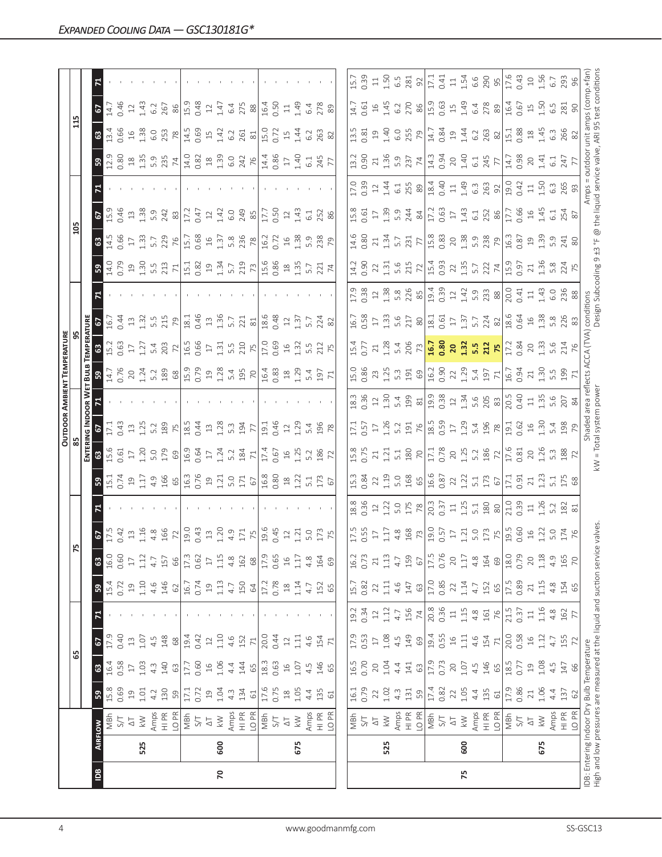|                |     |                                                                                                                  |                                                   |                           |               |                |                         |                  |                                                                                  |                                                                                                               |                                                                                                                                                                                                                                |                                                                                                                                                                                                                                                                                                                                   |                                                                                                                                                                                                                                                                                                           |     | OUTDOOR AMBIENT TEMPERATURE |                                                                                                                                                                                                                                                                                                           |                                                                                                                                                                                                                                                                                                               |                                                                                                                                                                                                                                                                                               |                                                                                                                                                                                                                                                                                                           |                  |                                                                                           |                                                                                                            |                                                                                                                                                                                                                                                                                       |                                                                                                                                                                                                                                                                                                                     |
|----------------|-----|------------------------------------------------------------------------------------------------------------------|---------------------------------------------------|---------------------------|---------------|----------------|-------------------------|------------------|----------------------------------------------------------------------------------|---------------------------------------------------------------------------------------------------------------|--------------------------------------------------------------------------------------------------------------------------------------------------------------------------------------------------------------------------------|-----------------------------------------------------------------------------------------------------------------------------------------------------------------------------------------------------------------------------------------------------------------------------------------------------------------------------------|-----------------------------------------------------------------------------------------------------------------------------------------------------------------------------------------------------------------------------------------------------------------------------------------------------------|-----|-----------------------------|-----------------------------------------------------------------------------------------------------------------------------------------------------------------------------------------------------------------------------------------------------------------------------------------------------------|---------------------------------------------------------------------------------------------------------------------------------------------------------------------------------------------------------------------------------------------------------------------------------------------------------------|-----------------------------------------------------------------------------------------------------------------------------------------------------------------------------------------------------------------------------------------------------------------------------------------------|-----------------------------------------------------------------------------------------------------------------------------------------------------------------------------------------------------------------------------------------------------------------------------------------------------------|------------------|-------------------------------------------------------------------------------------------|------------------------------------------------------------------------------------------------------------|---------------------------------------------------------------------------------------------------------------------------------------------------------------------------------------------------------------------------------------------------------------------------------------|---------------------------------------------------------------------------------------------------------------------------------------------------------------------------------------------------------------------------------------------------------------------------------------------------------------------|
|                |     |                                                                                                                  |                                                   | යි                        |               |                |                         |                  | F٥                                                                               |                                                                                                               |                                                                                                                                                                                                                                |                                                                                                                                                                                                                                                                                                                                   |                                                                                                                                                                                                                                                                                                           |     |                             |                                                                                                                                                                                                                                                                                                           |                                                                                                                                                                                                                                                                                                               |                                                                                                                                                                                                                                                                                               | $\frac{20}{2}$                                                                                                                                                                                                                                                                                            |                  |                                                                                           |                                                                                                            |                                                                                                                                                                                                                                                                                       |                                                                                                                                                                                                                                                                                                                     |
|                |     |                                                                                                                  |                                                   |                           |               |                |                         |                  |                                                                                  |                                                                                                               |                                                                                                                                                                                                                                | ENTERI                                                                                                                                                                                                                                                                                                                            | <b>VG INDOOR W</b>                                                                                                                                                                                                                                                                                        |     | BULB                        | <b>EMPERATURE</b>                                                                                                                                                                                                                                                                                         |                                                                                                                                                                                                                                                                                                               |                                                                                                                                                                                                                                                                                               |                                                                                                                                                                                                                                                                                                           |                  |                                                                                           |                                                                                                            |                                                                                                                                                                                                                                                                                       |                                                                                                                                                                                                                                                                                                                     |
| $\overline{B}$ |     | <b>AIRFLOW</b>                                                                                                   | ${\tt s}$                                         | $\boldsymbol{\mathbb{S}}$ | 2             | $\mathbf{z}$   | ${\tt S}$               | ${\tt G}$        | $\frac{2}{12}$                                                                   |                                                                                                               |                                                                                                                                                                                                                                | 63                                                                                                                                                                                                                                                                                                                                |                                                                                                                                                                                                                                                                                                           |     |                             |                                                                                                                                                                                                                                                                                                           | $\frac{2}{5}$                                                                                                                                                                                                                                                                                                 |                                                                                                                                                                                                                                                                                               |                                                                                                                                                                                                                                                                                                           |                  |                                                                                           | $\frac{3}{2}$                                                                                              | $\frac{1}{2}$                                                                                                                                                                                                                                                                         |                                                                                                                                                                                                                                                                                                                     |
|                |     | MBh                                                                                                              | 15.8                                              | 16.4                      | 17.9          |                | 15.4                    | 16.0             |                                                                                  |                                                                                                               |                                                                                                                                                                                                                                | $\frac{5}{2}$                                                                                                                                                                                                                                                                                                                     |                                                                                                                                                                                                                                                                                                           |     | $\frac{59}{14.7}$           |                                                                                                                                                                                                                                                                                                           |                                                                                                                                                                                                                                                                                                               |                                                                                                                                                                                                                                                                                               | 14.5<br>0.66                                                                                                                                                                                                                                                                                              |                  | 12.9<br>0.80                                                                              | 13.4                                                                                                       |                                                                                                                                                                                                                                                                                       |                                                                                                                                                                                                                                                                                                                     |
|                |     | 5/7                                                                                                              | 0.69                                              | 0.58                      | 0.40          |                | 0.72                    | 0.60             | 0.42                                                                             |                                                                                                               |                                                                                                                                                                                                                                | 0.61                                                                                                                                                                                                                                                                                                                              | 0.43                                                                                                                                                                                                                                                                                                      |     |                             |                                                                                                                                                                                                                                                                                                           | 0.44                                                                                                                                                                                                                                                                                                          |                                                                                                                                                                                                                                                                                               |                                                                                                                                                                                                                                                                                                           | 0.46             |                                                                                           |                                                                                                            | 0.46                                                                                                                                                                                                                                                                                  |                                                                                                                                                                                                                                                                                                                     |
|                | 525 | $\lesssim$<br>$\overline{\triangle}$                                                                             | 1.01<br>$\Xi$                                     | 1.03<br>$17\,$            | 1.07<br>$13$  |                | 1.10<br>$\overline{19}$ | 1.12<br>$17\,$   | 1.16                                                                             |                                                                                                               |                                                                                                                                                                                                                                | $17 \n1.20$                                                                                                                                                                                                                                                                                                                       | 13.25                                                                                                                                                                                                                                                                                                     |     |                             | $\frac{3}{15}$ $\frac{3}{15}$ $\frac{3}{15}$ $\frac{5}{12}$                                                                                                                                                                                                                                               |                                                                                                                                                                                                                                                                                                               |                                                                                                                                                                                                                                                                                               | 1.33<br>$\Gamma$                                                                                                                                                                                                                                                                                          | 13.38            |                                                                                           | $16$<br>$1.38$                                                                                             | 1.43<br>12                                                                                                                                                                                                                                                                            |                                                                                                                                                                                                                                                                                                                     |
|                |     | Amps                                                                                                             | 4.2                                               | $4.\overline{3}$          | 4.5           |                | 4.6                     | 4.7              |                                                                                  |                                                                                                               | $3.577$ $2.373$ $3.58$ $3.52$ $3.52$ $3.52$ $3.52$ $3.52$ $3.52$ $3.52$ $3.52$ $3.52$ $3.52$ $3.52$ $3.52$ $3.52$ $3.52$ $3.52$ $3.52$ $3.52$ $3.52$ $3.52$ $3.52$ $3.52$ $3.52$ $3.52$ $3.52$ $3.52$ $3.52$ $3.52$ $3.52$ $3$ |                                                                                                                                                                                                                                                                                                                                   |                                                                                                                                                                                                                                                                                                           |     |                             |                                                                                                                                                                                                                                                                                                           | $\begin{array}{c} 13 \\ 1.32 \\ 5.5 \\ 7.9 \\ \end{array}$                                                                                                                                                                                                                                                    |                                                                                                                                                                                                                                                                                               |                                                                                                                                                                                                                                                                                                           |                  |                                                                                           |                                                                                                            | 6.2                                                                                                                                                                                                                                                                                   |                                                                                                                                                                                                                                                                                                                     |
|                |     | $\frac{P}{I}$                                                                                                    | 130                                               | 140                       | 148           |                | 146                     | 157              | $4.8$ $\frac{8}{19}$ $\frac{8}{19}$ $\frac{3}{19}$ $\frac{3}{19}$ $\frac{3}{19}$ |                                                                                                               |                                                                                                                                                                                                                                | 5.0<br>179                                                                                                                                                                                                                                                                                                                        | $\frac{5.2}{18.5}$                                                                                                                                                                                                                                                                                        |     |                             | $\frac{33}{20}$ $\frac{25}{10}$ $\frac{25}{10}$ $\frac{25}{10}$ $\frac{25}{10}$ $\frac{25}{10}$ $\frac{25}{10}$ $\frac{25}{10}$ $\frac{25}{10}$ $\frac{25}{10}$ $\frac{25}{10}$ $\frac{25}{10}$ $\frac{25}{10}$ $\frac{25}{10}$ $\frac{25}{10}$ $\frac{25}{10}$ $\frac{25}{10}$ $\frac{25}{10}$ $\frac{2$ |                                                                                                                                                                                                                                                                                                               |                                                                                                                                                                                                                                                                                               | $\frac{5.79}{22}$ $\frac{10}{15}$ $\frac{12}{15}$ $\frac{36}{15}$ $\frac{42}{15}$ $\frac{36}{15}$ $\frac{36}{15}$ $\frac{36}{15}$ $\frac{36}{15}$ $\frac{36}{15}$ $\frac{36}{15}$ $\frac{36}{15}$ $\frac{36}{15}$ $\frac{36}{15}$ $\frac{36}{15}$ $\frac{36}{15}$ $\frac{36}{15}$ $\frac{36}{15}$ $\frac$ |                  |                                                                                           | $rac{0}{253}$ $rac{8}{14.5}$ $rac{1}{25}$ $rac{4}{14}$ $rac{3}{14}$ $rac{4}{14}$ $rac{2}{14}$ $rac{2}{14}$ | 267                                                                                                                                                                                                                                                                                   |                                                                                                                                                                                                                                                                                                                     |
|                |     | LO PR                                                                                                            | 59                                                | 63                        | $68$          |                | 62                      | 66               |                                                                                  |                                                                                                               |                                                                                                                                                                                                                                |                                                                                                                                                                                                                                                                                                                                   |                                                                                                                                                                                                                                                                                                           |     |                             |                                                                                                                                                                                                                                                                                                           |                                                                                                                                                                                                                                                                                                               |                                                                                                                                                                                                                                                                                               |                                                                                                                                                                                                                                                                                                           |                  |                                                                                           |                                                                                                            |                                                                                                                                                                                                                                                                                       |                                                                                                                                                                                                                                                                                                                     |
|                |     | MBh                                                                                                              | 17.1                                              | 17.7                      | 19.4          |                | 16.7                    | 17.3             |                                                                                  |                                                                                                               |                                                                                                                                                                                                                                | $rac{69}{16.9}$                                                                                                                                                                                                                                                                                                                   |                                                                                                                                                                                                                                                                                                           |     |                             |                                                                                                                                                                                                                                                                                                           | $18.1$<br>0.46                                                                                                                                                                                                                                                                                                |                                                                                                                                                                                                                                                                                               |                                                                                                                                                                                                                                                                                                           |                  |                                                                                           |                                                                                                            | $\frac{86}{15.3}$ $\frac{48}{21}$                                                                                                                                                                                                                                                     |                                                                                                                                                                                                                                                                                                                     |
|                |     | 5 <sup>T</sup>                                                                                                   | 0.72                                              | 0.60                      | 0.42          |                | 0.74                    | 0.62             |                                                                                  |                                                                                                               |                                                                                                                                                                                                                                |                                                                                                                                                                                                                                                                                                                                   |                                                                                                                                                                                                                                                                                                           |     |                             |                                                                                                                                                                                                                                                                                                           |                                                                                                                                                                                                                                                                                                               |                                                                                                                                                                                                                                                                                               |                                                                                                                                                                                                                                                                                                           |                  |                                                                                           |                                                                                                            |                                                                                                                                                                                                                                                                                       |                                                                                                                                                                                                                                                                                                                     |
|                |     | $\overline{\circlearrowright}$                                                                                   | 19                                                | $16$                      | $12$          |                | $\overline{c}$          | $17$             |                                                                                  |                                                                                                               |                                                                                                                                                                                                                                |                                                                                                                                                                                                                                                                                                                                   |                                                                                                                                                                                                                                                                                                           |     |                             |                                                                                                                                                                                                                                                                                                           |                                                                                                                                                                                                                                                                                                               |                                                                                                                                                                                                                                                                                               |                                                                                                                                                                                                                                                                                                           |                  |                                                                                           |                                                                                                            |                                                                                                                                                                                                                                                                                       |                                                                                                                                                                                                                                                                                                                     |
| 20             | 600 | $\lesssim$                                                                                                       | 1.04                                              | 1.06                      | 1.10          |                | $1.13$                  | $1.15$           | $1.20$<br>4.9                                                                    |                                                                                                               |                                                                                                                                                                                                                                |                                                                                                                                                                                                                                                                                                                                   |                                                                                                                                                                                                                                                                                                           |     |                             |                                                                                                                                                                                                                                                                                                           | $1.36$<br>5.7                                                                                                                                                                                                                                                                                                 |                                                                                                                                                                                                                                                                                               |                                                                                                                                                                                                                                                                                                           |                  |                                                                                           |                                                                                                            | $1.47$<br>6.4                                                                                                                                                                                                                                                                         |                                                                                                                                                                                                                                                                                                                     |
|                |     | Amps                                                                                                             | $4.\overline{3}$                                  | 4.4                       | 4.6           |                | 4.7                     | $4.\overline{8}$ |                                                                                  |                                                                                                               |                                                                                                                                                                                                                                |                                                                                                                                                                                                                                                                                                                                   |                                                                                                                                                                                                                                                                                                           |     |                             |                                                                                                                                                                                                                                                                                                           |                                                                                                                                                                                                                                                                                                               |                                                                                                                                                                                                                                                                                               |                                                                                                                                                                                                                                                                                                           |                  |                                                                                           |                                                                                                            |                                                                                                                                                                                                                                                                                       |                                                                                                                                                                                                                                                                                                                     |
|                |     | $\frac{P}{T}$                                                                                                    | 134                                               | 144                       | 152           |                | 150                     | 162              | 171                                                                              |                                                                                                               |                                                                                                                                                                                                                                | $\frac{3}{12}$ $\frac{3}{12}$ $\frac{3}{12}$ $\frac{1}{12}$ $\frac{1}{12}$ $\frac{5}{12}$ $\frac{6}{12}$ $\frac{1}{12}$ $\frac{3}{12}$ $\frac{3}{12}$ $\frac{8}{12}$ $\frac{8}{12}$ $\frac{2}{12}$                                                                                                                                | $0.44$<br>$1.28$<br>$0.3$<br>$0.3$<br>$0.5$<br>$0.1$<br>$0.1$                                                                                                                                                                                                                                             |     |                             |                                                                                                                                                                                                                                                                                                           | $\frac{21}{36}$<br>$\frac{1}{36}$<br>$\frac{48}{32}$                                                                                                                                                                                                                                                          |                                                                                                                                                                                                                                                                                               |                                                                                                                                                                                                                                                                                                           |                  |                                                                                           | $\frac{261}{81}$<br>0.72                                                                                   | 275                                                                                                                                                                                                                                                                                   |                                                                                                                                                                                                                                                                                                                     |
|                |     | LO <sub>PR</sub>                                                                                                 | $61\,$                                            | $65$                      | $71\,$        |                | 64                      | 68               |                                                                                  |                                                                                                               |                                                                                                                                                                                                                                |                                                                                                                                                                                                                                                                                                                                   |                                                                                                                                                                                                                                                                                                           |     |                             |                                                                                                                                                                                                                                                                                                           |                                                                                                                                                                                                                                                                                                               |                                                                                                                                                                                                                                                                                               |                                                                                                                                                                                                                                                                                                           |                  |                                                                                           |                                                                                                            | 88                                                                                                                                                                                                                                                                                    |                                                                                                                                                                                                                                                                                                                     |
|                |     | MBh                                                                                                              | 17.6                                              | 18.3                      | 20.0          |                | 17.2                    | 17.9             | $\frac{19.6}{0.45}$                                                              |                                                                                                               |                                                                                                                                                                                                                                |                                                                                                                                                                                                                                                                                                                                   |                                                                                                                                                                                                                                                                                                           |     |                             |                                                                                                                                                                                                                                                                                                           |                                                                                                                                                                                                                                                                                                               |                                                                                                                                                                                                                                                                                               |                                                                                                                                                                                                                                                                                                           |                  |                                                                                           |                                                                                                            | 16.4<br>0.50                                                                                                                                                                                                                                                                          |                                                                                                                                                                                                                                                                                                                     |
|                |     | 5/7                                                                                                              | 0.75                                              | 0.63                      | 0.44          |                | 0.78                    | 0.65             |                                                                                  |                                                                                                               |                                                                                                                                                                                                                                |                                                                                                                                                                                                                                                                                                                                   | 0.46                                                                                                                                                                                                                                                                                                      |     |                             |                                                                                                                                                                                                                                                                                                           |                                                                                                                                                                                                                                                                                                               |                                                                                                                                                                                                                                                                                               |                                                                                                                                                                                                                                                                                                           |                  |                                                                                           |                                                                                                            |                                                                                                                                                                                                                                                                                       |                                                                                                                                                                                                                                                                                                                     |
|                |     | $\overline{\Delta}$                                                                                              | $\ensuremath{\mathop{\boxtimes}\limits^{\infty}}$ | $\Xi$                     | $12\,$        |                | $^{28}$                 | $16$             | $\ensuremath{\mathop{\mathit{2}}\nolimits}$                                      |                                                                                                               |                                                                                                                                                                                                                                |                                                                                                                                                                                                                                                                                                                                   |                                                                                                                                                                                                                                                                                                           |     |                             |                                                                                                                                                                                                                                                                                                           |                                                                                                                                                                                                                                                                                                               |                                                                                                                                                                                                                                                                                               |                                                                                                                                                                                                                                                                                                           | $12$             |                                                                                           | $\overline{15}$                                                                                            | $\Xi$                                                                                                                                                                                                                                                                                 |                                                                                                                                                                                                                                                                                                                     |
|                | 675 | $\lesssim$                                                                                                       | 1.05                                              | 1.07                      | 1.11          |                | 1.14                    | $1.17\,$         | 1.21                                                                             |                                                                                                               |                                                                                                                                                                                                                                |                                                                                                                                                                                                                                                                                                                                   | 1.29                                                                                                                                                                                                                                                                                                      |     |                             |                                                                                                                                                                                                                                                                                                           | 1.37                                                                                                                                                                                                                                                                                                          |                                                                                                                                                                                                                                                                                               | $16^{13}$                                                                                                                                                                                                                                                                                                 | 1.43             |                                                                                           | 1.44                                                                                                       | 1.49                                                                                                                                                                                                                                                                                  |                                                                                                                                                                                                                                                                                                                     |
|                |     | Amps                                                                                                             | 4.4                                               | 4.5                       | 4.6           |                | 4.7                     | 4.8              | 5.0                                                                              |                                                                                                               |                                                                                                                                                                                                                                |                                                                                                                                                                                                                                                                                                                                   |                                                                                                                                                                                                                                                                                                           |     |                             | $1.32$<br>$1.32$<br>$1.52$<br>$7.5$<br>$7.5$                                                                                                                                                                                                                                                              | 5.7                                                                                                                                                                                                                                                                                                           |                                                                                                                                                                                                                                                                                               |                                                                                                                                                                                                                                                                                                           | 6.1              |                                                                                           | 6.2                                                                                                        | 6.4                                                                                                                                                                                                                                                                                   |                                                                                                                                                                                                                                                                                                                     |
|                |     | $\frac{R}{I}$                                                                                                    | 135                                               | 146                       | 154           |                | 152                     | 164              |                                                                                  |                                                                                                               |                                                                                                                                                                                                                                |                                                                                                                                                                                                                                                                                                                                   | 5.4<br>196<br>78                                                                                                                                                                                                                                                                                          |     |                             |                                                                                                                                                                                                                                                                                                           | 224                                                                                                                                                                                                                                                                                                           |                                                                                                                                                                                                                                                                                               | 5.38<br>238                                                                                                                                                                                                                                                                                               | 252              |                                                                                           | 263                                                                                                        | 278                                                                                                                                                                                                                                                                                   |                                                                                                                                                                                                                                                                                                                     |
|                |     | LO PR                                                                                                            | $61$                                              | 65                        | 71            |                | 65                      | $\mathbb{G}$     | 173                                                                              |                                                                                                               |                                                                                                                                                                                                                                |                                                                                                                                                                                                                                                                                                                                   |                                                                                                                                                                                                                                                                                                           |     |                             |                                                                                                                                                                                                                                                                                                           |                                                                                                                                                                                                                                                                                                               |                                                                                                                                                                                                                                                                                               |                                                                                                                                                                                                                                                                                                           |                  |                                                                                           |                                                                                                            | 89                                                                                                                                                                                                                                                                                    |                                                                                                                                                                                                                                                                                                                     |
|                |     |                                                                                                                  |                                                   |                           |               |                |                         |                  |                                                                                  |                                                                                                               |                                                                                                                                                                                                                                |                                                                                                                                                                                                                                                                                                                                   |                                                                                                                                                                                                                                                                                                           |     |                             |                                                                                                                                                                                                                                                                                                           |                                                                                                                                                                                                                                                                                                               |                                                                                                                                                                                                                                                                                               |                                                                                                                                                                                                                                                                                                           |                  |                                                                                           |                                                                                                            |                                                                                                                                                                                                                                                                                       |                                                                                                                                                                                                                                                                                                                     |
|                |     | NBh                                                                                                              | 16.1                                              | 16.5                      | 17.9          | 19.2           | 15.7                    | 16.2             | 17.5                                                                             |                                                                                                               | $\frac{3}{2}$                                                                                                                                                                                                                  | $\frac{8}{2}$                                                                                                                                                                                                                                                                                                                     | 17.1                                                                                                                                                                                                                                                                                                      |     | <b>L5.0</b>                 | $-5.4$                                                                                                                                                                                                                                                                                                    | 16.7                                                                                                                                                                                                                                                                                                          |                                                                                                                                                                                                                                                                                               |                                                                                                                                                                                                                                                                                                           |                  | $\frac{32}{2}$                                                                            | $\frac{5}{3}$                                                                                              | 14.7                                                                                                                                                                                                                                                                                  | .57                                                                                                                                                                                                                                                                                                                 |
|                |     | $5/1$                                                                                                            | 0.79                                              | 0.70                      | 0.53          | 0.34           | 0.82                    | 0.73             | $0.55$<br>17                                                                     |                                                                                                               | $0.\overline{8}4$<br>22                                                                                                                                                                                                        | 0.75                                                                                                                                                                                                                                                                                                                              |                                                                                                                                                                                                                                                                                                           |     |                             | 77                                                                                                                                                                                                                                                                                                        |                                                                                                                                                                                                                                                                                                               |                                                                                                                                                                                                                                                                                               | $0.80$<br>$21$                                                                                                                                                                                                                                                                                            |                  |                                                                                           | $3.81$<br>$1.40$                                                                                           |                                                                                                                                                                                                                                                                                       | 0.39                                                                                                                                                                                                                                                                                                                |
|                |     | $\overline{\Delta}$                                                                                              | 22                                                | 20                        | $17\,$        | 12             | 22                      | 21               |                                                                                  |                                                                                                               |                                                                                                                                                                                                                                |                                                                                                                                                                                                                                                                                                                                   |                                                                                                                                                                                                                                                                                                           |     |                             |                                                                                                                                                                                                                                                                                                           |                                                                                                                                                                                                                                                                                                               |                                                                                                                                                                                                                                                                                               |                                                                                                                                                                                                                                                                                                           |                  |                                                                                           |                                                                                                            |                                                                                                                                                                                                                                                                                       |                                                                                                                                                                                                                                                                                                                     |
|                | 525 | $\lesssim$                                                                                                       | 1.02                                              | 1.04                      | 1.08          | 1.12           | 1.11                    | 1.13             |                                                                                  |                                                                                                               |                                                                                                                                                                                                                                |                                                                                                                                                                                                                                                                                                                                   |                                                                                                                                                                                                                                                                                                           |     |                             |                                                                                                                                                                                                                                                                                                           |                                                                                                                                                                                                                                                                                                               |                                                                                                                                                                                                                                                                                               |                                                                                                                                                                                                                                                                                                           |                  |                                                                                           |                                                                                                            |                                                                                                                                                                                                                                                                                       |                                                                                                                                                                                                                                                                                                                     |
|                |     | Amps                                                                                                             | $4.\overline{3}$                                  | 4.4                       | 4.5           | 4.7            | 4.6                     | 4.7              |                                                                                  |                                                                                                               |                                                                                                                                                                                                                                |                                                                                                                                                                                                                                                                                                                                   |                                                                                                                                                                                                                                                                                                           |     |                             |                                                                                                                                                                                                                                                                                                           |                                                                                                                                                                                                                                                                                                               |                                                                                                                                                                                                                                                                                               |                                                                                                                                                                                                                                                                                                           |                  |                                                                                           |                                                                                                            | 0.61<br>1.45<br>6.2                                                                                                                                                                                                                                                                   |                                                                                                                                                                                                                                                                                                                     |
|                |     | $\frac{\alpha}{\pi}$                                                                                             | 131                                               | 141                       | 149           | 156            | 147                     | 159              |                                                                                  |                                                                                                               |                                                                                                                                                                                                                                |                                                                                                                                                                                                                                                                                                                                   |                                                                                                                                                                                                                                                                                                           |     |                             |                                                                                                                                                                                                                                                                                                           |                                                                                                                                                                                                                                                                                                               |                                                                                                                                                                                                                                                                                               |                                                                                                                                                                                                                                                                                                           |                  |                                                                                           |                                                                                                            |                                                                                                                                                                                                                                                                                       |                                                                                                                                                                                                                                                                                                                     |
|                |     | LO PR                                                                                                            | $59\,$                                            | $63$                      | $69$          | $\overline{7}$ | $63$                    | 67               |                                                                                  |                                                                                                               |                                                                                                                                                                                                                                |                                                                                                                                                                                                                                                                                                                                   |                                                                                                                                                                                                                                                                                                           |     |                             |                                                                                                                                                                                                                                                                                                           |                                                                                                                                                                                                                                                                                                               |                                                                                                                                                                                                                                                                                               |                                                                                                                                                                                                                                                                                                           |                  |                                                                                           |                                                                                                            |                                                                                                                                                                                                                                                                                       |                                                                                                                                                                                                                                                                                                                     |
|                |     | MBh                                                                                                              | 17.4                                              | 17.9                      | 19.4          | 20.8           | 17.0                    | 17.5             |                                                                                  |                                                                                                               |                                                                                                                                                                                                                                |                                                                                                                                                                                                                                                                                                                                   |                                                                                                                                                                                                                                                                                                           |     |                             |                                                                                                                                                                                                                                                                                                           |                                                                                                                                                                                                                                                                                                               |                                                                                                                                                                                                                                                                                               |                                                                                                                                                                                                                                                                                                           |                  |                                                                                           |                                                                                                            |                                                                                                                                                                                                                                                                                       |                                                                                                                                                                                                                                                                                                                     |
|                |     | S/T                                                                                                              | 0.82                                              | 0.73                      | 0.55          | 0.36           | 0.85                    | 0.76             |                                                                                  |                                                                                                               |                                                                                                                                                                                                                                |                                                                                                                                                                                                                                                                                                                                   |                                                                                                                                                                                                                                                                                                           |     |                             |                                                                                                                                                                                                                                                                                                           |                                                                                                                                                                                                                                                                                                               |                                                                                                                                                                                                                                                                                               |                                                                                                                                                                                                                                                                                                           |                  |                                                                                           |                                                                                                            |                                                                                                                                                                                                                                                                                       |                                                                                                                                                                                                                                                                                                                     |
|                |     | $\overline{\Delta}$                                                                                              | 22                                                | 20                        | $16$          | $\Xi$          | 22                      | 20               |                                                                                  |                                                                                                               |                                                                                                                                                                                                                                |                                                                                                                                                                                                                                                                                                                                   |                                                                                                                                                                                                                                                                                                           |     |                             |                                                                                                                                                                                                                                                                                                           |                                                                                                                                                                                                                                                                                                               |                                                                                                                                                                                                                                                                                               |                                                                                                                                                                                                                                                                                                           |                  |                                                                                           |                                                                                                            |                                                                                                                                                                                                                                                                                       |                                                                                                                                                                                                                                                                                                                     |
| 75             | 600 | $\leqslant$                                                                                                      | $1.05$                                            | 1.07                      | $1.11$        | $1.15$         | 1.14                    | $1.17\,$         |                                                                                  |                                                                                                               |                                                                                                                                                                                                                                |                                                                                                                                                                                                                                                                                                                                   |                                                                                                                                                                                                                                                                                                           |     |                             |                                                                                                                                                                                                                                                                                                           |                                                                                                                                                                                                                                                                                                               |                                                                                                                                                                                                                                                                                               |                                                                                                                                                                                                                                                                                                           |                  |                                                                                           |                                                                                                            |                                                                                                                                                                                                                                                                                       |                                                                                                                                                                                                                                                                                                                     |
|                |     | Amps<br>$\frac{P}{T}$                                                                                            | 135<br>4.4                                        | 146<br>4.5                | 154<br>4.6    | 4.8<br>161     | 152<br>4.7              | 164<br>4.8       |                                                                                  |                                                                                                               |                                                                                                                                                                                                                                |                                                                                                                                                                                                                                                                                                                                   |                                                                                                                                                                                                                                                                                                           |     |                             |                                                                                                                                                                                                                                                                                                           |                                                                                                                                                                                                                                                                                                               |                                                                                                                                                                                                                                                                                               |                                                                                                                                                                                                                                                                                                           |                  |                                                                                           |                                                                                                            |                                                                                                                                                                                                                                                                                       |                                                                                                                                                                                                                                                                                                                     |
|                |     | LO PR                                                                                                            | $61$                                              | 65                        | 71            | 76             | 65                      | 69               |                                                                                  | 8 2 2 3 2 2 2 3 3 3 4 3 5 6 7 8 9 8 9 3 5 6 7 8 9 8 9 3 5 6 7 8 9 8 9 4 5 6 7 8 9 8 9 6 7 8 9 7 8 9 8 9 8 9 7 | $\frac{13.5}{5.8}$ $\frac{8}{16.8}$ $\frac{13.7}{21.5}$ $\frac{17.5}{20.5}$ $\frac{17.5}{20.5}$                                                                                                                                | $\begin{array}{ccc}\n 21 & 21 & 23 \\  12 & 13 & 8 \\  13 & 12 & 12 \\  14 & 15 & 15 \\  15 & 15 & 15 \\  16 & 17 & 18 \\  17 & 18 & 19 \\  18 & 19 & 19 \\  19 & 19 & 19 \\  10 & 10 & 19 \\  11 & 10 & 19 \\  12 & 13 & 10 \\  14 & 16 & 19 \\  15 & 17 & 18 \\  16 & 18 & 19 \\  17 & 19 & 19 \\  19 & 10 & 19 \\  10 & 10 & $ | $\frac{15}{12}$ $\frac{12}{12}$ $\frac{25}{12}$ $\frac{12}{12}$ $\frac{12}{12}$ $\frac{12}{12}$ $\frac{12}{12}$ $\frac{12}{12}$ $\frac{12}{12}$ $\frac{12}{12}$ $\frac{12}{12}$ $\frac{12}{12}$ $\frac{12}{12}$ $\frac{12}{12}$ $\frac{12}{12}$ $\frac{12}{12}$ $\frac{12}{12}$ $\frac{12}{12}$ $\frac{1$ |     |                             |                                                                                                                                                                                                                                                                                                           | $\begin{array}{l} 0.63 \\ 0.73 \\ 0.73 \\ 0.73 \\ 0.83 \\ 0.83 \\ 0.83 \\ 0.83 \\ 0.83 \\ 0.83 \\ 0.83 \\ 0.83 \\ 0.83 \\ 0.83 \\ 0.83 \\ 0.83 \\ 0.83 \\ 0.83 \\ 0.83 \\ 0.83 \\ 0.83 \\ 0.83 \\ 0.83 \\ 0.83 \\ 0.83 \\ 0.83 \\ 0.83 \\ 0.83 \\ 0.83 \\ 0.83 \\ 0.83 \\ 0.83 \\ 0.83 \\ 0.83 \\ 0.83 \\ 0.$ | $\frac{1}{2}$ 2 3 $\frac{1}{2}$ 4 5 5 7 $\frac{1}{2}$ 5 6 7 $\frac{1}{2}$ 5 7 $\frac{1}{2}$ 5 7 $\frac{1}{2}$ 5 7 $\frac{1}{2}$ 5 7 $\frac{1}{2}$ 5 7 $\frac{1}{2}$ 5 7 $\frac{1}{2}$ 5 7 $\frac{1}{2}$ 5 7 $\frac{1}{2}$ 5 7 $\frac{1}{2}$ 5 7 $\frac{1}{2}$ 5 7 $\frac{1}{2}$ 5 7 $\frac{1$ |                                                                                                                                                                                                                                                                                                           |                  |                                                                                           |                                                                                                            | $258$ $\frac{10}{12}$ $\frac{10}{12}$ $\frac{10}{12}$ $\frac{10}{12}$ $\frac{10}{12}$ $\frac{10}{12}$ $\frac{10}{12}$ $\frac{10}{12}$ $\frac{10}{12}$ $\frac{10}{12}$ $\frac{10}{12}$ $\frac{10}{12}$ $\frac{10}{12}$ $\frac{10}{12}$ $\frac{10}{12}$ $\frac{10}{12}$ $\frac{10}{12}$ | $\frac{1}{2}$ $\frac{1}{2}$ $\frac{1}{6}$ $\frac{1}{6}$ $\frac{1}{6}$ $\frac{1}{6}$ $\frac{1}{6}$ $\frac{1}{6}$ $\frac{1}{6}$ $\frac{1}{6}$ $\frac{1}{6}$ $\frac{1}{6}$ $\frac{1}{6}$ $\frac{1}{6}$ $\frac{1}{6}$ $\frac{1}{6}$ $\frac{1}{6}$ $\frac{1}{6}$ $\frac{1}{6}$ $\frac{1}{6}$ $\frac{1}{6}$ $\frac{1}{6}$ |
|                |     | NBh                                                                                                              | 17.9                                              | 18.5                      | 20.0          |                | 17.5<br>0.89            | 18.0             |                                                                                  |                                                                                                               |                                                                                                                                                                                                                                |                                                                                                                                                                                                                                                                                                                                   |                                                                                                                                                                                                                                                                                                           |     |                             |                                                                                                                                                                                                                                                                                                           |                                                                                                                                                                                                                                                                                                               |                                                                                                                                                                                                                                                                                               |                                                                                                                                                                                                                                                                                                           |                  |                                                                                           |                                                                                                            |                                                                                                                                                                                                                                                                                       |                                                                                                                                                                                                                                                                                                                     |
|                |     | $5\sqrt{ }$                                                                                                      | 0.86                                              | 0.77                      | 0.58          | $21.5$ 0.37    |                         | 0.79             |                                                                                  |                                                                                                               |                                                                                                                                                                                                                                |                                                                                                                                                                                                                                                                                                                                   |                                                                                                                                                                                                                                                                                                           |     |                             |                                                                                                                                                                                                                                                                                                           |                                                                                                                                                                                                                                                                                                               |                                                                                                                                                                                                                                                                                               |                                                                                                                                                                                                                                                                                                           |                  |                                                                                           |                                                                                                            |                                                                                                                                                                                                                                                                                       |                                                                                                                                                                                                                                                                                                                     |
|                |     | $\overline{\triangleq}$                                                                                          | $21\,$                                            | $\overline{19}$           | $16$          | $\Xi$          | 21                      | 20               |                                                                                  |                                                                                                               | 21.23                                                                                                                                                                                                                          | 20<br>1.26                                                                                                                                                                                                                                                                                                                        |                                                                                                                                                                                                                                                                                                           |     |                             |                                                                                                                                                                                                                                                                                                           |                                                                                                                                                                                                                                                                                                               |                                                                                                                                                                                                                                                                                               |                                                                                                                                                                                                                                                                                                           | $16$<br>$1.45$   | $20$<br>1.41                                                                              |                                                                                                            |                                                                                                                                                                                                                                                                                       |                                                                                                                                                                                                                                                                                                                     |
|                | 675 | $\lesssim$                                                                                                       | 1.06                                              | $1.08$                    | 1.12          | 1.16           | 1.15                    | 1.18             |                                                                                  |                                                                                                               |                                                                                                                                                                                                                                |                                                                                                                                                                                                                                                                                                                                   |                                                                                                                                                                                                                                                                                                           |     |                             |                                                                                                                                                                                                                                                                                                           |                                                                                                                                                                                                                                                                                                               |                                                                                                                                                                                                                                                                                               |                                                                                                                                                                                                                                                                                                           |                  |                                                                                           |                                                                                                            |                                                                                                                                                                                                                                                                                       |                                                                                                                                                                                                                                                                                                                     |
|                |     | Amps                                                                                                             | 4.4                                               | 4.5                       | 4.7           | 4.8            | 4.8                     | 4.9              |                                                                                  |                                                                                                               | $5.1$ 5 68                                                                                                                                                                                                                     | 5.3<br>188<br>72                                                                                                                                                                                                                                                                                                                  | 5.4<br>198<br>79                                                                                                                                                                                                                                                                                          |     |                             |                                                                                                                                                                                                                                                                                                           |                                                                                                                                                                                                                                                                                                               |                                                                                                                                                                                                                                                                                               |                                                                                                                                                                                                                                                                                                           | 6.1<br>254<br>87 | $6.1$<br>247<br>77                                                                        | 6.382                                                                                                      |                                                                                                                                                                                                                                                                                       |                                                                                                                                                                                                                                                                                                                     |
|                |     | HI PR                                                                                                            | 137                                               | 147                       | 155           | 162            | 154                     | 165              |                                                                                  |                                                                                                               |                                                                                                                                                                                                                                |                                                                                                                                                                                                                                                                                                                                   |                                                                                                                                                                                                                                                                                                           |     |                             |                                                                                                                                                                                                                                                                                                           |                                                                                                                                                                                                                                                                                                               |                                                                                                                                                                                                                                                                                               |                                                                                                                                                                                                                                                                                                           |                  |                                                                                           |                                                                                                            |                                                                                                                                                                                                                                                                                       |                                                                                                                                                                                                                                                                                                                     |
|                |     | LO <sub>PR</sub>                                                                                                 | $62\,$                                            | 66                        | $\mathcal{L}$ | 77             | 65                      | $\overline{C}$   |                                                                                  |                                                                                                               |                                                                                                                                                                                                                                |                                                                                                                                                                                                                                                                                                                                   |                                                                                                                                                                                                                                                                                                           |     |                             |                                                                                                                                                                                                                                                                                                           |                                                                                                                                                                                                                                                                                                               |                                                                                                                                                                                                                                                                                               |                                                                                                                                                                                                                                                                                                           |                  |                                                                                           |                                                                                                            |                                                                                                                                                                                                                                                                                       |                                                                                                                                                                                                                                                                                                                     |
|                |     | High and low pressures are measured at the liquid and suction servic<br>DB: Entering Indoor Dry Bulb Temperature |                                                   |                           |               |                |                         |                  | valves                                                                           |                                                                                                               |                                                                                                                                                                                                                                | kW = Total syster                                                                                                                                                                                                                                                                                                                 | Shaded                                                                                                                                                                                                                                                                                                    | rea | reflects ACCA (TVA)         |                                                                                                                                                                                                                                                                                                           |                                                                                                                                                                                                                                                                                                               |                                                                                                                                                                                                                                                                                               |                                                                                                                                                                                                                                                                                                           |                  | conditions<br>Design Subcooling 9 ±3 °F @ the liquid service valve, ARI 95 test condition |                                                                                                            |                                                                                                                                                                                                                                                                                       |                                                                                                                                                                                                                                                                                                                     |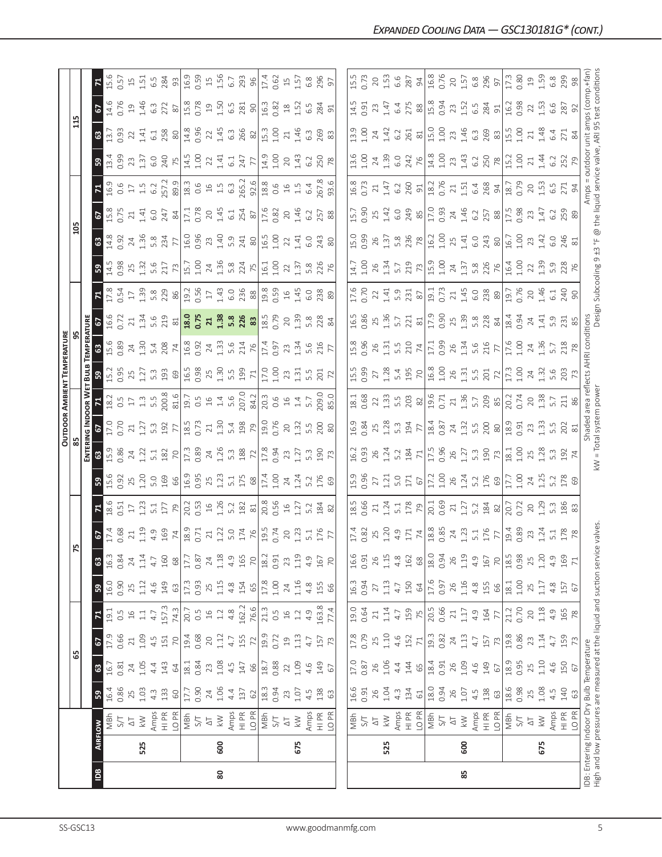|                                                                       |                |                        |                  |      |                |                  |               |                 |                                                                        |                                                                |                                 |                                           |                                                                                                                                                                                                                                                                                                                                |                            | <b>OUTDOOR AMBIENT TEMPERATURE</b>                                         |                                |                                                                                                                |                                                                                                                                                                                                                                                                                                  |                                                                                                                                                                                                                                                                                                                                                                                 |                                                        |                                   |                                                                                                |                                                           |                                                                             |                  |                                     |
|-----------------------------------------------------------------------|----------------|------------------------|------------------|------|----------------|------------------|---------------|-----------------|------------------------------------------------------------------------|----------------------------------------------------------------|---------------------------------|-------------------------------------------|--------------------------------------------------------------------------------------------------------------------------------------------------------------------------------------------------------------------------------------------------------------------------------------------------------------------------------|----------------------------|----------------------------------------------------------------------------|--------------------------------|----------------------------------------------------------------------------------------------------------------|--------------------------------------------------------------------------------------------------------------------------------------------------------------------------------------------------------------------------------------------------------------------------------------------------|---------------------------------------------------------------------------------------------------------------------------------------------------------------------------------------------------------------------------------------------------------------------------------------------------------------------------------------------------------------------------------|--------------------------------------------------------|-----------------------------------|------------------------------------------------------------------------------------------------|-----------------------------------------------------------|-----------------------------------------------------------------------------|------------------|-------------------------------------|
|                                                                       |                |                        |                  | ය    |                |                  |               | 75              |                                                                        |                                                                |                                 |                                           |                                                                                                                                                                                                                                                                                                                                |                            |                                                                            |                                |                                                                                                                |                                                                                                                                                                                                                                                                                                  |                                                                                                                                                                                                                                                                                                                                                                                 | 105                                                    |                                   |                                                                                                |                                                           | $\mathbf{r}$                                                                |                  |                                     |
|                                                                       |                |                        |                  |      |                |                  |               |                 |                                                                        |                                                                |                                 | ENTERI                                    | uva Inp                                                                                                                                                                                                                                                                                                                        | OOR W                      | BuuB                                                                       | <b>EMPERATURE</b>              |                                                                                                                |                                                                                                                                                                                                                                                                                                  |                                                                                                                                                                                                                                                                                                                                                                                 |                                                        |                                   |                                                                                                |                                                           |                                                                             |                  |                                     |
| <u>sq</u>                                                             | <b>AIRFLOW</b> |                        | ${\tt S}$        | ශ    | <b>G</b>       | $\mathbf{z}$     | <b>S</b>      | ය               | $\frac{5}{2}$                                                          |                                                                | $3\frac{6}{15}$                 | ය                                         | 5                                                                                                                                                                                                                                                                                                                              |                            |                                                                            | <b>8</b><br>15.89              |                                                                                                                |                                                                                                                                                                                                                                                                                                  | ၛၟ                                                                                                                                                                                                                                                                                                                                                                              | 63                                                     | $rac{5}{15}$                      | $\frac{7}{16.9}$                                                                               | ន                                                         | $\mathbf{G}$                                                                | $\frac{6}{2}$    | $\mathbf{z}$                        |
|                                                                       |                | MBh                    | 16.4             | 16.7 | 17.9           | 19.1             | 16.0          | 16.3            | $\frac{17.4}{0.68}$                                                    | 18.6                                                           |                                 | 15.9                                      | 17.0                                                                                                                                                                                                                                                                                                                           | 18.2                       | 15.2<br>0.95                                                               |                                | 16.6                                                                                                           |                                                                                                                                                                                                                                                                                                  | 14.5<br>0.98                                                                                                                                                                                                                                                                                                                                                                    | 14.8                                                   |                                   |                                                                                                | $\frac{13.4}{0.99}$                                       | $\overline{13.7}$                                                           | 14.6             | 15.6                                |
|                                                                       |                | 5/1                    | 0.86             | 0.81 | 0.66           | $0.\overline{5}$ | 0.90          | 0.84            |                                                                        | 0.51                                                           | 0.92                            | 0.86                                      | 0.70                                                                                                                                                                                                                                                                                                                           | 0.5                        |                                                                            |                                | 0.72                                                                                                           |                                                                                                                                                                                                                                                                                                  |                                                                                                                                                                                                                                                                                                                                                                                 | 0.92                                                   | 0.75                              | 0.6                                                                                            |                                                           | 0.93                                                                        | 0.76             | 0.57                                |
|                                                                       |                | $\overline{C}$         | 25               | 24   | 21             | 16               | 25            | 24              | $21\,$                                                                 | $\Box$                                                         | 25                              | 24                                        |                                                                                                                                                                                                                                                                                                                                | $1\,$                      |                                                                            |                                | $\overline{\mathbf{C}}$                                                                                        |                                                                                                                                                                                                                                                                                                  |                                                                                                                                                                                                                                                                                                                                                                                 | $24\,$                                                 | 21                                |                                                                                                | 23                                                        | 22                                                                          | $\overline{19}$  | $15$                                |
|                                                                       | 525            | $\geqslant$            | 1.03             | 1.05 | 1.09           | $\Xi$            | 1.12          | $1.14\,$        | 1.19                                                                   | 1.23                                                           | 1.20                            | 1.22                                      | $21$<br>$1.27$                                                                                                                                                                                                                                                                                                                 | $1.3$                      | $25$<br>1.27                                                               |                                | 1.34                                                                                                           |                                                                                                                                                                                                                                                                                                  | $25$<br>$1.32$                                                                                                                                                                                                                                                                                                                                                                  | 1.36                                                   | 1.41                              |                                                                                                | 1.37                                                      | 1.41                                                                        | 1.46             | 1.51                                |
|                                                                       |                | Amps                   | $4.\overline{3}$ | 4.4  | 4.5            | $4.7$            | 4.6           | 4.7             |                                                                        |                                                                | 5.0<br>169                      |                                           | 5.3<br>192                                                                                                                                                                                                                                                                                                                     |                            |                                                                            |                                |                                                                                                                |                                                                                                                                                                                                                                                                                                  |                                                                                                                                                                                                                                                                                                                                                                                 | 5.8<br>234                                             | 6.0                               |                                                                                                |                                                           | 6.1                                                                         | $6.\overline{3}$ | 6.5                                 |
|                                                                       |                | $\frac{P}{T}$          | 133              | 143  | 151            | 157.3            | 149           | 160             | $4.9$<br>$169$<br>$74$<br>$18.9$<br>0.71                               | $\frac{5.1}{17}$                                               |                                 | $\frac{132}{17.30}$                       |                                                                                                                                                                                                                                                                                                                                | $200.8$<br>81.6            | $\frac{3}{2}$ $\frac{3}{2}$ $\frac{3}{2}$                                  | $24$<br>1.30<br>5.4<br>74      | s. 2 2 2 3 2 3 3 4 5 6 7 9 2 3 4 5 6 7 9 8 7 9 2 3 4 6 7 9 8 7 9 2 7 9 8 7 9 7 9 7 9 2 7 9 8 7 9 7 9 7 9 2 7 9 | $7\frac{8}{12}$ $\frac{3}{5}$ $\frac{5}{12}$ $\frac{5}{12}$ $\frac{8}{12}$ $\frac{8}{12}$ $\frac{8}{12}$ $\frac{1}{12}$ $\frac{1}{12}$ $\frac{1}{12}$ $\frac{1}{12}$ $\frac{1}{12}$ $\frac{1}{12}$ $\frac{1}{12}$ $\frac{1}{12}$ $\frac{1}{12}$                                                  | 5.6<br>217<br>73                                                                                                                                                                                                                                                                                                                                                                |                                                        | $247$ 84                          |                                                                                                | $rac{0}{240}$                                             | 258                                                                         | 272              | 284                                 |
|                                                                       |                | LO <sub>PR</sub>       | $\rm G$          | 64   | $\overline{C}$ | 74.3             | 63            | $68$            |                                                                        |                                                                | 99                              |                                           | $77\,$                                                                                                                                                                                                                                                                                                                         |                            |                                                                            |                                |                                                                                                                |                                                                                                                                                                                                                                                                                                  |                                                                                                                                                                                                                                                                                                                                                                                 | $\overline{7}$                                         |                                   |                                                                                                |                                                           | 80                                                                          | $\rm 87$         | 93                                  |
|                                                                       |                | MBh                    | 17.7             | 18.1 | 19.4           | 20.7             | 17.3          | 17.7            |                                                                        | $20.3$<br>$1.26$<br>$1.26$                                     | 16.9<br>0.95                    |                                           |                                                                                                                                                                                                                                                                                                                                | $19.5$<br>$15.4$<br>$15.6$ |                                                                            |                                |                                                                                                                |                                                                                                                                                                                                                                                                                                  |                                                                                                                                                                                                                                                                                                                                                                                 |                                                        | 17.1<br>0.78                      |                                                                                                | $\begin{array}{c} 14.5 \\ 1.00 \\ 22 \\ 1.41 \end{array}$ | 14.8<br>0.96                                                                | 15.8<br>0.78     | $16.9$<br>$0.59$<br>$1.56$<br>$6.7$ |
|                                                                       |                | S/T                    | 0.90             | 0.84 | 0.68           | 0.5              | 0.93          | 0.87            |                                                                        |                                                                |                                 |                                           |                                                                                                                                                                                                                                                                                                                                |                            |                                                                            |                                |                                                                                                                |                                                                                                                                                                                                                                                                                                  |                                                                                                                                                                                                                                                                                                                                                                                 |                                                        |                                   |                                                                                                |                                                           |                                                                             |                  |                                     |
|                                                                       |                | $\overline{\triangle}$ | 24               | 23   | 20             | $16$             | 25            | 24              | 21                                                                     |                                                                | 25                              |                                           |                                                                                                                                                                                                                                                                                                                                |                            |                                                                            |                                |                                                                                                                |                                                                                                                                                                                                                                                                                                  |                                                                                                                                                                                                                                                                                                                                                                                 |                                                        | $20$                              |                                                                                                |                                                           | 22                                                                          | $\overline{19}$  |                                     |
| 80                                                                    | 600            | $\lesssim$             | $1.06$           | 1.08 | 1.12           | $1.2\,$          | 1.15          | 1.18            | 1.22                                                                   |                                                                | 1.23                            | 24<br>1.26                                |                                                                                                                                                                                                                                                                                                                                |                            |                                                                            |                                |                                                                                                                |                                                                                                                                                                                                                                                                                                  |                                                                                                                                                                                                                                                                                                                                                                                 |                                                        | 1.45                              |                                                                                                |                                                           | 1.45                                                                        |                  |                                     |
|                                                                       |                | Amps                   | 4.4              | 4.5  | 4.7            | 4.8              | 4.8           | 4.9             |                                                                        | 5.2                                                            | 5.1                             |                                           |                                                                                                                                                                                                                                                                                                                                |                            |                                                                            |                                |                                                                                                                |                                                                                                                                                                                                                                                                                                  |                                                                                                                                                                                                                                                                                                                                                                                 |                                                        | 6.1                               |                                                                                                | 6.1                                                       | 6.3                                                                         | $1.50$<br>$6.5$  |                                     |
|                                                                       |                | HI PR                  | 137              | 147  | 155            | 162.2            | 154           | 165             | $5.0$<br>$174$<br>$76$<br>$19.5$<br>0.74                               |                                                                |                                 | $\frac{3}{2}$ $\frac{8}{2}$ $\frac{2}{1}$ | $\begin{array}{ccc} 1 & 0 & 0 & 0 & 0 \\ 0 & 0 & 0 & 0 & 0 \\ 0 & 0 & 0 & 0 & 0 \\ 0 & 0 & 0 & 0 & 0 \\ 0 & 0 & 0 & 0 & 0 \\ 0 & 0 & 0 & 0 & 0 \\ 0 & 0 & 0 & 0 & 0 \\ 0 & 0 & 0 & 0 & 0 \\ 0 & 0 & 0 & 0 & 0 \\ 0 & 0 & 0 & 0 & 0 \\ 0 & 0 & 0 & 0 & 0 \\ 0 & 0 & 0 & 0 & 0 \\ 0 & 0 & 0 & 0 & 0 \\ 0 & 0 & 0 & 0 & 0 \\ 0 &$ | 207.0                      | $\begin{array}{c} 16.5 \\ 0.98 \\ 1.30 \\ 1.30 \\ 1.99 \\ 1.1 \end{array}$ | 16.8<br>0.9 2 4 3 5 5 7 7 6    |                                                                                                                |                                                                                                                                                                                                                                                                                                  | $\begin{array}{c c c c c} \text{IS.7} & \text{S.8} & \text{S.7} & \text{S.8} \\ \text{S.9} & \text{S.2} & \text{S.7} & \text{S.8} \\ \text{S.1} & \text{S.8} & \text{S.8} & \text{S.8} \\ \text{S.9} & \text{S.9} & \text{S.9} & \text{S.9} \\ \text{S.1} & \text{S.9} & \text{S.9} & \text{S.9} \\ \text{S.1} & \text{S.9} & \text{S.9} & \text{S.9} \\ \text{S.1} & \text{S.$ | 16.0<br>0.96<br>2.3<br>4.0<br>5.0<br>2.0<br>2.0<br>2.0 | 254                               |                                                                                                | 747<br>77                                                 | 266<br>82                                                                   | 281              | 293                                 |
|                                                                       |                | LO PR                  | 62               | 66   | 72             | 76.6             | 65            | $\overline{70}$ |                                                                        |                                                                |                                 |                                           |                                                                                                                                                                                                                                                                                                                                | 84.2                       |                                                                            |                                |                                                                                                                |                                                                                                                                                                                                                                                                                                  |                                                                                                                                                                                                                                                                                                                                                                                 |                                                        |                                   |                                                                                                |                                                           |                                                                             | 90               |                                     |
|                                                                       |                | MBh                    | 18.3             | 18.7 | 19.9           | 21.3             | $17.8\,$      | 18.2            |                                                                        | $\begin{array}{c c}\n 182 \\  81 \\  0.56 \\  16\n\end{array}$ | $175$ $\frac{8}{174}$           | $\frac{8}{17.8}$                          | $\frac{0}{19}$                                                                                                                                                                                                                                                                                                                 | 20.3                       | $\overline{17.0}$                                                          |                                |                                                                                                                |                                                                                                                                                                                                                                                                                                  |                                                                                                                                                                                                                                                                                                                                                                                 | $\frac{15}{15}$                                        |                                   |                                                                                                |                                                           | $\frac{3}{15}$                                                              | 16.3             | 17.4                                |
|                                                                       |                | 5/7                    | 0.94             | 0.88 | 0.72           | 0.5              | $1.00$        | 0.91            |                                                                        |                                                                |                                 | 0.94                                      | 0.76                                                                                                                                                                                                                                                                                                                           | 0.6                        | 1.00                                                                       | 17.4<br>0.97                   |                                                                                                                |                                                                                                                                                                                                                                                                                                  |                                                                                                                                                                                                                                                                                                                                                                                 |                                                        | 17.6                              |                                                                                                | $14.9$<br>$1.00$                                          | 1.00                                                                        | 0.82             | 0.62                                |
|                                                                       |                | $\overline{\Delta}$    | 23               | 22   | $\overline{c}$ | $\frac{16}{1}$   | 24            | 23              | 20                                                                     |                                                                |                                 | 23                                        | 20                                                                                                                                                                                                                                                                                                                             | $16$                       | 23                                                                         | 23                             | 20                                                                                                             |                                                                                                                                                                                                                                                                                                  |                                                                                                                                                                                                                                                                                                                                                                                 | $\overline{2}$                                         | 20                                |                                                                                                | 20                                                        | 21                                                                          | $^{28}$          | $\Xi$                               |
|                                                                       | 675            | $\lesssim$             | 1.07             | 1.09 | $1.13$         | 1.2              | 1.16          | 1.19            | 1.23                                                                   | 1.27                                                           | $24$<br>1.24                    | 1.27                                      | 1.32                                                                                                                                                                                                                                                                                                                           |                            | 1.31                                                                       | 1.34                           | 1.39                                                                                                           |                                                                                                                                                                                                                                                                                                  |                                                                                                                                                                                                                                                                                                                                                                                 | 1.41                                                   | 1.46                              |                                                                                                | 1.43                                                      | 1.46                                                                        | 1.52             | 1.57                                |
|                                                                       |                | Amps                   | 4.5              | 4.6  | 4.7            | 4.9              | 4.8           | 4.9             | 5.1                                                                    | 5.2                                                            | 5.2                             | 5.3                                       |                                                                                                                                                                                                                                                                                                                                | $1.4$<br>5.7               | 5.5                                                                        | 5.6                            |                                                                                                                |                                                                                                                                                                                                                                                                                                  |                                                                                                                                                                                                                                                                                                                                                                                 | 6.0                                                    | 6.2                               |                                                                                                | 6.2                                                       | $6.\overline{3}$                                                            | 6.5              | 6.8                                 |
|                                                                       |                | $\frac{P}{I}$          | 138              | 149  | 157            | 163.8            | 155           | 167             | 176                                                                    | 184                                                            | 176                             | 190                                       | 5.500                                                                                                                                                                                                                                                                                                                          | 09.0                       | 201                                                                        | 216                            | 5.8<br>228                                                                                                     | 6.0<br>238                                                                                                                                                                                                                                                                                       | 5.8<br>226                                                                                                                                                                                                                                                                                                                                                                      | 243                                                    | 257                               |                                                                                                | 250                                                       | 269                                                                         | 284              | 296                                 |
|                                                                       |                |                        |                  |      |                |                  |               |                 |                                                                        |                                                                |                                 |                                           |                                                                                                                                                                                                                                                                                                                                |                            |                                                                            |                                |                                                                                                                |                                                                                                                                                                                                                                                                                                  |                                                                                                                                                                                                                                                                                                                                                                                 |                                                        |                                   |                                                                                                |                                                           |                                                                             |                  |                                     |
|                                                                       |                | LO <sub>PR</sub>       | 63               | 67   | 73             | 77.4             | 66            | 70              | $\overline{7}$                                                         | 82                                                             | 69                              |                                           | 80                                                                                                                                                                                                                                                                                                                             | 85.0                       |                                                                            |                                | 84                                                                                                             |                                                                                                                                                                                                                                                                                                  |                                                                                                                                                                                                                                                                                                                                                                                 |                                                        | 88                                |                                                                                                |                                                           | 83                                                                          | 91               | 5                                   |
|                                                                       |                |                        |                  |      |                |                  |               |                 |                                                                        |                                                                |                                 |                                           |                                                                                                                                                                                                                                                                                                                                |                            |                                                                            |                                |                                                                                                                |                                                                                                                                                                                                                                                                                                  |                                                                                                                                                                                                                                                                                                                                                                                 |                                                        |                                   |                                                                                                |                                                           |                                                                             |                  |                                     |
|                                                                       |                | MBh                    | 16.6             | 17.0 | 17.8           | 19.0             | 16.3          | 16.6            | 17.4                                                                   | 18.5                                                           | 15.9                            | 16.2                                      | 16.9                                                                                                                                                                                                                                                                                                                           | 18.1                       | 15.5                                                                       | 15.8                           | 16.5                                                                                                           | 17.6                                                                                                                                                                                                                                                                                             | 14.7                                                                                                                                                                                                                                                                                                                                                                            | 15.0                                                   | 15.7                              | 16.8                                                                                           | 13.6                                                      | 13.9                                                                        | 14.5             | 15.5                                |
|                                                                       |                | 5/1                    | 0.91             | 0.87 | 0.79           | 0.64             | 0.94          | 0.91            | 0.82                                                                   | 0.66                                                           | 0.96                            | 0.93                                      | 0.84                                                                                                                                                                                                                                                                                                                           | 0.68                       |                                                                            | 0.96                           | 0.86                                                                                                           | 0.70                                                                                                                                                                                                                                                                                             | 1.00                                                                                                                                                                                                                                                                                                                                                                            | 0.99                                                   | 0.90                              | 0.73                                                                                           | 1.00                                                      | 1.00                                                                        | 0.91             | 0.73                                |
|                                                                       |                | $\Delta \top$          | 26               | 26   | 25             | 21               | 27            | 26              | 25                                                                     | $21\,$                                                         | 27                              | 26                                        | 25                                                                                                                                                                                                                                                                                                                             |                            | $27\,$                                                                     | 26                             | 25                                                                                                             |                                                                                                                                                                                                                                                                                                  | 26                                                                                                                                                                                                                                                                                                                                                                              | 26                                                     | 25                                | 21                                                                                             | 24                                                        | 24                                                                          | 23               | 20                                  |
|                                                                       | 525            | $\lesssim$             | 1.04             | 1.06 | 1.10           | 1.14             | 1.13          | 1.15            | 1.20                                                                   |                                                                |                                 | 1.24                                      | 1.28                                                                                                                                                                                                                                                                                                                           | $22$<br>$1.33$             | 1.28                                                                       |                                | 1.36                                                                                                           | $22147$<br>$52378$                                                                                                                                                                                                                                                                               | 1.34                                                                                                                                                                                                                                                                                                                                                                            | $1.\overline{37}$<br>5.8                               | 1.42                              | 1.47                                                                                           | 1.39                                                      | 1.42                                                                        | 1.47             | 1.53                                |
|                                                                       |                | Amps                   | $4.\overline{3}$ | 4.4  | 4.6            | 4.7              | 4.7           | 4.8             | 4.9                                                                    | $1.24$<br>5.1                                                  |                                 | 5.2                                       | 5.3                                                                                                                                                                                                                                                                                                                            |                            |                                                                            |                                | 5.7                                                                                                            |                                                                                                                                                                                                                                                                                                  | 5.7                                                                                                                                                                                                                                                                                                                                                                             |                                                        | 6.0                               | 6.2                                                                                            | 6.0                                                       | 6.2                                                                         | 6.4              | 6.6                                 |
|                                                                       |                | $\frac{R}{H}$          | 134              | 144  | 152            | 159              | 150           | 162             |                                                                        |                                                                |                                 |                                           |                                                                                                                                                                                                                                                                                                                                |                            |                                                                            |                                |                                                                                                                |                                                                                                                                                                                                                                                                                                  |                                                                                                                                                                                                                                                                                                                                                                                 |                                                        |                                   |                                                                                                |                                                           | 261                                                                         | 275              | 287                                 |
|                                                                       |                | LO <sub>PR</sub>       | $61\,$           | 65   | 71             | 75               | $\mathcal{R}$ | 68              | $\frac{71}{188}$                                                       | 178                                                            | $1.21$<br>$5.0$<br>$5.7$<br>$6$ | 184                                       | <b>77</b>                                                                                                                                                                                                                                                                                                                      | 5.58                       | $5.4$ 5.2                                                                  | $1.31$<br>$5.5$ $74$           | $\frac{221}{81}$                                                                                               |                                                                                                                                                                                                                                                                                                  | $\frac{719}{15.9}$                                                                                                                                                                                                                                                                                                                                                              | 236                                                    | 249                               | 260                                                                                            | 242                                                       | $\frac{81}{15.0}$                                                           | $\frac{8}{8}$    | 94                                  |
|                                                                       |                | MBh                    | 18.0             | 18.4 | 19.3           | 20.5             | 17.6          | 18.0            |                                                                        | 20.1<br>0.69                                                   | 17.2<br>1.00                    | 17.5                                      | 18.4<br>0.87                                                                                                                                                                                                                                                                                                                   | 19.6<br>0.71               | $16.8$<br>$1.00$                                                           | 17.1<br>0.99                   |                                                                                                                |                                                                                                                                                                                                                                                                                                  |                                                                                                                                                                                                                                                                                                                                                                                 | 16.2                                                   | 17.0                              | 18.2<br>0.76                                                                                   | 14.8                                                      |                                                                             | 15.8<br>0.94     | 16.8                                |
|                                                                       |                | $5/1$                  | 0.94             | 0.91 | 0.82           | 0.66             | 0.97          | 0.94            |                                                                        |                                                                |                                 | 0.96                                      |                                                                                                                                                                                                                                                                                                                                |                            |                                                                            |                                |                                                                                                                |                                                                                                                                                                                                                                                                                                  |                                                                                                                                                                                                                                                                                                                                                                                 |                                                        |                                   |                                                                                                | 1.00                                                      | 1.00                                                                        |                  | 0.76                                |
|                                                                       |                | $\overline{\triangle}$ | 26               | 26   | 24             | 21               | 26            | 26              | $\overline{24}$                                                        | $\overline{21}$                                                | 26                              | 26                                        |                                                                                                                                                                                                                                                                                                                                | 21.36                      | $26$<br>1.31                                                               |                                |                                                                                                                |                                                                                                                                                                                                                                                                                                  |                                                                                                                                                                                                                                                                                                                                                                                 |                                                        |                                   |                                                                                                | $23$<br>1.43                                              | 23                                                                          | 23               | $20$                                |
| 85                                                                    | 600            | $\lesssim$             | 1.07             | 1.09 | 1.13           | $1.17\,$         | 1.16          | 1.19            | 1.23                                                                   |                                                                | 1.24                            | 1.27                                      |                                                                                                                                                                                                                                                                                                                                |                            |                                                                            |                                |                                                                                                                |                                                                                                                                                                                                                                                                                                  |                                                                                                                                                                                                                                                                                                                                                                                 |                                                        |                                   |                                                                                                |                                                           | 1.46                                                                        | 1.52             |                                     |
|                                                                       |                | Amps                   | 4.5              | 4.6  | 4.7            | 4.9              | 4.8           | 4.9             |                                                                        |                                                                |                                 |                                           |                                                                                                                                                                                                                                                                                                                                |                            |                                                                            |                                |                                                                                                                |                                                                                                                                                                                                                                                                                                  |                                                                                                                                                                                                                                                                                                                                                                                 |                                                        |                                   |                                                                                                |                                                           | $6.\overline{3}$                                                            | $6.\overline{5}$ |                                     |
|                                                                       |                | HI PR                  | 138              | 149  | 157            | 164              | 155           | 167             |                                                                        |                                                                | $5.2$<br>176                    |                                           |                                                                                                                                                                                                                                                                                                                                |                            |                                                                            |                                |                                                                                                                |                                                                                                                                                                                                                                                                                                  |                                                                                                                                                                                                                                                                                                                                                                                 |                                                        |                                   |                                                                                                |                                                           | 269                                                                         | 284              |                                     |
|                                                                       |                | LO PR                  | 63               | 67   | 73             | 77               | 66            | 70              |                                                                        | $\begin{array}{c c} 1.27 \\ 5.2 \\ 184 \\ \end{array}$         | 69                              | $\frac{3}{2}$ $\frac{3}{2}$ $\frac{2}{2}$ | $3.258$ $8$                                                                                                                                                                                                                                                                                                                    | $5.7$ 85                   | $\frac{55}{201}$                                                           | $26$<br>$1.34$<br>$5.6$<br>$7$ |                                                                                                                | $\begin{bmatrix} 19.11 & 19.73 \\ 0.73 & 14.5 & 0.80 \\ 0.4 & 0.6 & 0.80 \\ 0 & 0.8 & 0.80 \\ 0 & 0.8 & 0.80 \\ 0 & 0.8 & 0.80 \\ 0 & 0.8 & 0.80 \\ 0 & 0.8 & 0.80 \\ 0 & 0.8 & 0.80 \\ 0 & 0.8 & 0.80 \\ 0 & 0.8 & 0.80 \\ 0 & 0.8 & 0.80 \\ 0 & 0.8 & 0.80 \\ 0 & 0.8 & 0.80 \\ 0 & 0.8 & 0.8$ | $24$<br>$1.\overline{37}$<br>$5.\overline{8}$<br>$706$<br>$76$                                                                                                                                                                                                                                                                                                                  | $\frac{100}{25}$ $\frac{141}{60}$ $\frac{243}{80}$     | $746$<br>$1.46$<br>$6.2$<br>$758$ |                                                                                                | $6.2$ 50 $\frac{2}{5}$                                    | 83                                                                          | 51               | $1.57$<br>$6.8$<br>$296$            |
|                                                                       |                | MBh                    | 18.6             | 18.9 | 19.8           | 21.2             | $18.1\,$      | 18.5            | $\frac{5.1}{176}$ $\frac{7}{19.4}$ $\frac{89}{0.89}$ $\frac{23}{19.4}$ | 20.7<br>0.72                                                   | 17.7                            | 18.1                                      | $\frac{18.9}{0.91}$                                                                                                                                                                                                                                                                                                            | 20.2<br>0.74               | $17.3$<br>1.00                                                             | 17.6<br>1.00                   | $18.4$<br>0.94                                                                                                 | 19.7<br>0.76                                                                                                                                                                                                                                                                                     | $16.4$<br>$1.00$                                                                                                                                                                                                                                                                                                                                                                | 16.7                                                   | 17.5<br>0.98                      | $\begin{array}{c c}\n 21 & 51 \\  1.51 & 6.8 \\  6.8 & 3 & 18.7 \\  0.79 & 0.79\n \end{array}$ | 15.2                                                      | 15.5                                                                        | 16.2<br>0.98     | 17.3<br>0.80                        |
|                                                                       |                | <b>S/T</b>             | 0.98             | 0.95 | 0.86           | 0.70             | 1.00          | 0.98            |                                                                        |                                                                | 1.00                            | 1.00                                      |                                                                                                                                                                                                                                                                                                                                |                            |                                                                            |                                |                                                                                                                |                                                                                                                                                                                                                                                                                                  |                                                                                                                                                                                                                                                                                                                                                                                 | 00                                                     |                                   |                                                                                                | 1.00                                                      | 1.00                                                                        |                  |                                     |
|                                                                       |                | $\overline{\Delta}$    | 25               | 25   | 23             | 20               | 25            | 25              |                                                                        | $20\,$                                                         | 24                              | 25<br>1.28                                | $23 \over 1.33$                                                                                                                                                                                                                                                                                                                | $20^{2}$                   | $24$<br>1.32                                                               | $24 \n1.36$                    | $24$<br>1.41                                                                                                   | $20$<br>1.46                                                                                                                                                                                                                                                                                     | 22                                                                                                                                                                                                                                                                                                                                                                              | 23                                                     | 23                                | $20^{1.53}$                                                                                    | $21\,$                                                    | $21\,$                                                                      | $\overline{2}$   | 19                                  |
|                                                                       | 675            | $\geq$                 | 1.08             | 1.10 | 1.14           | $1.18$           | 1.17          | 1.20            | 1.24                                                                   | 1.29                                                           | 1.25                            |                                           |                                                                                                                                                                                                                                                                                                                                |                            |                                                                            |                                |                                                                                                                |                                                                                                                                                                                                                                                                                                  | 1.39                                                                                                                                                                                                                                                                                                                                                                            | 1.42                                                   | 1.47                              |                                                                                                | 1.44                                                      | 1.48                                                                        | 1.53             | 1.59                                |
|                                                                       |                | Amps                   | 4.5              | 4.6  | $\frac{1}{4}$  | 4.9              | 4.8           | 4.9             |                                                                        | 5.3                                                            | 5.2                             |                                           | 5.5                                                                                                                                                                                                                                                                                                                            | 5.7                        | 5.6                                                                        | 5.7                            |                                                                                                                | 6.1                                                                                                                                                                                                                                                                                              |                                                                                                                                                                                                                                                                                                                                                                                 | G.O                                                    |                                   | $6.5$<br>271                                                                                   | 6.2                                                       | 6.4                                                                         | 6.6              | $6.\overline{8}$                    |
|                                                                       |                | $\frac{R}{H}$          | 140              | 150  | 159            | 165              | 157           | 169             | $5.1$<br>$178$<br>$78$                                                 | 186                                                            | 178                             | $\frac{52}{74}$                           | 202                                                                                                                                                                                                                                                                                                                            | 211                        | 203                                                                        | 218                            | 5.3185                                                                                                         | $rac{40}{90}$                                                                                                                                                                                                                                                                                    | 5.9<br>228<br>76                                                                                                                                                                                                                                                                                                                                                                | 246                                                    | $6.2$ 5.9                         |                                                                                                | 252                                                       | 271                                                                         | 287              | 299                                 |
|                                                                       |                | LO <sub>PR</sub>       | 63               | 67   | 73             | 78               | 67            | $\overline{71}$ |                                                                        |                                                                |                                 |                                           | 81                                                                                                                                                                                                                                                                                                                             |                            |                                                                            |                                |                                                                                                                |                                                                                                                                                                                                                                                                                                  |                                                                                                                                                                                                                                                                                                                                                                                 |                                                        |                                   | $\overline{5}$                                                                                 |                                                           | $\frac{8}{4}$                                                               |                  |                                     |
| IDB: Entering Indoor Dry Bulb Temperature                             |                |                        |                  |      |                |                  |               |                 |                                                                        |                                                                |                                 |                                           | Shaded                                                                                                                                                                                                                                                                                                                         | area                       | reflects AHRI                                                              | conditions                     |                                                                                                                |                                                                                                                                                                                                                                                                                                  |                                                                                                                                                                                                                                                                                                                                                                                 |                                                        |                                   | Amps                                                                                           | outdoor                                                   | unit amps (comp.+fan                                                        |                  |                                     |
| High and low pressures are measured at the liquid and suction service |                |                        |                  |      |                |                  |               |                 | valves                                                                 |                                                                |                                 |                                           | kW = Total system power                                                                                                                                                                                                                                                                                                        |                            |                                                                            |                                |                                                                                                                |                                                                                                                                                                                                                                                                                                  |                                                                                                                                                                                                                                                                                                                                                                                 |                                                        |                                   |                                                                                                |                                                           | Design Subcooling 9 ±3 °F @ the liquid service valve, ARI 95 test condition |                  |                                     |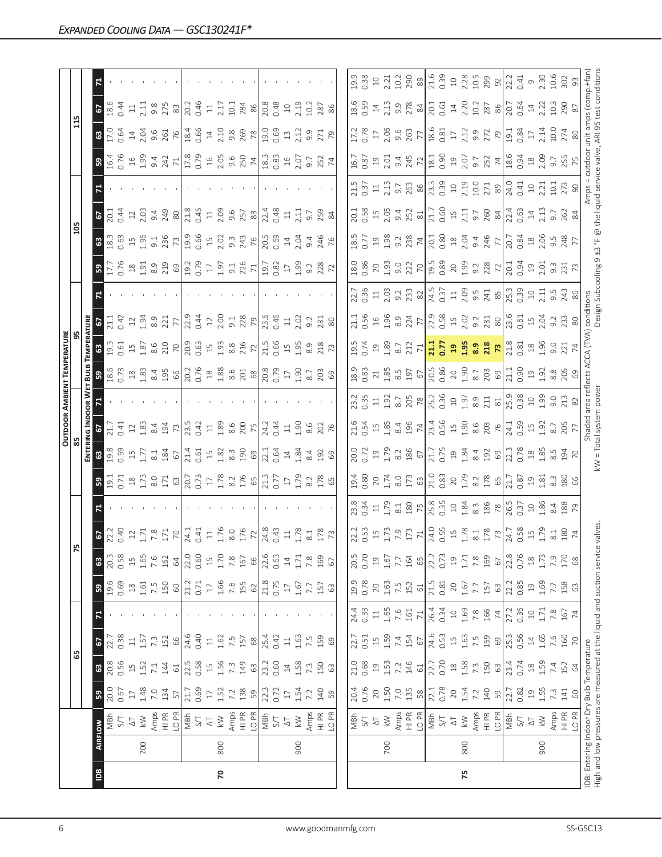|                |     |                                                                      |                  |                                                      |                         |                                         |                                           |                 |                                                                                                                                                                                                                                                                                                                                                  |                  |                                                                                                                                                                                                                                                                                                                                                                                      |                                                                                                                                                                                                                                |                                                                                                                                                                                                                                                                                                                       |                                                                                                                                                                                                                                                                                                           | <b>OUTDOOR AMBIENT TEMPERATURE</b>                                                                                                                                        |                                                                                                                                                                                                                                                                                    |                                                                                                                                                                                                                                                                                                                                                                                                                       |                                                                                                                                                                                                                                                                                  |                                                                                                                                                                                                                                                                                                                     |                                                                                                                                           |                                                                                                                                                                                                                                |                                                             |                                                                                                                                                                                                                                                                                                               |                                                                                                                                                                                                                              |
|----------------|-----|----------------------------------------------------------------------|------------------|------------------------------------------------------|-------------------------|-----------------------------------------|-------------------------------------------|-----------------|--------------------------------------------------------------------------------------------------------------------------------------------------------------------------------------------------------------------------------------------------------------------------------------------------------------------------------------------------|------------------|--------------------------------------------------------------------------------------------------------------------------------------------------------------------------------------------------------------------------------------------------------------------------------------------------------------------------------------------------------------------------------------|--------------------------------------------------------------------------------------------------------------------------------------------------------------------------------------------------------------------------------|-----------------------------------------------------------------------------------------------------------------------------------------------------------------------------------------------------------------------------------------------------------------------------------------------------------------------|-----------------------------------------------------------------------------------------------------------------------------------------------------------------------------------------------------------------------------------------------------------------------------------------------------------|---------------------------------------------------------------------------------------------------------------------------------------------------------------------------|------------------------------------------------------------------------------------------------------------------------------------------------------------------------------------------------------------------------------------------------------------------------------------|-----------------------------------------------------------------------------------------------------------------------------------------------------------------------------------------------------------------------------------------------------------------------------------------------------------------------------------------------------------------------------------------------------------------------|----------------------------------------------------------------------------------------------------------------------------------------------------------------------------------------------------------------------------------------------------------------------------------|---------------------------------------------------------------------------------------------------------------------------------------------------------------------------------------------------------------------------------------------------------------------------------------------------------------------|-------------------------------------------------------------------------------------------------------------------------------------------|--------------------------------------------------------------------------------------------------------------------------------------------------------------------------------------------------------------------------------|-------------------------------------------------------------|---------------------------------------------------------------------------------------------------------------------------------------------------------------------------------------------------------------------------------------------------------------------------------------------------------------|------------------------------------------------------------------------------------------------------------------------------------------------------------------------------------------------------------------------------|
|                |     |                                                                      |                  | 59                                                   |                         |                                         |                                           |                 | 75                                                                                                                                                                                                                                                                                                                                               |                  |                                                                                                                                                                                                                                                                                                                                                                                      |                                                                                                                                                                                                                                |                                                                                                                                                                                                                                                                                                                       |                                                                                                                                                                                                                                                                                                           |                                                                                                                                                                           |                                                                                                                                                                                                                                                                                    |                                                                                                                                                                                                                                                                                                                                                                                                                       |                                                                                                                                                                                                                                                                                  | 105                                                                                                                                                                                                                                                                                                                 |                                                                                                                                           |                                                                                                                                                                                                                                | 115                                                         |                                                                                                                                                                                                                                                                                                               |                                                                                                                                                                                                                              |
|                |     |                                                                      |                  |                                                      |                         |                                         |                                           |                 |                                                                                                                                                                                                                                                                                                                                                  |                  |                                                                                                                                                                                                                                                                                                                                                                                      | Enteri                                                                                                                                                                                                                         |                                                                                                                                                                                                                                                                                                                       | <b>INDOOR W</b>                                                                                                                                                                                                                                                                                           |                                                                                                                                                                           |                                                                                                                                                                                                                                                                                    |                                                                                                                                                                                                                                                                                                                                                                                                                       |                                                                                                                                                                                                                                                                                  |                                                                                                                                                                                                                                                                                                                     |                                                                                                                                           |                                                                                                                                                                                                                                |                                                             |                                                                                                                                                                                                                                                                                                               |                                                                                                                                                                                                                              |
| $\overline{a}$ |     | <b>AIRFLOW</b>                                                       | ${\tt S}$        | ය                                                    | 67                      |                                         | ${\tt S}$                                 | 63              |                                                                                                                                                                                                                                                                                                                                                  |                  |                                                                                                                                                                                                                                                                                                                                                                                      | $\frac{36}{19}$                                                                                                                                                                                                                |                                                                                                                                                                                                                                                                                                                       |                                                                                                                                                                                                                                                                                                           |                                                                                                                                                                           | <b>8</b><br>93                                                                                                                                                                                                                                                                     | $rac{5}{211}$                                                                                                                                                                                                                                                                                                                                                                                                         |                                                                                                                                                                                                                                                                                  | $\frac{3}{8}$                                                                                                                                                                                                                                                                                                       | $rac{67}{201}$                                                                                                                            | ္ဗ                                                                                                                                                                                                                             | $\boldsymbol{\mathsf{s}}$                                   | $\frac{67}{180}$                                                                                                                                                                                                                                                                                              |                                                                                                                                                                                                                              |
|                |     | NBh                                                                  | 20.0             | 20.8                                                 | 22.7                    |                                         | 19.6                                      | 20.3            | $52.3$<br>$2.4$<br>$2.5$<br>$1.7$<br>$7.8$<br>$7.1$                                                                                                                                                                                                                                                                                              |                  | $3\overline{)}$ $\overline{1}$ $\overline{1}$ $\overline{1}$ $\overline{2}$ $\overline{3}$ $\overline{2}$ $\overline{3}$ $\overline{4}$ $\overline{1}$ $\overline{3}$ $\overline{4}$ $\overline{5}$ $\overline{4}$ $\overline{5}$ $\overline{6}$ $\overline{1}$ $\overline{2}$ $\overline{3}$ $\overline{4}$ $\overline{5}$ $\overline{6}$ $\overline{5}$ $\overline{6}$ $\overline$ |                                                                                                                                                                                                                                |                                                                                                                                                                                                                                                                                                                       |                                                                                                                                                                                                                                                                                                           | $3.8\frac{8}{8}$ $3.7\frac{8}{8}$ $3.3\frac{3}{8}$ $3.8\frac{8}{8}$ $3.8\frac{8}{8}$ $3.8\frac{8}{8}$ $3.8\frac{8}{8}$ $3.8\frac{8}{8}$ $3.8\frac{8}{8}$ $3.8\frac{8}{8}$ |                                                                                                                                                                                                                                                                                    |                                                                                                                                                                                                                                                                                                                                                                                                                       |                                                                                                                                                                                                                                                                                  |                                                                                                                                                                                                                                                                                                                     |                                                                                                                                           | $16.76$ $16.83$ $16.72$ $16.76$ $16.76$ $16.76$ $16.76$ $16.76$ $16.76$ $16.76$ $16.76$ $16.76$ $16.76$ $16.76$ $16.76$ $16.76$ $16.76$ $16.76$ $16.76$ $16.76$ $16.76$ $16.76$ $16.76$ $16.76$ $16.76$ $16.76$ $16.76$ $16.7$ | 17.0                                                        |                                                                                                                                                                                                                                                                                                               |                                                                                                                                                                                                                              |
|                |     | 5/1                                                                  | 0.67             | 0.56                                                 | 0.38                    |                                         | 0.69                                      | 0.58            |                                                                                                                                                                                                                                                                                                                                                  |                  |                                                                                                                                                                                                                                                                                                                                                                                      | 0.59                                                                                                                                                                                                                           | 0.41                                                                                                                                                                                                                                                                                                                  |                                                                                                                                                                                                                                                                                                           |                                                                                                                                                                           |                                                                                                                                                                                                                                                                                    | 0.42                                                                                                                                                                                                                                                                                                                                                                                                                  |                                                                                                                                                                                                                                                                                  |                                                                                                                                                                                                                                                                                                                     | 0.44                                                                                                                                      |                                                                                                                                                                                                                                | 0.64                                                        | 0.44                                                                                                                                                                                                                                                                                                          |                                                                                                                                                                                                                              |
|                |     | $\overline{\circ}$                                                   | $\overline{17}$  | $15$                                                 | $\Xi$                   |                                         | $\stackrel{\textstyle\circ}{\mathcal{A}}$ | $\overline{15}$ |                                                                                                                                                                                                                                                                                                                                                  |                  |                                                                                                                                                                                                                                                                                                                                                                                      |                                                                                                                                                                                                                                | 1.83                                                                                                                                                                                                                                                                                                                  |                                                                                                                                                                                                                                                                                                           |                                                                                                                                                                           | $0.61$<br>$1.87$<br>$8.6$<br>$8.7$<br>$7$<br>$8$                                                                                                                                                                                                                                   | $\frac{13}{1}$ $\frac{3}{8}$ $\frac{21}{21}$                                                                                                                                                                                                                                                                                                                                                                          |                                                                                                                                                                                                                                                                                  | 0.63<br>1.96                                                                                                                                                                                                                                                                                                        | $\frac{12}{2.03}$                                                                                                                         |                                                                                                                                                                                                                                |                                                             | $\Xi$                                                                                                                                                                                                                                                                                                         |                                                                                                                                                                                                                              |
|                | 700 | $\gtrapprox$                                                         | 1.48             | 1.52                                                 | 1.57                    |                                         | 1.61                                      | 1.65            |                                                                                                                                                                                                                                                                                                                                                  |                  |                                                                                                                                                                                                                                                                                                                                                                                      |                                                                                                                                                                                                                                |                                                                                                                                                                                                                                                                                                                       |                                                                                                                                                                                                                                                                                                           |                                                                                                                                                                           |                                                                                                                                                                                                                                                                                    |                                                                                                                                                                                                                                                                                                                                                                                                                       |                                                                                                                                                                                                                                                                                  |                                                                                                                                                                                                                                                                                                                     |                                                                                                                                           |                                                                                                                                                                                                                                |                                                             | 2.11                                                                                                                                                                                                                                                                                                          |                                                                                                                                                                                                                              |
|                |     | Amps                                                                 | 7.0              | 7.1                                                  | 7.3                     |                                         | 7.5                                       | 7.6             |                                                                                                                                                                                                                                                                                                                                                  |                  |                                                                                                                                                                                                                                                                                                                                                                                      |                                                                                                                                                                                                                                |                                                                                                                                                                                                                                                                                                                       |                                                                                                                                                                                                                                                                                                           |                                                                                                                                                                           |                                                                                                                                                                                                                                                                                    |                                                                                                                                                                                                                                                                                                                                                                                                                       |                                                                                                                                                                                                                                                                                  |                                                                                                                                                                                                                                                                                                                     | $9.4$<br>249                                                                                                                              |                                                                                                                                                                                                                                |                                                             |                                                                                                                                                                                                                                                                                                               |                                                                                                                                                                                                                              |
|                |     | HI PR                                                                | 134              | 144                                                  | 152                     |                                         | 150                                       | 162             |                                                                                                                                                                                                                                                                                                                                                  |                  |                                                                                                                                                                                                                                                                                                                                                                                      |                                                                                                                                                                                                                                |                                                                                                                                                                                                                                                                                                                       |                                                                                                                                                                                                                                                                                                           |                                                                                                                                                                           |                                                                                                                                                                                                                                                                                    |                                                                                                                                                                                                                                                                                                                                                                                                                       |                                                                                                                                                                                                                                                                                  |                                                                                                                                                                                                                                                                                                                     |                                                                                                                                           |                                                                                                                                                                                                                                |                                                             |                                                                                                                                                                                                                                                                                                               |                                                                                                                                                                                                                              |
|                |     | LO PR                                                                | 57               | $61$                                                 | 99                      |                                         | $60$                                      | $\mathcal{Q}$   |                                                                                                                                                                                                                                                                                                                                                  |                  |                                                                                                                                                                                                                                                                                                                                                                                      |                                                                                                                                                                                                                                |                                                                                                                                                                                                                                                                                                                       |                                                                                                                                                                                                                                                                                                           |                                                                                                                                                                           |                                                                                                                                                                                                                                                                                    |                                                                                                                                                                                                                                                                                                                                                                                                                       |                                                                                                                                                                                                                                                                                  |                                                                                                                                                                                                                                                                                                                     | $\rm 80$                                                                                                                                  |                                                                                                                                                                                                                                |                                                             |                                                                                                                                                                                                                                                                                                               |                                                                                                                                                                                                                              |
|                |     | MBh                                                                  | 21.7             | 22.5                                                 | 24.6                    |                                         | 21.2                                      | 22.0            | $\frac{1}{2}$<br>$\frac{1}{2}$<br>$\frac{1}{3}$<br>$\frac{1}{4}$<br>$\frac{1}{3}$<br>$\frac{1}{6}$<br>$\frac{1}{3}$<br>$\frac{1}{6}$<br>$\frac{1}{6}$<br>$\frac{1}{6}$<br>$\frac{1}{6}$<br>$\frac{1}{3}$<br>$\frac{1}{6}$<br>$\frac{1}{3}$<br>$\frac{1}{3}$<br>$\frac{1}{3}$<br>$\frac{1}{3}$<br>$\frac{1}{3}$<br>$\frac{1}{3}$<br>$\frac{1}{3}$ |                  |                                                                                                                                                                                                                                                                                                                                                                                      |                                                                                                                                                                                                                                | $\frac{3}{3}$ $\frac{4}{3}$ $\frac{1}{3}$ $\frac{1}{3}$ $\frac{3}{4}$ $\frac{3}{4}$ $\frac{3}{8}$ $\frac{6}{8}$ $\frac{8}{8}$ $\frac{1}{8}$ $\frac{1}{2}$ $\frac{1}{4}$ $\frac{3}{4}$ $\frac{1}{6}$                                                                                                                   |                                                                                                                                                                                                                                                                                                           |                                                                                                                                                                           | $\left  \begin{smallmatrix} 0.03 & 0.02 & 0.03 & 0.03 & 0.03 & 0.03 & 0.03 & 0.03 & 0.03 & 0.03 & 0.03 & 0.03 & 0.03 & 0.03 & 0.03 & 0.03 & 0.03 & 0.03 & 0.03 & 0.03 & 0.03 & 0.03 & 0.03 & 0.03 & 0.03 & 0.03 & 0.03 & 0.03 & 0.03 & 0.03 & 0.03 & 0.03 & 0.03 & 0.03 & 0.03 & $ | $\sqrt{3} \cdot \frac{3}{4}$ 2                                                                                                                                                                                                                                                                                                                                                                                        |                                                                                                                                                                                                                                                                                  | $\frac{1}{2}$ $\frac{1}{2}$ $\frac{1}{2}$ $\frac{1}{2}$ $\frac{1}{2}$ $\frac{1}{6}$ $\frac{1}{6}$ $\frac{1}{2}$ $\frac{1}{6}$ $\frac{1}{2}$ $\frac{1}{6}$ $\frac{1}{2}$ $\frac{1}{6}$ $\frac{1}{2}$ $\frac{1}{6}$ $\frac{1}{6}$ $\frac{1}{6}$ $\frac{1}{6}$ $\frac{1}{6}$ $\frac{1}{6}$ $\frac{1}{6}$ $\frac{1}{6}$ | $\begin{array}{ l }\n\hline\n2.45 \\ \hline\n0.45 \\ \hline\n1.09 \\ \hline\n0.57 \\ \hline\n0.48 \\ \hline\n0.48 \\ \hline\n\end{array}$ |                                                                                                                                                                                                                                |                                                             | $\frac{8}{275}$ $\frac{8}{20}$ $\frac{2}{3}$ $\frac{4}{6}$ $\frac{1}{11}$                                                                                                                                                                                                                                     |                                                                                                                                                                                                                              |
|                |     | 5/7                                                                  | 0.69             | 0.58                                                 | 0.40                    |                                         | 0.71                                      | 0.60            |                                                                                                                                                                                                                                                                                                                                                  |                  |                                                                                                                                                                                                                                                                                                                                                                                      |                                                                                                                                                                                                                                |                                                                                                                                                                                                                                                                                                                       |                                                                                                                                                                                                                                                                                                           |                                                                                                                                                                           |                                                                                                                                                                                                                                                                                    |                                                                                                                                                                                                                                                                                                                                                                                                                       |                                                                                                                                                                                                                                                                                  |                                                                                                                                                                                                                                                                                                                     |                                                                                                                                           |                                                                                                                                                                                                                                |                                                             |                                                                                                                                                                                                                                                                                                               |                                                                                                                                                                                                                              |
|                |     | $\overline{\Delta}$                                                  | $\overline{17}$  | $\overline{\mathbb{L}}$                              | $\Xi$                   |                                         | $\Box$                                    | 15              |                                                                                                                                                                                                                                                                                                                                                  |                  |                                                                                                                                                                                                                                                                                                                                                                                      |                                                                                                                                                                                                                                |                                                                                                                                                                                                                                                                                                                       |                                                                                                                                                                                                                                                                                                           |                                                                                                                                                                           |                                                                                                                                                                                                                                                                                    |                                                                                                                                                                                                                                                                                                                                                                                                                       |                                                                                                                                                                                                                                                                                  |                                                                                                                                                                                                                                                                                                                     |                                                                                                                                           |                                                                                                                                                                                                                                |                                                             |                                                                                                                                                                                                                                                                                                               |                                                                                                                                                                                                                              |
| 20             | 800 | $\lesssim$                                                           | 1.52             | 1.56                                                 | 1.62                    |                                         | 1.66                                      | 1.70            |                                                                                                                                                                                                                                                                                                                                                  |                  |                                                                                                                                                                                                                                                                                                                                                                                      |                                                                                                                                                                                                                                |                                                                                                                                                                                                                                                                                                                       |                                                                                                                                                                                                                                                                                                           |                                                                                                                                                                           |                                                                                                                                                                                                                                                                                    |                                                                                                                                                                                                                                                                                                                                                                                                                       |                                                                                                                                                                                                                                                                                  |                                                                                                                                                                                                                                                                                                                     |                                                                                                                                           |                                                                                                                                                                                                                                |                                                             |                                                                                                                                                                                                                                                                                                               |                                                                                                                                                                                                                              |
|                |     | Amps                                                                 | 7.2              | $7.\overline{3}$                                     | 7.5                     |                                         | 7.6                                       | 7.8             |                                                                                                                                                                                                                                                                                                                                                  |                  |                                                                                                                                                                                                                                                                                                                                                                                      |                                                                                                                                                                                                                                |                                                                                                                                                                                                                                                                                                                       |                                                                                                                                                                                                                                                                                                           |                                                                                                                                                                           |                                                                                                                                                                                                                                                                                    |                                                                                                                                                                                                                                                                                                                                                                                                                       |                                                                                                                                                                                                                                                                                  |                                                                                                                                                                                                                                                                                                                     |                                                                                                                                           |                                                                                                                                                                                                                                |                                                             |                                                                                                                                                                                                                                                                                                               |                                                                                                                                                                                                                              |
|                |     | $\frac{\mathsf{PR}}{\mathsf{H}}$                                     | 138              | 149                                                  | 157                     |                                         | 155                                       | 167             |                                                                                                                                                                                                                                                                                                                                                  |                  |                                                                                                                                                                                                                                                                                                                                                                                      |                                                                                                                                                                                                                                |                                                                                                                                                                                                                                                                                                                       |                                                                                                                                                                                                                                                                                                           |                                                                                                                                                                           |                                                                                                                                                                                                                                                                                    | 2.00<br>9.1<br>228<br>73.6<br>0.46                                                                                                                                                                                                                                                                                                                                                                                    |                                                                                                                                                                                                                                                                                  |                                                                                                                                                                                                                                                                                                                     |                                                                                                                                           |                                                                                                                                                                                                                                |                                                             | $7.17$<br>$10.1$<br>$280$<br>$86$<br>$70.8$<br>$0.48$                                                                                                                                                                                                                                                         |                                                                                                                                                                                                                              |
|                |     | LO <sub>PR</sub>                                                     | 59               | $63$                                                 | $68$                    |                                         | 62                                        | 66              |                                                                                                                                                                                                                                                                                                                                                  |                  |                                                                                                                                                                                                                                                                                                                                                                                      |                                                                                                                                                                                                                                |                                                                                                                                                                                                                                                                                                                       |                                                                                                                                                                                                                                                                                                           |                                                                                                                                                                           |                                                                                                                                                                                                                                                                                    |                                                                                                                                                                                                                                                                                                                                                                                                                       |                                                                                                                                                                                                                                                                                  |                                                                                                                                                                                                                                                                                                                     |                                                                                                                                           |                                                                                                                                                                                                                                |                                                             |                                                                                                                                                                                                                                                                                                               |                                                                                                                                                                                                                              |
|                |     | MBh                                                                  | 22.3             | 23.2                                                 | 25.4                    |                                         | 21.8                                      | 22.6            |                                                                                                                                                                                                                                                                                                                                                  |                  |                                                                                                                                                                                                                                                                                                                                                                                      |                                                                                                                                                                                                                                |                                                                                                                                                                                                                                                                                                                       |                                                                                                                                                                                                                                                                                                           |                                                                                                                                                                           |                                                                                                                                                                                                                                                                                    |                                                                                                                                                                                                                                                                                                                                                                                                                       |                                                                                                                                                                                                                                                                                  |                                                                                                                                                                                                                                                                                                                     |                                                                                                                                           |                                                                                                                                                                                                                                |                                                             |                                                                                                                                                                                                                                                                                                               |                                                                                                                                                                                                                              |
|                |     | 5/7                                                                  | 0.72             | 0.60                                                 | 0.42                    |                                         | 0.75                                      | 0.63            |                                                                                                                                                                                                                                                                                                                                                  |                  |                                                                                                                                                                                                                                                                                                                                                                                      |                                                                                                                                                                                                                                |                                                                                                                                                                                                                                                                                                                       |                                                                                                                                                                                                                                                                                                           |                                                                                                                                                                           |                                                                                                                                                                                                                                                                                    |                                                                                                                                                                                                                                                                                                                                                                                                                       |                                                                                                                                                                                                                                                                                  |                                                                                                                                                                                                                                                                                                                     |                                                                                                                                           |                                                                                                                                                                                                                                |                                                             |                                                                                                                                                                                                                                                                                                               |                                                                                                                                                                                                                              |
|                |     | $\overline{\triangle}$                                               | $\Box$           | $\ensuremath{\mathop{\mathop{\mathbf{1}}}\nolimits}$ | $\Xi$                   |                                         | $\Box$                                    | $14\,$          |                                                                                                                                                                                                                                                                                                                                                  |                  |                                                                                                                                                                                                                                                                                                                                                                                      |                                                                                                                                                                                                                                |                                                                                                                                                                                                                                                                                                                       |                                                                                                                                                                                                                                                                                                           |                                                                                                                                                                           |                                                                                                                                                                                                                                                                                    |                                                                                                                                                                                                                                                                                                                                                                                                                       |                                                                                                                                                                                                                                                                                  |                                                                                                                                                                                                                                                                                                                     | $\Xi$                                                                                                                                     |                                                                                                                                                                                                                                |                                                             | $\square$                                                                                                                                                                                                                                                                                                     |                                                                                                                                                                                                                              |
|                | 900 | $\lesssim$                                                           | 1.54             | 1.58                                                 | 1.63                    |                                         | 1.67                                      | $1.71\,$        |                                                                                                                                                                                                                                                                                                                                                  |                  |                                                                                                                                                                                                                                                                                                                                                                                      |                                                                                                                                                                                                                                | $\begin{array}{c} 11 \\ 1.90 \end{array}$                                                                                                                                                                                                                                                                             |                                                                                                                                                                                                                                                                                                           |                                                                                                                                                                           |                                                                                                                                                                                                                                                                                    |                                                                                                                                                                                                                                                                                                                                                                                                                       |                                                                                                                                                                                                                                                                                  |                                                                                                                                                                                                                                                                                                                     | 2.11                                                                                                                                      |                                                                                                                                                                                                                                |                                                             | 2.19                                                                                                                                                                                                                                                                                                          |                                                                                                                                                                                                                              |
|                |     | Amps                                                                 | 7.2              | $7.\overline{3}$                                     | 7.5                     |                                         | 7.7                                       | 7.8             |                                                                                                                                                                                                                                                                                                                                                  |                  |                                                                                                                                                                                                                                                                                                                                                                                      |                                                                                                                                                                                                                                |                                                                                                                                                                                                                                                                                                                       |                                                                                                                                                                                                                                                                                                           |                                                                                                                                                                           |                                                                                                                                                                                                                                                                                    |                                                                                                                                                                                                                                                                                                                                                                                                                       |                                                                                                                                                                                                                                                                                  |                                                                                                                                                                                                                                                                                                                     |                                                                                                                                           |                                                                                                                                                                                                                                |                                                             | 10.2                                                                                                                                                                                                                                                                                                          |                                                                                                                                                                                                                              |
|                |     | HI PR                                                                | 140              | 150                                                  | 159                     |                                         | 157                                       | 169             | 3.1<br>178<br>73                                                                                                                                                                                                                                                                                                                                 |                  |                                                                                                                                                                                                                                                                                                                                                                                      | $\frac{4}{8}$ $\frac{5}{8}$ $\frac{8}{8}$                                                                                                                                                                                      | 8.6<br>202<br>76                                                                                                                                                                                                                                                                                                      |                                                                                                                                                                                                                                                                                                           |                                                                                                                                                                           |                                                                                                                                                                                                                                                                                    |                                                                                                                                                                                                                                                                                                                                                                                                                       |                                                                                                                                                                                                                                                                                  | $14.04$<br>$2.346$<br>$746$                                                                                                                                                                                                                                                                                         | 9.7<br>259                                                                                                                                |                                                                                                                                                                                                                                | 9.9<br>271<br>79                                            |                                                                                                                                                                                                                                                                                                               |                                                                                                                                                                                                                              |
|                |     |                                                                      |                  |                                                      |                         |                                         |                                           |                 |                                                                                                                                                                                                                                                                                                                                                  |                  |                                                                                                                                                                                                                                                                                                                                                                                      |                                                                                                                                                                                                                                |                                                                                                                                                                                                                                                                                                                       |                                                                                                                                                                                                                                                                                                           |                                                                                                                                                                           |                                                                                                                                                                                                                                                                                    |                                                                                                                                                                                                                                                                                                                                                                                                                       |                                                                                                                                                                                                                                                                                  |                                                                                                                                                                                                                                                                                                                     |                                                                                                                                           |                                                                                                                                                                                                                                |                                                             | 287<br>86                                                                                                                                                                                                                                                                                                     |                                                                                                                                                                                                                              |
|                |     | LO PR                                                                | 59               | 63                                                   | 69                      |                                         | 63                                        | 67              |                                                                                                                                                                                                                                                                                                                                                  |                  |                                                                                                                                                                                                                                                                                                                                                                                      |                                                                                                                                                                                                                                |                                                                                                                                                                                                                                                                                                                       |                                                                                                                                                                                                                                                                                                           |                                                                                                                                                                           |                                                                                                                                                                                                                                                                                    |                                                                                                                                                                                                                                                                                                                                                                                                                       |                                                                                                                                                                                                                                                                                  |                                                                                                                                                                                                                                                                                                                     | 84                                                                                                                                        |                                                                                                                                                                                                                                |                                                             |                                                                                                                                                                                                                                                                                                               |                                                                                                                                                                                                                              |
|                |     |                                                                      |                  |                                                      |                         |                                         |                                           |                 |                                                                                                                                                                                                                                                                                                                                                  |                  |                                                                                                                                                                                                                                                                                                                                                                                      |                                                                                                                                                                                                                                |                                                                                                                                                                                                                                                                                                                       |                                                                                                                                                                                                                                                                                                           |                                                                                                                                                                           |                                                                                                                                                                                                                                                                                    |                                                                                                                                                                                                                                                                                                                                                                                                                       |                                                                                                                                                                                                                                                                                  |                                                                                                                                                                                                                                                                                                                     |                                                                                                                                           |                                                                                                                                                                                                                                |                                                             |                                                                                                                                                                                                                                                                                                               |                                                                                                                                                                                                                              |
|                |     | NBh                                                                  | 20.4             | 21.0                                                 | 22.7                    | 24.4                                    | 19.9                                      | 20.5            |                                                                                                                                                                                                                                                                                                                                                  |                  |                                                                                                                                                                                                                                                                                                                                                                                      |                                                                                                                                                                                                                                | 21.6                                                                                                                                                                                                                                                                                                                  |                                                                                                                                                                                                                                                                                                           |                                                                                                                                                                           | 19.74                                                                                                                                                                                                                                                                              |                                                                                                                                                                                                                                                                                                                                                                                                                       |                                                                                                                                                                                                                                                                                  |                                                                                                                                                                                                                                                                                                                     |                                                                                                                                           |                                                                                                                                                                                                                                |                                                             |                                                                                                                                                                                                                                                                                                               | 9.9                                                                                                                                                                                                                          |
|                |     | 5/                                                                   | 0.76             | 0.68                                                 | 0.51                    | 0.33                                    | 0.78                                      | 0.70            |                                                                                                                                                                                                                                                                                                                                                  |                  |                                                                                                                                                                                                                                                                                                                                                                                      |                                                                                                                                                                                                                                |                                                                                                                                                                                                                                                                                                                       |                                                                                                                                                                                                                                                                                                           | 18.9<br>0.83<br>21                                                                                                                                                        |                                                                                                                                                                                                                                                                                    |                                                                                                                                                                                                                                                                                                                                                                                                                       |                                                                                                                                                                                                                                                                                  | $\frac{18.5}{0.7}$                                                                                                                                                                                                                                                                                                  |                                                                                                                                           |                                                                                                                                                                                                                                | 17.2<br>0.78                                                |                                                                                                                                                                                                                                                                                                               | 0.38                                                                                                                                                                                                                         |
|                |     | $\overline{\Delta}$                                                  | 20               | $\overline{c}$                                       | $\overline{1}$          | $\Xi$                                   | 20                                        | 19              |                                                                                                                                                                                                                                                                                                                                                  |                  |                                                                                                                                                                                                                                                                                                                                                                                      |                                                                                                                                                                                                                                |                                                                                                                                                                                                                                                                                                                       |                                                                                                                                                                                                                                                                                                           |                                                                                                                                                                           | $\overline{19}$                                                                                                                                                                                                                                                                    |                                                                                                                                                                                                                                                                                                                                                                                                                       |                                                                                                                                                                                                                                                                                  |                                                                                                                                                                                                                                                                                                                     |                                                                                                                                           |                                                                                                                                                                                                                                |                                                             |                                                                                                                                                                                                                                                                                                               | $\Xi$                                                                                                                                                                                                                        |
|                | 700 | $\lesssim$                                                           | 1.50             | 1.53                                                 | 1.59                    | 1.65                                    | 1.63                                      | 1.67            |                                                                                                                                                                                                                                                                                                                                                  |                  |                                                                                                                                                                                                                                                                                                                                                                                      |                                                                                                                                                                                                                                |                                                                                                                                                                                                                                                                                                                       |                                                                                                                                                                                                                                                                                                           |                                                                                                                                                                           |                                                                                                                                                                                                                                                                                    |                                                                                                                                                                                                                                                                                                                                                                                                                       |                                                                                                                                                                                                                                                                                  |                                                                                                                                                                                                                                                                                                                     |                                                                                                                                           |                                                                                                                                                                                                                                |                                                             |                                                                                                                                                                                                                                                                                                               |                                                                                                                                                                                                                              |
|                |     | Amps                                                                 | 7.0              | 7.2                                                  | 7.4                     | 7.6                                     | 7.5                                       | 7.7             |                                                                                                                                                                                                                                                                                                                                                  |                  |                                                                                                                                                                                                                                                                                                                                                                                      |                                                                                                                                                                                                                                |                                                                                                                                                                                                                                                                                                                       |                                                                                                                                                                                                                                                                                                           |                                                                                                                                                                           |                                                                                                                                                                                                                                                                                    |                                                                                                                                                                                                                                                                                                                                                                                                                       |                                                                                                                                                                                                                                                                                  |                                                                                                                                                                                                                                                                                                                     |                                                                                                                                           |                                                                                                                                                                                                                                |                                                             |                                                                                                                                                                                                                                                                                                               |                                                                                                                                                                                                                              |
|                |     | $\frac{\beta R}{H}$                                                  | 135              | 146                                                  | 154                     | 161                                     | 152                                       | 164             |                                                                                                                                                                                                                                                                                                                                                  |                  |                                                                                                                                                                                                                                                                                                                                                                                      |                                                                                                                                                                                                                                |                                                                                                                                                                                                                                                                                                                       |                                                                                                                                                                                                                                                                                                           |                                                                                                                                                                           |                                                                                                                                                                                                                                                                                    |                                                                                                                                                                                                                                                                                                                                                                                                                       |                                                                                                                                                                                                                                                                                  |                                                                                                                                                                                                                                                                                                                     |                                                                                                                                           |                                                                                                                                                                                                                                |                                                             |                                                                                                                                                                                                                                                                                                               |                                                                                                                                                                                                                              |
|                |     | LO <sub>PR</sub>                                                     | $58\,$           | $61$                                                 | $67$                    | 71                                      | $61$                                      | 65              |                                                                                                                                                                                                                                                                                                                                                  |                  |                                                                                                                                                                                                                                                                                                                                                                                      |                                                                                                                                                                                                                                |                                                                                                                                                                                                                                                                                                                       |                                                                                                                                                                                                                                                                                                           |                                                                                                                                                                           |                                                                                                                                                                                                                                                                                    |                                                                                                                                                                                                                                                                                                                                                                                                                       |                                                                                                                                                                                                                                                                                  |                                                                                                                                                                                                                                                                                                                     |                                                                                                                                           |                                                                                                                                                                                                                                |                                                             |                                                                                                                                                                                                                                                                                                               |                                                                                                                                                                                                                              |
|                |     | NBh                                                                  | 22.1             | 22.7                                                 | 24.6                    | 26.4                                    | 21.5                                      | 22.2            |                                                                                                                                                                                                                                                                                                                                                  |                  |                                                                                                                                                                                                                                                                                                                                                                                      |                                                                                                                                                                                                                                |                                                                                                                                                                                                                                                                                                                       |                                                                                                                                                                                                                                                                                                           |                                                                                                                                                                           |                                                                                                                                                                                                                                                                                    |                                                                                                                                                                                                                                                                                                                                                                                                                       |                                                                                                                                                                                                                                                                                  |                                                                                                                                                                                                                                                                                                                     |                                                                                                                                           |                                                                                                                                                                                                                                |                                                             |                                                                                                                                                                                                                                                                                                               |                                                                                                                                                                                                                              |
|                |     | 5/1                                                                  | 0.78             | 0.70                                                 | 0.53                    | 0.34                                    | 0.81                                      | 0.73            |                                                                                                                                                                                                                                                                                                                                                  |                  |                                                                                                                                                                                                                                                                                                                                                                                      |                                                                                                                                                                                                                                |                                                                                                                                                                                                                                                                                                                       |                                                                                                                                                                                                                                                                                                           |                                                                                                                                                                           |                                                                                                                                                                                                                                                                                    |                                                                                                                                                                                                                                                                                                                                                                                                                       |                                                                                                                                                                                                                                                                                  |                                                                                                                                                                                                                                                                                                                     |                                                                                                                                           |                                                                                                                                                                                                                                |                                                             |                                                                                                                                                                                                                                                                                                               |                                                                                                                                                                                                                              |
|                |     | $\overline{\Delta}$                                                  | 20               | $^{28}$                                              | $\overline{\mathbb{L}}$ | $\begin{array}{c}\n0 \\ 1\n\end{array}$ | $20\,$                                    | $\overline{19}$ |                                                                                                                                                                                                                                                                                                                                                  |                  |                                                                                                                                                                                                                                                                                                                                                                                      |                                                                                                                                                                                                                                |                                                                                                                                                                                                                                                                                                                       |                                                                                                                                                                                                                                                                                                           |                                                                                                                                                                           |                                                                                                                                                                                                                                                                                    |                                                                                                                                                                                                                                                                                                                                                                                                                       |                                                                                                                                                                                                                                                                                  |                                                                                                                                                                                                                                                                                                                     |                                                                                                                                           |                                                                                                                                                                                                                                |                                                             |                                                                                                                                                                                                                                                                                                               |                                                                                                                                                                                                                              |
| 75             | 800 | $\lesssim$                                                           | 1.54             | 1.58                                                 | 1.63                    | 1.69                                    | 1.67                                      | $1.71\,$        |                                                                                                                                                                                                                                                                                                                                                  |                  |                                                                                                                                                                                                                                                                                                                                                                                      |                                                                                                                                                                                                                                |                                                                                                                                                                                                                                                                                                                       |                                                                                                                                                                                                                                                                                                           |                                                                                                                                                                           |                                                                                                                                                                                                                                                                                    |                                                                                                                                                                                                                                                                                                                                                                                                                       |                                                                                                                                                                                                                                                                                  |                                                                                                                                                                                                                                                                                                                     |                                                                                                                                           |                                                                                                                                                                                                                                |                                                             |                                                                                                                                                                                                                                                                                                               |                                                                                                                                                                                                                              |
|                |     | Amps                                                                 | 7.2              | $7.\overline{3}$                                     | 7.5                     | $7.8$                                   | $7.7\,$                                   | $7.8$           |                                                                                                                                                                                                                                                                                                                                                  |                  |                                                                                                                                                                                                                                                                                                                                                                                      |                                                                                                                                                                                                                                |                                                                                                                                                                                                                                                                                                                       |                                                                                                                                                                                                                                                                                                           |                                                                                                                                                                           |                                                                                                                                                                                                                                                                                    |                                                                                                                                                                                                                                                                                                                                                                                                                       |                                                                                                                                                                                                                                                                                  |                                                                                                                                                                                                                                                                                                                     |                                                                                                                                           |                                                                                                                                                                                                                                |                                                             |                                                                                                                                                                                                                                                                                                               |                                                                                                                                                                                                                              |
|                |     | $\frac{\text{d} \Sigma}{\text{d} \Sigma}$                            | 140              | 150                                                  | 159                     | 166                                     | 157                                       | 169             |                                                                                                                                                                                                                                                                                                                                                  |                  |                                                                                                                                                                                                                                                                                                                                                                                      |                                                                                                                                                                                                                                |                                                                                                                                                                                                                                                                                                                       |                                                                                                                                                                                                                                                                                                           |                                                                                                                                                                           |                                                                                                                                                                                                                                                                                    |                                                                                                                                                                                                                                                                                                                                                                                                                       |                                                                                                                                                                                                                                                                                  |                                                                                                                                                                                                                                                                                                                     |                                                                                                                                           |                                                                                                                                                                                                                                |                                                             |                                                                                                                                                                                                                                                                                                               |                                                                                                                                                                                                                              |
|                |     | LO PR                                                                | 59               | 63                                                   | 69                      | $\overline{7}$                          | 63                                        | $67$            |                                                                                                                                                                                                                                                                                                                                                  |                  | $\begin{array}{ccc} 11 & 0 & 0 & 0 \\ 0 & 0 & 0 & 0 \\ 0 & 0 & 0 & 0 \\ 0 & 0 & 0 & 0 \\ 0 & 0 & 0 & 0 \\ 0 & 0 & 0 & 0 \\ 0 & 0 & 0 & 0 \\ 0 & 0 & 0 & 0 \\ 0 & 0 & 0 & 0 \\ 0 & 0 & 0 & 0 \\ 0 & 0 & 0 & 0 \\ 0 & 0 & 0 & 0 \\ 0 & 0 & 0 & 0 \\ 0 & 0 & 0 & 0 \\ 0 & 0 & 0 & 0 & 0 \\ 0 & 0 & 0 & 0 & 0 \\ 0 & 0 & 0 & 0 & 0$                                                      | $20.2$ $25.2$ $35.2$ $36.2$ $56.2$ $56.2$ $56.2$ $56.2$ $56.2$ $56.2$ $56.2$ $56.2$ $56.2$ $56.2$ $56.2$ $56.2$ $56.2$ $56.2$ $56.2$ $56.2$ $56.2$ $56.2$ $56.2$ $56.2$ $56.2$ $56.2$ $56.2$ $56.2$ $56.2$ $56.2$ $56.2$ $56.$ | $0.54$ $\frac{3}{4}$ $\frac{4}{3}$ $\frac{4}{3}$ $\frac{4}{3}$ $\frac{4}{3}$ $\frac{5}{3}$ $\frac{6}{1}$ $\frac{4}{3}$ $\frac{3}{2}$ $\frac{6}{3}$ $\frac{6}{1}$ $\frac{3}{4}$ $\frac{3}{4}$ $\frac{3}{4}$ $\frac{1}{3}$ $\frac{3}{2}$ $\frac{1}{2}$ $\frac{1}{3}$ $\frac{3}{2}$ $\frac{1}{2}$ $\frac{1}{3}$ $\frac{$ | $\frac{23}{23}$ $\frac{15}{23}$ $\frac{15}{23}$ $\frac{15}{23}$ $\frac{15}{23}$ $\frac{15}{23}$ $\frac{15}{23}$ $\frac{15}{23}$ $\frac{15}{23}$ $\frac{15}{23}$ $\frac{15}{23}$ $\frac{15}{23}$ $\frac{15}{23}$ $\frac{15}{23}$ $\frac{15}{23}$ $\frac{15}{23}$ $\frac{15}{23}$ $\frac{15}{23}$ $\frac{1$ |                                                                                                                                                                           | ិន្ទី ន ដូ <mark>ក្សី ដូ ង ដូ ន ដូ ង </mark> ដូ ន ន ន ន ន ដូ ន ដូ ង ដូ                                                                                                                                                                                                             | $\begin{array}{l} 11.66 \text{ } \frac{1}{10} \text{ } \frac{1}{10} \text{ } \frac{1}{10} \text{ } \frac{1}{10} \text{ } \frac{1}{10} \text{ } \frac{1}{10} \text{ } \frac{1}{10} \text{ } \frac{1}{10} \text{ } \frac{1}{10} \text{ } \frac{1}{10} \text{ } \frac{1}{10} \text{ } \frac{1}{10} \text{ } \frac{1}{10} \text{ } \frac{1}{10} \text{ } \frac{1}{10} \text{ } \frac{1}{10} \text{ } \frac{1}{10} \text{$ | $\begin{array}{l} 23.66 & 24.66 & 25.66 \\ 25.6 & 25.66 & 25.66 \\ 25.6 & 25.66 & 25.66 \\ 25.6 & 25.66 & 25.66 \\ 25.6 & 25.66 & 25.66 \\ 25.6 & 25.66 & 25.66 \\ 25.6 & 25.66 & 25.66 \\ 25.6 & 25.66 & 25.66 \\ 25.6 & 25.66 & 25.66 \\ 25.6 & 25.66 & 25.66 \\ 25.6 & 25.66$ |                                                                                                                                                                                                                                                                                                                     |                                                                                                                                           |                                                                                                                                                                                                                                |                                                             | $\begin{array}{l} 18.6 \\ 18.7 \\ 18.8 \\ 19.8 \\ 19.8 \\ 19.8 \\ 19.8 \\ 19.8 \\ 19.1 \\ 19.1 \\ 19.1 \\ 19.1 \\ 19.1 \\ 19.1 \\ 19.1 \\ 19.1 \\ 19.1 \\ 19.1 \\ 19.1 \\ 19.1 \\ 19.1 \\ 19.1 \\ 19.1 \\ 19.1 \\ 19.1 \\ 19.1 \\ 19.1 \\ 19.1 \\ 19.1 \\ 19.1 \\ 19.1 \\ 19.1 \\ 19.1 \\ 19.1 \\ 19.1 \\ 19$ | $21.23$ $8$ $8$ $1.53$ $2.8$ $2.8$ $1.5$ $3.8$ $3.12$ $3.8$ $3.12$ $3.12$ $3.12$ $3.12$ $3.12$ $3.12$ $3.12$ $3.12$ $3.12$ $3.12$ $3.12$ $3.12$ $3.12$ $3.12$ $3.12$ $3.12$ $3.12$ $3.12$ $3.12$ $3.12$ $3.12$ $3.12$ $3.12$ |
|                |     | NBh                                                                  | 22.7             | 23.4                                                 | 25.3<br>0.56            | 27.2<br>0.36                            | 22.2                                      | 22.8            |                                                                                                                                                                                                                                                                                                                                                  |                  |                                                                                                                                                                                                                                                                                                                                                                                      |                                                                                                                                                                                                                                |                                                                                                                                                                                                                                                                                                                       |                                                                                                                                                                                                                                                                                                           |                                                                                                                                                                           |                                                                                                                                                                                                                                                                                    |                                                                                                                                                                                                                                                                                                                                                                                                                       |                                                                                                                                                                                                                                                                                  |                                                                                                                                                                                                                                                                                                                     |                                                                                                                                           |                                                                                                                                                                                                                                |                                                             |                                                                                                                                                                                                                                                                                                               |                                                                                                                                                                                                                              |
|                |     | $5\frac{1}{2}$                                                       | 0.82             | 0.74                                                 |                         |                                         |                                           | 0.76            |                                                                                                                                                                                                                                                                                                                                                  |                  |                                                                                                                                                                                                                                                                                                                                                                                      |                                                                                                                                                                                                                                |                                                                                                                                                                                                                                                                                                                       |                                                                                                                                                                                                                                                                                                           |                                                                                                                                                                           |                                                                                                                                                                                                                                                                                    |                                                                                                                                                                                                                                                                                                                                                                                                                       |                                                                                                                                                                                                                                                                                  |                                                                                                                                                                                                                                                                                                                     |                                                                                                                                           |                                                                                                                                                                                                                                |                                                             |                                                                                                                                                                                                                                                                                                               |                                                                                                                                                                                                                              |
|                |     | $\overline{\triangle}$                                               | $\overline{c}$   | $^{26}$                                              | $14$                    | $\begin{array}{c}\n0 \\ 1\n\end{array}$ | $\Xi$                                     | $\frac{8}{18}$  |                                                                                                                                                                                                                                                                                                                                                  |                  | 1.81                                                                                                                                                                                                                                                                                                                                                                                 | 1.85                                                                                                                                                                                                                           |                                                                                                                                                                                                                                                                                                                       |                                                                                                                                                                                                                                                                                                           |                                                                                                                                                                           |                                                                                                                                                                                                                                                                                    |                                                                                                                                                                                                                                                                                                                                                                                                                       |                                                                                                                                                                                                                                                                                  |                                                                                                                                                                                                                                                                                                                     |                                                                                                                                           |                                                                                                                                                                                                                                |                                                             | $14$<br>$2.22$                                                                                                                                                                                                                                                                                                |                                                                                                                                                                                                                              |
|                | 900 | $\lesssim$                                                           | 1.55             | 1.59                                                 | 1.65                    | 1.71                                    | 1.69                                      | 1.73            |                                                                                                                                                                                                                                                                                                                                                  |                  |                                                                                                                                                                                                                                                                                                                                                                                      |                                                                                                                                                                                                                                |                                                                                                                                                                                                                                                                                                                       |                                                                                                                                                                                                                                                                                                           |                                                                                                                                                                           |                                                                                                                                                                                                                                                                                    |                                                                                                                                                                                                                                                                                                                                                                                                                       |                                                                                                                                                                                                                                                                                  |                                                                                                                                                                                                                                                                                                                     |                                                                                                                                           |                                                                                                                                                                                                                                |                                                             |                                                                                                                                                                                                                                                                                                               |                                                                                                                                                                                                                              |
|                |     | Amps                                                                 | $7.\overline{3}$ | 7.4                                                  | 7.6                     | 7.8                                     | 7.7                                       | 52              |                                                                                                                                                                                                                                                                                                                                                  |                  |                                                                                                                                                                                                                                                                                                                                                                                      |                                                                                                                                                                                                                                |                                                                                                                                                                                                                                                                                                                       |                                                                                                                                                                                                                                                                                                           |                                                                                                                                                                           |                                                                                                                                                                                                                                                                                    |                                                                                                                                                                                                                                                                                                                                                                                                                       |                                                                                                                                                                                                                                                                                  |                                                                                                                                                                                                                                                                                                                     |                                                                                                                                           |                                                                                                                                                                                                                                |                                                             |                                                                                                                                                                                                                                                                                                               |                                                                                                                                                                                                                              |
|                |     | HI PR                                                                | 141              | 152                                                  | 160                     | 167                                     | 158                                       | 170             |                                                                                                                                                                                                                                                                                                                                                  | 8.4<br>188<br>79 | $\frac{3}{8}$ $\frac{8}{8}$ $\frac{6}{8}$                                                                                                                                                                                                                                                                                                                                            | $\frac{6.5}{34}$ 70                                                                                                                                                                                                            | $rac{7}{205}$                                                                                                                                                                                                                                                                                                         |                                                                                                                                                                                                                                                                                                           |                                                                                                                                                                           |                                                                                                                                                                                                                                                                                    |                                                                                                                                                                                                                                                                                                                                                                                                                       |                                                                                                                                                                                                                                                                                  | $2.06$<br>$2.93$<br>$77$                                                                                                                                                                                                                                                                                            | 14.79.784                                                                                                                                 | 9.7<br>255<br>75                                                                                                                                                                                                               | $\begin{array}{c} 17 \\ 2.14 \\ 10.0 \\ 274 \\ \end{array}$ | $\frac{10.3}{290}$                                                                                                                                                                                                                                                                                            |                                                                                                                                                                                                                              |
|                |     | LO <sub>PR</sub>                                                     | $60$             | 64                                                   | $\mathcal{R}$           | $\overline{7}$                          | 63                                        | 68              |                                                                                                                                                                                                                                                                                                                                                  |                  |                                                                                                                                                                                                                                                                                                                                                                                      |                                                                                                                                                                                                                                |                                                                                                                                                                                                                                                                                                                       |                                                                                                                                                                                                                                                                                                           |                                                                                                                                                                           |                                                                                                                                                                                                                                                                                    |                                                                                                                                                                                                                                                                                                                                                                                                                       |                                                                                                                                                                                                                                                                                  |                                                                                                                                                                                                                                                                                                                     |                                                                                                                                           |                                                                                                                                                                                                                                |                                                             |                                                                                                                                                                                                                                                                                                               | 93                                                                                                                                                                                                                           |
|                |     | DB: Entering Indoor Dry Bulb Temperature                             |                  |                                                      |                         |                                         |                                           |                 |                                                                                                                                                                                                                                                                                                                                                  |                  |                                                                                                                                                                                                                                                                                                                                                                                      |                                                                                                                                                                                                                                | Shaded                                                                                                                                                                                                                                                                                                                |                                                                                                                                                                                                                                                                                                           |                                                                                                                                                                           |                                                                                                                                                                                                                                                                                    |                                                                                                                                                                                                                                                                                                                                                                                                                       |                                                                                                                                                                                                                                                                                  |                                                                                                                                                                                                                                                                                                                     |                                                                                                                                           |                                                                                                                                                                                                                                | area reflects ACCA (TVA) conditions<br>n power<br>n power   |                                                                                                                                                                                                                                                                                                               |                                                                                                                                                                                                                              |
|                |     | High and low pressures are measured at the liquid and suction servic |                  |                                                      |                         |                                         |                                           |                 | valves                                                                                                                                                                                                                                                                                                                                           |                  |                                                                                                                                                                                                                                                                                                                                                                                      | $kW = Total system$                                                                                                                                                                                                            |                                                                                                                                                                                                                                                                                                                       |                                                                                                                                                                                                                                                                                                           |                                                                                                                                                                           |                                                                                                                                                                                                                                                                                    |                                                                                                                                                                                                                                                                                                                                                                                                                       |                                                                                                                                                                                                                                                                                  |                                                                                                                                                                                                                                                                                                                     |                                                                                                                                           |                                                                                                                                                                                                                                |                                                             |                                                                                                                                                                                                                                                                                                               |                                                                                                                                                                                                                              |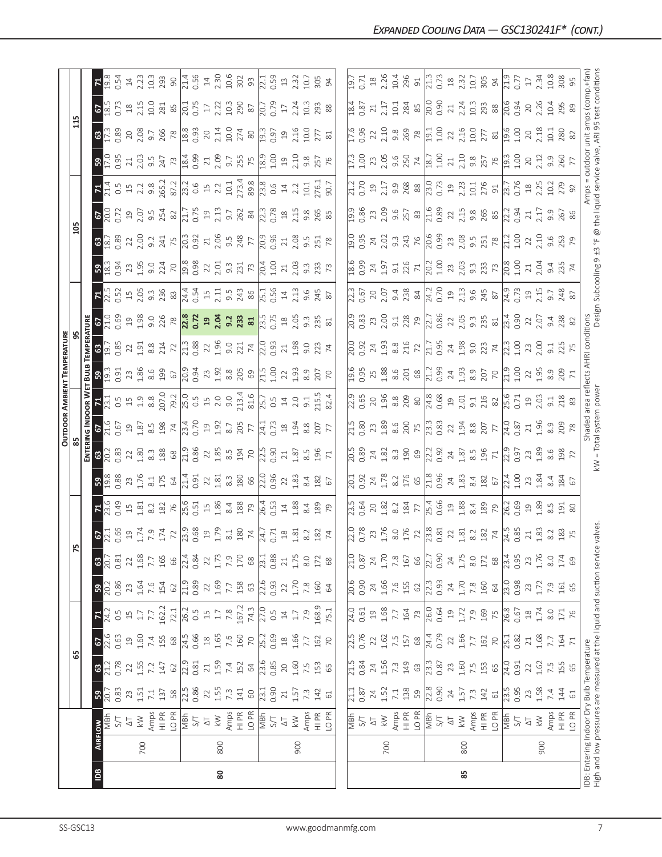|                |                                                                       |                           |                     |                     |                                           |                     |                     |                          |                                                                                                                                                                                                                                                                                                                                                      |                                                                                                                                          |                                                                                                                                                                                                                                                                                                           |                                                                                                                                                                                                                                                                                                             |                                                                                                                                                                                                                                                                                                     |                                                                                                                                                                                                                                                                                                                     | OUTDOOR AMBIENT TEMPERATURE                                                                                                                                                                                                                                                             |                                                                                                                                                                                                                                                                                                                                    |                                                                                                                                                                                                                                                                                      |                                                                                                                                                                                                                                                                                                           |                                                                                                                                                                                                                                                                                                                                                   |                                                                                                                                                                                                                                |                                                                                                                                                                |                                                                                                                                                                                                                                                                                                     |                                                                                                                                                                                                                                                                                                                                    |                                                                                                                                                                                                                                                                                                                                                                                                                                                      |                                                                                                                  |                                                                                                                                                                                                                                                                                                                                                      |
|----------------|-----------------------------------------------------------------------|---------------------------|---------------------|---------------------|-------------------------------------------|---------------------|---------------------|--------------------------|------------------------------------------------------------------------------------------------------------------------------------------------------------------------------------------------------------------------------------------------------------------------------------------------------------------------------------------------------|------------------------------------------------------------------------------------------------------------------------------------------|-----------------------------------------------------------------------------------------------------------------------------------------------------------------------------------------------------------------------------------------------------------------------------------------------------------|-------------------------------------------------------------------------------------------------------------------------------------------------------------------------------------------------------------------------------------------------------------------------------------------------------------|-----------------------------------------------------------------------------------------------------------------------------------------------------------------------------------------------------------------------------------------------------------------------------------------------------|---------------------------------------------------------------------------------------------------------------------------------------------------------------------------------------------------------------------------------------------------------------------------------------------------------------------|-----------------------------------------------------------------------------------------------------------------------------------------------------------------------------------------------------------------------------------------------------------------------------------------|------------------------------------------------------------------------------------------------------------------------------------------------------------------------------------------------------------------------------------------------------------------------------------------------------------------------------------|--------------------------------------------------------------------------------------------------------------------------------------------------------------------------------------------------------------------------------------------------------------------------------------|-----------------------------------------------------------------------------------------------------------------------------------------------------------------------------------------------------------------------------------------------------------------------------------------------------------|---------------------------------------------------------------------------------------------------------------------------------------------------------------------------------------------------------------------------------------------------------------------------------------------------------------------------------------------------|--------------------------------------------------------------------------------------------------------------------------------------------------------------------------------------------------------------------------------|----------------------------------------------------------------------------------------------------------------------------------------------------------------|-----------------------------------------------------------------------------------------------------------------------------------------------------------------------------------------------------------------------------------------------------------------------------------------------------|------------------------------------------------------------------------------------------------------------------------------------------------------------------------------------------------------------------------------------------------------------------------------------------------------------------------------------|------------------------------------------------------------------------------------------------------------------------------------------------------------------------------------------------------------------------------------------------------------------------------------------------------------------------------------------------------------------------------------------------------------------------------------------------------|------------------------------------------------------------------------------------------------------------------|------------------------------------------------------------------------------------------------------------------------------------------------------------------------------------------------------------------------------------------------------------------------------------------------------------------------------------------------------|
|                |                                                                       |                           |                     | යි                  |                                           |                     |                     |                          |                                                                                                                                                                                                                                                                                                                                                      |                                                                                                                                          |                                                                                                                                                                                                                                                                                                           |                                                                                                                                                                                                                                                                                                             |                                                                                                                                                                                                                                                                                                     |                                                                                                                                                                                                                                                                                                                     |                                                                                                                                                                                                                                                                                         |                                                                                                                                                                                                                                                                                                                                    |                                                                                                                                                                                                                                                                                      |                                                                                                                                                                                                                                                                                                           |                                                                                                                                                                                                                                                                                                                                                   | $\frac{20}{2}$                                                                                                                                                                                                                 |                                                                                                                                                                |                                                                                                                                                                                                                                                                                                     |                                                                                                                                                                                                                                                                                                                                    |                                                                                                                                                                                                                                                                                                                                                                                                                                                      |                                                                                                                  |                                                                                                                                                                                                                                                                                                                                                      |
|                |                                                                       |                           |                     |                     |                                           |                     |                     |                          |                                                                                                                                                                                                                                                                                                                                                      |                                                                                                                                          |                                                                                                                                                                                                                                                                                                           |                                                                                                                                                                                                                                                                                                             |                                                                                                                                                                                                                                                                                                     | OR W                                                                                                                                                                                                                                                                                                                | BULB                                                                                                                                                                                                                                                                                    |                                                                                                                                                                                                                                                                                                                                    |                                                                                                                                                                                                                                                                                      |                                                                                                                                                                                                                                                                                                           |                                                                                                                                                                                                                                                                                                                                                   |                                                                                                                                                                                                                                |                                                                                                                                                                |                                                                                                                                                                                                                                                                                                     |                                                                                                                                                                                                                                                                                                                                    |                                                                                                                                                                                                                                                                                                                                                                                                                                                      |                                                                                                                  |                                                                                                                                                                                                                                                                                                                                                      |
| $\overline{a}$ | <b>AIRFLOW</b>                                                        |                           | 30.33               | 63<br>21.2          | 67<br>22.6<br>0.63                        | $\frac{71}{24.2}$   | $\frac{59}{20.2}$   | 20.7<br>$\mathbb{G}^3$   | $rac{67}{22.1}$                                                                                                                                                                                                                                                                                                                                      |                                                                                                                                          | $B_{\odot}$ $\frac{8}{2}$                                                                                                                                                                                                                                                                                 | <b>ENTER</b><br>63<br>20.2<br>0.83                                                                                                                                                                                                                                                                          | $rac{67}{21.6}$                                                                                                                                                                                                                                                                                     | $\frac{1}{2}$ $\frac{1}{2}$ $\frac{1}{3}$ $\frac{1}{3}$ $\frac{1}{3}$ $\frac{1}{3}$ $\frac{1}{3}$ $\frac{1}{3}$ $\frac{1}{3}$ $\frac{1}{3}$ $\frac{1}{3}$ $\frac{1}{3}$ $\frac{1}{3}$ $\frac{1}{3}$ $\frac{1}{3}$ $\frac{1}{3}$ $\frac{1}{3}$ $\frac{1}{3}$ $\frac{1}{3}$ $\frac{1}{3}$ $\frac{1}{3}$ $\frac{1}{3}$ | $39.337$ $39.348$ $39.358$ $39.348$ $39.358$ $39.358$ $39.358$ $39.358$ $39.358$ $39.358$ $39.358$ $39.358$ $39.358$ $39.358$ $39.358$ $39.358$ $39.358$ $39.358$ $39.358$ $39.358$ $39.358$ $39.358$ $39.358$ $39.358$ $39.3$                                                          | $\frac{6}{19}$ $\frac{6}{19}$                                                                                                                                                                                                                                                                                                      | $rac{6}{10}$                                                                                                                                                                                                                                                                         | $7\frac{15}{25}$ $\frac{35}{25}$ $\frac{45}{25}$ $\frac{45}{25}$ $\frac{45}{25}$ $\frac{45}{25}$ $\frac{45}{25}$ $\frac{45}{25}$ $\frac{45}{25}$ $\frac{45}{25}$ $\frac{45}{25}$ $\frac{45}{25}$ $\frac{45}{25}$ $\frac{45}{25}$ $\frac{45}{25}$ $\frac{45}{25}$ $\frac{45}{25}$ $\frac{45}{25}$ $\frac{$ | $B_{\odot}^{0.3}$                                                                                                                                                                                                                                                                                                                                 | $8\frac{8}{9}$                                                                                                                                                                                                                 | $rac{67}{200}$                                                                                                                                                 |                                                                                                                                                                                                                                                                                                     | B <sub>29</sub>                                                                                                                                                                                                                                                                                                                    | $\frac{3}{2}$                                                                                                                                                                                                                                                                                                                                                                                                                                        | $\frac{67}{85}$                                                                                                  |                                                                                                                                                                                                                                                                                                                                                      |
|                |                                                                       | 5/7                       |                     | 0.78                |                                           | $0.\overline{5}$    | 0.86                | 0.81                     |                                                                                                                                                                                                                                                                                                                                                      | 0.49                                                                                                                                     |                                                                                                                                                                                                                                                                                                           |                                                                                                                                                                                                                                                                                                             |                                                                                                                                                                                                                                                                                                     |                                                                                                                                                                                                                                                                                                                     |                                                                                                                                                                                                                                                                                         |                                                                                                                                                                                                                                                                                                                                    |                                                                                                                                                                                                                                                                                      |                                                                                                                                                                                                                                                                                                           |                                                                                                                                                                                                                                                                                                                                                   |                                                                                                                                                                                                                                |                                                                                                                                                                |                                                                                                                                                                                                                                                                                                     |                                                                                                                                                                                                                                                                                                                                    |                                                                                                                                                                                                                                                                                                                                                                                                                                                      |                                                                                                                  | 0.54                                                                                                                                                                                                                                                                                                                                                 |
|                |                                                                       | $\overline{\Delta}$       | 23                  | 22                  | $\overline{a}$                            | $\overline{15}$     |                     | 22                       | $\begin{array}{cccc}\n19 & 7 & 7 & 7 & 7 \\ 1 & 7 & 9 & 7 & 7 \\ 1 & 7 & 8 & 1 & 7\n\end{array}$                                                                                                                                                                                                                                                     |                                                                                                                                          | 23<br>1.76                                                                                                                                                                                                                                                                                                | $\frac{22}{1.80}$                                                                                                                                                                                                                                                                                           | $\begin{array}{c} 23.53 & 24.53 & 25.53 & 26.53 \\ 25.53 & 25.53 & 25.53 & 25.53 \\ 25.53 & 25.53 & 25.53 & 25.53 \\ 25.53 & 25.53 & 25.53 & 25.53 \\ 25.53 & 25.53 & 25.53 & 25.53 \\ 25.53 & 25.53 & 25.53 & 25.53 \\ 25.53 & 25.53 & 25.53 & 25.53 \\ 25.53 & 25.53 & 25$                        |                                                                                                                                                                                                                                                                                                                     |                                                                                                                                                                                                                                                                                         | $\begin{array}{c}\n 23.51 \\  25.41 \\  25.52 \\  25.41 \\  25.41 \\  25.41 \\  25.41 \\  25.41 \\  25.41 \\  25.41 \\  25.41 \\  25.41 \\  25.41 \\  25.41 \\  25.41 \\  25.41 \\  25.41 \\  25.41 \\  25.41 \\  25.41 \\  25.41 \\  25.41 \\  25.41 \\  25.41 \\  25.41 \\  25.41 \\  25.41 \\  25.41 \\  25.41 \\  25.41 \\  2$ | $\begin{array}{c} 29.808 \\ 21.98 \end{array} \begin{array}{c} 29.808 \\ 21.808 \end{array} \begin{array}{c} 29.808 \\ 21.808 \end{array} \begin{array}{c} 29.808 \\ 21.808 \end{array} \begin{array}{c} 29.808 \\ 21.808 \end{array} \begin{array}{c} 29.808 \\ 21.808 \end{array}$ |                                                                                                                                                                                                                                                                                                           | $\begin{array}{l} 23 \\ 24 \\ 25 \\ 26 \\ 27 \\ 28 \\ 29 \\ 20 \\ 20 \\ 21 \\ 23 \\ 24 \\ 26 \\ 27 \\ 28 \\ 29 \\ 20 \\ 20 \\ 23 \\ 24 \\ 25 \\ 27 \\ 28 \\ 29 \\ 20 \\ 24 \\ 23 \\ 24 \\ 25 \\ 27 \\ 29 \\ 29 \\ 20 \\ 23 \\ 27 \\ 29 \\ 29 \\ 20 \\ 23 \\ 27 \\ 29 \\ 29 \\ 20 \\ 23 \\ 23 \\ 24 \\ 25 \\ 26 \\ 27 \\ 28 \\ 29 \\ 29 \\ 20 \\ $ |                                                                                                                                                                                                                                | 19.07                                                                                                                                                          |                                                                                                                                                                                                                                                                                                     | $\begin{array}{c}\n 11.63 \\  21.63 \\  31.64 \\  51.65 \\  61.65 \\  71.63 \\  81.65 \\  71.65 \\  71.65 \\  71.65 \\  71.65 \\  71.65 \\  71.65 \\  71.65 \\  71.65 \\  71.65 \\  71.65 \\  71.65 \\  71.65 \\  71.65 \\  71.65 \\  71.65 \\  71.65 \\  71.65 \\  71.65 \\  71.65 \\  71.65 \\  71.65 \\  71.65 \\  71.65 \\  7$ | 20<br>2.08                                                                                                                                                                                                                                                                                                                                                                                                                                           | $2.15$<br>2.15                                                                                                   | $14\,$                                                                                                                                                                                                                                                                                                                                               |
|                | 700                                                                   | Amps<br>$\geqslant$       | 1.51<br>$7.1\,$     | 1.55<br>7.2         | 1.60<br>7.4                               | $1.7\,$<br>7.7      | 1.64<br>7.6         | $1.68$<br>7.7            |                                                                                                                                                                                                                                                                                                                                                      |                                                                                                                                          |                                                                                                                                                                                                                                                                                                           |                                                                                                                                                                                                                                                                                                             |                                                                                                                                                                                                                                                                                                     |                                                                                                                                                                                                                                                                                                                     |                                                                                                                                                                                                                                                                                         |                                                                                                                                                                                                                                                                                                                                    |                                                                                                                                                                                                                                                                                      |                                                                                                                                                                                                                                                                                                           |                                                                                                                                                                                                                                                                                                                                                   |                                                                                                                                                                                                                                |                                                                                                                                                                |                                                                                                                                                                                                                                                                                                     |                                                                                                                                                                                                                                                                                                                                    | 9.7                                                                                                                                                                                                                                                                                                                                                                                                                                                  |                                                                                                                  |                                                                                                                                                                                                                                                                                                                                                      |
|                |                                                                       | $\frac{PR}{T}$            | 137                 | 147                 | 155                                       | 162.2               | 154                 | 165                      |                                                                                                                                                                                                                                                                                                                                                      |                                                                                                                                          |                                                                                                                                                                                                                                                                                                           |                                                                                                                                                                                                                                                                                                             |                                                                                                                                                                                                                                                                                                     |                                                                                                                                                                                                                                                                                                                     |                                                                                                                                                                                                                                                                                         |                                                                                                                                                                                                                                                                                                                                    |                                                                                                                                                                                                                                                                                      |                                                                                                                                                                                                                                                                                                           |                                                                                                                                                                                                                                                                                                                                                   |                                                                                                                                                                                                                                |                                                                                                                                                                |                                                                                                                                                                                                                                                                                                     |                                                                                                                                                                                                                                                                                                                                    |                                                                                                                                                                                                                                                                                                                                                                                                                                                      |                                                                                                                  |                                                                                                                                                                                                                                                                                                                                                      |
|                |                                                                       | LO <sub>PR</sub>          | $58$                | $62$                | 68                                        | 72.1                | 62                  | 66                       |                                                                                                                                                                                                                                                                                                                                                      |                                                                                                                                          | $\frac{21}{21}$ $\frac{31}{21}$ $\frac{4}{21}$ $\frac{51}{21}$ $\frac{31}{21}$ $\frac{31}{21}$ $\frac{31}{21}$ $\frac{31}{21}$ $\frac{31}{21}$ $\frac{31}{21}$ $\frac{31}{21}$ $\frac{31}{21}$ $\frac{31}{21}$ $\frac{31}{21}$ $\frac{31}{21}$ $\frac{31}{21}$ $\frac{31}{21}$ $\frac{31}{21}$ $\frac{31$ | $\frac{33}{28}$ $\frac{8}{2}$ $\frac{10}{2}$ $\frac{10}{2}$ $\frac{10}{2}$ $\frac{10}{2}$ $\frac{10}{2}$ $\frac{10}{2}$ $\frac{10}{2}$ $\frac{10}{2}$ $\frac{10}{2}$ $\frac{10}{2}$ $\frac{10}{2}$ $\frac{10}{2}$ $\frac{10}{2}$ $\frac{10}{2}$ $\frac{10}{2}$ $\frac{10}{2}$ $\frac{10}{2}$ $\frac{10}{2}$ |                                                                                                                                                                                                                                                                                                     |                                                                                                                                                                                                                                                                                                                     |                                                                                                                                                                                                                                                                                         |                                                                                                                                                                                                                                                                                                                                    |                                                                                                                                                                                                                                                                                      |                                                                                                                                                                                                                                                                                                           |                                                                                                                                                                                                                                                                                                                                                   |                                                                                                                                                                                                                                | $9.54$<br>$254$<br>$82$<br>$7.75$<br>$0.73$<br>$2.13$                                                                                                          |                                                                                                                                                                                                                                                                                                     |                                                                                                                                                                                                                                                                                                                                    | $\frac{766}{18.3} \times \frac{8}{12} \times \frac{1}{12} \times \frac{1}{12} \times \frac{1}{12} \times \frac{1}{12} \times \frac{1}{12} \times \frac{1}{12} \times \frac{1}{12} \times \frac{1}{12} \times \frac{1}{12} \times \frac{1}{12} \times \frac{1}{12} \times \frac{1}{12} \times \frac{1}{12} \times \frac{1}{12} \times \frac{1}{12} \times \frac{1}{12} \times \frac{1}{12} \times \frac{1}{12} \times \frac{1}{12} \times \frac{1}{1$ | $\begin{array}{c}\n 281 \\  85 \\  \hline\n 0.75 \\  1.22 \\  10.3\n \end{array}$                                |                                                                                                                                                                                                                                                                                                                                                      |
|                |                                                                       | MBh                       | 22.5<br>0.86        | 22.9                | 24.5<br>0.66                              | 26.2                | 21.9                | 22.4                     |                                                                                                                                                                                                                                                                                                                                                      |                                                                                                                                          |                                                                                                                                                                                                                                                                                                           |                                                                                                                                                                                                                                                                                                             |                                                                                                                                                                                                                                                                                                     |                                                                                                                                                                                                                                                                                                                     |                                                                                                                                                                                                                                                                                         |                                                                                                                                                                                                                                                                                                                                    |                                                                                                                                                                                                                                                                                      |                                                                                                                                                                                                                                                                                                           |                                                                                                                                                                                                                                                                                                                                                   |                                                                                                                                                                                                                                |                                                                                                                                                                |                                                                                                                                                                                                                                                                                                     |                                                                                                                                                                                                                                                                                                                                    |                                                                                                                                                                                                                                                                                                                                                                                                                                                      |                                                                                                                  |                                                                                                                                                                                                                                                                                                                                                      |
|                |                                                                       | 5/7                       |                     | 0.81                |                                           | $0.5$               | 0.89                | 0.84                     |                                                                                                                                                                                                                                                                                                                                                      |                                                                                                                                          |                                                                                                                                                                                                                                                                                                           |                                                                                                                                                                                                                                                                                                             |                                                                                                                                                                                                                                                                                                     |                                                                                                                                                                                                                                                                                                                     |                                                                                                                                                                                                                                                                                         |                                                                                                                                                                                                                                                                                                                                    |                                                                                                                                                                                                                                                                                      |                                                                                                                                                                                                                                                                                                           |                                                                                                                                                                                                                                                                                                                                                   |                                                                                                                                                                                                                                |                                                                                                                                                                |                                                                                                                                                                                                                                                                                                     |                                                                                                                                                                                                                                                                                                                                    |                                                                                                                                                                                                                                                                                                                                                                                                                                                      |                                                                                                                  |                                                                                                                                                                                                                                                                                                                                                      |
|                |                                                                       | $\Delta\top$              | $\overline{2}$      | $\sqrt{21}$         | $\begin{array}{c} 18 \\ 1.65 \end{array}$ |                     | $22\,$              | 22                       |                                                                                                                                                                                                                                                                                                                                                      |                                                                                                                                          |                                                                                                                                                                                                                                                                                                           |                                                                                                                                                                                                                                                                                                             |                                                                                                                                                                                                                                                                                                     |                                                                                                                                                                                                                                                                                                                     |                                                                                                                                                                                                                                                                                         |                                                                                                                                                                                                                                                                                                                                    |                                                                                                                                                                                                                                                                                      |                                                                                                                                                                                                                                                                                                           |                                                                                                                                                                                                                                                                                                                                                   |                                                                                                                                                                                                                                |                                                                                                                                                                |                                                                                                                                                                                                                                                                                                     |                                                                                                                                                                                                                                                                                                                                    |                                                                                                                                                                                                                                                                                                                                                                                                                                                      |                                                                                                                  |                                                                                                                                                                                                                                                                                                                                                      |
| 80             | 800                                                                   | $\lesssim$                | 1.55                | 1.59                |                                           | $1.7\,$             | 1.69                |                          |                                                                                                                                                                                                                                                                                                                                                      |                                                                                                                                          |                                                                                                                                                                                                                                                                                                           |                                                                                                                                                                                                                                                                                                             |                                                                                                                                                                                                                                                                                                     |                                                                                                                                                                                                                                                                                                                     |                                                                                                                                                                                                                                                                                         |                                                                                                                                                                                                                                                                                                                                    |                                                                                                                                                                                                                                                                                      |                                                                                                                                                                                                                                                                                                           |                                                                                                                                                                                                                                                                                                                                                   |                                                                                                                                                                                                                                |                                                                                                                                                                |                                                                                                                                                                                                                                                                                                     |                                                                                                                                                                                                                                                                                                                                    |                                                                                                                                                                                                                                                                                                                                                                                                                                                      |                                                                                                                  |                                                                                                                                                                                                                                                                                                                                                      |
|                |                                                                       | Amps<br>HI PR             | $7.\overline{3}$    | $7.4\,$             | 7.6                                       | 7.8                 |                     | $1.73$<br>$7.9$<br>$170$ |                                                                                                                                                                                                                                                                                                                                                      |                                                                                                                                          |                                                                                                                                                                                                                                                                                                           |                                                                                                                                                                                                                                                                                                             |                                                                                                                                                                                                                                                                                                     |                                                                                                                                                                                                                                                                                                                     |                                                                                                                                                                                                                                                                                         |                                                                                                                                                                                                                                                                                                                                    |                                                                                                                                                                                                                                                                                      |                                                                                                                                                                                                                                                                                                           |                                                                                                                                                                                                                                                                                                                                                   |                                                                                                                                                                                                                                |                                                                                                                                                                |                                                                                                                                                                                                                                                                                                     |                                                                                                                                                                                                                                                                                                                                    |                                                                                                                                                                                                                                                                                                                                                                                                                                                      |                                                                                                                  |                                                                                                                                                                                                                                                                                                                                                      |
|                |                                                                       |                           | 141                 | 152                 | 160                                       | 167.2               | 158                 |                          |                                                                                                                                                                                                                                                                                                                                                      |                                                                                                                                          |                                                                                                                                                                                                                                                                                                           |                                                                                                                                                                                                                                                                                                             |                                                                                                                                                                                                                                                                                                     |                                                                                                                                                                                                                                                                                                                     |                                                                                                                                                                                                                                                                                         |                                                                                                                                                                                                                                                                                                                                    |                                                                                                                                                                                                                                                                                      |                                                                                                                                                                                                                                                                                                           |                                                                                                                                                                                                                                                                                                                                                   |                                                                                                                                                                                                                                |                                                                                                                                                                |                                                                                                                                                                                                                                                                                                     |                                                                                                                                                                                                                                                                                                                                    |                                                                                                                                                                                                                                                                                                                                                                                                                                                      |                                                                                                                  |                                                                                                                                                                                                                                                                                                                                                      |
|                |                                                                       | LO PR                     | $60\,$              | 64                  | $\overline{70}$                           | 74.3                | 63                  | $68$                     |                                                                                                                                                                                                                                                                                                                                                      |                                                                                                                                          |                                                                                                                                                                                                                                                                                                           |                                                                                                                                                                                                                                                                                                             |                                                                                                                                                                                                                                                                                                     |                                                                                                                                                                                                                                                                                                                     |                                                                                                                                                                                                                                                                                         |                                                                                                                                                                                                                                                                                                                                    |                                                                                                                                                                                                                                                                                      |                                                                                                                                                                                                                                                                                                           |                                                                                                                                                                                                                                                                                                                                                   |                                                                                                                                                                                                                                | $9.7$<br>$262$<br>$84$<br>$2.3$<br>$0.78$                                                                                                                      |                                                                                                                                                                                                                                                                                                     |                                                                                                                                                                                                                                                                                                                                    |                                                                                                                                                                                                                                                                                                                                                                                                                                                      | $\frac{62}{8}$<br>$\frac{8}{20.7}$                                                                               |                                                                                                                                                                                                                                                                                                                                                      |
|                |                                                                       | NBh<br>S/T                | $\frac{23.1}{0.90}$ | $\frac{23.6}{0.85}$ | $\frac{25.2}{25.2}$                       | $\frac{27.0}{0.5}$  | $\frac{22.6}{0.93}$ | $\overline{23.1}$        |                                                                                                                                                                                                                                                                                                                                                      |                                                                                                                                          |                                                                                                                                                                                                                                                                                                           |                                                                                                                                                                                                                                                                                                             |                                                                                                                                                                                                                                                                                                     |                                                                                                                                                                                                                                                                                                                     |                                                                                                                                                                                                                                                                                         |                                                                                                                                                                                                                                                                                                                                    |                                                                                                                                                                                                                                                                                      |                                                                                                                                                                                                                                                                                                           |                                                                                                                                                                                                                                                                                                                                                   |                                                                                                                                                                                                                                |                                                                                                                                                                |                                                                                                                                                                                                                                                                                                     |                                                                                                                                                                                                                                                                                                                                    |                                                                                                                                                                                                                                                                                                                                                                                                                                                      |                                                                                                                  |                                                                                                                                                                                                                                                                                                                                                      |
|                |                                                                       |                           |                     |                     | 0.69                                      |                     |                     | 0.88                     |                                                                                                                                                                                                                                                                                                                                                      |                                                                                                                                          |                                                                                                                                                                                                                                                                                                           |                                                                                                                                                                                                                                                                                                             |                                                                                                                                                                                                                                                                                                     |                                                                                                                                                                                                                                                                                                                     |                                                                                                                                                                                                                                                                                         |                                                                                                                                                                                                                                                                                                                                    |                                                                                                                                                                                                                                                                                      |                                                                                                                                                                                                                                                                                                           |                                                                                                                                                                                                                                                                                                                                                   |                                                                                                                                                                                                                                |                                                                                                                                                                |                                                                                                                                                                                                                                                                                                     |                                                                                                                                                                                                                                                                                                                                    |                                                                                                                                                                                                                                                                                                                                                                                                                                                      |                                                                                                                  |                                                                                                                                                                                                                                                                                                                                                      |
|                |                                                                       | $\overline{\Delta}$       | $\geq 1$            | 20                  | $^{28}$                                   | $\overline{14}$     | 22                  | 21                       |                                                                                                                                                                                                                                                                                                                                                      | $\frac{14}{1.88}$                                                                                                                        |                                                                                                                                                                                                                                                                                                           |                                                                                                                                                                                                                                                                                                             |                                                                                                                                                                                                                                                                                                     |                                                                                                                                                                                                                                                                                                                     | $22_{1.93}$                                                                                                                                                                                                                                                                             |                                                                                                                                                                                                                                                                                                                                    |                                                                                                                                                                                                                                                                                      |                                                                                                                                                                                                                                                                                                           |                                                                                                                                                                                                                                                                                                                                                   |                                                                                                                                                                                                                                |                                                                                                                                                                |                                                                                                                                                                                                                                                                                                     |                                                                                                                                                                                                                                                                                                                                    |                                                                                                                                                                                                                                                                                                                                                                                                                                                      | $\overline{\mathbb{L}}$                                                                                          |                                                                                                                                                                                                                                                                                                                                                      |
|                | 900                                                                   | $\gtrapprox$              | 1.57                | 1.60                | 1.66                                      | $1.7\,$             | 1.70                | 1.75                     | $\begin{array}{c} 18 \\ 1.81 \end{array}$                                                                                                                                                                                                                                                                                                            |                                                                                                                                          | $\frac{22}{1.83}$                                                                                                                                                                                                                                                                                         | $\frac{21}{1.87}$                                                                                                                                                                                                                                                                                           | 1.94                                                                                                                                                                                                                                                                                                |                                                                                                                                                                                                                                                                                                                     |                                                                                                                                                                                                                                                                                         | 21.98                                                                                                                                                                                                                                                                                                                              |                                                                                                                                                                                                                                                                                      |                                                                                                                                                                                                                                                                                                           |                                                                                                                                                                                                                                                                                                                                                   | $\frac{21}{2.08}$                                                                                                                                                                                                              | $\frac{18}{2.15}$                                                                                                                                              |                                                                                                                                                                                                                                                                                                     |                                                                                                                                                                                                                                                                                                                                    | $19$<br>$2.16$                                                                                                                                                                                                                                                                                                                                                                                                                                       | 2.24                                                                                                             | $13$<br>$2.32$                                                                                                                                                                                                                                                                                                                                       |
|                |                                                                       |                           | $7.\overline{3}$    | 7.5                 | 7.7                                       | 7.9                 | $7.8\,$             | 8.0                      | 8.2                                                                                                                                                                                                                                                                                                                                                  | 8.4                                                                                                                                      | 8.4                                                                                                                                                                                                                                                                                                       | 8.5<br>8                                                                                                                                                                                                                                                                                                    | $8.8\,$                                                                                                                                                                                                                                                                                             | 9.1                                                                                                                                                                                                                                                                                                                 |                                                                                                                                                                                                                                                                                         |                                                                                                                                                                                                                                                                                                                                    | 203328                                                                                                                                                                                                                                                                               |                                                                                                                                                                                                                                                                                                           |                                                                                                                                                                                                                                                                                                                                                   |                                                                                                                                                                                                                                |                                                                                                                                                                |                                                                                                                                                                                                                                                                                                     | 9.8                                                                                                                                                                                                                                                                                                                                | 0.01                                                                                                                                                                                                                                                                                                                                                                                                                                                 | 10.3                                                                                                             | 10.7                                                                                                                                                                                                                                                                                                                                                 |
|                |                                                                       | Amps<br>HI PR             | 142                 |                     | 162                                       | 168.9               | 160                 | 172                      | 182                                                                                                                                                                                                                                                                                                                                                  | 189                                                                                                                                      | 182                                                                                                                                                                                                                                                                                                       | $196$<br>$71$                                                                                                                                                                                                                                                                                               | 207                                                                                                                                                                                                                                                                                                 |                                                                                                                                                                                                                                                                                                                     | $\frac{50}{70}$                                                                                                                                                                                                                                                                         | $9.23$<br>$74$                                                                                                                                                                                                                                                                                                                     |                                                                                                                                                                                                                                                                                      |                                                                                                                                                                                                                                                                                                           |                                                                                                                                                                                                                                                                                                                                                   | 9.5<br>251<br>78                                                                                                                                                                                                               | 9.85                                                                                                                                                           |                                                                                                                                                                                                                                                                                                     | 257                                                                                                                                                                                                                                                                                                                                |                                                                                                                                                                                                                                                                                                                                                                                                                                                      | 293                                                                                                              | 305                                                                                                                                                                                                                                                                                                                                                  |
|                |                                                                       | LO PR                     | $61$                | 153                 | $\overline{70}$                           | 75.1                | 64                  | $68$                     | 74                                                                                                                                                                                                                                                                                                                                                   | $\overline{7}9$                                                                                                                          | 67                                                                                                                                                                                                                                                                                                        |                                                                                                                                                                                                                                                                                                             |                                                                                                                                                                                                                                                                                                     | 115.5                                                                                                                                                                                                                                                                                                               |                                                                                                                                                                                                                                                                                         |                                                                                                                                                                                                                                                                                                                                    |                                                                                                                                                                                                                                                                                      |                                                                                                                                                                                                                                                                                                           |                                                                                                                                                                                                                                                                                                                                                   |                                                                                                                                                                                                                                |                                                                                                                                                                | 10.1<br>76.:<br>90.7                                                                                                                                                                                                                                                                                |                                                                                                                                                                                                                                                                                                                                    | $\frac{27}{81}$                                                                                                                                                                                                                                                                                                                                                                                                                                      |                                                                                                                  |                                                                                                                                                                                                                                                                                                                                                      |
|                |                                                                       |                           |                     |                     |                                           |                     |                     |                          |                                                                                                                                                                                                                                                                                                                                                      |                                                                                                                                          |                                                                                                                                                                                                                                                                                                           |                                                                                                                                                                                                                                                                                                             |                                                                                                                                                                                                                                                                                                     |                                                                                                                                                                                                                                                                                                                     |                                                                                                                                                                                                                                                                                         |                                                                                                                                                                                                                                                                                                                                    |                                                                                                                                                                                                                                                                                      |                                                                                                                                                                                                                                                                                                           |                                                                                                                                                                                                                                                                                                                                                   |                                                                                                                                                                                                                                |                                                                                                                                                                |                                                                                                                                                                                                                                                                                                     |                                                                                                                                                                                                                                                                                                                                    |                                                                                                                                                                                                                                                                                                                                                                                                                                                      |                                                                                                                  |                                                                                                                                                                                                                                                                                                                                                      |
|                |                                                                       |                           | $\overline{21.1}$   | $\frac{15}{215}$    | 22.5                                      | $\frac{1}{24.0}$    | $\frac{6}{20.6}$    | $\frac{10}{21}$          |                                                                                                                                                                                                                                                                                                                                                      |                                                                                                                                          |                                                                                                                                                                                                                                                                                                           |                                                                                                                                                                                                                                                                                                             |                                                                                                                                                                                                                                                                                                     |                                                                                                                                                                                                                                                                                                                     |                                                                                                                                                                                                                                                                                         |                                                                                                                                                                                                                                                                                                                                    |                                                                                                                                                                                                                                                                                      |                                                                                                                                                                                                                                                                                                           |                                                                                                                                                                                                                                                                                                                                                   |                                                                                                                                                                                                                                |                                                                                                                                                                |                                                                                                                                                                                                                                                                                                     |                                                                                                                                                                                                                                                                                                                                    |                                                                                                                                                                                                                                                                                                                                                                                                                                                      |                                                                                                                  | $\overline{\Xi}$                                                                                                                                                                                                                                                                                                                                     |
|                |                                                                       | 지<br>이트<br>인              | 0.87                | 0.84                | 0.76                                      | 0.61                | 0.90                | 0.87                     |                                                                                                                                                                                                                                                                                                                                                      | $\frac{23.5}{0.64}$                                                                                                                      | $\frac{1}{20.92}$                                                                                                                                                                                                                                                                                         | $\frac{5}{20.89}$                                                                                                                                                                                                                                                                                           | $\begin{matrix} 1.5 \\ 2.80 \end{matrix}$                                                                                                                                                                                                                                                           |                                                                                                                                                                                                                                                                                                                     | $\frac{6}{2.95}$                                                                                                                                                                                                                                                                        | $\frac{500}{200}$                                                                                                                                                                                                                                                                                                                  | $\frac{9}{20.83}$                                                                                                                                                                                                                                                                    |                                                                                                                                                                                                                                                                                                           | $\frac{6}{20}$                                                                                                                                                                                                                                                                                                                                    | 19.5<br>2.95                                                                                                                                                                                                                   | $\frac{19.9}{0.86}$                                                                                                                                            | 21.2<br>0.70                                                                                                                                                                                                                                                                                        | $\frac{17.3}{1.00}$                                                                                                                                                                                                                                                                                                                | $\frac{6}{17.6}$                                                                                                                                                                                                                                                                                                                                                                                                                                     | $\frac{18.4}{0.87}$                                                                                              | 0.71                                                                                                                                                                                                                                                                                                                                                 |
|                |                                                                       | $\overline{\triangle}$    | 24                  | $24\,$              | 22                                        | $\overline{c}$      | $24\,$              | 24                       |                                                                                                                                                                                                                                                                                                                                                      |                                                                                                                                          |                                                                                                                                                                                                                                                                                                           |                                                                                                                                                                                                                                                                                                             |                                                                                                                                                                                                                                                                                                     |                                                                                                                                                                                                                                                                                                                     |                                                                                                                                                                                                                                                                                         |                                                                                                                                                                                                                                                                                                                                    |                                                                                                                                                                                                                                                                                      |                                                                                                                                                                                                                                                                                                           |                                                                                                                                                                                                                                                                                                                                                   |                                                                                                                                                                                                                                |                                                                                                                                                                |                                                                                                                                                                                                                                                                                                     |                                                                                                                                                                                                                                                                                                                                    |                                                                                                                                                                                                                                                                                                                                                                                                                                                      |                                                                                                                  |                                                                                                                                                                                                                                                                                                                                                      |
|                | 700                                                                   | $\gtrapprox$              | 1.52                | 1.56                | 1.62                                      | 1.68                | 1.66                | $1.70$                   |                                                                                                                                                                                                                                                                                                                                                      | $20^{1.82}_{1.82}$                                                                                                                       | 24<br>1.78                                                                                                                                                                                                                                                                                                | $24 \n1.82$                                                                                                                                                                                                                                                                                                 | $23 \n1.89$                                                                                                                                                                                                                                                                                         |                                                                                                                                                                                                                                                                                                                     |                                                                                                                                                                                                                                                                                         |                                                                                                                                                                                                                                                                                                                                    |                                                                                                                                                                                                                                                                                      |                                                                                                                                                                                                                                                                                                           |                                                                                                                                                                                                                                                                                                                                                   |                                                                                                                                                                                                                                |                                                                                                                                                                |                                                                                                                                                                                                                                                                                                     |                                                                                                                                                                                                                                                                                                                                    |                                                                                                                                                                                                                                                                                                                                                                                                                                                      | $21$<br>$2.17$                                                                                                   | $\frac{18}{2.26}$                                                                                                                                                                                                                                                                                                                                    |
|                |                                                                       |                           | $7.1\,$             | $7.\overline{3}$    | 7.5                                       | 7.7                 | 7.6<br>155          | 7.8                      |                                                                                                                                                                                                                                                                                                                                                      | $3.37$<br>$7.84$                                                                                                                         | 8.2 65                                                                                                                                                                                                                                                                                                    |                                                                                                                                                                                                                                                                                                             | 8.6<br>200<br>75                                                                                                                                                                                                                                                                                    |                                                                                                                                                                                                                                                                                                                     |                                                                                                                                                                                                                                                                                         | $74$ $38$ $37$ $72$                                                                                                                                                                                                                                                                                                                |                                                                                                                                                                                                                                                                                      |                                                                                                                                                                                                                                                                                                           |                                                                                                                                                                                                                                                                                                                                                   |                                                                                                                                                                                                                                | $2.09$<br>$2.65$<br>$2.57$<br>$83$                                                                                                                             |                                                                                                                                                                                                                                                                                                     |                                                                                                                                                                                                                                                                                                                                    |                                                                                                                                                                                                                                                                                                                                                                                                                                                      | 10.1                                                                                                             |                                                                                                                                                                                                                                                                                                                                                      |
|                |                                                                       | Amps<br>HI PR             | 138                 | 149                 | 157                                       | 164                 |                     | 167                      |                                                                                                                                                                                                                                                                                                                                                      |                                                                                                                                          |                                                                                                                                                                                                                                                                                                           | $\frac{2}{3}$ and $\frac{5}{3}$                                                                                                                                                                                                                                                                             |                                                                                                                                                                                                                                                                                                     |                                                                                                                                                                                                                                                                                                                     |                                                                                                                                                                                                                                                                                         |                                                                                                                                                                                                                                                                                                                                    |                                                                                                                                                                                                                                                                                      |                                                                                                                                                                                                                                                                                                           |                                                                                                                                                                                                                                                                                                                                                   |                                                                                                                                                                                                                                |                                                                                                                                                                |                                                                                                                                                                                                                                                                                                     |                                                                                                                                                                                                                                                                                                                                    |                                                                                                                                                                                                                                                                                                                                                                                                                                                      |                                                                                                                  |                                                                                                                                                                                                                                                                                                                                                      |
|                |                                                                       | LO PR                     | 59                  | 63                  | $68$                                      | 73                  | 62                  | 66                       | $\frac{1}{2}$<br>$\frac{1}{2}$<br>$\frac{1}{2}$<br>$\frac{1}{2}$<br>$\frac{1}{2}$<br>$\frac{1}{2}$<br>$\frac{1}{2}$<br>$\frac{1}{2}$<br>$\frac{1}{2}$<br>$\frac{1}{2}$<br>$\frac{1}{2}$<br>$\frac{1}{2}$<br>$\frac{1}{2}$<br>$\frac{1}{2}$<br>$\frac{1}{2}$<br>$\frac{1}{2}$<br>$\frac{1}{2}$<br>$\frac{1}{2}$<br>$\frac{1}{2}$<br>$\frac{1}{2}$<br> |                                                                                                                                          |                                                                                                                                                                                                                                                                                                           |                                                                                                                                                                                                                                                                                                             |                                                                                                                                                                                                                                                                                                     |                                                                                                                                                                                                                                                                                                                     | $\begin{array}{l} 1.886 & 1.876 \\ 1.88 & 1.876 \\ 1.88 & 1.876 \\ 1.88 & 1.876 \\ 1.88 & 1.876 \\ 1.88 & 1.876 \\ 1.88 & 1.876 \\ 1.88 & 1.876 \\ 1.88 & 1.876 \\ 1.88 & 1.876 \\ 1.88 & 1.876 \\ 1.88 & 1.876 \\ 1.88 & 1.876 \\ 1.88 & 1.876 \\ 1.88 & 1.876 \\ 1.88 & 1.876 \\ 1.8$ |                                                                                                                                                                                                                                                                                                                                    |                                                                                                                                                                                                                                                                                      |                                                                                                                                                                                                                                                                                                           |                                                                                                                                                                                                                                                                                                                                                   | $73.03$ $73.78$ $83.03$ $73.78$ $73.78$ $73.78$ $73.78$ $73.78$ $73.78$ $73.78$ $73.78$ $73.78$ $73.78$ $73.78$ $73.78$ $73.78$ $73.78$ $73.78$ $73.78$ $73.78$ $73.78$ $73.78$ $73.78$ $73.78$ $73.78$ $73.78$ $73.78$ $73.7$ |                                                                                                                                                                | $\begin{array}{c} 23.73 \\ 21.73 \\ 23.88 \\ 24.88 \\ 25.73 \\ 25.73 \\ 26.73 \\ 27.73 \\ 28.73 \\ 29.73 \\ 21.73 \\ 23.73 \\ 25.73 \\ 27.73 \\ 28.73 \\ 29.73 \\ 21.73 \\ 23.73 \\ 24.73 \\ 25.75 \\ 27.75 \\ 28.75 \\ 29.75 \\ 21.75 \\ 22.75 \\ 23.75 \\ 24.75 \\ 25.75 \\ 27.75 \\ 28.75 \\ 29$ | $23.05$<br>$2.05$<br>$5.5$<br>$7\frac{1}{18.7}$<br>$1.00$<br>$1.1$                                                                                                                                                                                                                                                                 | $\begin{array}{c} 22 \\ 2.10 \\ 9.8 \\ 7.0 \\ 1.00 \\ 1.00 \\ \hline \end{array}$                                                                                                                                                                                                                                                                                                                                                                    | $\frac{284}{85000}$                                                                                              | $10.4$<br>$296$<br>$91$<br>$71.3$<br>$0.73$                                                                                                                                                                                                                                                                                                          |
|                |                                                                       | MBh                       | $\frac{2.8}{0.90}$  | $\frac{23.3}{0.87}$ | $\frac{5+7}{5}$                           | 26.0                | 22.3<br>0.93        | 22.7                     |                                                                                                                                                                                                                                                                                                                                                      |                                                                                                                                          | $\frac{21.8}{0.96}$                                                                                                                                                                                                                                                                                       | $\frac{22.2}{0.92}$                                                                                                                                                                                                                                                                                         |                                                                                                                                                                                                                                                                                                     |                                                                                                                                                                                                                                                                                                                     |                                                                                                                                                                                                                                                                                         |                                                                                                                                                                                                                                                                                                                                    |                                                                                                                                                                                                                                                                                      |                                                                                                                                                                                                                                                                                                           |                                                                                                                                                                                                                                                                                                                                                   |                                                                                                                                                                                                                                |                                                                                                                                                                |                                                                                                                                                                                                                                                                                                     |                                                                                                                                                                                                                                                                                                                                    |                                                                                                                                                                                                                                                                                                                                                                                                                                                      |                                                                                                                  |                                                                                                                                                                                                                                                                                                                                                      |
|                |                                                                       | S/T                       |                     |                     |                                           | 0.64                |                     | 0.90                     |                                                                                                                                                                                                                                                                                                                                                      |                                                                                                                                          |                                                                                                                                                                                                                                                                                                           |                                                                                                                                                                                                                                                                                                             |                                                                                                                                                                                                                                                                                                     |                                                                                                                                                                                                                                                                                                                     |                                                                                                                                                                                                                                                                                         |                                                                                                                                                                                                                                                                                                                                    |                                                                                                                                                                                                                                                                                      |                                                                                                                                                                                                                                                                                                           |                                                                                                                                                                                                                                                                                                                                                   |                                                                                                                                                                                                                                |                                                                                                                                                                |                                                                                                                                                                                                                                                                                                     |                                                                                                                                                                                                                                                                                                                                    |                                                                                                                                                                                                                                                                                                                                                                                                                                                      |                                                                                                                  |                                                                                                                                                                                                                                                                                                                                                      |
|                |                                                                       | $\overline{\Delta}$       | $24$ 1.57           | $23$                | 22                                        | $\Xi$               | 24                  | 24                       |                                                                                                                                                                                                                                                                                                                                                      | $\frac{25.4}{0.66}$ 1.88                                                                                                                 | $24 \over 1.83$                                                                                                                                                                                                                                                                                           | $24$<br>1.87                                                                                                                                                                                                                                                                                                |                                                                                                                                                                                                                                                                                                     |                                                                                                                                                                                                                                                                                                                     |                                                                                                                                                                                                                                                                                         |                                                                                                                                                                                                                                                                                                                                    |                                                                                                                                                                                                                                                                                      |                                                                                                                                                                                                                                                                                                           |                                                                                                                                                                                                                                                                                                                                                   |                                                                                                                                                                                                                                |                                                                                                                                                                |                                                                                                                                                                                                                                                                                                     |                                                                                                                                                                                                                                                                                                                                    | 22                                                                                                                                                                                                                                                                                                                                                                                                                                                   |                                                                                                                  |                                                                                                                                                                                                                                                                                                                                                      |
| 85             | 800                                                                   | $\overline{\mathbb{k}}$ W |                     | $1.60$<br>7.5       | 1.66                                      | 1.72                | 1.70                | 1.75                     |                                                                                                                                                                                                                                                                                                                                                      |                                                                                                                                          |                                                                                                                                                                                                                                                                                                           |                                                                                                                                                                                                                                                                                                             |                                                                                                                                                                                                                                                                                                     |                                                                                                                                                                                                                                                                                                                     |                                                                                                                                                                                                                                                                                         |                                                                                                                                                                                                                                                                                                                                    |                                                                                                                                                                                                                                                                                      |                                                                                                                                                                                                                                                                                                           |                                                                                                                                                                                                                                                                                                                                                   |                                                                                                                                                                                                                                |                                                                                                                                                                |                                                                                                                                                                                                                                                                                                     | 2.10                                                                                                                                                                                                                                                                                                                               | 2.16<br>10.0                                                                                                                                                                                                                                                                                                                                                                                                                                         |                                                                                                                  |                                                                                                                                                                                                                                                                                                                                                      |
|                |                                                                       | Amps                      | $7.\overline{3}$    |                     | $7.7\,$                                   | 7.9                 |                     | $_{\rm 8.0}$             |                                                                                                                                                                                                                                                                                                                                                      |                                                                                                                                          |                                                                                                                                                                                                                                                                                                           |                                                                                                                                                                                                                                                                                                             |                                                                                                                                                                                                                                                                                                     |                                                                                                                                                                                                                                                                                                                     |                                                                                                                                                                                                                                                                                         |                                                                                                                                                                                                                                                                                                                                    |                                                                                                                                                                                                                                                                                      |                                                                                                                                                                                                                                                                                                           |                                                                                                                                                                                                                                                                                                                                                   |                                                                                                                                                                                                                                |                                                                                                                                                                |                                                                                                                                                                                                                                                                                                     |                                                                                                                                                                                                                                                                                                                                    |                                                                                                                                                                                                                                                                                                                                                                                                                                                      |                                                                                                                  |                                                                                                                                                                                                                                                                                                                                                      |
|                |                                                                       | $\frac{P}{T}$             | 142                 | 153                 | 162                                       | 169<br>75           | $7.8$ $160$         | 172                      |                                                                                                                                                                                                                                                                                                                                                      |                                                                                                                                          |                                                                                                                                                                                                                                                                                                           |                                                                                                                                                                                                                                                                                                             |                                                                                                                                                                                                                                                                                                     |                                                                                                                                                                                                                                                                                                                     |                                                                                                                                                                                                                                                                                         |                                                                                                                                                                                                                                                                                                                                    |                                                                                                                                                                                                                                                                                      |                                                                                                                                                                                                                                                                                                           |                                                                                                                                                                                                                                                                                                                                                   |                                                                                                                                                                                                                                |                                                                                                                                                                |                                                                                                                                                                                                                                                                                                     |                                                                                                                                                                                                                                                                                                                                    |                                                                                                                                                                                                                                                                                                                                                                                                                                                      |                                                                                                                  |                                                                                                                                                                                                                                                                                                                                                      |
|                |                                                                       | LO PR                     | $61$                | 65                  | $\overline{70}$                           |                     | $\mathcal{Q}$       | 68                       |                                                                                                                                                                                                                                                                                                                                                      |                                                                                                                                          |                                                                                                                                                                                                                                                                                                           |                                                                                                                                                                                                                                                                                                             |                                                                                                                                                                                                                                                                                                     |                                                                                                                                                                                                                                                                                                                     |                                                                                                                                                                                                                                                                                         |                                                                                                                                                                                                                                                                                                                                    |                                                                                                                                                                                                                                                                                      |                                                                                                                                                                                                                                                                                                           |                                                                                                                                                                                                                                                                                                                                                   |                                                                                                                                                                                                                                |                                                                                                                                                                |                                                                                                                                                                                                                                                                                                     |                                                                                                                                                                                                                                                                                                                                    |                                                                                                                                                                                                                                                                                                                                                                                                                                                      |                                                                                                                  |                                                                                                                                                                                                                                                                                                                                                      |
|                |                                                                       | <b>MB</b>                 | $\frac{23.5}{ }$    | $\frac{24.0}{ }$    | $\sqrt{251}$                              | $\frac{26.8}{0.67}$ | $\frac{23.0}{2}$    | $\frac{23.4}{ }$         |                                                                                                                                                                                                                                                                                                                                                      | $\frac{34}{189}$ $\frac{8}{16}$ $\frac{2}{16}$ $\frac{3}{16}$ $\frac{3}{16}$ $\frac{3}{16}$ $\frac{3}{16}$ $\frac{3}{16}$ $\frac{3}{16}$ | $\frac{33}{20}$ $\frac{2}{20}$ $\frac{13}{20}$                                                                                                                                                                                                                                                            | $8.5$<br>196<br>71<br>20.97                                                                                                                                                                                                                                                                                 | $\begin{array}{c} 1,833 \\ 1,833 \\ 1,833 \\ 1,833 \\ 1,833 \\ 1,833 \\ 1,833 \\ 1,833 \\ 1,833 \\ 1,833 \\ 1,833 \\ 1,833 \\ 1,833 \\ 1,833 \\ 1,833 \\ 1,833 \\ 1,833 \\ 1,833 \\ 1,833 \\ 1,833 \\ 1,833 \\ 1,833 \\ 1,833 \\ 1,833 \\ 1,833 \\ 1,833 \\ 1,833 \\ 1,833 \\ 1,833 \\ 1,833 \\ 1,$ |                                                                                                                                                                                                                                                                                                                     |                                                                                                                                                                                                                                                                                         |                                                                                                                                                                                                                                                                                                                                    |                                                                                                                                                                                                                                                                                      |                                                                                                                                                                                                                                                                                                           |                                                                                                                                                                                                                                                                                                                                                   |                                                                                                                                                                                                                                | $\frac{16}{21}$ , $\frac{16}{2}$ , $\frac{16}{21}$ , $\frac{16}{21}$ , $\frac{16}{21}$ , $\frac{16}{21}$ , $\frac{16}{21}$ , $\frac{16}{21}$ , $\frac{16}{21}$ |                                                                                                                                                                                                                                                                                                     | $9.8$<br>$75$ $\frac{10}{19}$<br>$1.00$<br>$20$                                                                                                                                                                                                                                                                                    | $\frac{277}{81}$<br>$\frac{81}{19.6}$                                                                                                                                                                                                                                                                                                                                                                                                                | $\begin{array}{c}\n 21 \\  21 \\  23 \\  38 \\  80 \\  0.94 \\  0.94 \\  0.36 \\  0.34 \\  0.36 \\  \end{array}$ | $\begin{array}{c}\n 18 \\  2.32 \\  10.7 \\  305 \\  54 \\  0.77 \\  0.77 \\  0.77 \\  0.77 \\  0.77 \\  0.77 \\  0.77 \\  0.77 \\  0.77 \\  0.77 \\  0.77 \\  0.77 \\  0.77 \\  0.77 \\  0.77 \\  0.77 \\  0.77 \\  0.77 \\  0.77 \\  0.77 \\  0.77 \\  0.77 \\  0.77 \\  0.77 \\  0.77 \\  0.77 \\  0.77 \\  0.77 \\  0.77 \\  0.77 \\  0.77 \\  $ |
|                |                                                                       | $5/1$                     | 0.95                | 0.91                | 0.82                                      |                     | 0.98                | 0.95                     |                                                                                                                                                                                                                                                                                                                                                      |                                                                                                                                          |                                                                                                                                                                                                                                                                                                           |                                                                                                                                                                                                                                                                                                             |                                                                                                                                                                                                                                                                                                     |                                                                                                                                                                                                                                                                                                                     |                                                                                                                                                                                                                                                                                         |                                                                                                                                                                                                                                                                                                                                    |                                                                                                                                                                                                                                                                                      |                                                                                                                                                                                                                                                                                                           |                                                                                                                                                                                                                                                                                                                                                   |                                                                                                                                                                                                                                |                                                                                                                                                                |                                                                                                                                                                                                                                                                                                     |                                                                                                                                                                                                                                                                                                                                    |                                                                                                                                                                                                                                                                                                                                                                                                                                                      |                                                                                                                  |                                                                                                                                                                                                                                                                                                                                                      |
|                |                                                                       | $\overline{\Delta}$       | 23                  | 22                  | $21\,$                                    | $^{28}$             | 23                  | 23                       |                                                                                                                                                                                                                                                                                                                                                      |                                                                                                                                          | 23                                                                                                                                                                                                                                                                                                        | 23                                                                                                                                                                                                                                                                                                          |                                                                                                                                                                                                                                                                                                     |                                                                                                                                                                                                                                                                                                                     |                                                                                                                                                                                                                                                                                         |                                                                                                                                                                                                                                                                                                                                    |                                                                                                                                                                                                                                                                                      |                                                                                                                                                                                                                                                                                                           |                                                                                                                                                                                                                                                                                                                                                   |                                                                                                                                                                                                                                | 21                                                                                                                                                             |                                                                                                                                                                                                                                                                                                     |                                                                                                                                                                                                                                                                                                                                    | 20                                                                                                                                                                                                                                                                                                                                                                                                                                                   |                                                                                                                  |                                                                                                                                                                                                                                                                                                                                                      |
|                | 900                                                                   | $\gtrapprox$              | 1.58                | 1.62                | 1.68                                      | 1.74                | 1.72                | 1.76                     |                                                                                                                                                                                                                                                                                                                                                      |                                                                                                                                          | 1.84                                                                                                                                                                                                                                                                                                      | 1.89                                                                                                                                                                                                                                                                                                        |                                                                                                                                                                                                                                                                                                     |                                                                                                                                                                                                                                                                                                                     |                                                                                                                                                                                                                                                                                         |                                                                                                                                                                                                                                                                                                                                    |                                                                                                                                                                                                                                                                                      |                                                                                                                                                                                                                                                                                                           |                                                                                                                                                                                                                                                                                                                                                   | 2.10<br>9.53<br>253                                                                                                                                                                                                            | 2.17                                                                                                                                                           | $\begin{array}{c} 18 \\ 2.15 \\ 10.2 \\ 92 \end{array}$                                                                                                                                                                                                                                             | 2.12                                                                                                                                                                                                                                                                                                                               | $2.18$<br>$10.1$                                                                                                                                                                                                                                                                                                                                                                                                                                     |                                                                                                                  | 2.34<br>10.8                                                                                                                                                                                                                                                                                                                                         |
|                |                                                                       | Amps                      | 7.4                 | 7.5                 | 7.7                                       | 8.0                 | 7.9                 | 8.0                      |                                                                                                                                                                                                                                                                                                                                                      | 8.5                                                                                                                                      | 8.4                                                                                                                                                                                                                                                                                                       |                                                                                                                                                                                                                                                                                                             | 8.9                                                                                                                                                                                                                                                                                                 |                                                                                                                                                                                                                                                                                                                     |                                                                                                                                                                                                                                                                                         |                                                                                                                                                                                                                                                                                                                                    |                                                                                                                                                                                                                                                                                      |                                                                                                                                                                                                                                                                                                           |                                                                                                                                                                                                                                                                                                                                                   |                                                                                                                                                                                                                                |                                                                                                                                                                |                                                                                                                                                                                                                                                                                                     |                                                                                                                                                                                                                                                                                                                                    |                                                                                                                                                                                                                                                                                                                                                                                                                                                      |                                                                                                                  |                                                                                                                                                                                                                                                                                                                                                      |
|                |                                                                       | $\frac{P}{I}$             | 144                 | 155<br>65           | 164                                       | 171                 | 161                 | 174                      | $rac{20}{75}$                                                                                                                                                                                                                                                                                                                                        | $\frac{191}{80}$                                                                                                                         | $\frac{184}{67}$                                                                                                                                                                                                                                                                                          | $\frac{28}{72}$                                                                                                                                                                                                                                                                                             | 209<br>78                                                                                                                                                                                                                                                                                           | 218<br>83                                                                                                                                                                                                                                                                                                           | $209$<br>71                                                                                                                                                                                                                                                                             | 225                                                                                                                                                                                                                                                                                                                                | 238                                                                                                                                                                                                                                                                                  |                                                                                                                                                                                                                                                                                                           |                                                                                                                                                                                                                                                                                                                                                   |                                                                                                                                                                                                                                | 9.9<br>267<br>86                                                                                                                                               |                                                                                                                                                                                                                                                                                                     | $9.9$<br>$77$                                                                                                                                                                                                                                                                                                                      | 280                                                                                                                                                                                                                                                                                                                                                                                                                                                  | 10.4<br>295<br>89                                                                                                | 308                                                                                                                                                                                                                                                                                                                                                  |
|                |                                                                       | LO PR                     | $61$                |                     | $\overline{71}$                           | 76                  | 65                  | 69                       |                                                                                                                                                                                                                                                                                                                                                      |                                                                                                                                          |                                                                                                                                                                                                                                                                                                           |                                                                                                                                                                                                                                                                                                             |                                                                                                                                                                                                                                                                                                     |                                                                                                                                                                                                                                                                                                                     |                                                                                                                                                                                                                                                                                         |                                                                                                                                                                                                                                                                                                                                    |                                                                                                                                                                                                                                                                                      |                                                                                                                                                                                                                                                                                                           |                                                                                                                                                                                                                                                                                                                                                   |                                                                                                                                                                                                                                |                                                                                                                                                                |                                                                                                                                                                                                                                                                                                     |                                                                                                                                                                                                                                                                                                                                    |                                                                                                                                                                                                                                                                                                                                                                                                                                                      |                                                                                                                  |                                                                                                                                                                                                                                                                                                                                                      |
|                | IDB: Entering Indoor Dry Bulb Temperature                             |                           |                     |                     |                                           |                     |                     |                          |                                                                                                                                                                                                                                                                                                                                                      |                                                                                                                                          |                                                                                                                                                                                                                                                                                                           |                                                                                                                                                                                                                                                                                                             | Shaded                                                                                                                                                                                                                                                                                              |                                                                                                                                                                                                                                                                                                                     |                                                                                                                                                                                                                                                                                         | conditions                                                                                                                                                                                                                                                                                                                         |                                                                                                                                                                                                                                                                                      |                                                                                                                                                                                                                                                                                                           |                                                                                                                                                                                                                                                                                                                                                   |                                                                                                                                                                                                                                |                                                                                                                                                                |                                                                                                                                                                                                                                                                                                     | putdoor                                                                                                                                                                                                                                                                                                                            | unit amps (comp.+fan                                                                                                                                                                                                                                                                                                                                                                                                                                 |                                                                                                                  |                                                                                                                                                                                                                                                                                                                                                      |
|                | High and low pressures are measured at the liquid and suction service |                           |                     |                     |                                           |                     |                     |                          | valves                                                                                                                                                                                                                                                                                                                                               |                                                                                                                                          |                                                                                                                                                                                                                                                                                                           |                                                                                                                                                                                                                                                                                                             | kW = Total system powe                                                                                                                                                                                                                                                                              |                                                                                                                                                                                                                                                                                                                     |                                                                                                                                                                                                                                                                                         |                                                                                                                                                                                                                                                                                                                                    |                                                                                                                                                                                                                                                                                      |                                                                                                                                                                                                                                                                                                           |                                                                                                                                                                                                                                                                                                                                                   |                                                                                                                                                                                                                                |                                                                                                                                                                |                                                                                                                                                                                                                                                                                                     |                                                                                                                                                                                                                                                                                                                                    | Design Subcooling 9 ±3 °F @ the liquid service valve, ARI 95 test condition                                                                                                                                                                                                                                                                                                                                                                          |                                                                                                                  |                                                                                                                                                                                                                                                                                                                                                      |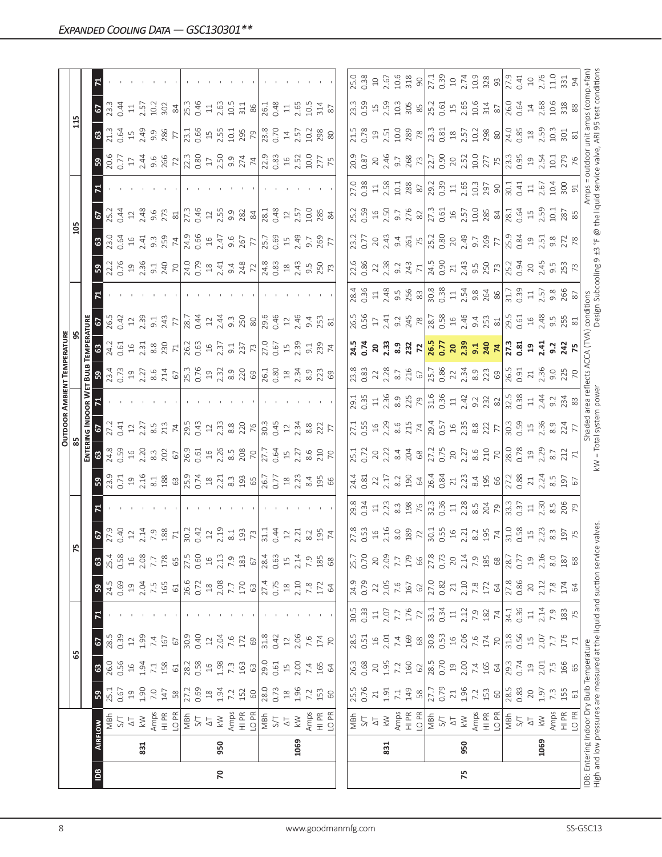|                |      |                                                                                                                  |                                           |                  |                                                         |                |                                                         |                                                                   |                                                                                                                                                                                                                                                                                                           |                                                                                                                                                                                                                                                                                                                      |                                                                                                                                                                                                                                                                                                                                                                       |                                                                                                                                                                                                                                                                                                                                                           | <b>OUTDOOR AMBIENT TEMPERATURI</b>                                                                                                                                                                                                                                                                                                                                                                              |                                                                                                                                                                                                                                                                                                                      |                                                                                                                                                                                                                               |                                                                                                                                                                                                                                                                                                                                                                                                                                       |                                                                                                                                                                                                                                                                                                             |                                                                                                                                                                                                                                |                                                                                                                                                                                                                                                                                                                                                                                        |                                                                                                                                                                                                                                                                                                         |                                                                                                                                                                                                                                                                                                           |                                                                                                                                                                                                                                                                                                           |                                                                                                                                                                                                                              |
|----------------|------|------------------------------------------------------------------------------------------------------------------|-------------------------------------------|------------------|---------------------------------------------------------|----------------|---------------------------------------------------------|-------------------------------------------------------------------|-----------------------------------------------------------------------------------------------------------------------------------------------------------------------------------------------------------------------------------------------------------------------------------------------------------|----------------------------------------------------------------------------------------------------------------------------------------------------------------------------------------------------------------------------------------------------------------------------------------------------------------------|-----------------------------------------------------------------------------------------------------------------------------------------------------------------------------------------------------------------------------------------------------------------------------------------------------------------------------------------------------------------------|-----------------------------------------------------------------------------------------------------------------------------------------------------------------------------------------------------------------------------------------------------------------------------------------------------------------------------------------------------------|-----------------------------------------------------------------------------------------------------------------------------------------------------------------------------------------------------------------------------------------------------------------------------------------------------------------------------------------------------------------------------------------------------------------|----------------------------------------------------------------------------------------------------------------------------------------------------------------------------------------------------------------------------------------------------------------------------------------------------------------------|-------------------------------------------------------------------------------------------------------------------------------------------------------------------------------------------------------------------------------|---------------------------------------------------------------------------------------------------------------------------------------------------------------------------------------------------------------------------------------------------------------------------------------------------------------------------------------------------------------------------------------------------------------------------------------|-------------------------------------------------------------------------------------------------------------------------------------------------------------------------------------------------------------------------------------------------------------------------------------------------------------|--------------------------------------------------------------------------------------------------------------------------------------------------------------------------------------------------------------------------------|----------------------------------------------------------------------------------------------------------------------------------------------------------------------------------------------------------------------------------------------------------------------------------------------------------------------------------------------------------------------------------------|---------------------------------------------------------------------------------------------------------------------------------------------------------------------------------------------------------------------------------------------------------------------------------------------------------|-----------------------------------------------------------------------------------------------------------------------------------------------------------------------------------------------------------------------------------------------------------------------------------------------------------|-----------------------------------------------------------------------------------------------------------------------------------------------------------------------------------------------------------------------------------------------------------------------------------------------------------|------------------------------------------------------------------------------------------------------------------------------------------------------------------------------------------------------------------------------|
|                |      |                                                                                                                  |                                           |                  | යි                                                      |                |                                                         |                                                                   |                                                                                                                                                                                                                                                                                                           |                                                                                                                                                                                                                                                                                                                      |                                                                                                                                                                                                                                                                                                                                                                       |                                                                                                                                                                                                                                                                                                                                                           |                                                                                                                                                                                                                                                                                                                                                                                                                 |                                                                                                                                                                                                                                                                                                                      |                                                                                                                                                                                                                               |                                                                                                                                                                                                                                                                                                                                                                                                                                       |                                                                                                                                                                                                                                                                                                             |                                                                                                                                                                                                                                |                                                                                                                                                                                                                                                                                                                                                                                        |                                                                                                                                                                                                                                                                                                         |                                                                                                                                                                                                                                                                                                           |                                                                                                                                                                                                                                                                                                           |                                                                                                                                                                                                                              |
|                |      |                                                                                                                  |                                           |                  |                                                         |                |                                                         |                                                                   |                                                                                                                                                                                                                                                                                                           |                                                                                                                                                                                                                                                                                                                      |                                                                                                                                                                                                                                                                                                                                                                       |                                                                                                                                                                                                                                                                                                                                                           |                                                                                                                                                                                                                                                                                                                                                                                                                 |                                                                                                                                                                                                                                                                                                                      |                                                                                                                                                                                                                               |                                                                                                                                                                                                                                                                                                                                                                                                                                       |                                                                                                                                                                                                                                                                                                             |                                                                                                                                                                                                                                |                                                                                                                                                                                                                                                                                                                                                                                        |                                                                                                                                                                                                                                                                                                         |                                                                                                                                                                                                                                                                                                           |                                                                                                                                                                                                                                                                                                           |                                                                                                                                                                                                                              |
| $\overline{B}$ |      | <b>AIRFLOW</b>                                                                                                   | 59                                        | $\mathbbmss{3}$  | 2                                                       | $\mathbf{z}$   | ${\tt S}$                                               | $\mathbbmss{3}$                                                   |                                                                                                                                                                                                                                                                                                           |                                                                                                                                                                                                                                                                                                                      |                                                                                                                                                                                                                                                                                                                                                                       |                                                                                                                                                                                                                                                                                                                                                           |                                                                                                                                                                                                                                                                                                                                                                                                                 |                                                                                                                                                                                                                                                                                                                      |                                                                                                                                                                                                                               |                                                                                                                                                                                                                                                                                                                                                                                                                                       |                                                                                                                                                                                                                                                                                                             |                                                                                                                                                                                                                                |                                                                                                                                                                                                                                                                                                                                                                                        |                                                                                                                                                                                                                                                                                                         |                                                                                                                                                                                                                                                                                                           |                                                                                                                                                                                                                                                                                                           |                                                                                                                                                                                                                              |
|                |      | MBh                                                                                                              | 25.1                                      | 26.0             | 28.5                                                    |                | 24.5                                                    |                                                                   |                                                                                                                                                                                                                                                                                                           |                                                                                                                                                                                                                                                                                                                      | 34.59                                                                                                                                                                                                                                                                                                                                                                 |                                                                                                                                                                                                                                                                                                                                                           |                                                                                                                                                                                                                                                                                                                                                                                                                 |                                                                                                                                                                                                                                                                                                                      | <b>6</b><br>26.3<br>21                                                                                                                                                                                                        |                                                                                                                                                                                                                                                                                                                                                                                                                                       |                                                                                                                                                                                                                                                                                                             | $rac{67}{25.3}$                                                                                                                                                                                                                |                                                                                                                                                                                                                                                                                                                                                                                        |                                                                                                                                                                                                                                                                                                         |                                                                                                                                                                                                                                                                                                           | $rac{67}{23.3}$                                                                                                                                                                                                                                                                                           |                                                                                                                                                                                                                              |
|                |      | 5/7                                                                                                              | 0.67                                      | 0.56             | 0.39                                                    |                | 0.69                                                    | 0.58                                                              |                                                                                                                                                                                                                                                                                                           |                                                                                                                                                                                                                                                                                                                      |                                                                                                                                                                                                                                                                                                                                                                       |                                                                                                                                                                                                                                                                                                                                                           |                                                                                                                                                                                                                                                                                                                                                                                                                 |                                                                                                                                                                                                                                                                                                                      |                                                                                                                                                                                                                               |                                                                                                                                                                                                                                                                                                                                                                                                                                       |                                                                                                                                                                                                                                                                                                             |                                                                                                                                                                                                                                |                                                                                                                                                                                                                                                                                                                                                                                        |                                                                                                                                                                                                                                                                                                         |                                                                                                                                                                                                                                                                                                           |                                                                                                                                                                                                                                                                                                           |                                                                                                                                                                                                                              |
|                |      | $\overline{\triangle}$                                                                                           | $\overline{c}$                            | $1.94$<br>$1.94$ | $\supseteq$                                             |                | 19                                                      | $\frac{16}{1}$                                                    |                                                                                                                                                                                                                                                                                                           |                                                                                                                                                                                                                                                                                                                      |                                                                                                                                                                                                                                                                                                                                                                       |                                                                                                                                                                                                                                                                                                                                                           |                                                                                                                                                                                                                                                                                                                                                                                                                 |                                                                                                                                                                                                                                                                                                                      |                                                                                                                                                                                                                               |                                                                                                                                                                                                                                                                                                                                                                                                                                       |                                                                                                                                                                                                                                                                                                             |                                                                                                                                                                                                                                |                                                                                                                                                                                                                                                                                                                                                                                        |                                                                                                                                                                                                                                                                                                         |                                                                                                                                                                                                                                                                                                           | $\Xi$                                                                                                                                                                                                                                                                                                     |                                                                                                                                                                                                                              |
|                | 831  | $\lesssim$                                                                                                       | 0.1                                       |                  | 1.99                                                    |                | 2.04                                                    | 2.08                                                              |                                                                                                                                                                                                                                                                                                           |                                                                                                                                                                                                                                                                                                                      |                                                                                                                                                                                                                                                                                                                                                                       |                                                                                                                                                                                                                                                                                                                                                           |                                                                                                                                                                                                                                                                                                                                                                                                                 |                                                                                                                                                                                                                                                                                                                      |                                                                                                                                                                                                                               |                                                                                                                                                                                                                                                                                                                                                                                                                                       |                                                                                                                                                                                                                                                                                                             |                                                                                                                                                                                                                                |                                                                                                                                                                                                                                                                                                                                                                                        |                                                                                                                                                                                                                                                                                                         |                                                                                                                                                                                                                                                                                                           |                                                                                                                                                                                                                                                                                                           |                                                                                                                                                                                                                              |
|                |      | Amps                                                                                                             | $7.0$<br>147                              | $7.1\,$          | $7.4\,$                                                 |                | $7.5$<br>165                                            |                                                                   |                                                                                                                                                                                                                                                                                                           |                                                                                                                                                                                                                                                                                                                      |                                                                                                                                                                                                                                                                                                                                                                       |                                                                                                                                                                                                                                                                                                                                                           |                                                                                                                                                                                                                                                                                                                                                                                                                 |                                                                                                                                                                                                                                                                                                                      |                                                                                                                                                                                                                               |                                                                                                                                                                                                                                                                                                                                                                                                                                       |                                                                                                                                                                                                                                                                                                             |                                                                                                                                                                                                                                |                                                                                                                                                                                                                                                                                                                                                                                        |                                                                                                                                                                                                                                                                                                         |                                                                                                                                                                                                                                                                                                           |                                                                                                                                                                                                                                                                                                           |                                                                                                                                                                                                                              |
|                |      | HI PR<br>LO PR                                                                                                   | 58                                        | 158<br>$61$      | 167<br>$67\,$                                           |                | $61$                                                    | 178                                                               | $5.233$<br>$5.343$ $7.28$ $7.34$<br>$8.71$<br>$8.23$ $1.23$<br>$1.23$ $1.23$ $1.23$<br>$1.23$ $1.23$ $1.23$                                                                                                                                                                                               | $3\frac{1}{2}$ $\frac{3}{2}$ $\frac{1}{2}$ $\frac{3}{2}$ $\frac{4}{2}$ $\frac{3}{2}$ $\frac{3}{2}$ $\frac{3}{2}$ $\frac{3}{2}$ $\frac{3}{2}$ $\frac{3}{2}$ $\frac{3}{2}$ $\frac{3}{2}$ $\frac{3}{2}$ $\frac{3}{2}$ $\frac{3}{2}$ $\frac{3}{2}$ $\frac{3}{2}$ $\frac{3}{2}$ $\frac{3}{2}$ $\frac{3}{2}$ $\frac{3}{2}$ | $\frac{16}{22}$ $\frac{26}{22}$ $\frac{26}{22}$ $\frac{16}{22}$ $\frac{16}{22}$ $\frac{16}{22}$ $\frac{16}{22}$ $\frac{16}{22}$ $\frac{16}{22}$ $\frac{16}{22}$ $\frac{16}{22}$ $\frac{16}{22}$ $\frac{16}{22}$ $\frac{16}{22}$ $\frac{16}{22}$ $\frac{16}{22}$ $\frac{16}{22}$ $\frac{16}{22}$ $\frac{1$                                                             | $27.373$ $27.373$ $27.373$ $27.373$ $27.373$ $27.373$ $27.373$ $27.373$ $27.373$ $27.373$ $27.373$ $27.373$ $27.373$ $27.373$ $27.373$ $27.373$ $27.373$ $27.373$ $27.373$ $27.373$ $27.373$ $27.373$ $27.373$ $27.373$ $27.3$                                                                                                                            | $\mathbf{B}$ $\vec{\mathcal{R}}$ $\vec{\mathcal{R}}$ $\vec{\mathcal{R}}$ $\vec{\mathcal{R}}$ $\vec{\mathcal{R}}$ $\vec{\mathcal{R}}$ $\vec{\mathcal{R}}$ $\vec{\mathcal{R}}$ $\vec{\mathcal{R}}$ $\vec{\mathcal{R}}$ $\vec{\mathcal{R}}$ $\vec{\mathcal{R}}$ $\vec{\mathcal{R}}$ $\vec{\mathcal{R}}$ $\vec{\mathcal{R}}$ $\vec{\mathcal{R}}$ $\vec{\mathcal{R}}$ $\vec{\mathcal{R}}$ $\vec{\mathcal{R}}$ $\vec$ | $3\frac{1}{2}$ $\frac{1}{2}$ $\frac{1}{2}$ $\frac{1}{2}$ $\frac{1}{2}$ $\frac{1}{2}$ $\frac{1}{2}$ $\frac{1}{2}$ $\frac{1}{2}$ $\frac{1}{2}$ $\frac{1}{2}$ $\frac{1}{2}$ $\frac{1}{2}$ $\frac{1}{2}$ $\frac{1}{2}$ $\frac{1}{2}$ $\frac{1}{2}$ $\frac{1}{2}$ $\frac{1}{2}$ $\frac{1}{2}$ $\frac{1}{2}$ $\frac{1}{2}$ |                                                                                                                                                                                                                               | $3.25$ $2.5$ $3.5$ $3.5$ $2.5$ $2.5$ $3.5$ $3.5$ $3.5$ $3.5$ $3.5$ $3.5$ $3.5$ $3.5$ $3.5$ $3.5$ $3.5$ $3.5$ $3.5$ $3.5$ $3.5$ $3.5$ $3.5$ $3.5$ $3.5$ $3.5$ $3.5$ $3.5$ $3.5$ $3.5$ $3.5$ $3.5$ $3.5$ $3.5$ $3.5$ $3.5$ $3.5$                                                                                                                                                                                                        | $3\frac{3}{2}$ $3\frac{3}{2}$ $4\frac{4}{3}$ $3\frac{3}{2}$ $7\frac{4}{3}$ $3\frac{5}{6}$ $4\frac{6}{3}$ $5\frac{2}{3}$ $7\frac{1}{3}$ $3\frac{2}{3}$ $7\frac{1}{3}$ $3\frac{2}{3}$ $7\frac{3}{2}$ $7\frac{3}{2}$ $7\frac{3}{2}$ $7\frac{3}{2}$ $7\frac{3}{2}$ $7\frac{3}{2}$ $7\frac{3}{2}$ $7\frac{3}{2}$ |                                                                                                                                                                                                                                |                                                                                                                                                                                                                                                                                                                                                                                        | $B_{0}^{8}$ $S_{0}^{8}$ $S_{1}^{1}$ $S_{2}^{1}$ $S_{3}^{1}$ $S_{4}^{1}$ $S_{5}^{1}$ $S_{6}^{1}$ $S_{7}^{1}$ $S_{8}^{1}$ $S_{9}^{1}$ $S_{1}^{1}$ $S_{1}^{1}$ $S_{2}^{1}$ $S_{3}^{1}$ $S_{4}^{1}$ $S_{5}^{1}$ $S_{6}^{1}$ $S_{7}^{1}$ $S_{8}^{1}$ $S_{9}^{1}$ $S_{1}^{1}$ $S_{1}^{1}$ $S_{1}^{1}$ $S_{2}$ | $3\frac{1}{2}$ $3\frac{3}{2}$ $4\frac{9}{2}$ $3\frac{3}{2}$ $5\frac{8}{2}$ $7\frac{1}{2}$ $3\frac{1}{2}$ $3\frac{1}{2}$ $3\frac{1}{2}$ $3\frac{1}{2}$ $3\frac{1}{2}$ $3\frac{1}{2}$ $3\frac{1}{2}$ $3\frac{1}{2}$ $3\frac{1}{2}$                                                                          | $2.57$<br>$2.3$ $2.8$ $8/3$<br>$2.5$ $2.5$ $2.5$<br>$2.5$ $2.5$ $2.5$ $2.5$<br>$2.5$ $2.5$ $2.5$                                                                                                                                                                                                          |                                                                                                                                                                                                                              |
|                |      |                                                                                                                  |                                           | 28.2             |                                                         |                |                                                         | 65                                                                |                                                                                                                                                                                                                                                                                                           |                                                                                                                                                                                                                                                                                                                      |                                                                                                                                                                                                                                                                                                                                                                       |                                                                                                                                                                                                                                                                                                                                                           |                                                                                                                                                                                                                                                                                                                                                                                                                 |                                                                                                                                                                                                                                                                                                                      |                                                                                                                                                                                                                               |                                                                                                                                                                                                                                                                                                                                                                                                                                       |                                                                                                                                                                                                                                                                                                             |                                                                                                                                                                                                                                |                                                                                                                                                                                                                                                                                                                                                                                        |                                                                                                                                                                                                                                                                                                         |                                                                                                                                                                                                                                                                                                           |                                                                                                                                                                                                                                                                                                           |                                                                                                                                                                                                                              |
|                |      | $\frac{1}{2}$                                                                                                    | 0.69<br>27.2                              | 0.58             | 30.9<br>0.40                                            |                | 26.6<br>0.72                                            | 0.60<br>27.5                                                      |                                                                                                                                                                                                                                                                                                           |                                                                                                                                                                                                                                                                                                                      |                                                                                                                                                                                                                                                                                                                                                                       |                                                                                                                                                                                                                                                                                                                                                           |                                                                                                                                                                                                                                                                                                                                                                                                                 |                                                                                                                                                                                                                                                                                                                      |                                                                                                                                                                                                                               |                                                                                                                                                                                                                                                                                                                                                                                                                                       |                                                                                                                                                                                                                                                                                                             |                                                                                                                                                                                                                                |                                                                                                                                                                                                                                                                                                                                                                                        |                                                                                                                                                                                                                                                                                                         |                                                                                                                                                                                                                                                                                                           |                                                                                                                                                                                                                                                                                                           |                                                                                                                                                                                                                              |
|                |      | $\overline{\Delta}$                                                                                              | $\stackrel{\textstyle\circ}{\mathcal{A}}$ | $16$             | $12$                                                    |                | $\frac{8}{18}$                                          | $16$                                                              |                                                                                                                                                                                                                                                                                                           |                                                                                                                                                                                                                                                                                                                      |                                                                                                                                                                                                                                                                                                                                                                       |                                                                                                                                                                                                                                                                                                                                                           |                                                                                                                                                                                                                                                                                                                                                                                                                 |                                                                                                                                                                                                                                                                                                                      |                                                                                                                                                                                                                               |                                                                                                                                                                                                                                                                                                                                                                                                                                       |                                                                                                                                                                                                                                                                                                             |                                                                                                                                                                                                                                |                                                                                                                                                                                                                                                                                                                                                                                        |                                                                                                                                                                                                                                                                                                         |                                                                                                                                                                                                                                                                                                           |                                                                                                                                                                                                                                                                                                           |                                                                                                                                                                                                                              |
| $\mathsf{R}$   | 950  | $\lesssim$                                                                                                       | 1.94                                      | 1.98             | 2.04                                                    |                |                                                         |                                                                   |                                                                                                                                                                                                                                                                                                           |                                                                                                                                                                                                                                                                                                                      |                                                                                                                                                                                                                                                                                                                                                                       |                                                                                                                                                                                                                                                                                                                                                           |                                                                                                                                                                                                                                                                                                                                                                                                                 |                                                                                                                                                                                                                                                                                                                      |                                                                                                                                                                                                                               |                                                                                                                                                                                                                                                                                                                                                                                                                                       |                                                                                                                                                                                                                                                                                                             |                                                                                                                                                                                                                                |                                                                                                                                                                                                                                                                                                                                                                                        |                                                                                                                                                                                                                                                                                                         |                                                                                                                                                                                                                                                                                                           |                                                                                                                                                                                                                                                                                                           |                                                                                                                                                                                                                              |
|                |      | Amps                                                                                                             | 7.2                                       | $7.\overline{3}$ | 7.6                                                     |                | 2.08                                                    | $2.13$<br>$7.9$                                                   |                                                                                                                                                                                                                                                                                                           |                                                                                                                                                                                                                                                                                                                      |                                                                                                                                                                                                                                                                                                                                                                       |                                                                                                                                                                                                                                                                                                                                                           |                                                                                                                                                                                                                                                                                                                                                                                                                 |                                                                                                                                                                                                                                                                                                                      |                                                                                                                                                                                                                               |                                                                                                                                                                                                                                                                                                                                                                                                                                       |                                                                                                                                                                                                                                                                                                             |                                                                                                                                                                                                                                |                                                                                                                                                                                                                                                                                                                                                                                        |                                                                                                                                                                                                                                                                                                         |                                                                                                                                                                                                                                                                                                           |                                                                                                                                                                                                                                                                                                           |                                                                                                                                                                                                                              |
|                |      | HI PR<br>LO PR                                                                                                   | 152                                       | 163              | 172                                                     |                | 170                                                     | 183                                                               |                                                                                                                                                                                                                                                                                                           |                                                                                                                                                                                                                                                                                                                      |                                                                                                                                                                                                                                                                                                                                                                       |                                                                                                                                                                                                                                                                                                                                                           |                                                                                                                                                                                                                                                                                                                                                                                                                 |                                                                                                                                                                                                                                                                                                                      |                                                                                                                                                                                                                               |                                                                                                                                                                                                                                                                                                                                                                                                                                       |                                                                                                                                                                                                                                                                                                             |                                                                                                                                                                                                                                |                                                                                                                                                                                                                                                                                                                                                                                        |                                                                                                                                                                                                                                                                                                         |                                                                                                                                                                                                                                                                                                           |                                                                                                                                                                                                                                                                                                           |                                                                                                                                                                                                                              |
|                |      |                                                                                                                  | $60\,$                                    | $63$             | 69                                                      |                | 63                                                      | 67                                                                |                                                                                                                                                                                                                                                                                                           |                                                                                                                                                                                                                                                                                                                      |                                                                                                                                                                                                                                                                                                                                                                       |                                                                                                                                                                                                                                                                                                                                                           |                                                                                                                                                                                                                                                                                                                                                                                                                 |                                                                                                                                                                                                                                                                                                                      |                                                                                                                                                                                                                               |                                                                                                                                                                                                                                                                                                                                                                                                                                       |                                                                                                                                                                                                                                                                                                             |                                                                                                                                                                                                                                |                                                                                                                                                                                                                                                                                                                                                                                        |                                                                                                                                                                                                                                                                                                         |                                                                                                                                                                                                                                                                                                           |                                                                                                                                                                                                                                                                                                           |                                                                                                                                                                                                                              |
|                |      | $\frac{L}{2}$                                                                                                    | 28.0                                      | 29.0             | 31.8                                                    |                |                                                         | 28.4                                                              |                                                                                                                                                                                                                                                                                                           |                                                                                                                                                                                                                                                                                                                      |                                                                                                                                                                                                                                                                                                                                                                       |                                                                                                                                                                                                                                                                                                                                                           |                                                                                                                                                                                                                                                                                                                                                                                                                 |                                                                                                                                                                                                                                                                                                                      |                                                                                                                                                                                                                               |                                                                                                                                                                                                                                                                                                                                                                                                                                       |                                                                                                                                                                                                                                                                                                             |                                                                                                                                                                                                                                |                                                                                                                                                                                                                                                                                                                                                                                        |                                                                                                                                                                                                                                                                                                         |                                                                                                                                                                                                                                                                                                           |                                                                                                                                                                                                                                                                                                           |                                                                                                                                                                                                                              |
|                |      |                                                                                                                  | 0.73                                      | 0.61             | 0.42                                                    |                | 27.4<br>0.75                                            | 0.63                                                              |                                                                                                                                                                                                                                                                                                           |                                                                                                                                                                                                                                                                                                                      |                                                                                                                                                                                                                                                                                                                                                                       |                                                                                                                                                                                                                                                                                                                                                           |                                                                                                                                                                                                                                                                                                                                                                                                                 |                                                                                                                                                                                                                                                                                                                      |                                                                                                                                                                                                                               |                                                                                                                                                                                                                                                                                                                                                                                                                                       |                                                                                                                                                                                                                                                                                                             |                                                                                                                                                                                                                                |                                                                                                                                                                                                                                                                                                                                                                                        |                                                                                                                                                                                                                                                                                                         |                                                                                                                                                                                                                                                                                                           |                                                                                                                                                                                                                                                                                                           |                                                                                                                                                                                                                              |
|                |      | $\Delta \top$                                                                                                    |                                           | $\Xi$            | $\ensuremath{\mathop{\mathop{\boldsymbol \Xi}}}\xspace$ |                | $^{18}$                                                 | 15                                                                |                                                                                                                                                                                                                                                                                                           |                                                                                                                                                                                                                                                                                                                      |                                                                                                                                                                                                                                                                                                                                                                       |                                                                                                                                                                                                                                                                                                                                                           |                                                                                                                                                                                                                                                                                                                                                                                                                 |                                                                                                                                                                                                                                                                                                                      |                                                                                                                                                                                                                               |                                                                                                                                                                                                                                                                                                                                                                                                                                       |                                                                                                                                                                                                                                                                                                             |                                                                                                                                                                                                                                |                                                                                                                                                                                                                                                                                                                                                                                        |                                                                                                                                                                                                                                                                                                         |                                                                                                                                                                                                                                                                                                           | $\Xi$                                                                                                                                                                                                                                                                                                     |                                                                                                                                                                                                                              |
|                | 1069 | $\lesssim$                                                                                                       | 1.96                                      | 2.00             | 2.06                                                    |                | 2.10                                                    | 2.14                                                              |                                                                                                                                                                                                                                                                                                           |                                                                                                                                                                                                                                                                                                                      |                                                                                                                                                                                                                                                                                                                                                                       |                                                                                                                                                                                                                                                                                                                                                           |                                                                                                                                                                                                                                                                                                                                                                                                                 |                                                                                                                                                                                                                                                                                                                      |                                                                                                                                                                                                                               |                                                                                                                                                                                                                                                                                                                                                                                                                                       |                                                                                                                                                                                                                                                                                                             |                                                                                                                                                                                                                                |                                                                                                                                                                                                                                                                                                                                                                                        |                                                                                                                                                                                                                                                                                                         |                                                                                                                                                                                                                                                                                                           |                                                                                                                                                                                                                                                                                                           |                                                                                                                                                                                                                              |
|                |      | Amps                                                                                                             | 7.2                                       | 7.4              | 7.6                                                     |                |                                                         | 7.9                                                               |                                                                                                                                                                                                                                                                                                           |                                                                                                                                                                                                                                                                                                                      |                                                                                                                                                                                                                                                                                                                                                                       |                                                                                                                                                                                                                                                                                                                                                           |                                                                                                                                                                                                                                                                                                                                                                                                                 |                                                                                                                                                                                                                                                                                                                      |                                                                                                                                                                                                                               |                                                                                                                                                                                                                                                                                                                                                                                                                                       |                                                                                                                                                                                                                                                                                                             |                                                                                                                                                                                                                                |                                                                                                                                                                                                                                                                                                                                                                                        |                                                                                                                                                                                                                                                                                                         | $14.57$<br>$10.288$<br>$80$                                                                                                                                                                                                                                                                               | 2.65<br>10.5<br>314<br>87                                                                                                                                                                                                                                                                                 |                                                                                                                                                                                                                              |
|                |      | HI PR<br>LO PR                                                                                                   | 153                                       | 165              | 174                                                     |                | $7.8$<br>172                                            | 185                                                               |                                                                                                                                                                                                                                                                                                           |                                                                                                                                                                                                                                                                                                                      |                                                                                                                                                                                                                                                                                                                                                                       |                                                                                                                                                                                                                                                                                                                                                           |                                                                                                                                                                                                                                                                                                                                                                                                                 |                                                                                                                                                                                                                                                                                                                      |                                                                                                                                                                                                                               |                                                                                                                                                                                                                                                                                                                                                                                                                                       |                                                                                                                                                                                                                                                                                                             |                                                                                                                                                                                                                                |                                                                                                                                                                                                                                                                                                                                                                                        |                                                                                                                                                                                                                                                                                                         |                                                                                                                                                                                                                                                                                                           |                                                                                                                                                                                                                                                                                                           |                                                                                                                                                                                                                              |
|                |      |                                                                                                                  | $60$                                      | 64               | $\mathcal{R}$                                           |                | 64                                                      | $68$                                                              | $\frac{195}{74}$                                                                                                                                                                                                                                                                                          |                                                                                                                                                                                                                                                                                                                      |                                                                                                                                                                                                                                                                                                                                                                       |                                                                                                                                                                                                                                                                                                                                                           |                                                                                                                                                                                                                                                                                                                                                                                                                 |                                                                                                                                                                                                                                                                                                                      |                                                                                                                                                                                                                               |                                                                                                                                                                                                                                                                                                                                                                                                                                       |                                                                                                                                                                                                                                                                                                             |                                                                                                                                                                                                                                |                                                                                                                                                                                                                                                                                                                                                                                        |                                                                                                                                                                                                                                                                                                         |                                                                                                                                                                                                                                                                                                           |                                                                                                                                                                                                                                                                                                           |                                                                                                                                                                                                                              |
|                |      |                                                                                                                  |                                           |                  |                                                         |                |                                                         |                                                                   |                                                                                                                                                                                                                                                                                                           |                                                                                                                                                                                                                                                                                                                      |                                                                                                                                                                                                                                                                                                                                                                       |                                                                                                                                                                                                                                                                                                                                                           |                                                                                                                                                                                                                                                                                                                                                                                                                 |                                                                                                                                                                                                                                                                                                                      |                                                                                                                                                                                                                               |                                                                                                                                                                                                                                                                                                                                                                                                                                       |                                                                                                                                                                                                                                                                                                             |                                                                                                                                                                                                                                |                                                                                                                                                                                                                                                                                                                                                                                        |                                                                                                                                                                                                                                                                                                         |                                                                                                                                                                                                                                                                                                           |                                                                                                                                                                                                                                                                                                           |                                                                                                                                                                                                                              |
|                |      |                                                                                                                  | 25.5                                      | 26.3             | 28.5                                                    | 30.5           | 24.9                                                    | 25.7                                                              |                                                                                                                                                                                                                                                                                                           |                                                                                                                                                                                                                                                                                                                      |                                                                                                                                                                                                                                                                                                                                                                       |                                                                                                                                                                                                                                                                                                                                                           | 23.8                                                                                                                                                                                                                                                                                                                                                                                                            |                                                                                                                                                                                                                                                                                                                      |                                                                                                                                                                                                                               |                                                                                                                                                                                                                                                                                                                                                                                                                                       |                                                                                                                                                                                                                                                                                                             |                                                                                                                                                                                                                                |                                                                                                                                                                                                                                                                                                                                                                                        |                                                                                                                                                                                                                                                                                                         |                                                                                                                                                                                                                                                                                                           | 23.3                                                                                                                                                                                                                                                                                                      |                                                                                                                                                                                                                              |
|                |      | NBh<br>S/T                                                                                                       | 0.76                                      | 0.68             | 0.51                                                    | 0.33           | 0.79                                                    | 0.70                                                              |                                                                                                                                                                                                                                                                                                           |                                                                                                                                                                                                                                                                                                                      | 25.1<br>0.72                                                                                                                                                                                                                                                                                                                                                          |                                                                                                                                                                                                                                                                                                                                                           |                                                                                                                                                                                                                                                                                                                                                                                                                 |                                                                                                                                                                                                                                                                                                                      |                                                                                                                                                                                                                               |                                                                                                                                                                                                                                                                                                                                                                                                                                       |                                                                                                                                                                                                                                                                                                             |                                                                                                                                                                                                                                |                                                                                                                                                                                                                                                                                                                                                                                        |                                                                                                                                                                                                                                                                                                         | 21.5                                                                                                                                                                                                                                                                                                      |                                                                                                                                                                                                                                                                                                           | 25.0<br>0.38                                                                                                                                                                                                                 |
|                |      | $\overleftarrow{\triangle}$                                                                                      | 21                                        | $20$             | $16$                                                    | $\Xi$          | 22                                                      | 20                                                                |                                                                                                                                                                                                                                                                                                           |                                                                                                                                                                                                                                                                                                                      |                                                                                                                                                                                                                                                                                                                                                                       |                                                                                                                                                                                                                                                                                                                                                           |                                                                                                                                                                                                                                                                                                                                                                                                                 |                                                                                                                                                                                                                                                                                                                      |                                                                                                                                                                                                                               |                                                                                                                                                                                                                                                                                                                                                                                                                                       |                                                                                                                                                                                                                                                                                                             |                                                                                                                                                                                                                                |                                                                                                                                                                                                                                                                                                                                                                                        |                                                                                                                                                                                                                                                                                                         |                                                                                                                                                                                                                                                                                                           |                                                                                                                                                                                                                                                                                                           |                                                                                                                                                                                                                              |
|                | 831  | $\lesssim$                                                                                                       | 1.91                                      | 1.95             | 2.01                                                    | 2.07           | $2.05$<br>7.6                                           | 2.09                                                              |                                                                                                                                                                                                                                                                                                           |                                                                                                                                                                                                                                                                                                                      |                                                                                                                                                                                                                                                                                                                                                                       |                                                                                                                                                                                                                                                                                                                                                           |                                                                                                                                                                                                                                                                                                                                                                                                                 |                                                                                                                                                                                                                                                                                                                      |                                                                                                                                                                                                                               |                                                                                                                                                                                                                                                                                                                                                                                                                                       |                                                                                                                                                                                                                                                                                                             |                                                                                                                                                                                                                                |                                                                                                                                                                                                                                                                                                                                                                                        |                                                                                                                                                                                                                                                                                                         |                                                                                                                                                                                                                                                                                                           |                                                                                                                                                                                                                                                                                                           |                                                                                                                                                                                                                              |
|                |      | Amps                                                                                                             | $7.1\,$                                   | 7.2              | 7.4                                                     | 7.7            |                                                         |                                                                   |                                                                                                                                                                                                                                                                                                           |                                                                                                                                                                                                                                                                                                                      |                                                                                                                                                                                                                                                                                                                                                                       |                                                                                                                                                                                                                                                                                                                                                           |                                                                                                                                                                                                                                                                                                                                                                                                                 |                                                                                                                                                                                                                                                                                                                      |                                                                                                                                                                                                                               |                                                                                                                                                                                                                                                                                                                                                                                                                                       |                                                                                                                                                                                                                                                                                                             |                                                                                                                                                                                                                                |                                                                                                                                                                                                                                                                                                                                                                                        |                                                                                                                                                                                                                                                                                                         |                                                                                                                                                                                                                                                                                                           |                                                                                                                                                                                                                                                                                                           |                                                                                                                                                                                                                              |
|                |      | H PR<br>LO PR                                                                                                    | 149                                       | 160              | 169                                                     | 176            | 167                                                     | 179                                                               |                                                                                                                                                                                                                                                                                                           |                                                                                                                                                                                                                                                                                                                      |                                                                                                                                                                                                                                                                                                                                                                       |                                                                                                                                                                                                                                                                                                                                                           |                                                                                                                                                                                                                                                                                                                                                                                                                 |                                                                                                                                                                                                                                                                                                                      |                                                                                                                                                                                                                               |                                                                                                                                                                                                                                                                                                                                                                                                                                       |                                                                                                                                                                                                                                                                                                             |                                                                                                                                                                                                                                |                                                                                                                                                                                                                                                                                                                                                                                        |                                                                                                                                                                                                                                                                                                         |                                                                                                                                                                                                                                                                                                           |                                                                                                                                                                                                                                                                                                           |                                                                                                                                                                                                                              |
|                |      |                                                                                                                  | 58                                        | $\mbox{62}$      | $68\,$                                                  |                | 62                                                      | $66$                                                              |                                                                                                                                                                                                                                                                                                           |                                                                                                                                                                                                                                                                                                                      |                                                                                                                                                                                                                                                                                                                                                                       |                                                                                                                                                                                                                                                                                                                                                           |                                                                                                                                                                                                                                                                                                                                                                                                                 |                                                                                                                                                                                                                                                                                                                      |                                                                                                                                                                                                                               |                                                                                                                                                                                                                                                                                                                                                                                                                                       |                                                                                                                                                                                                                                                                                                             |                                                                                                                                                                                                                                |                                                                                                                                                                                                                                                                                                                                                                                        |                                                                                                                                                                                                                                                                                                         |                                                                                                                                                                                                                                                                                                           |                                                                                                                                                                                                                                                                                                           |                                                                                                                                                                                                                              |
|                |      | MBh                                                                                                              | 27.7<br>0.79                              | 28.5             | 30.53                                                   | 33.1           | 27.0<br>0.82                                            | 27.8                                                              |                                                                                                                                                                                                                                                                                                           |                                                                                                                                                                                                                                                                                                                      |                                                                                                                                                                                                                                                                                                                                                                       |                                                                                                                                                                                                                                                                                                                                                           |                                                                                                                                                                                                                                                                                                                                                                                                                 |                                                                                                                                                                                                                                                                                                                      |                                                                                                                                                                                                                               |                                                                                                                                                                                                                                                                                                                                                                                                                                       |                                                                                                                                                                                                                                                                                                             |                                                                                                                                                                                                                                |                                                                                                                                                                                                                                                                                                                                                                                        |                                                                                                                                                                                                                                                                                                         |                                                                                                                                                                                                                                                                                                           |                                                                                                                                                                                                                                                                                                           |                                                                                                                                                                                                                              |
|                |      | 5/7                                                                                                              |                                           | 0.70             |                                                         | 0.34           |                                                         | 0.73                                                              |                                                                                                                                                                                                                                                                                                           |                                                                                                                                                                                                                                                                                                                      |                                                                                                                                                                                                                                                                                                                                                                       |                                                                                                                                                                                                                                                                                                                                                           |                                                                                                                                                                                                                                                                                                                                                                                                                 |                                                                                                                                                                                                                                                                                                                      |                                                                                                                                                                                                                               |                                                                                                                                                                                                                                                                                                                                                                                                                                       |                                                                                                                                                                                                                                                                                                             |                                                                                                                                                                                                                                |                                                                                                                                                                                                                                                                                                                                                                                        |                                                                                                                                                                                                                                                                                                         |                                                                                                                                                                                                                                                                                                           |                                                                                                                                                                                                                                                                                                           |                                                                                                                                                                                                                              |
|                |      | $\overline{\triangle}$                                                                                           | $\gtrsim$                                 | $\Xi$            | $\mathfrak{A}$                                          | $\Xi$          |                                                         | $\overline{20}$                                                   |                                                                                                                                                                                                                                                                                                           |                                                                                                                                                                                                                                                                                                                      |                                                                                                                                                                                                                                                                                                                                                                       |                                                                                                                                                                                                                                                                                                                                                           |                                                                                                                                                                                                                                                                                                                                                                                                                 |                                                                                                                                                                                                                                                                                                                      |                                                                                                                                                                                                                               |                                                                                                                                                                                                                                                                                                                                                                                                                                       |                                                                                                                                                                                                                                                                                                             |                                                                                                                                                                                                                                |                                                                                                                                                                                                                                                                                                                                                                                        |                                                                                                                                                                                                                                                                                                         |                                                                                                                                                                                                                                                                                                           |                                                                                                                                                                                                                                                                                                           |                                                                                                                                                                                                                              |
| 75             | 950  | $\geqslant$                                                                                                      | 1.96<br>7.2                               | 2.00<br>$7.4\,$  | 2.06<br>7.6                                             | 2.12           |                                                         |                                                                   |                                                                                                                                                                                                                                                                                                           |                                                                                                                                                                                                                                                                                                                      |                                                                                                                                                                                                                                                                                                                                                                       |                                                                                                                                                                                                                                                                                                                                                           |                                                                                                                                                                                                                                                                                                                                                                                                                 |                                                                                                                                                                                                                                                                                                                      |                                                                                                                                                                                                                               |                                                                                                                                                                                                                                                                                                                                                                                                                                       |                                                                                                                                                                                                                                                                                                             |                                                                                                                                                                                                                                |                                                                                                                                                                                                                                                                                                                                                                                        |                                                                                                                                                                                                                                                                                                         |                                                                                                                                                                                                                                                                                                           |                                                                                                                                                                                                                                                                                                           |                                                                                                                                                                                                                              |
|                |      | Amps<br>HI PR                                                                                                    | 153                                       | 165              | 174                                                     | 7.9<br>182     | $\begin{array}{c} 21 \\ 2.10 \\ 7.8 \\ 172 \end{array}$ | $7.14$<br>$7.9$<br>$185$                                          | $\frac{28}{25}$ $\frac{29}{25}$ $\frac{29}{25}$ $\frac{29}{25}$ $\frac{21}{25}$ $\frac{25}{25}$ $\frac{21}{25}$ $\frac{21}{25}$ $\frac{21}{25}$ $\frac{21}{25}$ $\frac{21}{25}$ $\frac{21}{25}$ $\frac{21}{25}$ $\frac{21}{25}$ $\frac{21}{25}$ $\frac{21}{25}$ $\frac{21}{25}$ $\frac{21}{25}$ $\frac{2$ | $\frac{4}{3}$ a $\frac{1}{2}$ a $\frac{1}{2}$ a $\frac{1}{2}$ a $\frac{1}{2}$ a $\frac{1}{2}$ a $\frac{1}{2}$ a $\frac{1}{2}$ a $\frac{1}{2}$ a $\frac{1}{2}$ a $\frac{1}{2}$ a $\frac{1}{2}$ a $\frac{1}{2}$ a $\frac{1}{2}$ a $\frac{1}{2}$ a $\frac{1}{2}$ a $\frac{1}{2}$ a $\frac{1}{2}$ a $\frac{1$            | $22.73 \times 24.73 \times 25.73 \times 27.73 \times 27.73 \times 27.73 \times 27.73 \times 27.73 \times 27.73 \times 27.73 \times 27.73 \times 27.73 \times 27.73 \times 27.73 \times 27.73 \times 27.73 \times 27.73 \times 27.73 \times 27.73 \times 27.73 \times 27.73 \times 27.73 \times 27.73 \times 27.73 \times 27.73 \times 27.73 \times 27.73 \times 27.7$ | $\frac{1}{2}$ $\frac{1}{2}$ $\frac{1}{3}$ $\frac{1}{3}$ $\frac{1}{3}$ $\frac{1}{3}$ $\frac{1}{2}$ $\frac{1}{3}$ $\frac{1}{2}$ $\frac{1}{3}$ $\frac{1}{3}$ $\frac{1}{3}$ $\frac{1}{3}$ $\frac{1}{3}$ $\frac{1}{3}$ $\frac{1}{3}$ $\frac{1}{3}$ $\frac{1}{3}$ $\frac{1}{3}$ $\frac{1}{3}$ $\frac{1}{3}$ $\frac{1}{3}$ $\frac{1}{3}$ $\frac{1}{3}$ $\frac{1$ |                                                                                                                                                                                                                                                                                                                                                                                                                 |                                                                                                                                                                                                                                                                                                                      | $26.5$ $55.7$ $37.8$ $8$ $8$ $12.8$ $33.8$ $9$ $34.8$ $35.8$ $37.8$ $38.8$ $39.8$ $39.8$ $39.8$ $39.8$ $39.8$ $39.8$ $39.8$ $39.8$ $39.8$ $39.8$ $39.8$ $39.8$ $39.8$ $39.8$ $39.8$ $39.8$ $39.8$ $39.8$ $39.8$ $39.8$ $39.8$ | $\frac{16}{21} \times \frac{16}{21} \times \frac{16}{21} \times \frac{16}{21} \times \frac{16}{21} \times \frac{16}{21} \times \frac{16}{21} \times \frac{16}{21} \times \frac{16}{21} \times \frac{16}{21} \times \frac{16}{21} \times \frac{16}{21} \times \frac{16}{21} \times \frac{16}{21} \times \frac{16}{21} \times \frac{16}{21} \times \frac{16}{21} \times \frac{16}{21} \times \frac{16}{21} \times \frac{16}{21} \times$ | $\begin{array}{l} 23.75 & 23.75 & 24.75 & 25.75 & 26.75 & 27.75 & 28.75 & 27.75 & 28.75 & 29.75 & 20.75 & 20.75 & 20.75 & 20.75 & 20.75 & 20.75 & 20.75 & 20.75 & 20.75 & 20.75 & 20.75 & 20.75 & 20.75 & 20.75 & 20.75 & 20.75 & 20.75 & 20.75 & 20.75 & 20.75 & 20$                                       | $25.99$ $-5.29$ $-5.29$ $-5.29$ $-5.29$ $-5.29$ $-5.29$ $-5.29$ $-5.29$ $-5.29$ $-5.29$ $-5.29$ $-5.29$ $-5.29$ $-5.29$ $-5.29$ $-5.29$ $-5.29$ $-5.29$ $-5.29$ $-5.29$ $-5.29$ $-5.29$ $-5.29$ $-5.29$ $-5.29$ $-5.29$ $-5.2$ | $\frac{2}{2}$<br>$\frac{2}{3}$<br>$\frac{2}{3}$<br>$\frac{2}{3}$<br>$\frac{2}{3}$<br>$\frac{2}{3}$<br>$\frac{2}{3}$<br>$\frac{2}{3}$<br>$\frac{2}{3}$<br>$\frac{2}{3}$<br>$\frac{2}{3}$<br>$\frac{2}{3}$<br>$\frac{2}{3}$<br>$\frac{2}{3}$<br>$\frac{2}{3}$<br>$\frac{2}{3}$<br>$\frac{2}{3}$<br>$\frac{2}{3}$<br>$\frac{2}{3}$<br>$\frac{2}{3}$<br>$\frac{2}{3}$<br>$\frac{2}{3}$<br> | $\begin{array}{l} 20.87 \\ 20.87 \\ 20.87 \\ 20.98 \\ 20.99 \\ 20.99 \\ 20.99 \\ 20.99 \\ 20.99 \\ 20.99 \\ 20.99 \\ 20.99 \\ 20.99 \\ 20.99 \\ 20.99 \\ 20.99 \\ 20.99 \\ 20.99 \\ 20.99 \\ 20.99 \\ 20.99 \\ 20.99 \\ 20.99 \\ 20.99 \\ 20.99 \\ 20.99 \\ 20.99 \\ 20.99 \\ 20.99 \\ 20.99 \\ 20$     | $\frac{1}{2}$ 5 $\frac{1}{2}$ 5 $\frac{1}{2}$ 6 $\frac{1}{2}$ 6 $\frac{1}{2}$ 6 $\frac{1}{2}$ 6 $\frac{1}{2}$ 6 $\frac{1}{2}$ 6 $\frac{1}{2}$ 6 $\frac{1}{2}$ 6 $\frac{1}{2}$ 6 $\frac{1}{2}$ 6 $\frac{1}{2}$ 6 $\frac{1}{2}$ 6 $\frac{1}{2}$ 6 $\frac{1}{2}$ 6 $\frac{1}{2}$ 6 $\frac{1}{2}$ 6 $\frac{1$ | $\frac{15}{15}$ $\frac{15}{15}$ $\frac{15}{15}$ $\frac{15}{15}$ $\frac{15}{15}$ $\frac{15}{15}$ $\frac{15}{15}$ $\frac{15}{15}$ $\frac{15}{15}$ $\frac{15}{15}$ $\frac{15}{15}$ $\frac{15}{15}$ $\frac{15}{15}$ $\frac{15}{15}$ $\frac{15}{15}$ $\frac{15}{15}$ $\frac{15}{15}$ $\frac{15}{15}$ $\frac{1$ | $12.56$ $13.8$ $13.8$ $15.23$ $15.8$ $15.23$ $15.23$ $15.23$ $15.23$ $15.23$ $15.23$ $15.23$ $15.23$ $15.23$ $15.23$ $15.23$ $15.23$ $15.23$ $15.23$ $15.23$ $15.23$ $15.23$ $15.23$ $15.23$ $15.23$ $15.23$ $15.23$ $15.23$ |
|                |      | LO PR                                                                                                            | $\mathbb{S}^0$                            | 64               | 70                                                      | $\overline{7}$ | $\mathcal{Q}$                                           | $68$                                                              |                                                                                                                                                                                                                                                                                                           |                                                                                                                                                                                                                                                                                                                      |                                                                                                                                                                                                                                                                                                                                                                       |                                                                                                                                                                                                                                                                                                                                                           |                                                                                                                                                                                                                                                                                                                                                                                                                 |                                                                                                                                                                                                                                                                                                                      |                                                                                                                                                                                                                               |                                                                                                                                                                                                                                                                                                                                                                                                                                       |                                                                                                                                                                                                                                                                                                             |                                                                                                                                                                                                                                |                                                                                                                                                                                                                                                                                                                                                                                        |                                                                                                                                                                                                                                                                                                         |                                                                                                                                                                                                                                                                                                           |                                                                                                                                                                                                                                                                                                           |                                                                                                                                                                                                                              |
|                |      | NBh<br>S/T                                                                                                       | $28.5$<br>0.83                            | 29.3<br>0.74     | 31.8<br>0.56                                            | 34.1<br>0.36   | 27.86                                                   | $\frac{28.7}{0.77}$                                               |                                                                                                                                                                                                                                                                                                           |                                                                                                                                                                                                                                                                                                                      |                                                                                                                                                                                                                                                                                                                                                                       |                                                                                                                                                                                                                                                                                                                                                           |                                                                                                                                                                                                                                                                                                                                                                                                                 |                                                                                                                                                                                                                                                                                                                      |                                                                                                                                                                                                                               |                                                                                                                                                                                                                                                                                                                                                                                                                                       |                                                                                                                                                                                                                                                                                                             |                                                                                                                                                                                                                                |                                                                                                                                                                                                                                                                                                                                                                                        |                                                                                                                                                                                                                                                                                                         |                                                                                                                                                                                                                                                                                                           |                                                                                                                                                                                                                                                                                                           |                                                                                                                                                                                                                              |
|                |      |                                                                                                                  |                                           |                  |                                                         |                |                                                         |                                                                   |                                                                                                                                                                                                                                                                                                           |                                                                                                                                                                                                                                                                                                                      |                                                                                                                                                                                                                                                                                                                                                                       |                                                                                                                                                                                                                                                                                                                                                           |                                                                                                                                                                                                                                                                                                                                                                                                                 |                                                                                                                                                                                                                                                                                                                      |                                                                                                                                                                                                                               |                                                                                                                                                                                                                                                                                                                                                                                                                                       |                                                                                                                                                                                                                                                                                                             |                                                                                                                                                                                                                                |                                                                                                                                                                                                                                                                                                                                                                                        |                                                                                                                                                                                                                                                                                                         |                                                                                                                                                                                                                                                                                                           |                                                                                                                                                                                                                                                                                                           |                                                                                                                                                                                                                              |
|                |      | $\overline{\Delta}$                                                                                              | $20$                                      | $\mathfrak{Q}$   | $15$<br>$2.07$                                          | $\Xi$          | $20$<br>$2.12$                                          | $\overline{c}$                                                    |                                                                                                                                                                                                                                                                                                           |                                                                                                                                                                                                                                                                                                                      |                                                                                                                                                                                                                                                                                                                                                                       |                                                                                                                                                                                                                                                                                                                                                           |                                                                                                                                                                                                                                                                                                                                                                                                                 |                                                                                                                                                                                                                                                                                                                      |                                                                                                                                                                                                                               |                                                                                                                                                                                                                                                                                                                                                                                                                                       |                                                                                                                                                                                                                                                                                                             |                                                                                                                                                                                                                                |                                                                                                                                                                                                                                                                                                                                                                                        |                                                                                                                                                                                                                                                                                                         |                                                                                                                                                                                                                                                                                                           |                                                                                                                                                                                                                                                                                                           |                                                                                                                                                                                                                              |
|                | 1069 | $\geq$                                                                                                           | 1.97                                      | 2.01             |                                                         | 2.14           |                                                         | 2.16                                                              |                                                                                                                                                                                                                                                                                                           |                                                                                                                                                                                                                                                                                                                      |                                                                                                                                                                                                                                                                                                                                                                       |                                                                                                                                                                                                                                                                                                                                                           |                                                                                                                                                                                                                                                                                                                                                                                                                 |                                                                                                                                                                                                                                                                                                                      |                                                                                                                                                                                                                               |                                                                                                                                                                                                                                                                                                                                                                                                                                       |                                                                                                                                                                                                                                                                                                             |                                                                                                                                                                                                                                |                                                                                                                                                                                                                                                                                                                                                                                        |                                                                                                                                                                                                                                                                                                         |                                                                                                                                                                                                                                                                                                           |                                                                                                                                                                                                                                                                                                           |                                                                                                                                                                                                                              |
|                |      | Amps                                                                                                             | $7.\overline{3}$<br>155                   | 7.5              | 7.7                                                     | 7.9            | $7.8$                                                   | $\overset{\text{\normalsize{0.0}}}{\phantom{\scriptsize{0.0}}}\,$ |                                                                                                                                                                                                                                                                                                           |                                                                                                                                                                                                                                                                                                                      |                                                                                                                                                                                                                                                                                                                                                                       |                                                                                                                                                                                                                                                                                                                                                           |                                                                                                                                                                                                                                                                                                                                                                                                                 |                                                                                                                                                                                                                                                                                                                      |                                                                                                                                                                                                                               |                                                                                                                                                                                                                                                                                                                                                                                                                                       |                                                                                                                                                                                                                                                                                                             |                                                                                                                                                                                                                                |                                                                                                                                                                                                                                                                                                                                                                                        |                                                                                                                                                                                                                                                                                                         |                                                                                                                                                                                                                                                                                                           |                                                                                                                                                                                                                                                                                                           |                                                                                                                                                                                                                              |
|                |      | $\frac{\alpha}{\pi}$                                                                                             |                                           | 166              | 176                                                     | 183            | 174                                                     | 187                                                               |                                                                                                                                                                                                                                                                                                           |                                                                                                                                                                                                                                                                                                                      |                                                                                                                                                                                                                                                                                                                                                                       |                                                                                                                                                                                                                                                                                                                                                           |                                                                                                                                                                                                                                                                                                                                                                                                                 |                                                                                                                                                                                                                                                                                                                      |                                                                                                                                                                                                                               |                                                                                                                                                                                                                                                                                                                                                                                                                                       |                                                                                                                                                                                                                                                                                                             |                                                                                                                                                                                                                                |                                                                                                                                                                                                                                                                                                                                                                                        |                                                                                                                                                                                                                                                                                                         |                                                                                                                                                                                                                                                                                                           |                                                                                                                                                                                                                                                                                                           |                                                                                                                                                                                                                              |
|                |      | LO PR                                                                                                            | $61$                                      | 65               | 71                                                      | 75             | 64                                                      | 68                                                                |                                                                                                                                                                                                                                                                                                           |                                                                                                                                                                                                                                                                                                                      |                                                                                                                                                                                                                                                                                                                                                                       |                                                                                                                                                                                                                                                                                                                                                           |                                                                                                                                                                                                                                                                                                                                                                                                                 |                                                                                                                                                                                                                                                                                                                      |                                                                                                                                                                                                                               |                                                                                                                                                                                                                                                                                                                                                                                                                                       |                                                                                                                                                                                                                                                                                                             |                                                                                                                                                                                                                                |                                                                                                                                                                                                                                                                                                                                                                                        |                                                                                                                                                                                                                                                                                                         |                                                                                                                                                                                                                                                                                                           |                                                                                                                                                                                                                                                                                                           |                                                                                                                                                                                                                              |
|                |      | High and low pressures are measured at the liquid and suction servic<br>DB: Entering Indoor Dry Bulb Temperature |                                           |                  |                                                         |                |                                                         |                                                                   | valves                                                                                                                                                                                                                                                                                                    |                                                                                                                                                                                                                                                                                                                      | kW = Total syster                                                                                                                                                                                                                                                                                                                                                     | Shaded                                                                                                                                                                                                                                                                                                                                                    | eflects ACCA (TVA                                                                                                                                                                                                                                                                                                                                                                                               |                                                                                                                                                                                                                                                                                                                      | conditi<br>Design                                                                                                                                                                                                             |                                                                                                                                                                                                                                                                                                                                                                                                                                       |                                                                                                                                                                                                                                                                                                             | ±3 °F @ the liquid service valve,                                                                                                                                                                                              |                                                                                                                                                                                                                                                                                                                                                                                        | putdoor                                                                                                                                                                                                                                                                                                 | ınit amps (comp.+far<br>ARI 95 test condition                                                                                                                                                                                                                                                             |                                                                                                                                                                                                                                                                                                           |                                                                                                                                                                                                                              |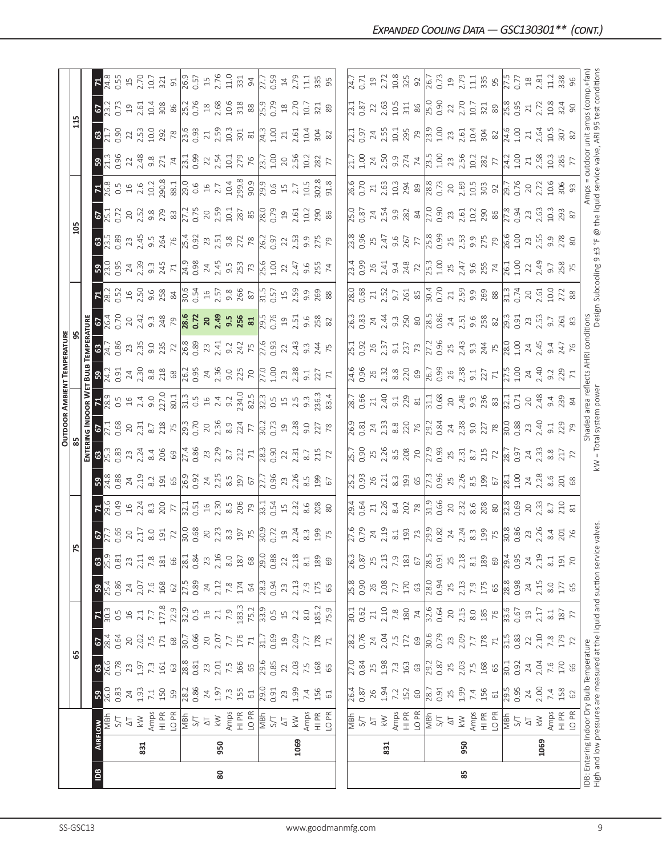|                |                |                                                                                                                            |                                  |                                                                                                                                                                                                                                                                                                               |                                  |                                            |                                         |                               |                                                                                                                                                                                                                                                                                                                     |                                                                                                                                                                                                                             |                                                                                                                                                                                                                                                                                                                       |                                                                                                                |                                                                                                                                                                                                                                                                                                                                                   |                                                                                                                                                                                                                                             | OUTDOOR AMBIENT TEMPERATURI |                                                                                                                                                                                                                                                                                                                   |                  |                     |                                                                                            |                                                                                                                                                                                                                                |                                                                                                                                                                                                                                                                                             |                                                                                                                                                                                                                                                                                                                                                   |                                                                                                                                                                                                                                                                                                               |                                                                                                    |                                                                                                                                                    |                                                                                                                                                                                                                                  |
|----------------|----------------|----------------------------------------------------------------------------------------------------------------------------|----------------------------------|---------------------------------------------------------------------------------------------------------------------------------------------------------------------------------------------------------------------------------------------------------------------------------------------------------------|----------------------------------|--------------------------------------------|-----------------------------------------|-------------------------------|---------------------------------------------------------------------------------------------------------------------------------------------------------------------------------------------------------------------------------------------------------------------------------------------------------------------|-----------------------------------------------------------------------------------------------------------------------------------------------------------------------------------------------------------------------------|-----------------------------------------------------------------------------------------------------------------------------------------------------------------------------------------------------------------------------------------------------------------------------------------------------------------------|----------------------------------------------------------------------------------------------------------------|---------------------------------------------------------------------------------------------------------------------------------------------------------------------------------------------------------------------------------------------------------------------------------------------------------------------------------------------------|---------------------------------------------------------------------------------------------------------------------------------------------------------------------------------------------------------------------------------------------|-----------------------------|-------------------------------------------------------------------------------------------------------------------------------------------------------------------------------------------------------------------------------------------------------------------------------------------------------------------|------------------|---------------------|--------------------------------------------------------------------------------------------|--------------------------------------------------------------------------------------------------------------------------------------------------------------------------------------------------------------------------------|---------------------------------------------------------------------------------------------------------------------------------------------------------------------------------------------------------------------------------------------------------------------------------------------|---------------------------------------------------------------------------------------------------------------------------------------------------------------------------------------------------------------------------------------------------------------------------------------------------------------------------------------------------|---------------------------------------------------------------------------------------------------------------------------------------------------------------------------------------------------------------------------------------------------------------------------------------------------------------|----------------------------------------------------------------------------------------------------|----------------------------------------------------------------------------------------------------------------------------------------------------|----------------------------------------------------------------------------------------------------------------------------------------------------------------------------------------------------------------------------------|
|                |                |                                                                                                                            |                                  | 59                                                                                                                                                                                                                                                                                                            |                                  |                                            |                                         |                               | 52                                                                                                                                                                                                                                                                                                                  |                                                                                                                                                                                                                             |                                                                                                                                                                                                                                                                                                                       |                                                                                                                |                                                                                                                                                                                                                                                                                                                                                   |                                                                                                                                                                                                                                             |                             |                                                                                                                                                                                                                                                                                                                   |                  |                     |                                                                                            | $\frac{20}{2}$                                                                                                                                                                                                                 |                                                                                                                                                                                                                                                                                             |                                                                                                                                                                                                                                                                                                                                                   |                                                                                                                                                                                                                                                                                                               | 115                                                                                                |                                                                                                                                                    |                                                                                                                                                                                                                                  |
|                |                |                                                                                                                            |                                  |                                                                                                                                                                                                                                                                                                               |                                  |                                            |                                         |                               |                                                                                                                                                                                                                                                                                                                     |                                                                                                                                                                                                                             |                                                                                                                                                                                                                                                                                                                       | ENTEI                                                                                                          |                                                                                                                                                                                                                                                                                                                                                   | OOR W                                                                                                                                                                                                                                       | ธี                          |                                                                                                                                                                                                                                                                                                                   |                  |                     |                                                                                            |                                                                                                                                                                                                                                |                                                                                                                                                                                                                                                                                             |                                                                                                                                                                                                                                                                                                                                                   |                                                                                                                                                                                                                                                                                                               |                                                                                                    |                                                                                                                                                    |                                                                                                                                                                                                                                  |
| $\overline{B}$ | <b>AIRFLOW</b> |                                                                                                                            | 36.33                            | <b>8</b><br>26.6<br>0.78                                                                                                                                                                                                                                                                                      | $rac{67}{28.4}$                  | $\frac{71}{30.3}$                          | <b>B</b> <sub>25.4</sub><br>25.4        | $\sqrt{25.9}$<br>$\mathbf{G}$ | $\frac{67}{27.5}$                                                                                                                                                                                                                                                                                                   | $7.993$ $3.303$ $3.303$ $5.73$ $1.13$ $1.53$ $1.53$ $1.53$ $1.53$ $1.53$ $1.53$ $1.53$ $1.53$ $1.53$ $1.53$ $1.53$ $1.53$ $1.53$ $1.53$ $1.53$ $1.53$ $1.53$ $1.53$ $1.53$ $1.53$ $1.53$ $1.53$ $1.53$ $1.53$ $1.53$ $1.53$ | $3\frac{8}{3}$                                                                                                                                                                                                                                                                                                        | $8\frac{13}{13}\frac{33}{13}$                                                                                  | $\frac{67}{25}$                                                                                                                                                                                                                                                                                                                                   |                                                                                                                                                                                                                                             | $\frac{1}{2}$               | $3\frac{1}{24}$ , $3\frac{1}{28}$ , $3\frac{1}{29}$ , $3\frac{1}{29}$ , $3\frac{1}{29}$ , $3\frac{1}{29}$ , $3\frac{1}{29}$ , $3\frac{1}{29}$ , $3\frac{1}{29}$ , $3\frac{1}{29}$ , $3\frac{1}{29}$ , $3\frac{1}{29}$ , $3\frac{1}{29}$ , $3\frac{1}{29}$ , $3\frac{1}{29}$ , $3\frac{1}{29}$ , $3\frac{1}{29}$ , | $rac{26}{36}$    |                     |                                                                                            | $3.53$ $2.45$ $3.53$ $2.52$ $5.53$ $2.53$ $5.53$ $5.53$ $5.53$ $5.53$ $5.53$ $5.53$ $5.53$ $5.53$ $5.53$ $5.53$ $5.53$ $5.53$ $5.53$ $5.53$ $5.53$ $5.53$ $5.53$ $5.53$ $5.53$ $5.53$ $5.53$ $5.53$ $5.53$ $5.53$ $5.53$ $5.5$ | <b>675</b><br>2572                                                                                                                                                                                                                                                                          | $\begin{array}{l}\n 7.8 \\  16.3 \\  16.4 \\  16.5 \\  16.6 \\  16.7 \\  16.8 \\  16.8 \\  16.8 \\  16.8 \\  16.8 \\  16.8 \\  16.8 \\  16.8 \\  16.8 \\  16.8 \\  16.8 \\  16.8 \\  16.8 \\  16.8 \\  16.8 \\  16.8 \\  16.8 \\  16.8 \\  16.8 \\  16.8 \\  16.8 \\  16.8 \\  16.8 \\  16.8 \\  16.8 \\  16.8 \\  16.8 \\  16.8 \\  16.8 \\  16$ | $3\frac{3}{13}$                                                                                                                                                                                                                                                                                               | $\frac{25}{21}$                                                                                    | $\frac{67}{23.2}$                                                                                                                                  | $\frac{5}{14}$                                                                                                                                                                                                                   |
|                |                | TVS<br>NE                                                                                                                  |                                  |                                                                                                                                                                                                                                                                                                               |                                  |                                            |                                         | 0.81                          |                                                                                                                                                                                                                                                                                                                     |                                                                                                                                                                                                                             |                                                                                                                                                                                                                                                                                                                       |                                                                                                                |                                                                                                                                                                                                                                                                                                                                                   |                                                                                                                                                                                                                                             |                             |                                                                                                                                                                                                                                                                                                                   |                  |                     |                                                                                            |                                                                                                                                                                                                                                |                                                                                                                                                                                                                                                                                             |                                                                                                                                                                                                                                                                                                                                                   |                                                                                                                                                                                                                                                                                                               |                                                                                                    |                                                                                                                                                    | <b>J.55</b>                                                                                                                                                                                                                      |
|                |                | $\overline{\triangleright}$                                                                                                | $24$<br>1.93                     | $7.3$<br>$7.3$<br>$1.97$<br>$161$                                                                                                                                                                                                                                                                             | $20\,$                           |                                            |                                         | 23                            | $\frac{20}{2.17}$                                                                                                                                                                                                                                                                                                   |                                                                                                                                                                                                                             | $7.3$ $\frac{3}{2}$ $\frac{3}{2}$ $\frac{3}{2}$ $\frac{1}{2}$ $\frac{1}{2}$ $\frac{1}{2}$ $\frac{1}{2}$ $\frac{1}{2}$ $\frac{1}{2}$ $\frac{1}{2}$ $\frac{1}{2}$ $\frac{1}{2}$ $\frac{1}{2}$ $\frac{1}{2}$ $\frac{1}{2}$ $\frac{1}{2}$ $\frac{1}{2}$ $\frac{1}{2}$ $\frac{1}{2}$ $\frac{1}{2}$ $\frac{1}{2}$ $\frac{1$ | $2.3$<br>$2.24$                                                                                                |                                                                                                                                                                                                                                                                                                                                                   |                                                                                                                                                                                                                                             |                             |                                                                                                                                                                                                                                                                                                                   |                  |                     |                                                                                            |                                                                                                                                                                                                                                |                                                                                                                                                                                                                                                                                             |                                                                                                                                                                                                                                                                                                                                                   |                                                                                                                                                                                                                                                                                                               | $22.53$<br>10.0                                                                                    | 2.61                                                                                                                                               | $15$<br>$2.70$                                                                                                                                                                                                                   |
|                | 831            | $\geqslant$                                                                                                                |                                  |                                                                                                                                                                                                                                                                                                               | 2.02<br>7.5<br>171               |                                            |                                         | 2.11                          |                                                                                                                                                                                                                                                                                                                     |                                                                                                                                                                                                                             |                                                                                                                                                                                                                                                                                                                       |                                                                                                                |                                                                                                                                                                                                                                                                                                                                                   |                                                                                                                                                                                                                                             |                             |                                                                                                                                                                                                                                                                                                                   |                  |                     |                                                                                            |                                                                                                                                                                                                                                |                                                                                                                                                                                                                                                                                             |                                                                                                                                                                                                                                                                                                                                                   |                                                                                                                                                                                                                                                                                                               |                                                                                                    | 10.4                                                                                                                                               | 10.7                                                                                                                                                                                                                             |
|                |                |                                                                                                                            | $7.1$ $150$                      |                                                                                                                                                                                                                                                                                                               |                                  |                                            |                                         | $7.\overline{8}$ 181          |                                                                                                                                                                                                                                                                                                                     |                                                                                                                                                                                                                             |                                                                                                                                                                                                                                                                                                                       |                                                                                                                |                                                                                                                                                                                                                                                                                                                                                   |                                                                                                                                                                                                                                             |                             |                                                                                                                                                                                                                                                                                                                   |                  |                     |                                                                                            |                                                                                                                                                                                                                                |                                                                                                                                                                                                                                                                                             |                                                                                                                                                                                                                                                                                                                                                   |                                                                                                                                                                                                                                                                                                               | 292                                                                                                | 308                                                                                                                                                | 321                                                                                                                                                                                                                              |
|                |                | $\begin{array}{l}\n\text{Amps} \\ \text{H} \\ \text{DPR} \\ \text{NBF} \\ \text{S/T} \\ \text{A} \\ \text{T}\n\end{array}$ | 59                               |                                                                                                                                                                                                                                                                                                               | $68$                             |                                            | $24$<br>$7.6$<br>$7.6$<br>$168$<br>$62$ |                               |                                                                                                                                                                                                                                                                                                                     |                                                                                                                                                                                                                             |                                                                                                                                                                                                                                                                                                                       | $\begin{array}{c}\n 8.4 \\  206 \\  69 \\  \hline\n 0.86 \\  0.86 \\  2.3 \\  2.3 \\  3.7 \\  1\n \end{array}$ | $\begin{array}{c}\n2.313 \\ 2.315 \\ 2.817 \\ 2.818 \\ 2.819 \\ 2.819 \\ 2.819 \\ 2.819 \\ 2.819 \\ 2.819 \\ 2.819 \\ 2.819 \\ 2.819 \\ 2.819 \\ 2.819 \\ 2.819 \\ 2.819 \\ 2.819 \\ 2.819 \\ 2.819 \\ 2.819 \\ 2.819 \\ 2.819 \\ 2.819 \\ 2.819 \\ 2.819 \\ 2.819 \\ 2.819 \\ 2.819 \\ 2.819 \\ 2.819 \\ 2.819 \\ 2.819 \\ 2.819 \\ 2.819 \\ 2.$ |                                                                                                                                                                                                                                             |                             |                                                                                                                                                                                                                                                                                                                   |                  |                     |                                                                                            |                                                                                                                                                                                                                                | $\begin{array}{c} 20.518 \\ 21.528 \\ 21.538 \\ 21.548 \\ 21.51 \\ 21.528 \\ 21.538 \\ 21.548 \\ 21.548 \\ 21.548 \\ 21.548 \\ 21.548 \\ 21.548 \\ 21.548 \\ 21.548 \\ 21.548 \\ 21.548 \\ 21.548 \\ 21.548 \\ 21.548 \\ 21.548 \\ 21.548 \\ 21.548 \\ 21.548 \\ 21.548 \\ 21.548 \\ 21.54$ |                                                                                                                                                                                                                                                                                                                                                   | $\begin{array}{c} 22.48 \\ 2.48 \\ 2.71 \\ 2.71 \\ 2.71 \\ 2.71 \\ 2.71 \\ 2.71 \\ 2.71 \\ 2.72 \\ 2.72 \\ 2.73 \\ 2.73 \\ 2.73 \\ 2.73 \\ 2.73 \\ 2.73 \\ 2.73 \\ 2.73 \\ 2.73 \\ 2.73 \\ 2.73 \\ 2.73 \\ 2.73 \\ 2.73 \\ 2.73 \\ 2.73 \\ 2.73 \\ 2.73 \\ 2.73 \\ 2.73 \\ 2.73 \\ 2.73 \\ 2.73 \\ 2.73 \\ 2$ |                                                                                                    |                                                                                                                                                    | $\overline{5}$                                                                                                                                                                                                                   |
|                |                |                                                                                                                            | 28.2<br>0.86                     | $\begin{array}{c} 63 \\ 28.8 \\ 0.81 \\ 2.51 \\ 0.51 \\ 0.51 \\ 0.51 \\ 0.51 \\ 0.51 \\ 0.51 \\ 0.51 \\ 0.51 \\ 0.51 \\ 0.52 \\ 0.53 \\ 0.53 \\ 0.54 \\ 0.55 \\ 0.55 \\ 0.57 \\ 0.57 \\ 0.59 \\ 0.59 \\ 0.59 \\ 0.59 \\ 0.59 \\ 0.59 \\ 0.59 \\ 0.59 \\ 0.59 \\ 0.59 \\ 0.59 \\ 0.59 \\ 0.59 \\ 0.59 \\ 0.59$ | $\frac{30.7}{2.07}$              |                                            | 27.5<br>0.89                            | $\frac{66}{28.1}$             |                                                                                                                                                                                                                                                                                                                     |                                                                                                                                                                                                                             |                                                                                                                                                                                                                                                                                                                       |                                                                                                                |                                                                                                                                                                                                                                                                                                                                                   |                                                                                                                                                                                                                                             |                             |                                                                                                                                                                                                                                                                                                                   |                  |                     |                                                                                            |                                                                                                                                                                                                                                |                                                                                                                                                                                                                                                                                             |                                                                                                                                                                                                                                                                                                                                                   |                                                                                                                                                                                                                                                                                                               | $\begin{array}{r} \n 78 \\  \hline\n 73.6 \\  0.93 \\  2.59 \\  10.3 \\  301 \\  81\n \end{array}$ | $\frac{86}{25.7}$ $\frac{8}{3}$ $\frac{8}{4}$ $\frac{8}{4}$ $\frac{8}{3}$ $\frac{8}{3}$ $\frac{8}{3}$ $\frac{8}{10}$ $\frac{9}{10}$ $\frac{3}{10}$ | $\frac{1}{26.5}$ 7 5 5 5 5 6 5 7 5 7 5 7 5 7 5 9 6 5 7 7 7 9 6 5 9 6 5 9 6 7 7 9 9 6 5 9 6 9 7 7 9 9 7 7 9 9 7 7 9 9 7 7 9 9 7 7 9 9 7 7 9 9 7 7 9 9 7 7 9 9 7 7 9 9 7 7 9 9 7 7 9 9 7 7 9 9 7 7 9 9 7 7 9 9 7 7 9 9 7 7 9 9 7 7 |
|                |                |                                                                                                                            |                                  |                                                                                                                                                                                                                                                                                                               |                                  |                                            |                                         |                               |                                                                                                                                                                                                                                                                                                                     |                                                                                                                                                                                                                             |                                                                                                                                                                                                                                                                                                                       |                                                                                                                |                                                                                                                                                                                                                                                                                                                                                   |                                                                                                                                                                                                                                             |                             |                                                                                                                                                                                                                                                                                                                   |                  |                     |                                                                                            |                                                                                                                                                                                                                                |                                                                                                                                                                                                                                                                                             |                                                                                                                                                                                                                                                                                                                                                   |                                                                                                                                                                                                                                                                                                               |                                                                                                    |                                                                                                                                                    |                                                                                                                                                                                                                                  |
|                |                |                                                                                                                            |                                  |                                                                                                                                                                                                                                                                                                               |                                  |                                            |                                         | 23                            |                                                                                                                                                                                                                                                                                                                     |                                                                                                                                                                                                                             |                                                                                                                                                                                                                                                                                                                       |                                                                                                                |                                                                                                                                                                                                                                                                                                                                                   |                                                                                                                                                                                                                                             |                             |                                                                                                                                                                                                                                                                                                                   |                  |                     |                                                                                            |                                                                                                                                                                                                                                |                                                                                                                                                                                                                                                                                             |                                                                                                                                                                                                                                                                                                                                                   |                                                                                                                                                                                                                                                                                                               |                                                                                                    |                                                                                                                                                    |                                                                                                                                                                                                                                  |
| 80             | 950            | $\lesssim$                                                                                                                 |                                  |                                                                                                                                                                                                                                                                                                               |                                  |                                            |                                         | $2.16$<br>8.0                 |                                                                                                                                                                                                                                                                                                                     |                                                                                                                                                                                                                             |                                                                                                                                                                                                                                                                                                                       |                                                                                                                |                                                                                                                                                                                                                                                                                                                                                   |                                                                                                                                                                                                                                             |                             |                                                                                                                                                                                                                                                                                                                   |                  |                     |                                                                                            |                                                                                                                                                                                                                                |                                                                                                                                                                                                                                                                                             |                                                                                                                                                                                                                                                                                                                                                   |                                                                                                                                                                                                                                                                                                               |                                                                                                    |                                                                                                                                                    |                                                                                                                                                                                                                                  |
|                |                | Amps<br>H PR<br>LO PR                                                                                                      | $74, 97, 30$<br>$7, 30$<br>$155$ |                                                                                                                                                                                                                                                                                                               |                                  |                                            | $24$<br>$7.12$<br>$7.8$<br>$174$        |                               |                                                                                                                                                                                                                                                                                                                     |                                                                                                                                                                                                                             |                                                                                                                                                                                                                                                                                                                       |                                                                                                                |                                                                                                                                                                                                                                                                                                                                                   |                                                                                                                                                                                                                                             |                             |                                                                                                                                                                                                                                                                                                                   |                  |                     |                                                                                            |                                                                                                                                                                                                                                |                                                                                                                                                                                                                                                                                             |                                                                                                                                                                                                                                                                                                                                                   |                                                                                                                                                                                                                                                                                                               |                                                                                                    |                                                                                                                                                    |                                                                                                                                                                                                                                  |
|                |                |                                                                                                                            |                                  |                                                                                                                                                                                                                                                                                                               | 176                              |                                            |                                         | 187                           |                                                                                                                                                                                                                                                                                                                     |                                                                                                                                                                                                                             |                                                                                                                                                                                                                                                                                                                       |                                                                                                                |                                                                                                                                                                                                                                                                                                                                                   |                                                                                                                                                                                                                                             |                             |                                                                                                                                                                                                                                                                                                                   |                  |                     |                                                                                            |                                                                                                                                                                                                                                |                                                                                                                                                                                                                                                                                             |                                                                                                                                                                                                                                                                                                                                                   |                                                                                                                                                                                                                                                                                                               |                                                                                                    |                                                                                                                                                    |                                                                                                                                                                                                                                  |
|                |                |                                                                                                                            |                                  |                                                                                                                                                                                                                                                                                                               | $\mathcal{F}1$                   |                                            | $\mathcal{Q}$                           | $68$                          |                                                                                                                                                                                                                                                                                                                     |                                                                                                                                                                                                                             |                                                                                                                                                                                                                                                                                                                       |                                                                                                                |                                                                                                                                                                                                                                                                                                                                                   |                                                                                                                                                                                                                                             |                             |                                                                                                                                                                                                                                                                                                                   |                  |                     |                                                                                            |                                                                                                                                                                                                                                |                                                                                                                                                                                                                                                                                             |                                                                                                                                                                                                                                                                                                                                                   |                                                                                                                                                                                                                                                                                                               |                                                                                                    |                                                                                                                                                    |                                                                                                                                                                                                                                  |
|                |                | S/T                                                                                                                        | $\frac{16.0}{0.91}$              | $\frac{29.6}{0.85}$                                                                                                                                                                                                                                                                                           | 31.7<br>0.69                     |                                            | $\frac{28.3}{0.94}$                     | $\frac{29.0}{29}$             |                                                                                                                                                                                                                                                                                                                     |                                                                                                                                                                                                                             |                                                                                                                                                                                                                                                                                                                       |                                                                                                                |                                                                                                                                                                                                                                                                                                                                                   |                                                                                                                                                                                                                                             |                             |                                                                                                                                                                                                                                                                                                                   |                  |                     |                                                                                            |                                                                                                                                                                                                                                |                                                                                                                                                                                                                                                                                             |                                                                                                                                                                                                                                                                                                                                                   |                                                                                                                                                                                                                                                                                                               | $\frac{1}{24.3}$                                                                                   |                                                                                                                                                    |                                                                                                                                                                                                                                  |
|                |                |                                                                                                                            |                                  |                                                                                                                                                                                                                                                                                                               |                                  |                                            |                                         | 0.88                          |                                                                                                                                                                                                                                                                                                                     |                                                                                                                                                                                                                             |                                                                                                                                                                                                                                                                                                                       |                                                                                                                |                                                                                                                                                                                                                                                                                                                                                   |                                                                                                                                                                                                                                             |                             |                                                                                                                                                                                                                                                                                                                   |                  |                     |                                                                                            |                                                                                                                                                                                                                                |                                                                                                                                                                                                                                                                                             |                                                                                                                                                                                                                                                                                                                                                   |                                                                                                                                                                                                                                                                                                               |                                                                                                    |                                                                                                                                                    |                                                                                                                                                                                                                                  |
|                |                | $\Delta \top$                                                                                                              |                                  | $22\,$                                                                                                                                                                                                                                                                                                        |                                  | $\Xi$                                      | 23                                      | 22                            | $\overline{19}$                                                                                                                                                                                                                                                                                                     |                                                                                                                                                                                                                             |                                                                                                                                                                                                                                                                                                                       |                                                                                                                |                                                                                                                                                                                                                                                                                                                                                   |                                                                                                                                                                                                                                             |                             |                                                                                                                                                                                                                                                                                                                   |                  |                     |                                                                                            |                                                                                                                                                                                                                                |                                                                                                                                                                                                                                                                                             |                                                                                                                                                                                                                                                                                                                                                   |                                                                                                                                                                                                                                                                                                               | $\gtrsim$                                                                                          |                                                                                                                                                    |                                                                                                                                                                                                                                  |
|                | 1069           | $\overline{k}$ W                                                                                                           | <b>23</b><br>1.99                | 2.03                                                                                                                                                                                                                                                                                                          | $19$<br>$2.09$                   | 2.2                                        | 2.13                                    | 2.18                          | 2.24                                                                                                                                                                                                                                                                                                                |                                                                                                                                                                                                                             | 23<br>2.26                                                                                                                                                                                                                                                                                                            | 2.31                                                                                                           | 2.38                                                                                                                                                                                                                                                                                                                                              |                                                                                                                                                                                                                                             | 23                          | $22$<br>$2.43$                                                                                                                                                                                                                                                                                                    | 2.51             |                     |                                                                                            |                                                                                                                                                                                                                                | 19.61                                                                                                                                                                                                                                                                                       |                                                                                                                                                                                                                                                                                                                                                   | 20<br>2.56                                                                                                                                                                                                                                                                                                    | 2.61                                                                                               | $\frac{18}{2.70}$                                                                                                                                  | $14$<br>$2.79$                                                                                                                                                                                                                   |
|                |                |                                                                                                                            | 7.4<br>156                       | $\begin{array}{c} 7.5 \\ 168 \\ 65 \end{array}$                                                                                                                                                                                                                                                               | 7.7                              | $8.0\,$                                    | 7.9<br>175<br>65                        | $\approx 1$                   |                                                                                                                                                                                                                                                                                                                     | 8.6                                                                                                                                                                                                                         | 8.5                                                                                                                                                                                                                                                                                                                   | $\overline{8}$ .7                                                                                              |                                                                                                                                                                                                                                                                                                                                                   |                                                                                                                                                                                                                                             | $-9.1$                      | $9.\overline{3}$                                                                                                                                                                                                                                                                                                  |                  |                     |                                                                                            | 9.9<br>275<br>79                                                                                                                                                                                                               | $\overline{0}$                                                                                                                                                                                                                                                                              |                                                                                                                                                                                                                                                                                                                                                   | $\overline{0}$                                                                                                                                                                                                                                                                                                | 10.4                                                                                               | 10.7                                                                                                                                               | 11.1                                                                                                                                                                                                                             |
|                |                |                                                                                                                            |                                  |                                                                                                                                                                                                                                                                                                               | 178                              |                                            |                                         | 189                           | $\frac{23}{25}$ $\frac{25}{25}$                                                                                                                                                                                                                                                                                     | 208<br>80                                                                                                                                                                                                                   | <b>199</b>                                                                                                                                                                                                                                                                                                            | $215$<br>$72$                                                                                                  | $\frac{0}{27}$ $\frac{27}{78}$                                                                                                                                                                                                                                                                                                                    |                                                                                                                                                                                                                                             | 227                         | 24                                                                                                                                                                                                                                                                                                                | 258<br>82        |                     |                                                                                            |                                                                                                                                                                                                                                | $\frac{290}{86}$                                                                                                                                                                                                                                                                            |                                                                                                                                                                                                                                                                                                                                                   | 282                                                                                                                                                                                                                                                                                                           | $\frac{304}{82}$                                                                                   | 321                                                                                                                                                | 335                                                                                                                                                                                                                              |
|                |                | Amps<br>HI PR<br>LO PR                                                                                                     | $61$                             |                                                                                                                                                                                                                                                                                                               |                                  | 185.2<br>75.9                              |                                         | 69                            |                                                                                                                                                                                                                                                                                                                     |                                                                                                                                                                                                                             | 67                                                                                                                                                                                                                                                                                                                    |                                                                                                                |                                                                                                                                                                                                                                                                                                                                                   | $236.3$<br>83.4                                                                                                                                                                                                                             |                             |                                                                                                                                                                                                                                                                                                                   |                  |                     |                                                                                            |                                                                                                                                                                                                                                |                                                                                                                                                                                                                                                                                             |                                                                                                                                                                                                                                                                                                                                                   |                                                                                                                                                                                                                                                                                                               |                                                                                                    | 89                                                                                                                                                 |                                                                                                                                                                                                                                  |
|                |                |                                                                                                                            |                                  |                                                                                                                                                                                                                                                                                                               |                                  |                                            |                                         |                               |                                                                                                                                                                                                                                                                                                                     |                                                                                                                                                                                                                             |                                                                                                                                                                                                                                                                                                                       |                                                                                                                |                                                                                                                                                                                                                                                                                                                                                   |                                                                                                                                                                                                                                             |                             |                                                                                                                                                                                                                                                                                                                   |                  |                     |                                                                                            |                                                                                                                                                                                                                                |                                                                                                                                                                                                                                                                                             |                                                                                                                                                                                                                                                                                                                                                   |                                                                                                                                                                                                                                                                                                               |                                                                                                    |                                                                                                                                                    |                                                                                                                                                                                                                                  |
|                |                |                                                                                                                            | $\frac{26.4}{0.87}$              | $\frac{1}{27.0}$                                                                                                                                                                                                                                                                                              | 28.2<br>0.76                     | $\overline{501}$                           | $\frac{8}{5.8}$                         | $\frac{26.3}{3}$              |                                                                                                                                                                                                                                                                                                                     |                                                                                                                                                                                                                             |                                                                                                                                                                                                                                                                                                                       |                                                                                                                |                                                                                                                                                                                                                                                                                                                                                   |                                                                                                                                                                                                                                             |                             |                                                                                                                                                                                                                                                                                                                   |                  |                     |                                                                                            |                                                                                                                                                                                                                                |                                                                                                                                                                                                                                                                                             |                                                                                                                                                                                                                                                                                                                                                   |                                                                                                                                                                                                                                                                                                               |                                                                                                    | $\sqrt{23.1}$                                                                                                                                      | $\sqrt{4.7}$                                                                                                                                                                                                                     |
|                |                | NBF<br>S/T                                                                                                                 |                                  | 0.84                                                                                                                                                                                                                                                                                                          |                                  | 0.62                                       |                                         | 0.87                          | $\frac{27.6}{0.79}$                                                                                                                                                                                                                                                                                                 | $\frac{1}{29.64}$                                                                                                                                                                                                           | 5.7<br>D.93                                                                                                                                                                                                                                                                                                           | 75.7<br>0.9C                                                                                                   | $\frac{26.9}{0.81}$                                                                                                                                                                                                                                                                                                                               | 78.7<br>0.66                                                                                                                                                                                                                                | 24.6<br>0.96                | 75.1<br>0.92                                                                                                                                                                                                                                                                                                      | $\frac{3}{26.3}$ |                     | $\frac{23.4}{0.99}$                                                                        |                                                                                                                                                                                                                                | 25.0<br>0.87                                                                                                                                                                                                                                                                                | 26.6<br>0.70                                                                                                                                                                                                                                                                                                                                      | $\frac{21.7}{1.00}$                                                                                                                                                                                                                                                                                           | $\frac{2.1}{0.97}$                                                                                 | 0.87                                                                                                                                               | 0.71                                                                                                                                                                                                                             |
|                |                | $\overline{\Delta}$                                                                                                        |                                  | 25                                                                                                                                                                                                                                                                                                            | $24\,$                           | $\gtrsim$                                  | 26                                      | 25                            |                                                                                                                                                                                                                                                                                                                     |                                                                                                                                                                                                                             |                                                                                                                                                                                                                                                                                                                       |                                                                                                                |                                                                                                                                                                                                                                                                                                                                                   |                                                                                                                                                                                                                                             |                             |                                                                                                                                                                                                                                                                                                                   |                  |                     |                                                                                            |                                                                                                                                                                                                                                |                                                                                                                                                                                                                                                                                             |                                                                                                                                                                                                                                                                                                                                                   |                                                                                                                                                                                                                                                                                                               |                                                                                                    |                                                                                                                                                    | 19                                                                                                                                                                                                                               |
|                | 831            | $\lesssim$                                                                                                                 | $26$<br>1.94                     | 1.98                                                                                                                                                                                                                                                                                                          | 2.04                             |                                            | 2.08                                    | 2.13                          | $24$<br>$2.19$                                                                                                                                                                                                                                                                                                      | 21<br>2.26                                                                                                                                                                                                                  |                                                                                                                                                                                                                                                                                                                       |                                                                                                                | $24 \over 2.33$                                                                                                                                                                                                                                                                                                                                   |                                                                                                                                                                                                                                             |                             |                                                                                                                                                                                                                                                                                                                   |                  |                     |                                                                                            |                                                                                                                                                                                                                                |                                                                                                                                                                                                                                                                                             |                                                                                                                                                                                                                                                                                                                                                   | $24$<br>$2.50$                                                                                                                                                                                                                                                                                                |                                                                                                    | 2.63                                                                                                                                               |                                                                                                                                                                                                                                  |
|                |                | Amps<br>HI PR                                                                                                              | 7.2<br>152                       | $7.\overline{3}$<br>163                                                                                                                                                                                                                                                                                       | $\frac{7.5}{172}$                | $\begin{array}{c} 2.10 \\ 7.8 \end{array}$ | $7.7$ $170$                             | 7.9                           |                                                                                                                                                                                                                                                                                                                     |                                                                                                                                                                                                                             |                                                                                                                                                                                                                                                                                                                       |                                                                                                                |                                                                                                                                                                                                                                                                                                                                                   |                                                                                                                                                                                                                                             |                             |                                                                                                                                                                                                                                                                                                                   |                  |                     |                                                                                            |                                                                                                                                                                                                                                |                                                                                                                                                                                                                                                                                             |                                                                                                                                                                                                                                                                                                                                                   |                                                                                                                                                                                                                                                                                                               |                                                                                                    |                                                                                                                                                    |                                                                                                                                                                                                                                  |
|                |                |                                                                                                                            |                                  |                                                                                                                                                                                                                                                                                                               |                                  | $180$ $74$                                 |                                         | 183                           |                                                                                                                                                                                                                                                                                                                     |                                                                                                                                                                                                                             |                                                                                                                                                                                                                                                                                                                       |                                                                                                                |                                                                                                                                                                                                                                                                                                                                                   |                                                                                                                                                                                                                                             |                             |                                                                                                                                                                                                                                                                                                                   |                  |                     |                                                                                            |                                                                                                                                                                                                                                |                                                                                                                                                                                                                                                                                             |                                                                                                                                                                                                                                                                                                                                                   |                                                                                                                                                                                                                                                                                                               |                                                                                                    |                                                                                                                                                    |                                                                                                                                                                                                                                  |
|                |                | LO PR                                                                                                                      | $\mathbb{S}^0$                   | 63                                                                                                                                                                                                                                                                                                            | 69                               |                                            | $63\,$                                  | 67                            | $\frac{1}{2}$ $\frac{3}{2}$ $\frac{3}{2}$ $\frac{3}{2}$ $\frac{3}{4}$ $\frac{4}{3}$ $\frac{3}{2}$ $\frac{5}{2}$ $\frac{8}{2}$ $\frac{3}{2}$ $\frac{3}{2}$ $\frac{3}{2}$ $\frac{3}{2}$ $\frac{3}{2}$ $\frac{3}{2}$ $\frac{3}{2}$ $\frac{3}{2}$ $\frac{3}{2}$ $\frac{3}{2}$ $\frac{3}{2}$ $\frac{3}{2}$ $\frac{3}{2}$ | $\frac{3.02}{2.02}$ $\frac{10.06}{2.02}$ $\frac{10.06}{2.02}$ $\frac{10.06}{2.02}$ $\frac{10.06}{2.02}$ $\frac{10.06}{2.02}$ $\frac{10.06}{2.02}$ $\frac{10.06}{2.02}$                                                      | $2.21$ $8.3$ $93$ $65$                                                                                                                                                                                                                                                                                                | 25<br>2.26<br>8.5<br>208<br>70                                                                                 |                                                                                                                                                                                                                                                                                                                                                   | $71$ $91$ $91$ $81$                                                                                                                                                                                                                         |                             | $26$<br>$2.37$<br>$2.37$<br>$73$<br><br><br><br><br><br><br><br><br><br><br><br><br><br><br><br>                                                                                                                                                                                                                  |                  |                     | $2.43 \times 2.48 \times 2.43 \times 2.43 \times 2.43 \times 2.43 \times 2.44 \times 2.43$ |                                                                                                                                                                                                                                | $\frac{34}{21}$ , $\frac{36}{21}$ , $\frac{38}{21}$ , $\frac{36}{21}$ , $\frac{36}{21}$ , $\frac{36}{21}$ , $\frac{36}{21}$ , $\frac{36}{21}$ , $\frac{36}{21}$ , $\frac{36}{21}$ , $\frac{36}{21}$ , $\frac{36}{21}$ , $\frac{36}{21}$                                                     | $\begin{array}{c}\n 21.63 \\  21.63 \\  21.63 \\  21.64 \\  21.65 \\  21.67 \\  21.67 \\  21.67 \\  21.67 \\  21.67 \\  21.67 \\  21.67 \\  21.67 \\  21.67 \\  21.67 \\  21.67 \\  21.67 \\  21.67 \\  21.67 \\  21.67 \\  21.67 \\  21.67 \\  21.67 \\  21.67 \\  21.67 \\  21.67 \\  21.67 \\  21.67 \\  21.67 \\  21.67 \\  2$                | 9.9 $774$ $\frac{1}{27}$ $\frac{1}{27}$ $\frac{1}{27}$ $\frac{1}{27}$ $\frac{1}{27}$ $\frac{1}{27}$ $\frac{1}{27}$ $\frac{1}{27}$ $\frac{1}{27}$ $\frac{1}{27}$ $\frac{1}{27}$ $\frac{1}{27}$ $\frac{1}{27}$ $\frac{1}{27}$ $\frac{1}{27}$ $\frac{1}{27}$ $\frac{1}{27}$ $\frac{1}{27}$ $\frac{1}{27}$ $\$    | $24$<br>$2.55$<br>$10.1$<br>$79$<br>$79$                                                           | $\begin{array}{c} 10.5 \\ 311 \\ 86 \end{array}$                                                                                                   | 2.72<br>10.8<br>325<br>92                                                                                                                                                                                                        |
|                |                | TS<br>S/T                                                                                                                  | 28.7<br>0.91                     | 29.2<br>0.87                                                                                                                                                                                                                                                                                                  | 30.6<br>0.79                     | 32.6<br>0.64                               | 28.0<br>0.94                            | 28.5                          |                                                                                                                                                                                                                                                                                                                     |                                                                                                                                                                                                                             | $\frac{27.3}{0.96}$                                                                                                                                                                                                                                                                                                   | $\frac{27.9}{27.31}$<br>$\frac{25}{27.31}$<br>$\frac{25}{27.2}$                                                |                                                                                                                                                                                                                                                                                                                                                   |                                                                                                                                                                                                                                             |                             |                                                                                                                                                                                                                                                                                                                   |                  |                     |                                                                                            |                                                                                                                                                                                                                                |                                                                                                                                                                                                                                                                                             |                                                                                                                                                                                                                                                                                                                                                   |                                                                                                                                                                                                                                                                                                               | $\frac{9}{23.00}$                                                                                  | $\frac{0.5}{0.50}$                                                                                                                                 | $\frac{26.7}{0.73}$                                                                                                                                                                                                              |
|                |                |                                                                                                                            |                                  |                                                                                                                                                                                                                                                                                                               |                                  |                                            |                                         | 0.91                          |                                                                                                                                                                                                                                                                                                                     |                                                                                                                                                                                                                             |                                                                                                                                                                                                                                                                                                                       |                                                                                                                |                                                                                                                                                                                                                                                                                                                                                   |                                                                                                                                                                                                                                             |                             |                                                                                                                                                                                                                                                                                                                   |                  |                     |                                                                                            |                                                                                                                                                                                                                                |                                                                                                                                                                                                                                                                                             |                                                                                                                                                                                                                                                                                                                                                   |                                                                                                                                                                                                                                                                                                               |                                                                                                    |                                                                                                                                                    |                                                                                                                                                                                                                                  |
|                |                | $\overline{\Delta}$                                                                                                        | $25$<br>$1.99$<br>$7.4$<br>$156$ |                                                                                                                                                                                                                                                                                                               |                                  | $20$                                       | 25                                      | 25                            |                                                                                                                                                                                                                                                                                                                     |                                                                                                                                                                                                                             | 25                                                                                                                                                                                                                                                                                                                    |                                                                                                                |                                                                                                                                                                                                                                                                                                                                                   |                                                                                                                                                                                                                                             |                             |                                                                                                                                                                                                                                                                                                                   |                  |                     |                                                                                            |                                                                                                                                                                                                                                |                                                                                                                                                                                                                                                                                             |                                                                                                                                                                                                                                                                                                                                                   |                                                                                                                                                                                                                                                                                                               |                                                                                                    | 2.70                                                                                                                                               |                                                                                                                                                                                                                                  |
| 85             | 950            | $\lesssim$                                                                                                                 |                                  |                                                                                                                                                                                                                                                                                                               |                                  | 2.15                                       |                                         | 2.18                          |                                                                                                                                                                                                                                                                                                                     |                                                                                                                                                                                                                             |                                                                                                                                                                                                                                                                                                                       |                                                                                                                |                                                                                                                                                                                                                                                                                                                                                   |                                                                                                                                                                                                                                             |                             |                                                                                                                                                                                                                                                                                                                   |                  |                     |                                                                                            |                                                                                                                                                                                                                                |                                                                                                                                                                                                                                                                                             |                                                                                                                                                                                                                                                                                                                                                   |                                                                                                                                                                                                                                                                                                               |                                                                                                    |                                                                                                                                                    |                                                                                                                                                                                                                                  |
|                |                |                                                                                                                            |                                  |                                                                                                                                                                                                                                                                                                               |                                  | $_{\rm 8.0}$                               |                                         | $\approx 1$                   |                                                                                                                                                                                                                                                                                                                     |                                                                                                                                                                                                                             |                                                                                                                                                                                                                                                                                                                       |                                                                                                                |                                                                                                                                                                                                                                                                                                                                                   |                                                                                                                                                                                                                                             |                             |                                                                                                                                                                                                                                                                                                                   |                  |                     |                                                                                            |                                                                                                                                                                                                                                |                                                                                                                                                                                                                                                                                             |                                                                                                                                                                                                                                                                                                                                                   |                                                                                                                                                                                                                                                                                                               |                                                                                                    |                                                                                                                                                    |                                                                                                                                                                                                                                  |
|                |                | Amps<br>H PR<br>LO PR                                                                                                      |                                  | $2.03$<br>$7.5$<br>$168$<br>$65$                                                                                                                                                                                                                                                                              | $2.09$<br>$7.7$<br>$178$<br>$71$ | 185<br>76                                  | $2.13$<br>7.9<br>175<br>65              | 189                           |                                                                                                                                                                                                                                                                                                                     |                                                                                                                                                                                                                             | $2.26$<br>$8.5$<br>$50$<br>$50$                                                                                                                                                                                                                                                                                       |                                                                                                                |                                                                                                                                                                                                                                                                                                                                                   |                                                                                                                                                                                                                                             |                             |                                                                                                                                                                                                                                                                                                                   |                  |                     |                                                                                            |                                                                                                                                                                                                                                |                                                                                                                                                                                                                                                                                             |                                                                                                                                                                                                                                                                                                                                                   |                                                                                                                                                                                                                                                                                                               |                                                                                                    |                                                                                                                                                    |                                                                                                                                                                                                                                  |
|                |                |                                                                                                                            | $61$                             |                                                                                                                                                                                                                                                                                                               |                                  |                                            |                                         | 69                            |                                                                                                                                                                                                                                                                                                                     |                                                                                                                                                                                                                             |                                                                                                                                                                                                                                                                                                                       |                                                                                                                |                                                                                                                                                                                                                                                                                                                                                   |                                                                                                                                                                                                                                             |                             |                                                                                                                                                                                                                                                                                                                   |                  |                     |                                                                                            |                                                                                                                                                                                                                                |                                                                                                                                                                                                                                                                                             |                                                                                                                                                                                                                                                                                                                                                   |                                                                                                                                                                                                                                                                                                               |                                                                                                    |                                                                                                                                                    |                                                                                                                                                                                                                                  |
|                |                | <b>MBh</b>                                                                                                                 | $\frac{29.5}{29.5}$              | $\frac{30.1}{0.92}$                                                                                                                                                                                                                                                                                           | $\frac{15}{31.83}$               | $\frac{33.6}{0.67}$                        | $\frac{8.8}{28.8}$                      | $\frac{1}{29.4}$              |                                                                                                                                                                                                                                                                                                                     |                                                                                                                                                                                                                             | $\frac{28}{28.1}$                                                                                                                                                                                                                                                                                                     | $\frac{78.7}{0.97}$                                                                                            | $\frac{1}{30}$ , $\frac{88}{23}$ $\frac{3}{40}$                                                                                                                                                                                                                                                                                                   | $\frac{1}{31}$ , $\frac{1}{30}$ , $\frac{1}{60}$ , $\frac{1}{60}$ , $\frac{1}{60}$ , $\frac{1}{30}$ , $\frac{1}{30}$ , $\frac{1}{30}$ , $\frac{1}{30}$ , $\frac{1}{30}$ , $\frac{1}{30}$ , $\frac{1}{30}$ , $\frac{1}{30}$ , $\frac{1}{30}$ |                             | $\frac{27.36}{20.96}$ $\frac{27.43}{27.4}$ $\frac{27.43}{27.4}$ $\frac{27.43}{27.4}$ $\frac{27.43}{27.4}$                                                                                                                                                                                                         |                  |                     |                                                                                            |                                                                                                                                                                                                                                |                                                                                                                                                                                                                                                                                             |                                                                                                                                                                                                                                                                                                                                                   |                                                                                                                                                                                                                                                                                                               | $23.61$<br>$2.61$<br>$37.4$<br>$82$<br>$74.6$<br>$1.00$                                            | $\frac{10.7}{320}$<br>$\frac{89}{250}$<br>0.95                                                                                                     | $19$<br>$2.79$<br>$11.1$<br>$35$<br>$55$<br>$7.7$<br>$0.77$                                                                                                                                                                      |
|                |                | $5/1$                                                                                                                      |                                  |                                                                                                                                                                                                                                                                                                               |                                  |                                            |                                         | 0.95                          |                                                                                                                                                                                                                                                                                                                     |                                                                                                                                                                                                                             |                                                                                                                                                                                                                                                                                                                       |                                                                                                                |                                                                                                                                                                                                                                                                                                                                                   |                                                                                                                                                                                                                                             |                             |                                                                                                                                                                                                                                                                                                                   |                  |                     |                                                                                            |                                                                                                                                                                                                                                |                                                                                                                                                                                                                                                                                             |                                                                                                                                                                                                                                                                                                                                                   |                                                                                                                                                                                                                                                                                                               |                                                                                                    |                                                                                                                                                    |                                                                                                                                                                                                                                  |
|                |                | $\overline{\Delta}$                                                                                                        | $\frac{24}{2.00}$                | $24\,$                                                                                                                                                                                                                                                                                                        | 22                               | 19                                         | 24                                      | 24                            |                                                                                                                                                                                                                                                                                                                     |                                                                                                                                                                                                                             | $24\,$                                                                                                                                                                                                                                                                                                                | 24                                                                                                             |                                                                                                                                                                                                                                                                                                                                                   | $20$<br>$2.48$                                                                                                                                                                                                                              |                             |                                                                                                                                                                                                                                                                                                                   |                  |                     |                                                                                            |                                                                                                                                                                                                                                | 23                                                                                                                                                                                                                                                                                          |                                                                                                                                                                                                                                                                                                                                                   | 21                                                                                                                                                                                                                                                                                                            | $\gtrsim$                                                                                          | $21\,$                                                                                                                                             | $\overset{\text{\tiny \textsf{SO}}}{-}$                                                                                                                                                                                          |
|                | 1069           | $\gtrapprox$                                                                                                               |                                  | 2.04                                                                                                                                                                                                                                                                                                          | 2.10                             | 2.17                                       | 2.15                                    | 2.19                          |                                                                                                                                                                                                                                                                                                                     | 2.33                                                                                                                                                                                                                        | 2.28                                                                                                                                                                                                                                                                                                                  | 2.33                                                                                                           |                                                                                                                                                                                                                                                                                                                                                   |                                                                                                                                                                                                                                             |                             |                                                                                                                                                                                                                                                                                                                   |                  |                     |                                                                                            |                                                                                                                                                                                                                                | 2.63<br>10.3<br>87                                                                                                                                                                                                                                                                          | $20,72,6$<br>$10.6$<br>$308$<br>$33$                                                                                                                                                                                                                                                                                                              | 2.58<br>10.3<br>77                                                                                                                                                                                                                                                                                            | 2.64<br>10.5<br>307<br>82                                                                          | 2.72                                                                                                                                               | 2.81                                                                                                                                                                                                                             |
|                |                | Amps                                                                                                                       | 7.4                              | 7.6                                                                                                                                                                                                                                                                                                           | $7.8$                            | $\overline{8.1}$                           | $_{\infty}^{\circ}$                     | $\approx 1$                   |                                                                                                                                                                                                                                                                                                                     |                                                                                                                                                                                                                             |                                                                                                                                                                                                                                                                                                                       |                                                                                                                | 9.1                                                                                                                                                                                                                                                                                                                                               | 9.4                                                                                                                                                                                                                                         | 9.2                         | 9.4                                                                                                                                                                                                                                                                                                               |                  |                     |                                                                                            |                                                                                                                                                                                                                                |                                                                                                                                                                                                                                                                                             |                                                                                                                                                                                                                                                                                                                                                   |                                                                                                                                                                                                                                                                                                               |                                                                                                    | 10.8                                                                                                                                               | 11.2                                                                                                                                                                                                                             |
|                |                | HI PR<br>LO PR                                                                                                             | 158<br>62                        | 170                                                                                                                                                                                                                                                                                                           | 179                              | $\frac{187}{77}$                           | 177                                     | 191                           | 8.4<br>201<br>76                                                                                                                                                                                                                                                                                                    | $\frac{27}{210}$                                                                                                                                                                                                            | $\frac{6}{8}$ 5 8                                                                                                                                                                                                                                                                                                     | 217<br>72                                                                                                      | 229<br>79                                                                                                                                                                                                                                                                                                                                         | 239                                                                                                                                                                                                                                         |                             | 247<br>76                                                                                                                                                                                                                                                                                                         | $261$ 83         |                     | 9.7<br>258<br>75                                                                           |                                                                                                                                                                                                                                |                                                                                                                                                                                                                                                                                             |                                                                                                                                                                                                                                                                                                                                                   |                                                                                                                                                                                                                                                                                                               |                                                                                                    | 324                                                                                                                                                | 338                                                                                                                                                                                                                              |
|                |                |                                                                                                                            |                                  | 66                                                                                                                                                                                                                                                                                                            | $\overline{z}$                   |                                            |                                         |                               |                                                                                                                                                                                                                                                                                                                     |                                                                                                                                                                                                                             |                                                                                                                                                                                                                                                                                                                       |                                                                                                                |                                                                                                                                                                                                                                                                                                                                                   |                                                                                                                                                                                                                                             |                             |                                                                                                                                                                                                                                                                                                                   |                  |                     |                                                                                            |                                                                                                                                                                                                                                |                                                                                                                                                                                                                                                                                             |                                                                                                                                                                                                                                                                                                                                                   |                                                                                                                                                                                                                                                                                                               |                                                                                                    |                                                                                                                                                    |                                                                                                                                                                                                                                  |
|                |                | IDB: Entering Indoor Dry Bulb Temperature                                                                                  |                                  |                                                                                                                                                                                                                                                                                                               |                                  |                                            |                                         |                               |                                                                                                                                                                                                                                                                                                                     |                                                                                                                                                                                                                             |                                                                                                                                                                                                                                                                                                                       |                                                                                                                | Shaded                                                                                                                                                                                                                                                                                                                                            |                                                                                                                                                                                                                                             |                             | conditions                                                                                                                                                                                                                                                                                                        |                  |                     |                                                                                            |                                                                                                                                                                                                                                |                                                                                                                                                                                                                                                                                             |                                                                                                                                                                                                                                                                                                                                                   | utdoor                                                                                                                                                                                                                                                                                                        | unit amps (comp.+fan                                                                               |                                                                                                                                                    |                                                                                                                                                                                                                                  |
|                |                | High and low pressures are measured at the liquid and suction servic                                                       |                                  |                                                                                                                                                                                                                                                                                                               |                                  |                                            |                                         |                               | valves<br>بهِ                                                                                                                                                                                                                                                                                                       |                                                                                                                                                                                                                             |                                                                                                                                                                                                                                                                                                                       |                                                                                                                | $\langle W = \text{Total system}$                                                                                                                                                                                                                                                                                                                 |                                                                                                                                                                                                                                             |                             |                                                                                                                                                                                                                                                                                                                   |                  | Design Subcooling 9 | $\frac{1}{2}$                                                                              |                                                                                                                                                                                                                                |                                                                                                                                                                                                                                                                                             |                                                                                                                                                                                                                                                                                                                                                   |                                                                                                                                                                                                                                                                                                               | @ the liquid service valve, ARI 95 test condition                                                  |                                                                                                                                                    |                                                                                                                                                                                                                                  |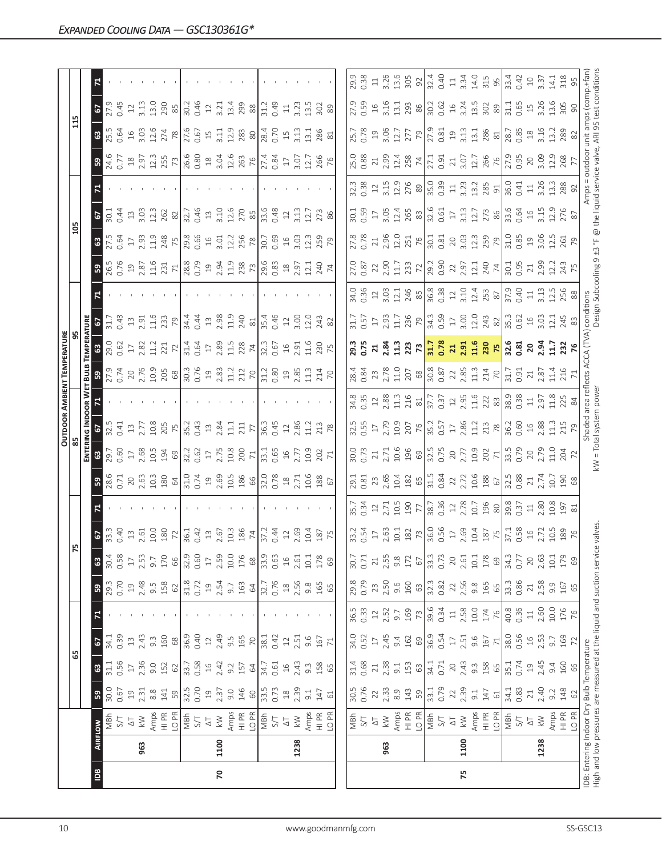|               |      |                                                                      |                                                                             |                                           |                                                              |              |                  |                  |                                                                                                                                                                                                 |                                                                                                                                                                                                                                                                                               |                                                                                                                                                                                                                                                                                                                       |                                                                                                                                                                                                                                                                                                               |                                                         |                                                                                                                                                                                                                                                                                                                                                                                                                                                                                                  | <b>OUTDOOR AMBIENT TEMPERATURE</b>                                                                                                                                                                                                                                                                                                                |                                                                                                                 |                                                                             |                                                                                                                                                                                                                                                                                                             |                                                                                     |                                                                                                                                                                                                                                                                                                                                                                                                    |                                                                                                                                                    |                                                                                                                                                                                                                                |                                                                                                                                                                                                                                                                               |                                                                                                                                                                                                                                                                                                           |                                                                                                                                     |
|---------------|------|----------------------------------------------------------------------|-----------------------------------------------------------------------------|-------------------------------------------|--------------------------------------------------------------|--------------|------------------|------------------|-------------------------------------------------------------------------------------------------------------------------------------------------------------------------------------------------|-----------------------------------------------------------------------------------------------------------------------------------------------------------------------------------------------------------------------------------------------------------------------------------------------|-----------------------------------------------------------------------------------------------------------------------------------------------------------------------------------------------------------------------------------------------------------------------------------------------------------------------|---------------------------------------------------------------------------------------------------------------------------------------------------------------------------------------------------------------------------------------------------------------------------------------------------------------|---------------------------------------------------------|--------------------------------------------------------------------------------------------------------------------------------------------------------------------------------------------------------------------------------------------------------------------------------------------------------------------------------------------------------------------------------------------------------------------------------------------------------------------------------------------------|---------------------------------------------------------------------------------------------------------------------------------------------------------------------------------------------------------------------------------------------------------------------------------------------------------------------------------------------------|-----------------------------------------------------------------------------------------------------------------|-----------------------------------------------------------------------------|-------------------------------------------------------------------------------------------------------------------------------------------------------------------------------------------------------------------------------------------------------------------------------------------------------------|-------------------------------------------------------------------------------------|----------------------------------------------------------------------------------------------------------------------------------------------------------------------------------------------------------------------------------------------------------------------------------------------------------------------------------------------------------------------------------------------------|----------------------------------------------------------------------------------------------------------------------------------------------------|--------------------------------------------------------------------------------------------------------------------------------------------------------------------------------------------------------------------------------|-------------------------------------------------------------------------------------------------------------------------------------------------------------------------------------------------------------------------------------------------------------------------------|-----------------------------------------------------------------------------------------------------------------------------------------------------------------------------------------------------------------------------------------------------------------------------------------------------------|-------------------------------------------------------------------------------------------------------------------------------------|
|               |      |                                                                      |                                                                             | 65                                        |                                                              |              |                  |                  | 52                                                                                                                                                                                              |                                                                                                                                                                                                                                                                                               |                                                                                                                                                                                                                                                                                                                       |                                                                                                                                                                                                                                                                                                               |                                                         |                                                                                                                                                                                                                                                                                                                                                                                                                                                                                                  |                                                                                                                                                                                                                                                                                                                                                   |                                                                                                                 |                                                                             |                                                                                                                                                                                                                                                                                                             |                                                                                     | 105                                                                                                                                                                                                                                                                                                                                                                                                |                                                                                                                                                    |                                                                                                                                                                                                                                | 115                                                                                                                                                                                                                                                                           |                                                                                                                                                                                                                                                                                                           |                                                                                                                                     |
|               |      |                                                                      |                                                                             |                                           |                                                              |              |                  |                  |                                                                                                                                                                                                 |                                                                                                                                                                                                                                                                                               |                                                                                                                                                                                                                                                                                                                       | ENTE                                                                                                                                                                                                                                                                                                          |                                                         |                                                                                                                                                                                                                                                                                                                                                                                                                                                                                                  |                                                                                                                                                                                                                                                                                                                                                   |                                                                                                                 |                                                                             |                                                                                                                                                                                                                                                                                                             |                                                                                     |                                                                                                                                                                                                                                                                                                                                                                                                    |                                                                                                                                                    |                                                                                                                                                                                                                                |                                                                                                                                                                                                                                                                               |                                                                                                                                                                                                                                                                                                           |                                                                                                                                     |
| $\tilde{\Xi}$ |      | <b>AIRFLOW</b>                                                       | ${\tt S}$                                                                   | $\mathbbmss{3}$                           | 67                                                           |              | ${\tt S}$        | $\mathbb{G}^3$   |                                                                                                                                                                                                 |                                                                                                                                                                                                                                                                                               |                                                                                                                                                                                                                                                                                                                       |                                                                                                                                                                                                                                                                                                               |                                                         |                                                                                                                                                                                                                                                                                                                                                                                                                                                                                                  |                                                                                                                                                                                                                                                                                                                                                   |                                                                                                                 |                                                                             |                                                                                                                                                                                                                                                                                                             |                                                                                     |                                                                                                                                                                                                                                                                                                                                                                                                    |                                                                                                                                                    |                                                                                                                                                                                                                                | 63                                                                                                                                                                                                                                                                            | $\mathbf{e}$                                                                                                                                                                                                                                                                                              |                                                                                                                                     |
|               |      | MBh                                                                  | 30.0                                                                        | 31.1                                      | 34.1                                                         |              | 29.3             | 30.4             | <b>67</b><br>33.3<br>0.40                                                                                                                                                                       |                                                                                                                                                                                                                                                                                               | 28.6                                                                                                                                                                                                                                                                                                                  | 8.780                                                                                                                                                                                                                                                                                                         | 32.5                                                    |                                                                                                                                                                                                                                                                                                                                                                                                                                                                                                  | 3.54                                                                                                                                                                                                                                                                                                                                              | <b>ន</b> ខ្លី ខ្លី                                                                                              |                                                                             |                                                                                                                                                                                                                                                                                                             |                                                                                     | 27.5<br>0.64                                                                                                                                                                                                                                                                                                                                                                                       | $30.1$<br>$0.44$                                                                                                                                   |                                                                                                                                                                                                                                | 25.5<br>0.64                                                                                                                                                                                                                                                                  | 27.9                                                                                                                                                                                                                                                                                                      |                                                                                                                                     |
|               |      | 5/7                                                                  | 0.67                                                                        | 0.56                                      | 0.39                                                         |              | 0.70             | 0.58             |                                                                                                                                                                                                 |                                                                                                                                                                                                                                                                                               |                                                                                                                                                                                                                                                                                                                       |                                                                                                                                                                                                                                                                                                               |                                                         |                                                                                                                                                                                                                                                                                                                                                                                                                                                                                                  |                                                                                                                                                                                                                                                                                                                                                   |                                                                                                                 | 0.43                                                                        |                                                                                                                                                                                                                                                                                                             |                                                                                     |                                                                                                                                                                                                                                                                                                                                                                                                    |                                                                                                                                                    |                                                                                                                                                                                                                                |                                                                                                                                                                                                                                                                               |                                                                                                                                                                                                                                                                                                           |                                                                                                                                     |
|               |      | $\overline{\triangle}$                                               | $\Xi$                                                                       | $\overline{17}$                           | $\Xi$                                                        |              | $\overline{c}$   | $\overline{17}$  | $13$<br>$2.61$                                                                                                                                                                                  |                                                                                                                                                                                                                                                                                               |                                                                                                                                                                                                                                                                                                                       |                                                                                                                                                                                                                                                                                                               | $13$<br>$2.77$                                          |                                                                                                                                                                                                                                                                                                                                                                                                                                                                                                  |                                                                                                                                                                                                                                                                                                                                                   |                                                                                                                 |                                                                             |                                                                                                                                                                                                                                                                                                             |                                                                                     | $\overline{\Box}$                                                                                                                                                                                                                                                                                                                                                                                  |                                                                                                                                                    |                                                                                                                                                                                                                                |                                                                                                                                                                                                                                                                               | $\Xi$                                                                                                                                                                                                                                                                                                     |                                                                                                                                     |
|               | 963  | $\lesssim$                                                           | 2.31                                                                        | 2.36                                      | 2.43                                                         |              | 2.48             | 2.53             |                                                                                                                                                                                                 |                                                                                                                                                                                                                                                                                               |                                                                                                                                                                                                                                                                                                                       |                                                                                                                                                                                                                                                                                                               |                                                         |                                                                                                                                                                                                                                                                                                                                                                                                                                                                                                  |                                                                                                                                                                                                                                                                                                                                                   |                                                                                                                 |                                                                             |                                                                                                                                                                                                                                                                                                             |                                                                                     | 2.93                                                                                                                                                                                                                                                                                                                                                                                               |                                                                                                                                                    |                                                                                                                                                                                                                                |                                                                                                                                                                                                                                                                               | $3.13$<br>$13.0$                                                                                                                                                                                                                                                                                          |                                                                                                                                     |
|               |      | Amps                                                                 | $8.8$                                                                       | 9.0                                       | $9.\overline{3}$                                             |              | 9.5              | 9.7              |                                                                                                                                                                                                 |                                                                                                                                                                                                                                                                                               |                                                                                                                                                                                                                                                                                                                       |                                                                                                                                                                                                                                                                                                               |                                                         |                                                                                                                                                                                                                                                                                                                                                                                                                                                                                                  |                                                                                                                                                                                                                                                                                                                                                   |                                                                                                                 |                                                                             |                                                                                                                                                                                                                                                                                                             |                                                                                     |                                                                                                                                                                                                                                                                                                                                                                                                    |                                                                                                                                                    |                                                                                                                                                                                                                                |                                                                                                                                                                                                                                                                               |                                                                                                                                                                                                                                                                                                           |                                                                                                                                     |
|               |      | HI PR                                                                | 141                                                                         | 152                                       | 160                                                          |              | 158              | 170              | $\begin{array}{c}\n 10.0 \\  180 \\  71.4 \\  0.4 \\  0.5\n \end{array}$                                                                                                                        |                                                                                                                                                                                                                                                                                               | $2.63$ $\frac{3}{2}$ $\frac{3}{2}$ $\frac{4}{2}$ $\frac{1}{2}$ $\frac{2}{2}$ $\frac{4}{2}$ $\frac{6}{2}$ $\frac{6}{2}$ $\frac{6}{2}$ $\frac{6}{2}$ $\frac{6}{2}$ $\frac{6}{2}$ $\frac{6}{2}$ $\frac{7}{2}$ $\frac{2}{2}$ $\frac{8}{2}$ $\frac{6}{2}$ $\frac{6}{2}$ $\frac{7}{2}$ $\frac{1}{2}$ $\frac{6}{2}$ $\frac{$ | $\frac{1}{2}$                                                                                                                                                                                                                                                                                                 | $\frac{208}{75}$<br>$\frac{75}{35.2}$                   |                                                                                                                                                                                                                                                                                                                                                                                                                                                                                                  |                                                                                                                                                                                                                                                                                                                                                   | $\begin{array}{c} 17 \\ 2.82 \\ 11.2 \\ 221 \\ \hline \end{array}$                                              | $\begin{array}{c c}\n13 & 51 & 6 \\ 23 & 11 & 6 \\ 23 & 8 & 8\n\end{array}$ |                                                                                                                                                                                                                                                                                                             | $36.5$ $25.3$ $27.7$ $28.5$ $25.3$ $27.7$ $28.5$ $29.5$ $29.5$ $27.5$ $29.5$ $27.5$ | $\begin{array}{c c c c c} \multicolumn{4}{c }{1.13} & \multicolumn{4}{c }{2.13} & \multicolumn{4}{c }{2.13} & \multicolumn{4}{c }{2.13} & \multicolumn{4}{c }{2.13} & \multicolumn{4}{c }{2.13} & \multicolumn{4}{c }{2.13} & \multicolumn{4}{c }{2.13} & \multicolumn{4}{c }{2.13} & \multicolumn{4}{c }{2.13} & \multicolumn{4}{c }{2.13} & \multicolumn{4}{c }{2.13} & \multicolumn{4}{c }{2.1$ | $\begin{array}{c} 13.03 \\ 3.03.1 \\ 2.62 \\ 2.5 \end{array}$                                                                                      | $3.4677$ $2.5273$ $3.477$ $3.477$ $3.477$ $3.477$ $3.477$ $3.477$ $3.477$ $3.477$ $3.477$ $3.477$ $3.477$ $3.477$ $3.477$ $3.477$ $3.477$ $3.477$ $3.477$ $3.477$ $3.477$ $3.477$ $3.477$ $3.477$ $3.477$ $3.477$ $3.477$ $3.$ |                                                                                                                                                                                                                                                                               | 290                                                                                                                                                                                                                                                                                                       |                                                                                                                                     |
|               |      | LO PR                                                                | 59                                                                          | 62                                        | $68$                                                         |              | 62               | 66               |                                                                                                                                                                                                 |                                                                                                                                                                                                                                                                                               |                                                                                                                                                                                                                                                                                                                       |                                                                                                                                                                                                                                                                                                               |                                                         |                                                                                                                                                                                                                                                                                                                                                                                                                                                                                                  |                                                                                                                                                                                                                                                                                                                                                   |                                                                                                                 |                                                                             |                                                                                                                                                                                                                                                                                                             |                                                                                     |                                                                                                                                                                                                                                                                                                                                                                                                    |                                                                                                                                                    |                                                                                                                                                                                                                                |                                                                                                                                                                                                                                                                               |                                                                                                                                                                                                                                                                                                           |                                                                                                                                     |
|               |      | NS<br>NBh                                                            | 32.5                                                                        | 33.7                                      | 36.9                                                         |              | 31.8             | 32.9             |                                                                                                                                                                                                 |                                                                                                                                                                                                                                                                                               |                                                                                                                                                                                                                                                                                                                       |                                                                                                                                                                                                                                                                                                               |                                                         |                                                                                                                                                                                                                                                                                                                                                                                                                                                                                                  |                                                                                                                                                                                                                                                                                                                                                   | 31.4<br>0.64<br>17                                                                                              |                                                                             |                                                                                                                                                                                                                                                                                                             |                                                                                     |                                                                                                                                                                                                                                                                                                                                                                                                    |                                                                                                                                                    |                                                                                                                                                                                                                                |                                                                                                                                                                                                                                                                               | $\frac{85}{30.2}$                                                                                                                                                                                                                                                                                         |                                                                                                                                     |
|               |      |                                                                      | 0.70                                                                        | 0.58                                      | 0.40                                                         |              | 0.72             | 0.60             |                                                                                                                                                                                                 |                                                                                                                                                                                                                                                                                               |                                                                                                                                                                                                                                                                                                                       |                                                                                                                                                                                                                                                                                                               |                                                         |                                                                                                                                                                                                                                                                                                                                                                                                                                                                                                  |                                                                                                                                                                                                                                                                                                                                                   |                                                                                                                 |                                                                             |                                                                                                                                                                                                                                                                                                             |                                                                                     |                                                                                                                                                                                                                                                                                                                                                                                                    |                                                                                                                                                    |                                                                                                                                                                                                                                |                                                                                                                                                                                                                                                                               |                                                                                                                                                                                                                                                                                                           |                                                                                                                                     |
|               |      | $\overline{\triangle}$                                               | $\overline{c}$                                                              | $16$                                      | $\supseteq$                                                  |              | $\overline{c}$   | $\Box$           |                                                                                                                                                                                                 |                                                                                                                                                                                                                                                                                               |                                                                                                                                                                                                                                                                                                                       |                                                                                                                                                                                                                                                                                                               | $13$                                                    |                                                                                                                                                                                                                                                                                                                                                                                                                                                                                                  |                                                                                                                                                                                                                                                                                                                                                   |                                                                                                                 | $\Xi$                                                                       |                                                                                                                                                                                                                                                                                                             |                                                                                     |                                                                                                                                                                                                                                                                                                                                                                                                    |                                                                                                                                                    |                                                                                                                                                                                                                                |                                                                                                                                                                                                                                                                               | $12$                                                                                                                                                                                                                                                                                                      |                                                                                                                                     |
| 20            | 1100 | $\geqslant$                                                          | 2.37                                                                        | 2.42                                      | 2.49                                                         |              | 2.54             | 2.59             |                                                                                                                                                                                                 |                                                                                                                                                                                                                                                                                               |                                                                                                                                                                                                                                                                                                                       |                                                                                                                                                                                                                                                                                                               | 2.84                                                    |                                                                                                                                                                                                                                                                                                                                                                                                                                                                                                  |                                                                                                                                                                                                                                                                                                                                                   |                                                                                                                 |                                                                             |                                                                                                                                                                                                                                                                                                             |                                                                                     |                                                                                                                                                                                                                                                                                                                                                                                                    |                                                                                                                                                    |                                                                                                                                                                                                                                |                                                                                                                                                                                                                                                                               |                                                                                                                                                                                                                                                                                                           |                                                                                                                                     |
|               |      | Amps                                                                 | 9.0                                                                         | 9.2                                       | 9.5                                                          |              | 9.7              | 10.0             | 10.3                                                                                                                                                                                            |                                                                                                                                                                                                                                                                                               |                                                                                                                                                                                                                                                                                                                       |                                                                                                                                                                                                                                                                                                               |                                                         |                                                                                                                                                                                                                                                                                                                                                                                                                                                                                                  |                                                                                                                                                                                                                                                                                                                                                   |                                                                                                                 |                                                                             |                                                                                                                                                                                                                                                                                                             |                                                                                     |                                                                                                                                                                                                                                                                                                                                                                                                    |                                                                                                                                                    |                                                                                                                                                                                                                                |                                                                                                                                                                                                                                                                               |                                                                                                                                                                                                                                                                                                           |                                                                                                                                     |
|               |      | HI PR                                                                | 146                                                                         | 157                                       | 165                                                          |              | 163              | 176              | $\frac{786}{27.2}$                                                                                                                                                                              |                                                                                                                                                                                                                                                                                               |                                                                                                                                                                                                                                                                                                                       |                                                                                                                                                                                                                                                                                                               | $\frac{11.1}{71}$                                       |                                                                                                                                                                                                                                                                                                                                                                                                                                                                                                  |                                                                                                                                                                                                                                                                                                                                                   | $2.89$<br>11.5<br>228                                                                                           | $2.98$<br>$1.9$<br>$240$<br>$81$<br>$81$<br>$5.4$<br>$0.46$                 |                                                                                                                                                                                                                                                                                                             |                                                                                     |                                                                                                                                                                                                                                                                                                                                                                                                    | $3.10$<br>$12.6$<br>$270$<br>$85$<br>$33.48$<br>$0.48$                                                                                             |                                                                                                                                                                                                                                |                                                                                                                                                                                                                                                                               | 3.21<br>13.4<br>299                                                                                                                                                                                                                                                                                       |                                                                                                                                     |
|               |      | LO PR                                                                | $\rm ^{60}$                                                                 | 64                                        | 70                                                           |              | $\mathcal{Q}$    | $68$             |                                                                                                                                                                                                 |                                                                                                                                                                                                                                                                                               |                                                                                                                                                                                                                                                                                                                       |                                                                                                                                                                                                                                                                                                               |                                                         |                                                                                                                                                                                                                                                                                                                                                                                                                                                                                                  |                                                                                                                                                                                                                                                                                                                                                   |                                                                                                                 |                                                                             |                                                                                                                                                                                                                                                                                                             |                                                                                     |                                                                                                                                                                                                                                                                                                                                                                                                    |                                                                                                                                                    |                                                                                                                                                                                                                                |                                                                                                                                                                                                                                                                               | $88$                                                                                                                                                                                                                                                                                                      |                                                                                                                                     |
|               |      | NBh                                                                  | 33.5                                                                        | 34.7                                      | 38.1                                                         |              | 32.7             | 33.9             |                                                                                                                                                                                                 |                                                                                                                                                                                                                                                                                               |                                                                                                                                                                                                                                                                                                                       |                                                                                                                                                                                                                                                                                                               | $\frac{36.3}{0.45}$                                     |                                                                                                                                                                                                                                                                                                                                                                                                                                                                                                  |                                                                                                                                                                                                                                                                                                                                                   |                                                                                                                 |                                                                             |                                                                                                                                                                                                                                                                                                             |                                                                                     | $\frac{1}{30.59}$                                                                                                                                                                                                                                                                                                                                                                                  |                                                                                                                                                    |                                                                                                                                                                                                                                |                                                                                                                                                                                                                                                                               | 31.2                                                                                                                                                                                                                                                                                                      |                                                                                                                                     |
|               |      | $S/T$                                                                | 0.73                                                                        | 0.61                                      | 0.42                                                         |              | 0.76             | 0.63             | 0.44                                                                                                                                                                                            |                                                                                                                                                                                                                                                                                               |                                                                                                                                                                                                                                                                                                                       |                                                                                                                                                                                                                                                                                                               |                                                         |                                                                                                                                                                                                                                                                                                                                                                                                                                                                                                  |                                                                                                                                                                                                                                                                                                                                                   | 32.3<br>0.67                                                                                                    |                                                                             |                                                                                                                                                                                                                                                                                                             |                                                                                     |                                                                                                                                                                                                                                                                                                                                                                                                    |                                                                                                                                                    |                                                                                                                                                                                                                                |                                                                                                                                                                                                                                                                               | 0.49                                                                                                                                                                                                                                                                                                      |                                                                                                                                     |
|               |      | $\Delta\top$                                                         | $\ensuremath{\mathop{\boxtimes}\limits^{\mathop{\mathop{\rm s}}\nolimits}}$ | $\Xi$                                     | $\ensuremath{\mathop{\mathop{\boldsymbol \Sigma}\nolimits}}$ |              | $^{28}$          | $16$             | $12\,$                                                                                                                                                                                          |                                                                                                                                                                                                                                                                                               |                                                                                                                                                                                                                                                                                                                       |                                                                                                                                                                                                                                                                                                               |                                                         |                                                                                                                                                                                                                                                                                                                                                                                                                                                                                                  |                                                                                                                                                                                                                                                                                                                                                   |                                                                                                                 | $\ensuremath{\mathop{\mathop{\boldsymbol \Sigma}\nolimits}}$                |                                                                                                                                                                                                                                                                                                             |                                                                                     |                                                                                                                                                                                                                                                                                                                                                                                                    | $12\,$                                                                                                                                             |                                                                                                                                                                                                                                |                                                                                                                                                                                                                                                                               | $\Xi$                                                                                                                                                                                                                                                                                                     |                                                                                                                                     |
|               | 1238 | $\lesssim$                                                           | 2.39                                                                        | 2.43                                      | 2.51                                                         |              | 2.56             | 2.61             | 2.69                                                                                                                                                                                            |                                                                                                                                                                                                                                                                                               |                                                                                                                                                                                                                                                                                                                       |                                                                                                                                                                                                                                                                                                               | $\begin{array}{c} 12 \\ 2.86 \\ 11.2 \\ 78 \end{array}$ |                                                                                                                                                                                                                                                                                                                                                                                                                                                                                                  | $\frac{21}{20}$<br>$\frac{20}{20}$<br>$\frac{20}{20}$<br>$\frac{20}{20}$<br>$\frac{20}{20}$<br>$\frac{20}{20}$<br>$\frac{20}{20}$                                                                                                                                                                                                                 | $16.916$<br>$21.6$<br>$75$<br>$75$                                                                              |                                                                             |                                                                                                                                                                                                                                                                                                             |                                                                                     | $16$<br>$3.03$<br>$12.3$<br>$79$<br>$79$                                                                                                                                                                                                                                                                                                                                                           | 3.13                                                                                                                                               |                                                                                                                                                                                                                                | 15, 13, 13, 13                                                                                                                                                                                                                                                                |                                                                                                                                                                                                                                                                                                           |                                                                                                                                     |
|               |      | Amps                                                                 | 9.1                                                                         | $9.\overline{3}$                          | 9.6                                                          |              | 9.8              | $10.1\,$         | 10.4                                                                                                                                                                                            |                                                                                                                                                                                                                                                                                               |                                                                                                                                                                                                                                                                                                                       |                                                                                                                                                                                                                                                                                                               |                                                         |                                                                                                                                                                                                                                                                                                                                                                                                                                                                                                  |                                                                                                                                                                                                                                                                                                                                                   |                                                                                                                 | $3.00$<br>12.0                                                              |                                                                                                                                                                                                                                                                                                             |                                                                                     |                                                                                                                                                                                                                                                                                                                                                                                                    | 12.7                                                                                                                                               |                                                                                                                                                                                                                                |                                                                                                                                                                                                                                                                               | $3.23$<br>13.5                                                                                                                                                                                                                                                                                            |                                                                                                                                     |
|               |      |                                                                      | 147                                                                         | 158                                       | 167                                                          |              | 165              | 178              |                                                                                                                                                                                                 |                                                                                                                                                                                                                                                                                               |                                                                                                                                                                                                                                                                                                                       | $\frac{3}{202}$                                                                                                                                                                                                                                                                                               |                                                         |                                                                                                                                                                                                                                                                                                                                                                                                                                                                                                  |                                                                                                                                                                                                                                                                                                                                                   |                                                                                                                 |                                                                             |                                                                                                                                                                                                                                                                                                             |                                                                                     |                                                                                                                                                                                                                                                                                                                                                                                                    |                                                                                                                                                    |                                                                                                                                                                                                                                | 286                                                                                                                                                                                                                                                                           |                                                                                                                                                                                                                                                                                                           |                                                                                                                                     |
|               |      | HI PR<br>LO PR                                                       | $\mathbb{G}$                                                                | 65                                        | 71                                                           |              | 65               | $\mathbb{G}^g$   | 187                                                                                                                                                                                             |                                                                                                                                                                                                                                                                                               |                                                                                                                                                                                                                                                                                                                       |                                                                                                                                                                                                                                                                                                               |                                                         |                                                                                                                                                                                                                                                                                                                                                                                                                                                                                                  |                                                                                                                                                                                                                                                                                                                                                   |                                                                                                                 | 243<br>82                                                                   |                                                                                                                                                                                                                                                                                                             |                                                                                     |                                                                                                                                                                                                                                                                                                                                                                                                    | 273<br>86                                                                                                                                          |                                                                                                                                                                                                                                | 81                                                                                                                                                                                                                                                                            | $\frac{302}{89}$                                                                                                                                                                                                                                                                                          |                                                                                                                                     |
|               |      |                                                                      |                                                                             |                                           |                                                              |              |                  |                  |                                                                                                                                                                                                 |                                                                                                                                                                                                                                                                                               |                                                                                                                                                                                                                                                                                                                       |                                                                                                                                                                                                                                                                                                               |                                                         |                                                                                                                                                                                                                                                                                                                                                                                                                                                                                                  |                                                                                                                                                                                                                                                                                                                                                   |                                                                                                                 |                                                                             |                                                                                                                                                                                                                                                                                                             |                                                                                     |                                                                                                                                                                                                                                                                                                                                                                                                    |                                                                                                                                                    |                                                                                                                                                                                                                                |                                                                                                                                                                                                                                                                               |                                                                                                                                                                                                                                                                                                           |                                                                                                                                     |
|               |      |                                                                      | 30.5                                                                        | 31.4                                      | 34.0                                                         | 36.5         | 29.8             | 30.7             | 33.2                                                                                                                                                                                            | 35.7                                                                                                                                                                                                                                                                                          |                                                                                                                                                                                                                                                                                                                       |                                                                                                                                                                                                                                                                                                               | 32.5                                                    |                                                                                                                                                                                                                                                                                                                                                                                                                                                                                                  | 28.4                                                                                                                                                                                                                                                                                                                                              |                                                                                                                 | 31.7                                                                        |                                                                                                                                                                                                                                                                                                             |                                                                                     |                                                                                                                                                                                                                                                                                                                                                                                                    |                                                                                                                                                    |                                                                                                                                                                                                                                | 25.7                                                                                                                                                                                                                                                                          |                                                                                                                                                                                                                                                                                                           | 29.9                                                                                                                                |
|               |      | $\frac{1}{2}$ &<br>MBh                                               | 0.76                                                                        | 0.68                                      | 0.52                                                         | 0.33         | 0.79             | 0.71             |                                                                                                                                                                                                 |                                                                                                                                                                                                                                                                                               |                                                                                                                                                                                                                                                                                                                       | 30.0<br>D.73                                                                                                                                                                                                                                                                                                  |                                                         |                                                                                                                                                                                                                                                                                                                                                                                                                                                                                                  |                                                                                                                                                                                                                                                                                                                                                   | 29.3<br>0.75                                                                                                    | 0.57                                                                        |                                                                                                                                                                                                                                                                                                             |                                                                                     | 27.8                                                                                                                                                                                                                                                                                                                                                                                               |                                                                                                                                                    |                                                                                                                                                                                                                                | 0.78                                                                                                                                                                                                                                                                          | 27.9<br>0.59                                                                                                                                                                                                                                                                                              | 0.38                                                                                                                                |
|               |      |                                                                      | 22                                                                          |                                           | $17$                                                         | $12\,$       | 23               | 21               |                                                                                                                                                                                                 | $0.\overline{3}4$                                                                                                                                                                                                                                                                             |                                                                                                                                                                                                                                                                                                                       |                                                                                                                                                                                                                                                                                                               | 0.55                                                    |                                                                                                                                                                                                                                                                                                                                                                                                                                                                                                  | 0.84                                                                                                                                                                                                                                                                                                                                              |                                                                                                                 |                                                                             |                                                                                                                                                                                                                                                                                                             |                                                                                     |                                                                                                                                                                                                                                                                                                                                                                                                    |                                                                                                                                                    |                                                                                                                                                                                                                                |                                                                                                                                                                                                                                                                               |                                                                                                                                                                                                                                                                                                           | $\Xi$                                                                                                                               |
|               |      | $\overline{\Delta}$                                                  |                                                                             | $\geq 1$                                  |                                                              |              |                  |                  |                                                                                                                                                                                                 |                                                                                                                                                                                                                                                                                               |                                                                                                                                                                                                                                                                                                                       |                                                                                                                                                                                                                                                                                                               |                                                         |                                                                                                                                                                                                                                                                                                                                                                                                                                                                                                  |                                                                                                                                                                                                                                                                                                                                                   |                                                                                                                 |                                                                             |                                                                                                                                                                                                                                                                                                             |                                                                                     |                                                                                                                                                                                                                                                                                                                                                                                                    |                                                                                                                                                    |                                                                                                                                                                                                                                |                                                                                                                                                                                                                                                                               |                                                                                                                                                                                                                                                                                                           |                                                                                                                                     |
|               | 963  | $\lesssim$                                                           | 2.33                                                                        | 2.38                                      | 2.45                                                         | 2.52         | 2.50             | 2.55             |                                                                                                                                                                                                 |                                                                                                                                                                                                                                                                                               |                                                                                                                                                                                                                                                                                                                       |                                                                                                                                                                                                                                                                                                               |                                                         |                                                                                                                                                                                                                                                                                                                                                                                                                                                                                                  |                                                                                                                                                                                                                                                                                                                                                   |                                                                                                                 |                                                                             |                                                                                                                                                                                                                                                                                                             |                                                                                     |                                                                                                                                                                                                                                                                                                                                                                                                    |                                                                                                                                                    |                                                                                                                                                                                                                                | $19.56$<br>$3.06$                                                                                                                                                                                                                                                             |                                                                                                                                                                                                                                                                                                           |                                                                                                                                     |
|               |      | Amps                                                                 | 8.9                                                                         | $-9.1$                                    | 9.4                                                          | 9.7          | 9.6              | $9.\overline{8}$ |                                                                                                                                                                                                 |                                                                                                                                                                                                                                                                                               |                                                                                                                                                                                                                                                                                                                       |                                                                                                                                                                                                                                                                                                               |                                                         |                                                                                                                                                                                                                                                                                                                                                                                                                                                                                                  |                                                                                                                                                                                                                                                                                                                                                   |                                                                                                                 |                                                                             |                                                                                                                                                                                                                                                                                                             |                                                                                     |                                                                                                                                                                                                                                                                                                                                                                                                    |                                                                                                                                                    |                                                                                                                                                                                                                                |                                                                                                                                                                                                                                                                               |                                                                                                                                                                                                                                                                                                           |                                                                                                                                     |
|               |      | $\frac{P}{T}$<br>LO <sub>PR</sub>                                    | 143<br>59                                                                   | 153<br>63                                 | 162<br>69                                                    | 169<br>73    | 160<br>63        | 172<br>67        | $\frac{35}{27}$ $\frac{35}{27}$ $\frac{35}{27}$ $\frac{35}{27}$ $\frac{35}{27}$ $\frac{35}{27}$ $\frac{35}{27}$ $\frac{35}{27}$ $\frac{35}{27}$ $\frac{35}{27}$ $\frac{35}{27}$ $\frac{35}{27}$ | $2.71$<br>10.5<br>190<br>77                                                                                                                                                                                                                                                                   |                                                                                                                                                                                                                                                                                                                       | $\begin{array}{c}\n 21.716 \\  21.7196 \\  21.7296 \\  21.7396 \\  21.7396 \\  21.7396 \\  21.7396 \\  21.7396 \\  21.7396 \\  21.7396 \\  21.7396 \\  21.7396 \\  21.7396 \\  21.7396 \\  21.7396 \\  21.7396 \\  21.7396 \\  21.7396 \\  21.7396 \\  21.7396 \\  21.7396 \\  21.7396 \\  21.7396 \\  21.73$ |                                                         | $\begin{array}{ccc}\n\stackrel{26}{\cancel{3}} & \stackrel{10}{\cancel{2}} & \stackrel{12}{\cancel{2}} & \stackrel{26}{\cancel{3}} & \stackrel{11}{\cancel{2}} & \stackrel{12}{\cancel{2}} & \stackrel{12}{\cancel{2}} & \stackrel{12}{\cancel{2}} & \stackrel{12}{\cancel{2}} & \stackrel{12}{\cancel{2}} & \stackrel{12}{\cancel{2}} & \stackrel{12}{\cancel{2}} & \stackrel{12}{\cancel{2}} & \stackrel{12}{\cancel{2}} & \stackrel{12}{\cancel{2}} & \stackrel{12}{\cancel{2}} & \stackrel{$ | $\begin{array}{c} 23 \\ 21 \\ 22 \\ 23 \\ 24 \\ 25 \\ 26 \\ 27 \\ 28 \\ 29 \\ 20 \\ 21 \\ 22 \\ 23 \\ 24 \\ 25 \\ 26 \\ 27 \\ 28 \\ 29 \\ 21 \\ 22 \\ 23 \\ 24 \\ 26 \\ 27 \\ 28 \\ 29 \\ 21 \\ 22 \\ 23 \\ 24 \\ 26 \\ 27 \\ 28 \\ 29 \\ 23 \\ 24 \\ 25 \\ 26 \\ 27 \\ 28 \\ 29 \\ 29 \\ 23 \\ 24 \\ 25 \\ 27 \\ 28 \\ 29 \\ 29 \\ 23 \\ 24 \\ $ | z 3 3 3 3 3 2 3 3 3 3 4 5 8 8 9 3 3 3 4 5 6 7 8 9 3 4 5 8 9 6 7 8 9 3 4 5 8 9 6 7 8 9 4 9 4 5 6 9 7 8 9 6 9 4 6 |                                                                             | $\frac{1}{25}$ $\frac{1}{25}$ $\frac{1}{25}$ $\frac{1}{25}$ $\frac{1}{25}$ $\frac{1}{25}$ $\frac{1}{25}$ $\frac{1}{25}$ $\frac{1}{25}$ $\frac{1}{25}$ $\frac{1}{25}$ $\frac{1}{25}$ $\frac{1}{25}$ $\frac{1}{25}$ $\frac{1}{25}$ $\frac{1}{25}$ $\frac{1}{25}$ $\frac{1}{25}$ $\frac{1}{25}$ $\frac{1}{25}$ |                                                                                     |                                                                                                                                                                                                                                                                                                                                                                                                    | $\begin{array}{c}\n 3.65 \\  2.65 \\  3.65 \\  4.65 \\  5.75 \\  6.67 \\  7.75 \\  7.75 \\  7.75 \\  7.75 \\  8.67 \\  8.64 \\  0.64\n\end{array}$ | $5.88$ $7.394$ $7.88$ $7.52$ $7.52$ $7.52$ $7.52$ $7.52$ $7.52$ $7.52$ $7.52$ $7.52$ $7.52$ $7.52$ $7.52$ $7.52$ $7.52$ $7.52$ $7.52$ $7.52$ $7.52$ $7.52$ $7.52$ $7.52$ $7.52$ $7.52$ $7.52$ $7.52$ $7.52$ $7.52$ $7.52$ $7.$ | $\frac{279}{278}$<br>$\frac{1}{27}$<br>$\frac{1}{27}$<br>$\frac{1}{27}$<br>$\frac{1}{27}$<br>$\frac{1}{27}$<br>$\frac{1}{27}$<br>$\frac{1}{27}$<br>$\frac{1}{27}$<br>$\frac{1}{27}$<br>$\frac{1}{27}$<br>$\frac{1}{27}$<br>$\frac{1}{27}$<br>$\frac{1}{27}$<br>$\frac{1}{27}$ | $\frac{16}{12}$ $\frac{17}{12}$ $\frac{18}{12}$ $\frac{8}{18}$ $\frac{16}{18}$ $\frac{12}{12}$ $\frac{17}{12}$ $\frac{17}{12}$ $\frac{18}{12}$ $\frac{16}{12}$ $\frac{17}{12}$ $\frac{17}{12}$ $\frac{17}{12}$ $\frac{17}{12}$ $\frac{17}{12}$ $\frac{17}{12}$ $\frac{17}{12}$ $\frac{17}{12}$ $\frac{17$ | $\frac{3.26}{3.36}$ $\frac{9}{2}$ $\frac{2}{3}$ $\frac{4}{4}$ $\frac{3}{4}$ $\frac{3}{4}$ $\frac{3}{4}$ $\frac{4}{4}$ $\frac{3}{4}$ |
|               |      |                                                                      |                                                                             |                                           |                                                              |              |                  |                  |                                                                                                                                                                                                 |                                                                                                                                                                                                                                                                                               |                                                                                                                                                                                                                                                                                                                       |                                                                                                                                                                                                                                                                                                               |                                                         |                                                                                                                                                                                                                                                                                                                                                                                                                                                                                                  |                                                                                                                                                                                                                                                                                                                                                   |                                                                                                                 |                                                                             |                                                                                                                                                                                                                                                                                                             |                                                                                     |                                                                                                                                                                                                                                                                                                                                                                                                    |                                                                                                                                                    |                                                                                                                                                                                                                                |                                                                                                                                                                                                                                                                               |                                                                                                                                                                                                                                                                                                           |                                                                                                                                     |
|               |      | MBh<br>$S/T$                                                         | 0.79<br>33.1                                                                | 0.71<br>34.1                              | 36.9<br>0.54                                                 | 39.6<br>0.34 | 32.3<br>0.82     | 33.3<br>0.73     |                                                                                                                                                                                                 | $\frac{38.7}{0.36}$                                                                                                                                                                                                                                                                           |                                                                                                                                                                                                                                                                                                                       |                                                                                                                                                                                                                                                                                                               |                                                         |                                                                                                                                                                                                                                                                                                                                                                                                                                                                                                  |                                                                                                                                                                                                                                                                                                                                                   |                                                                                                                 |                                                                             |                                                                                                                                                                                                                                                                                                             |                                                                                     |                                                                                                                                                                                                                                                                                                                                                                                                    |                                                                                                                                                    |                                                                                                                                                                                                                                |                                                                                                                                                                                                                                                                               |                                                                                                                                                                                                                                                                                                           |                                                                                                                                     |
|               |      | $\Delta \mathsf{T}$                                                  | 22                                                                          | 20                                        | $\Box$                                                       | $\Xi$        | 22               | $\overline{20}$  |                                                                                                                                                                                                 |                                                                                                                                                                                                                                                                                               |                                                                                                                                                                                                                                                                                                                       |                                                                                                                                                                                                                                                                                                               |                                                         |                                                                                                                                                                                                                                                                                                                                                                                                                                                                                                  |                                                                                                                                                                                                                                                                                                                                                   |                                                                                                                 |                                                                             |                                                                                                                                                                                                                                                                                                             |                                                                                     |                                                                                                                                                                                                                                                                                                                                                                                                    |                                                                                                                                                    |                                                                                                                                                                                                                                |                                                                                                                                                                                                                                                                               |                                                                                                                                                                                                                                                                                                           | $\Xi$                                                                                                                               |
| 75            | 1100 | $\stackrel{\textstyle<}{\sim}$                                       | 2.39                                                                        | 2.43                                      | 2.51                                                         |              | 2.56             | 2.61             |                                                                                                                                                                                                 |                                                                                                                                                                                                                                                                                               |                                                                                                                                                                                                                                                                                                                       |                                                                                                                                                                                                                                                                                                               |                                                         |                                                                                                                                                                                                                                                                                                                                                                                                                                                                                                  |                                                                                                                                                                                                                                                                                                                                                   |                                                                                                                 |                                                                             |                                                                                                                                                                                                                                                                                                             |                                                                                     |                                                                                                                                                                                                                                                                                                                                                                                                    |                                                                                                                                                    |                                                                                                                                                                                                                                |                                                                                                                                                                                                                                                                               |                                                                                                                                                                                                                                                                                                           |                                                                                                                                     |
|               |      | Amps                                                                 | 9.1                                                                         | $9.\overline{3}$                          | 9.6                                                          | 2.58<br>10.0 | $9.\overline{8}$ | $10.1\,$         |                                                                                                                                                                                                 |                                                                                                                                                                                                                                                                                               |                                                                                                                                                                                                                                                                                                                       |                                                                                                                                                                                                                                                                                                               |                                                         |                                                                                                                                                                                                                                                                                                                                                                                                                                                                                                  |                                                                                                                                                                                                                                                                                                                                                   |                                                                                                                 |                                                                             |                                                                                                                                                                                                                                                                                                             |                                                                                     |                                                                                                                                                                                                                                                                                                                                                                                                    |                                                                                                                                                    |                                                                                                                                                                                                                                |                                                                                                                                                                                                                                                                               |                                                                                                                                                                                                                                                                                                           |                                                                                                                                     |
|               |      | HI PR<br>LO PR                                                       | 147                                                                         | 158                                       | 167                                                          | 174          | 165              | 178              |                                                                                                                                                                                                 |                                                                                                                                                                                                                                                                                               |                                                                                                                                                                                                                                                                                                                       |                                                                                                                                                                                                                                                                                                               |                                                         |                                                                                                                                                                                                                                                                                                                                                                                                                                                                                                  |                                                                                                                                                                                                                                                                                                                                                   |                                                                                                                 |                                                                             |                                                                                                                                                                                                                                                                                                             |                                                                                     |                                                                                                                                                                                                                                                                                                                                                                                                    |                                                                                                                                                    |                                                                                                                                                                                                                                |                                                                                                                                                                                                                                                                               |                                                                                                                                                                                                                                                                                                           |                                                                                                                                     |
|               |      |                                                                      | $61$                                                                        | 65                                        | $71\,$                                                       | 76           | 65               | 69               |                                                                                                                                                                                                 |                                                                                                                                                                                                                                                                                               |                                                                                                                                                                                                                                                                                                                       |                                                                                                                                                                                                                                                                                                               |                                                         |                                                                                                                                                                                                                                                                                                                                                                                                                                                                                                  |                                                                                                                                                                                                                                                                                                                                                   |                                                                                                                 |                                                                             |                                                                                                                                                                                                                                                                                                             |                                                                                     |                                                                                                                                                                                                                                                                                                                                                                                                    |                                                                                                                                                    |                                                                                                                                                                                                                                |                                                                                                                                                                                                                                                                               |                                                                                                                                                                                                                                                                                                           |                                                                                                                                     |
|               |      | NBh                                                                  | 34.1<br>0.83                                                                | 35.1                                      | 38.0                                                         | 40.8<br>0.36 | 33.3<br>0.86     | 34.3             |                                                                                                                                                                                                 | $\begin{array}{c c} 12 & 0.78 \\ 2.78 & 19.6 \\ 19.6 & 80 \\ 80 & 80 \\ 39.3 & 12.8 \\ 13.6 & 14.8 \\ 14.8 & 14.8 \\ 15.8 & 15.8 \\ 16.8 & 15.8 \\ 17.8 & 18.8 \\ 18.8 & 18.8 \\ 19.8 & 19.8 \\ 19.8 & 19.8 \\ 19.8 & 19.8 \\ 10.8 & 19.8 \\ 11.8 & 19.8 \\ 13.8 & 19.8 \\ 15.8 & 19.8 \\ 16$ |                                                                                                                                                                                                                                                                                                                       |                                                                                                                                                                                                                                                                                                               |                                                         |                                                                                                                                                                                                                                                                                                                                                                                                                                                                                                  | $\sqrt{31.7}$                                                                                                                                                                                                                                                                                                                                     |                                                                                                                 |                                                                             |                                                                                                                                                                                                                                                                                                             |                                                                                     |                                                                                                                                                                                                                                                                                                                                                                                                    |                                                                                                                                                    |                                                                                                                                                                                                                                |                                                                                                                                                                                                                                                                               |                                                                                                                                                                                                                                                                                                           | $3.34$<br>$14.0$<br>$315$<br>$51$<br>$37.42$<br>$0.42$                                                                              |
|               |      | $5\sqrt{ }$                                                          |                                                                             | 0.74                                      | 0.56                                                         |              |                  | 0.77             |                                                                                                                                                                                                 |                                                                                                                                                                                                                                                                                               |                                                                                                                                                                                                                                                                                                                       |                                                                                                                                                                                                                                                                                                               |                                                         |                                                                                                                                                                                                                                                                                                                                                                                                                                                                                                  |                                                                                                                                                                                                                                                                                                                                                   |                                                                                                                 |                                                                             |                                                                                                                                                                                                                                                                                                             |                                                                                     |                                                                                                                                                                                                                                                                                                                                                                                                    |                                                                                                                                                    |                                                                                                                                                                                                                                |                                                                                                                                                                                                                                                                               |                                                                                                                                                                                                                                                                                                           |                                                                                                                                     |
|               |      | $\overline{\Delta}$                                                  | $21\,$                                                                      | $\ensuremath{\mathop{\mathsf{2}}}\xspace$ | $\frac{16}{1}$                                               | $\Xi$        | 21               | 20               |                                                                                                                                                                                                 |                                                                                                                                                                                                                                                                                               | 2.74                                                                                                                                                                                                                                                                                                                  | 2.79                                                                                                                                                                                                                                                                                                          |                                                         |                                                                                                                                                                                                                                                                                                                                                                                                                                                                                                  | $\frac{21}{2.87}$                                                                                                                                                                                                                                                                                                                                 |                                                                                                                 |                                                                             |                                                                                                                                                                                                                                                                                                             |                                                                                     |                                                                                                                                                                                                                                                                                                                                                                                                    | $16$<br>$3.15$                                                                                                                                     |                                                                                                                                                                                                                                |                                                                                                                                                                                                                                                                               |                                                                                                                                                                                                                                                                                                           | $\Xi$                                                                                                                               |
|               | 1238 | $\geqslant$                                                          | 2.40                                                                        | 2.45                                      | 2.53                                                         | 2.60         | 2.58             | 2.63             |                                                                                                                                                                                                 |                                                                                                                                                                                                                                                                                               |                                                                                                                                                                                                                                                                                                                       |                                                                                                                                                                                                                                                                                                               |                                                         |                                                                                                                                                                                                                                                                                                                                                                                                                                                                                                  |                                                                                                                                                                                                                                                                                                                                                   |                                                                                                                 |                                                                             |                                                                                                                                                                                                                                                                                                             |                                                                                     |                                                                                                                                                                                                                                                                                                                                                                                                    |                                                                                                                                                    |                                                                                                                                                                                                                                |                                                                                                                                                                                                                                                                               |                                                                                                                                                                                                                                                                                                           | 3.37                                                                                                                                |
|               |      | Amps                                                                 | 9.2                                                                         | 9.4                                       | 9.7                                                          | $10.0$       | 9.9              | $10.1\,$         | $10.5$<br>$189$<br>$76$                                                                                                                                                                         | $\frac{10.8}{197}$                                                                                                                                                                                                                                                                            | $\frac{1}{9}$ 88                                                                                                                                                                                                                                                                                                      | $11.0$<br>$204$<br>$72$                                                                                                                                                                                                                                                                                       | 11.3<br>215<br>79                                       | $\begin{array}{c} 11 \\ 2.97 \\ 11.8 \\ 225 \end{array}$                                                                                                                                                                                                                                                                                                                                                                                                                                         | $11.4$<br>$71.6$<br>$71$                                                                                                                                                                                                                                                                                                                          | 20 34<br>2.94<br>11.7<br>76                                                                                     |                                                                             |                                                                                                                                                                                                                                                                                                             |                                                                                     | 12.5<br>261<br>79                                                                                                                                                                                                                                                                                                                                                                                  | 12.9<br>276<br>87                                                                                                                                  | $\begin{array}{c} 20 \\ 3.09 \\ 12.9 \\ 77 \end{array}$                                                                                                                                                                        | $\begin{array}{c} 18 \\ 3.16 \\ 13.2 \\ 289 \end{array}$                                                                                                                                                                                                                      |                                                                                                                                                                                                                                                                                                           | 14.1                                                                                                                                |
|               |      | $\frac{\alpha}{\pi}$                                                 | 148                                                                         | 160                                       | 169                                                          | 176          | 167              | 179              |                                                                                                                                                                                                 |                                                                                                                                                                                                                                                                                               |                                                                                                                                                                                                                                                                                                                       |                                                                                                                                                                                                                                                                                                               |                                                         |                                                                                                                                                                                                                                                                                                                                                                                                                                                                                                  |                                                                                                                                                                                                                                                                                                                                                   |                                                                                                                 |                                                                             |                                                                                                                                                                                                                                                                                                             |                                                                                     |                                                                                                                                                                                                                                                                                                                                                                                                    |                                                                                                                                                    |                                                                                                                                                                                                                                |                                                                                                                                                                                                                                                                               |                                                                                                                                                                                                                                                                                                           | 318                                                                                                                                 |
|               |      | LO PR                                                                | $\mathfrak{S}$                                                              | 66                                        | 72                                                           | 76           | 65               | $69$             |                                                                                                                                                                                                 |                                                                                                                                                                                                                                                                                               |                                                                                                                                                                                                                                                                                                                       |                                                                                                                                                                                                                                                                                                               |                                                         |                                                                                                                                                                                                                                                                                                                                                                                                                                                                                                  |                                                                                                                                                                                                                                                                                                                                                   |                                                                                                                 |                                                                             |                                                                                                                                                                                                                                                                                                             |                                                                                     |                                                                                                                                                                                                                                                                                                                                                                                                    |                                                                                                                                                    |                                                                                                                                                                                                                                | 82                                                                                                                                                                                                                                                                            |                                                                                                                                                                                                                                                                                                           |                                                                                                                                     |
|               |      | DB: Entering Indoor Dry Bulb Temperature                             |                                                                             |                                           |                                                              |              |                  |                  |                                                                                                                                                                                                 |                                                                                                                                                                                                                                                                                               |                                                                                                                                                                                                                                                                                                                       |                                                                                                                                                                                                                                                                                                               | Shaded                                                  | area                                                                                                                                                                                                                                                                                                                                                                                                                                                                                             | reflects ACCA (TVA)                                                                                                                                                                                                                                                                                                                               |                                                                                                                 |                                                                             | conditions<br>Design Subcooling 9 ±3 °F @ the liquid service valve.,                                                                                                                                                                                                                                        |                                                                                     |                                                                                                                                                                                                                                                                                                                                                                                                    |                                                                                                                                                    |                                                                                                                                                                                                                                | unit amps (comp.+fan<br>, ARI 95 test condition                                                                                                                                                                                                                               |                                                                                                                                                                                                                                                                                                           |                                                                                                                                     |
|               |      | High and low pressures are measured at the liquid and suction servic |                                                                             |                                           |                                                              |              |                  |                  | valves                                                                                                                                                                                          |                                                                                                                                                                                                                                                                                               |                                                                                                                                                                                                                                                                                                                       | kW = Total system                                                                                                                                                                                                                                                                                             |                                                         |                                                                                                                                                                                                                                                                                                                                                                                                                                                                                                  |                                                                                                                                                                                                                                                                                                                                                   |                                                                                                                 |                                                                             |                                                                                                                                                                                                                                                                                                             |                                                                                     |                                                                                                                                                                                                                                                                                                                                                                                                    |                                                                                                                                                    |                                                                                                                                                                                                                                |                                                                                                                                                                                                                                                                               |                                                                                                                                                                                                                                                                                                           |                                                                                                                                     |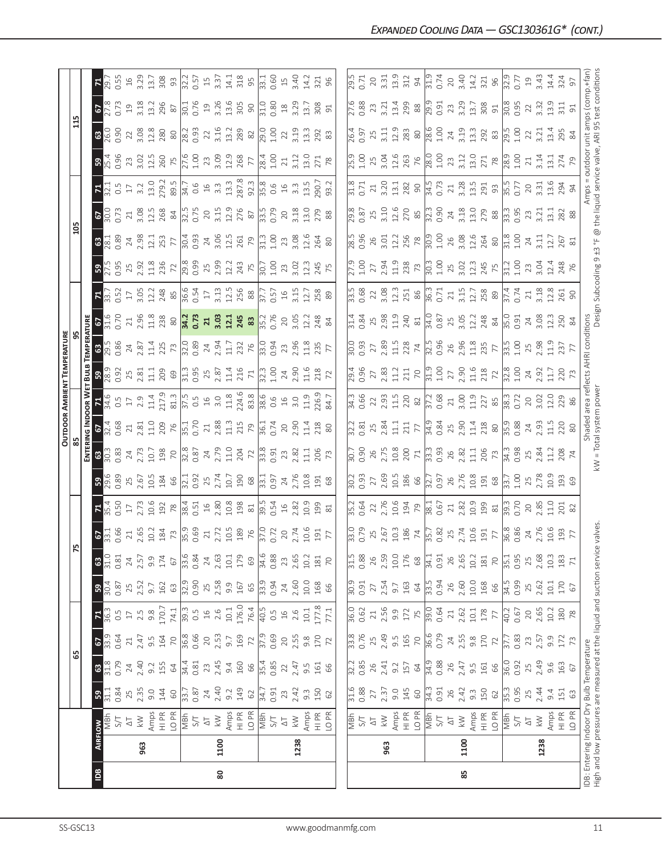|                                                                      |                |                                                                                                                                                |                       |                                          |                         |                                                                                   |                      |                       |                                                                            |                                      |                                            |                                                                |                          |                                                                                                  | OUTDOOR AMBIENT TEMPERATURE                                                                                                                                                                            |                                                                                                                                                |                                                                                                                                                                                                                                                                                                                                  |                                                                                                                                                                                                                                                                                                                     |                                                                                    |                                                                                                                                                                                                    |                                                                                                                                                                                                                      |                                                                                                                                                                                                                              |                                                                              |                            |                     |                                           |
|----------------------------------------------------------------------|----------------|------------------------------------------------------------------------------------------------------------------------------------------------|-----------------------|------------------------------------------|-------------------------|-----------------------------------------------------------------------------------|----------------------|-----------------------|----------------------------------------------------------------------------|--------------------------------------|--------------------------------------------|----------------------------------------------------------------|--------------------------|--------------------------------------------------------------------------------------------------|--------------------------------------------------------------------------------------------------------------------------------------------------------------------------------------------------------|------------------------------------------------------------------------------------------------------------------------------------------------|----------------------------------------------------------------------------------------------------------------------------------------------------------------------------------------------------------------------------------------------------------------------------------------------------------------------------------|---------------------------------------------------------------------------------------------------------------------------------------------------------------------------------------------------------------------------------------------------------------------------------------------------------------------|------------------------------------------------------------------------------------|----------------------------------------------------------------------------------------------------------------------------------------------------------------------------------------------------|----------------------------------------------------------------------------------------------------------------------------------------------------------------------------------------------------------------------|------------------------------------------------------------------------------------------------------------------------------------------------------------------------------------------------------------------------------|------------------------------------------------------------------------------|----------------------------|---------------------|-------------------------------------------|
|                                                                      |                |                                                                                                                                                |                       | ය                                        |                         |                                                                                   |                      | Fυ                    |                                                                            |                                      |                                            |                                                                |                          |                                                                                                  |                                                                                                                                                                                                        |                                                                                                                                                |                                                                                                                                                                                                                                                                                                                                  |                                                                                                                                                                                                                                                                                                                     |                                                                                    | 105                                                                                                                                                                                                |                                                                                                                                                                                                                      |                                                                                                                                                                                                                              |                                                                              | 115                        |                     |                                           |
|                                                                      |                |                                                                                                                                                |                       |                                          |                         |                                                                                   |                      |                       |                                                                            |                                      |                                            | ENTERI                                                         | NG INDOOR W              |                                                                                                  | BULB                                                                                                                                                                                                   |                                                                                                                                                |                                                                                                                                                                                                                                                                                                                                  |                                                                                                                                                                                                                                                                                                                     |                                                                                    |                                                                                                                                                                                                    |                                                                                                                                                                                                                      |                                                                                                                                                                                                                              |                                                                              |                            |                     |                                           |
| $\overline{a}$                                                       | <b>AIRFLOW</b> |                                                                                                                                                | ${\tt S}$             | $\mathbbmss{3}$                          | $rac{62}{33.3}$         | 78.5                                                                              | $\frac{30}{4}$       | 31.0<br>$\mathbf{c}$  | $\frac{67}{331}$                                                           | $\frac{\overline{\mathbf{z}}}{35.4}$ | 39.89                                      |                                                                | $rac{67}{32.4}$          |                                                                                                  | 38.3                                                                                                                                                                                                   | $\frac{38}{295}$                                                                                                                               |                                                                                                                                                                                                                                                                                                                                  |                                                                                                                                                                                                                                                                                                                     | $\mathbb{R}$                                                                       | $rac{3}{28}$ $rac{3}{2}$                                                                                                                                                                           | $\frac{67}{28}$                                                                                                                                                                                                      | $72.1$<br>$32.1$<br>$32.1$<br>$32.2$                                                                                                                                                                                         | 3.36                                                                         | <mark>ន</mark> ី ទី ទី     | $\frac{67}{27.3}$   | $F_{2}$                                   |
|                                                                      |                | Hg<br>N                                                                                                                                        | $\frac{31.1}{0.84}$   | $\frac{87}{21.8}$                        |                         |                                                                                   | 0.87                 | 0.81                  | 0.66                                                                       | <b>D.50</b>                          |                                            | <mark>ន</mark> ី នី នី                                         |                          | 74.5                                                                                             |                                                                                                                                                                                                        |                                                                                                                                                | $\frac{67}{31.6}$                                                                                                                                                                                                                                                                                                                |                                                                                                                                                                                                                                                                                                                     | 27.5<br>0.95                                                                       |                                                                                                                                                                                                    |                                                                                                                                                                                                                      |                                                                                                                                                                                                                              |                                                                              |                            |                     | 0.55                                      |
|                                                                      |                | $\overline{\triangle}$                                                                                                                         | 25<br>2.35            | $24\,$                                   | $\gtrsim$               | $17\,$                                                                            | 25<br>2.52           | $24\,$                | $\gtrsim$                                                                  | $\Gamma$                             | 25<br>2.67                                 | $24$<br>$2.73$                                                 | 21                       | $17\,$                                                                                           |                                                                                                                                                                                                        | $\frac{24}{2.87}$                                                                                                                              | $\overline{21}$                                                                                                                                                                                                                                                                                                                  |                                                                                                                                                                                                                                                                                                                     |                                                                                    | $24$<br>$2.98$                                                                                                                                                                                     | $\frac{21}{3.08}$                                                                                                                                                                                                    |                                                                                                                                                                                                                              | 23                                                                           | 22                         | $\overline{c}$      | 16                                        |
|                                                                      | 963            | $\lesssim$                                                                                                                                     |                       | 2.40                                     | 2.47                    | $2.\overline{5}$<br>9.8                                                           |                      | 2.57                  | 2.65                                                                       | 2.73                                 |                                            |                                                                | 2.81                     | 2.9                                                                                              | $2.81$<br>$1.1$                                                                                                                                                                                        |                                                                                                                                                | 2.96<br>11.8                                                                                                                                                                                                                                                                                                                     |                                                                                                                                                                                                                                                                                                                     |                                                                                    |                                                                                                                                                                                                    |                                                                                                                                                                                                                      |                                                                                                                                                                                                                              |                                                                              | 3.08                       | 3.18                | 3.29                                      |
|                                                                      |                |                                                                                                                                                | 9.0                   | 9.2                                      | 9.5<br>164              |                                                                                   | 9.7                  | 9.9                   | 10.2                                                                       | 10.6                                 |                                            | 10.7                                                           | 11.0                     | 11.4                                                                                             |                                                                                                                                                                                                        | 11.4                                                                                                                                           |                                                                                                                                                                                                                                                                                                                                  |                                                                                                                                                                                                                                                                                                                     |                                                                                    | 12.1                                                                                                                                                                                               | 12.5                                                                                                                                                                                                                 |                                                                                                                                                                                                                              |                                                                              | 12.8                       | 13.2                | 13.7                                      |
|                                                                      |                | $\begin{array}{c}\n\text{Amps} \\ \text{H} \\ \text{P-R} \\ \text{O} \\ \overline{\text{M}} \\ \overline{\text{M}} \\ \text{S/T}\n\end{array}$ | 144<br>$60\,$         | 155                                      |                         | 170.7<br>74.1                                                                     | 162<br>63            | $174\,$<br>$\sqrt{6}$ | $\frac{184}{73}$<br>0.69                                                   | 192<br>$78$                          | $10.5$<br>$184$<br>$66$                    | 198                                                            | $\frac{209}{75.1}$       | 217.9<br>81.3                                                                                    | $\begin{array}{c}\n 209 \\  69 \\  \hline\n 11.3 \\  0.95 \\  71 \\  \hline\n 21.4 \\  71 \\  \hline\n 71\n \end{array}$                                                                               | $\begin{array}{c c}\n 255 & 735 \\  \hline\n 7300 & 894 \\  \hline\n 0.89 & 745 \\  \hline\n 1.7 & 736 \\  \hline\n 0.94 & 0.94\n \end{array}$ | $238$ $80$ $34.7$ $35.7$ $35.7$ $34.5$ $35.7$                                                                                                                                                                                                                                                                                    | $\frac{1}{2}$ $\frac{1}{2}$ $\frac{1}{2}$ $\frac{1}{2}$ $\frac{1}{2}$ $\frac{1}{2}$ $\frac{1}{2}$ $\frac{1}{2}$ $\frac{1}{2}$ $\frac{1}{2}$ $\frac{1}{2}$ $\frac{1}{2}$ $\frac{1}{2}$ $\frac{1}{2}$ $\frac{1}{2}$ $\frac{1}{2}$ $\frac{1}{2}$ $\frac{1}{2}$ $\frac{1}{2}$ $\frac{1}{2}$ $\frac{1}{2}$ $\frac{1}{2}$ | 25<br>2.92<br>11.8<br>236<br>72                                                    | 253<br>77                                                                                                                                                                                          | $\frac{268}{32.5}$<br>$\frac{84}{32.5}$<br>$\frac{2}{5}$<br>3.15                                                                                                                                                     |                                                                                                                                                                                                                              |                                                                              | <b>280</b>                 | 296<br>$\approx$    | 308<br>93                                 |
|                                                                      |                |                                                                                                                                                |                       |                                          |                         |                                                                                   | 32.9                 | 33.6                  |                                                                            |                                      |                                            |                                                                |                          |                                                                                                  |                                                                                                                                                                                                        |                                                                                                                                                |                                                                                                                                                                                                                                                                                                                                  |                                                                                                                                                                                                                                                                                                                     |                                                                                    |                                                                                                                                                                                                    |                                                                                                                                                                                                                      |                                                                                                                                                                                                                              |                                                                              |                            | $\overline{30.1}$   |                                           |
|                                                                      |                |                                                                                                                                                | $\frac{33.7}{0.87}$   | $rac{64}{34.4}$                          | $\frac{70}{36.8}$       | $\frac{3}{2}$<br>$\frac{3}{2}$<br>$\frac{5}{2}$<br>$\frac{4}{2}$<br>$\frac{6}{2}$ | 0.90                 | 0.84                  |                                                                            | $\frac{38.4}{0.51}$ 16               | $\frac{32.1}{2.5}$<br>0.92<br>2.74<br>10.7 |                                                                |                          | $\frac{5}{27.5}$<br>$\frac{5}{27.5}$<br>$\frac{5}{27.5}$<br>$\frac{5}{27.5}$<br>$\frac{1}{27.5}$ |                                                                                                                                                                                                        |                                                                                                                                                |                                                                                                                                                                                                                                                                                                                                  |                                                                                                                                                                                                                                                                                                                     | $\frac{8}{29}$<br>0.99<br>2.99<br>2.12<br>24<br>75                                 | $30.4$<br>0.93<br>24<br>3.06                                                                                                                                                                       |                                                                                                                                                                                                                      |                                                                                                                                                                                                                              |                                                                              | 28.2<br>0.93<br>22<br>3.16 | 0.76                | $\frac{22}{3.57}$<br>157<br>3.37<br>3.4.1 |
|                                                                      |                | $\overline{\Delta}$                                                                                                                            |                       |                                          |                         |                                                                                   |                      | 24                    |                                                                            |                                      |                                            |                                                                |                          |                                                                                                  |                                                                                                                                                                                                        |                                                                                                                                                |                                                                                                                                                                                                                                                                                                                                  |                                                                                                                                                                                                                                                                                                                     |                                                                                    |                                                                                                                                                                                                    |                                                                                                                                                                                                                      |                                                                                                                                                                                                                              |                                                                              |                            | 19                  |                                           |
| 80                                                                   | 1100           | $\leqslant$                                                                                                                                    |                       | $23$<br>$2.45$                           |                         |                                                                                   |                      | 2.63                  |                                                                            |                                      |                                            |                                                                |                          |                                                                                                  |                                                                                                                                                                                                        |                                                                                                                                                |                                                                                                                                                                                                                                                                                                                                  |                                                                                                                                                                                                                                                                                                                     |                                                                                    |                                                                                                                                                                                                    |                                                                                                                                                                                                                      |                                                                                                                                                                                                                              |                                                                              |                            |                     |                                           |
|                                                                      |                |                                                                                                                                                | $24$<br>$24$<br>$9.2$ | 9.4                                      | $20$<br>$2.53$<br>$9.7$ | $10.1\,$                                                                          | $2.58$<br>$9.9$      | $10.1\,$              |                                                                            | 10.8                                 |                                            |                                                                | $\frac{21}{2.88}$        |                                                                                                  |                                                                                                                                                                                                        |                                                                                                                                                |                                                                                                                                                                                                                                                                                                                                  |                                                                                                                                                                                                                                                                                                                     |                                                                                    |                                                                                                                                                                                                    |                                                                                                                                                                                                                      |                                                                                                                                                                                                                              |                                                                              | 13.2                       | 3.26<br>13.6        |                                           |
|                                                                      |                |                                                                                                                                                | 149                   |                                          | 169                     | 176.0                                                                             |                      | 179                   |                                                                            |                                      |                                            |                                                                |                          | 224.6                                                                                            |                                                                                                                                                                                                        |                                                                                                                                                |                                                                                                                                                                                                                                                                                                                                  |                                                                                                                                                                                                                                                                                                                     |                                                                                    |                                                                                                                                                                                                    |                                                                                                                                                                                                                      |                                                                                                                                                                                                                              |                                                                              | 289                        |                     | 318                                       |
|                                                                      |                | $\begin{array}{c}\n\text{Amps} \\ \text{H I PR} \\ \text{O PR} \\ \hline\n\text{NBr} \\ \text{S/T}\n\end{array}$                               | 62                    | 160<br>66                                | 72                      | 76.4                                                                              | $\frac{167}{65}$     | 69                    | $2.72$<br>$2.72$<br>$10.5$<br>$70$<br>$70$<br>$70$<br>$70$<br>$70$<br>$70$ | $^{198}_{\color{red}\text{30}}$      | $\frac{190}{68}$ $\frac{8}{33.3}$          |                                                                | $715$<br>$79$<br>$76.74$ | 83.8                                                                                             |                                                                                                                                                                                                        |                                                                                                                                                |                                                                                                                                                                                                                                                                                                                                  | $3.13$ $12.5$ $88$                                                                                                                                                                                                                                                                                                  |                                                                                    | $\frac{15}{75}$<br>$\frac{15}{75}$<br>$\frac{15}{13}$                                                                                                                                              | $\frac{23}{276}$<br>$\frac{8}{37}$<br>$\frac{15}{37}$<br>0.79                                                                                                                                                        |                                                                                                                                                                                                                              |                                                                              | 82                         | 305<br>90           | 95                                        |
|                                                                      |                |                                                                                                                                                | $\frac{34.7}{0.91}$   | $\frac{35.4}{0.85}$                      |                         | $\sqrt{40.5}$                                                                     |                      | $\frac{1}{34.6}$      |                                                                            | $\frac{39.54}{0.54}$                 |                                            |                                                                |                          | $\frac{38.6}{0.6}$                                                                               | $\frac{32}{32}$ 3                                                                                                                                                                                      |                                                                                                                                                | $\frac{35.2}{0.76}$                                                                                                                                                                                                                                                                                                              | $\frac{7}{37.7}$<br>0.57<br>16<br>3.15                                                                                                                                                                                                                                                                              | $\frac{1}{30.7}$                                                                   |                                                                                                                                                                                                    |                                                                                                                                                                                                                      |                                                                                                                                                                                                                              | $\frac{28}{4}$                                                               | $\frac{10}{2}$             | $\frac{1}{31.0}$    | $\frac{1}{33.1}$                          |
|                                                                      |                |                                                                                                                                                |                       |                                          | $\frac{37.9}{0.69}$     | 0.5                                                                               | $\frac{33.94}{0.94}$ | 0.88                  |                                                                            |                                      |                                            |                                                                |                          |                                                                                                  |                                                                                                                                                                                                        |                                                                                                                                                |                                                                                                                                                                                                                                                                                                                                  |                                                                                                                                                                                                                                                                                                                     |                                                                                    |                                                                                                                                                                                                    |                                                                                                                                                                                                                      |                                                                                                                                                                                                                              |                                                                              | 1.00                       |                     |                                           |
|                                                                      |                | $\overline{\Delta}$                                                                                                                            |                       | $22\,$                                   | 20                      | $\frac{16}{1}$                                                                    | 24                   | 23                    | 20                                                                         | $16$                                 |                                            |                                                                |                          | $16$                                                                                             |                                                                                                                                                                                                        |                                                                                                                                                |                                                                                                                                                                                                                                                                                                                                  |                                                                                                                                                                                                                                                                                                                     |                                                                                    |                                                                                                                                                                                                    |                                                                                                                                                                                                                      |                                                                                                                                                                                                                              | 21                                                                           | 22                         | $^{26}$             | $15$                                      |
|                                                                      | 1238           | $\stackrel{\textstyle<}{\sim}$                                                                                                                 | $23$<br>$2.42$        | 2.47                                     | 2.55                    | 2.6                                                                               | 2.60                 | 2.65                  | 2.74                                                                       | 2.82                                 | $24$<br>2.76                               | 23<br>2.82                                                     | 2.90                     | 3.0                                                                                              | $24$<br>$2.90$                                                                                                                                                                                         | <sup>23</sup><br>2.96                                                                                                                          | 20 <sub>3.05</sub>                                                                                                                                                                                                                                                                                                               |                                                                                                                                                                                                                                                                                                                     | 23.02                                                                              | 23<br>3.08                                                                                                                                                                                         | $\frac{20}{3.18}$                                                                                                                                                                                                    |                                                                                                                                                                                                                              | 3.12                                                                         | 3.19                       | 3.29                | 3.40                                      |
|                                                                      |                |                                                                                                                                                | $9.\overline{3}$      | $9.\overline{5}$                         | $9.\overline{8}$        | 10.1                                                                              | $10.0$               | 10.2                  | 10.6                                                                       | 10.9                                 | 0.8                                        | 11.1                                                           | 11.4                     | 11.9                                                                                             | 11.6                                                                                                                                                                                                   | 11.8                                                                                                                                           | 12.2                                                                                                                                                                                                                                                                                                                             | 12.7                                                                                                                                                                                                                                                                                                                | 12.3                                                                               | 12.6                                                                                                                                                                                               | $\frac{0}{2}$                                                                                                                                                                                                        |                                                                                                                                                                                                                              | $\frac{3}{2}$                                                                | $\frac{33}{5}$             | 13.7                | 14.2                                      |
|                                                                      |                | Amps<br>HI PR                                                                                                                                  | 150                   |                                          | 170                     | 177.8                                                                             |                      | 181                   | 191                                                                        | 199                                  | 191                                        | 206                                                            | 218                      | <b>26.9</b>                                                                                      | 218                                                                                                                                                                                                    | 235                                                                                                                                            | 248                                                                                                                                                                                                                                                                                                                              | 258                                                                                                                                                                                                                                                                                                                 | 245                                                                                | 264                                                                                                                                                                                                | 279                                                                                                                                                                                                                  | $13.5$<br>$90.7$<br>$93.2$                                                                                                                                                                                                   | 271                                                                          | 292                        | 308                 | 321                                       |
|                                                                      |                | LO PR                                                                                                                                          | 62                    | $\begin{array}{c} 161 \\ 66 \end{array}$ |                         | 77.1                                                                              | 168<br>66            | 70                    | $\overline{7}$                                                             | $\overline{81}$                      | 68                                         |                                                                |                          | 84.7                                                                                             |                                                                                                                                                                                                        |                                                                                                                                                |                                                                                                                                                                                                                                                                                                                                  |                                                                                                                                                                                                                                                                                                                     |                                                                                    |                                                                                                                                                                                                    | 88                                                                                                                                                                                                                   |                                                                                                                                                                                                                              | 78                                                                           | 83                         | 91                  | 96                                        |
|                                                                      |                |                                                                                                                                                |                       |                                          |                         |                                                                                   |                      |                       |                                                                            |                                      |                                            |                                                                |                          |                                                                                                  |                                                                                                                                                                                                        |                                                                                                                                                |                                                                                                                                                                                                                                                                                                                                  |                                                                                                                                                                                                                                                                                                                     |                                                                                    |                                                                                                                                                                                                    |                                                                                                                                                                                                                      |                                                                                                                                                                                                                              |                                                                              |                            |                     |                                           |
|                                                                      |                |                                                                                                                                                | $\frac{16}{31.6}$     |                                          | $\frac{8}{33}$          |                                                                                   | $\frac{9}{30}$       | $\frac{15}{31}$       | $\frac{10}{33}$                                                            | $\frac{2}{35}$                       |                                            |                                                                |                          |                                                                                                  |                                                                                                                                                                                                        |                                                                                                                                                | $\frac{31.4}{4}$                                                                                                                                                                                                                                                                                                                 |                                                                                                                                                                                                                                                                                                                     | $\sqrt{27.9}$                                                                      |                                                                                                                                                                                                    |                                                                                                                                                                                                                      |                                                                                                                                                                                                                              | $\frac{9}{25}$                                                               | $\sqrt{26.4}$              |                     | $\frac{15}{29}$                           |
|                                                                      |                | 지<br>이트<br>이                                                                                                                                   | 0.88                  | $\frac{32.2}{0.85}$                      | 0.76                    | 36.0<br>0.62                                                                      | 0.91                 | 0.88                  | 0.79                                                                       | 0.64                                 | $\frac{20}{30}$ .                          | $\frac{20.7}{0.90}$                                            | $\frac{22}{30}$ 81       | $\frac{34.3}{0.66}$                                                                              | $\frac{29.4}{0.96}$                                                                                                                                                                                    |                                                                                                                                                |                                                                                                                                                                                                                                                                                                                                  | $\frac{1}{3}$ .68                                                                                                                                                                                                                                                                                                   |                                                                                    | $\frac{5}{582}$                                                                                                                                                                                    | $\frac{29.8}{0.87}$                                                                                                                                                                                                  | $\frac{31.8}{0.71}$                                                                                                                                                                                                          | 1.00                                                                         | 0.97                       | $\frac{27.6}{0.88}$ | 0.71                                      |
|                                                                      |                | $\overline{\Delta}$                                                                                                                            |                       | 26                                       | 25                      | $\gtrsim$                                                                         | $27\,$               | 26                    | 25                                                                         |                                      |                                            |                                                                |                          |                                                                                                  |                                                                                                                                                                                                        |                                                                                                                                                |                                                                                                                                                                                                                                                                                                                                  |                                                                                                                                                                                                                                                                                                                     | 27                                                                                 |                                                                                                                                                                                                    |                                                                                                                                                                                                                      |                                                                                                                                                                                                                              | 25                                                                           | 25                         | 23                  | $20$                                      |
|                                                                      | 963            | $\stackrel{\textstyle<}{\sim}$                                                                                                                 | 27<br>2.37            | 2.41                                     | 2.49                    | 2.56                                                                              | 2.54                 | 2.59                  | 2.67                                                                       | 2.76                                 | $27$<br>$2.69$                             |                                                                | 25<br>2.84               |                                                                                                  |                                                                                                                                                                                                        |                                                                                                                                                |                                                                                                                                                                                                                                                                                                                                  |                                                                                                                                                                                                                                                                                                                     | 2.94                                                                               | $\frac{26}{3.01}$                                                                                                                                                                                  | 25<br>3.10                                                                                                                                                                                                           |                                                                                                                                                                                                                              | 3.04                                                                         | 3.11                       | 3.21                | 3.31                                      |
|                                                                      |                |                                                                                                                                                | 9.0                   | 9.2                                      | 9.5<br>165              | 9.9                                                                               | 9.7                  | $10.0$<br>$176$       | 10.3                                                                       | 10.6                                 |                                            |                                                                | $\Xi$                    |                                                                                                  |                                                                                                                                                                                                        |                                                                                                                                                |                                                                                                                                                                                                                                                                                                                                  |                                                                                                                                                                                                                                                                                                                     |                                                                                    |                                                                                                                                                                                                    | $12.6$<br>$270$<br>$85$                                                                                                                                                                                              | $\frac{21}{3.20}$<br>$\frac{20}{13.1}$<br>$\frac{28}{28}$                                                                                                                                                                    |                                                                              | 12.9                       | 13.4                | 13.9                                      |
|                                                                      |                | Amps<br>HI PR                                                                                                                                  | 145                   | 157                                      |                         | $172$                                                                             | 163                  |                       | 186                                                                        | 194                                  |                                            |                                                                | $\frac{211}{77}$         |                                                                                                  |                                                                                                                                                                                                        |                                                                                                                                                |                                                                                                                                                                                                                                                                                                                                  |                                                                                                                                                                                                                                                                                                                     |                                                                                    |                                                                                                                                                                                                    |                                                                                                                                                                                                                      |                                                                                                                                                                                                                              |                                                                              | 283                        | 299                 | 312                                       |
|                                                                      |                | LO PR                                                                                                                                          | $60\,$                | 64                                       | $70$                    |                                                                                   | $\mathcal{Q}$        | 68                    | $\overline{7}$                                                             | 79                                   | $\frac{15}{186}$                           | $\begin{array}{c} 26 \\ 2.75 \\ 10.8 \\ 200 \\ 71 \end{array}$ |                          | $2, 93$<br>$11.5$<br>$220$<br>$82$                                                               | $\begin{array}{c} 27 \\ 2.83 \\ 1.11 \\ 7.0 \\ \hline \end{array}$<br>$\begin{array}{c} 27 \\ 1.11 \\ 7.0 \\ \hline \end{array}$<br>$\begin{array}{c} 27 \\ 1.00 \\ 1.00 \\ 2.3 \\ \hline \end{array}$ | $27$<br>$2.89$<br>$11.5$<br>$74$                                                                                                               | $2.98$<br>$1.98$<br>$2.40$<br>$81$                                                                                                                                                                                                                                                                                               | $22$<br>$3.08$<br>$12.3$<br>$251$<br>86                                                                                                                                                                                                                                                                             | $11.9$<br>$738$<br>$73$                                                            | 12.2<br>256<br>78                                                                                                                                                                                  |                                                                                                                                                                                                                      |                                                                                                                                                                                                                              | 12.6<br>263<br>76                                                            | $\rm ^{\rm 80}$            | $88$                | 94                                        |
|                                                                      |                | NS<br>N                                                                                                                                        | 34.3                  | 34.9<br>0.88                             | 36.6<br>0.79            | $\frac{39.0}{0.64}$                                                               | $\frac{33.5}{ }$     | 34.1                  | 35.7                                                                       | 38.1<br>0.67                         | $\frac{32.7}{0.97}$                        | $\begin{array}{c} 3.3 \\ 0.93 \end{array}$                     |                          | 37.2<br>0.68                                                                                     |                                                                                                                                                                                                        | $\frac{32.5}{0.96}$                                                                                                                            |                                                                                                                                                                                                                                                                                                                                  |                                                                                                                                                                                                                                                                                                                     |                                                                                    |                                                                                                                                                                                                    |                                                                                                                                                                                                                      |                                                                                                                                                                                                                              | $\frac{28.0}{1.00}$                                                          | $\frac{28.6}{1.00}$        | $\frac{9}{29.5}$    | $\frac{31.9}{0.74}$                       |
|                                                                      |                |                                                                                                                                                |                       |                                          |                         |                                                                                   | 0.94                 | 0.91                  |                                                                            |                                      |                                            |                                                                |                          |                                                                                                  |                                                                                                                                                                                                        |                                                                                                                                                |                                                                                                                                                                                                                                                                                                                                  |                                                                                                                                                                                                                                                                                                                     |                                                                                    |                                                                                                                                                                                                    |                                                                                                                                                                                                                      |                                                                                                                                                                                                                              |                                                                              |                            |                     |                                           |
|                                                                      |                | $\overline{\Delta}$                                                                                                                            | 26                    | $26$                                     | 24<br>2.55              | $21$<br>$2.62$                                                                    | 26                   | 26                    | 25                                                                         | $\sqrt{2}$                           | 26                                         | 26<br>2.82                                                     | $34.9$<br>0.84<br>2.90   | $\frac{21}{3.00}$                                                                                |                                                                                                                                                                                                        | $\begin{array}{c} 26 \\ 2.96 \\ 11.8 \\ 77 \end{array}$                                                                                        |                                                                                                                                                                                                                                                                                                                                  | $\frac{1}{36.3}$ $\frac{1}{31}$ $\frac{1}{21}$ $\frac{1}{21}$ $\frac{1}{28}$ $\frac{8}{89}$                                                                                                                                                                                                                         | $\begin{array}{c} 30.3 \\ 1.00 \\ 2.5 \\ 3.02 \\ 12.3 \\ 245 \\ 75 \\ \end{array}$ |                                                                                                                                                                                                    |                                                                                                                                                                                                                      |                                                                                                                                                                                                                              | 23                                                                           | 24                         | 23<br>3.29          | $20$                                      |
| 85                                                                   | 1100           | $\overline{\mathbb{X}}$                                                                                                                        | 2.42                  | 2.47                                     |                         |                                                                                   | 2.60                 | 2.65                  | 2.74                                                                       | 2.82                                 | 2.76                                       |                                                                |                          |                                                                                                  |                                                                                                                                                                                                        |                                                                                                                                                |                                                                                                                                                                                                                                                                                                                                  |                                                                                                                                                                                                                                                                                                                     |                                                                                    |                                                                                                                                                                                                    |                                                                                                                                                                                                                      |                                                                                                                                                                                                                              | 3.12                                                                         | 3.19                       |                     | 3.40                                      |
|                                                                      |                |                                                                                                                                                | $9.\overline{3}$      | $9.\overline{5}$                         |                         | 10.1                                                                              | $10.0$               | 10.2                  | 10.6                                                                       | 10.9                                 |                                            | $\Xi$                                                          | 11.4                     | 11.9                                                                                             |                                                                                                                                                                                                        |                                                                                                                                                |                                                                                                                                                                                                                                                                                                                                  |                                                                                                                                                                                                                                                                                                                     |                                                                                    |                                                                                                                                                                                                    |                                                                                                                                                                                                                      |                                                                                                                                                                                                                              |                                                                              |                            | 13.7                | 14.2                                      |
|                                                                      |                | Amps<br>HI PR<br>LO PR                                                                                                                         | 150                   | 161                                      | $9.8$<br>170            | $178$ $\,$                                                                        | 168                  | 181                   |                                                                            | 199                                  | $\frac{8}{191}$                            |                                                                | <b>218</b><br>80         | 227                                                                                              | $218$<br>$72$                                                                                                                                                                                          |                                                                                                                                                |                                                                                                                                                                                                                                                                                                                                  |                                                                                                                                                                                                                                                                                                                     |                                                                                    |                                                                                                                                                                                                    |                                                                                                                                                                                                                      |                                                                                                                                                                                                                              | $13.0$<br>$271$<br>$78$                                                      | $13.3$<br>$292$<br>$83$    | $308$<br>$91$       | 321                                       |
|                                                                      |                |                                                                                                                                                | 62                    | 66                                       | $\overline{72}$         |                                                                                   | 66                   | $\overline{70}$       |                                                                            | $81$                                 |                                            |                                                                |                          |                                                                                                  |                                                                                                                                                                                                        |                                                                                                                                                |                                                                                                                                                                                                                                                                                                                                  |                                                                                                                                                                                                                                                                                                                     |                                                                                    |                                                                                                                                                                                                    |                                                                                                                                                                                                                      |                                                                                                                                                                                                                              |                                                                              |                            |                     | 96                                        |
|                                                                      |                | <b>MBh</b>                                                                                                                                     | $\frac{35}{3}$        | 36.0                                     | $\sqrt{37}$             | $\sqrt{40.2}$                                                                     | $\frac{34.5}{0.99}$  | $\frac{35.1}{ }$      | $\frac{25}{191}$                                                           | $\frac{1}{39}$                       | $\sqrt{\frac{33}{2}}$                      | $\frac{206}{73}$<br>$\frac{13}{34.3}$                          | $\frac{9}{35.88}$        | $\frac{38.3}{0.72}$                                                                              | $\frac{8}{32.8}$                                                                                                                                                                                       | $\frac{13}{33.50}$ 2.98                                                                                                                        | $\frac{1}{34}$<br>$\frac{1}{34}$<br>$\frac{1}{34}$<br>$\frac{1}{34}$<br>$\frac{1}{34}$<br>$\frac{1}{34}$<br>$\frac{1}{34}$<br>$\frac{1}{34}$<br>$\frac{1}{34}$<br>$\frac{1}{34}$<br>$\frac{1}{34}$<br>$\frac{1}{34}$<br>$\frac{1}{34}$<br>$\frac{1}{34}$<br>$\frac{1}{34}$<br>$\frac{1}{34}$<br>$\frac{1}{34}$<br>$\frac{1}{34}$ | $\frac{37.4}{0.74}$                                                                                                                                                                                                                                                                                                 | $\frac{31.2}{31.00}$                                                               | $\frac{1}{30}$<br>$\frac{1}{30}$<br>$\frac{1}{30}$<br>$\frac{1}{30}$<br>$\frac{1}{30}$<br>$\frac{1}{30}$<br>$\frac{1}{30}$<br>$\frac{1}{30}$<br>$\frac{1}{30}$<br>$\frac{1}{30}$<br>$\frac{1}{30}$ | $\frac{1}{32}$<br>$\frac{1}{32}$<br>$\frac{1}{32}$<br>$\frac{1}{32}$<br>$\frac{1}{32}$<br>$\frac{1}{32}$<br>$\frac{1}{32}$<br>$\frac{1}{32}$<br>$\frac{1}{32}$<br>$\frac{1}{32}$<br>$\frac{1}{32}$<br>$\frac{1}{32}$ | $\frac{1}{34.5}$<br>$\frac{1}{2}$<br>$\frac{1}{2}$<br>$\frac{2}{3}$<br>$\frac{2}{3}$<br>$\frac{1}{2}$<br>$\frac{3}{2}$<br>$\frac{1}{2}$<br>$\frac{3}{2}$<br>$\frac{1}{3}$<br>$\frac{1}{5}$<br>$\frac{1}{5}$<br>$\frac{1}{5}$ | $\frac{9}{28.9}$                                                             | $\frac{5}{295}$            | $\frac{8}{30.85}$   | $\frac{9}{22}$                            |
|                                                                      |                | $5\sqrt{ }$                                                                                                                                    | 0.95                  | 0.92                                     | 0.83                    | 0.67                                                                              |                      | 0.95                  |                                                                            | 0.70                                 | 1.00                                       |                                                                |                          |                                                                                                  |                                                                                                                                                                                                        |                                                                                                                                                |                                                                                                                                                                                                                                                                                                                                  |                                                                                                                                                                                                                                                                                                                     |                                                                                    |                                                                                                                                                                                                    |                                                                                                                                                                                                                      |                                                                                                                                                                                                                              |                                                                              | 1.00                       |                     | 0.77                                      |
|                                                                      |                | $\overline{\Delta}$                                                                                                                            | $25$<br>2.44          | 25                                       | $23$                    | $20$                                                                              | 25                   | 25                    | 24<br>2.76                                                                 | $20$                                 | 25                                         | 25<br>2.84                                                     | $24$<br>$2.93$           | 20                                                                                               | $24$<br>$2.92$                                                                                                                                                                                         |                                                                                                                                                |                                                                                                                                                                                                                                                                                                                                  |                                                                                                                                                                                                                                                                                                                     | 23                                                                                 | 24                                                                                                                                                                                                 | 23<br>3.21                                                                                                                                                                                                           |                                                                                                                                                                                                                              | 21                                                                           | 22                         | $22\,$              | $\overline{1}9$                           |
|                                                                      | 1238           | $\lesssim$                                                                                                                                     |                       | 2.49                                     | 2.57                    | 2.65                                                                              | 2.62                 | 2.68                  |                                                                            | 2.85                                 | 2.78                                       |                                                                |                          | 3.02                                                                                             |                                                                                                                                                                                                        |                                                                                                                                                |                                                                                                                                                                                                                                                                                                                                  | $3.18$<br>$12.8$                                                                                                                                                                                                                                                                                                    | 3.04                                                                               | 3.11                                                                                                                                                                                               |                                                                                                                                                                                                                      | $20$<br>3.31<br>13.6<br>294<br>34                                                                                                                                                                                            | 3.14                                                                         | 3.21                       | 3.32                | 3.43                                      |
|                                                                      |                | Amps                                                                                                                                           | 9.4                   | 9.6                                      | 9.9                     | $10.2\,$                                                                          | 10.1                 | 10.3                  | 10.6                                                                       | 11.0                                 | 10.9                                       | 11.2                                                           | 11.5                     | 12.0                                                                                             | Ë                                                                                                                                                                                                      | 1.9                                                                                                                                            |                                                                                                                                                                                                                                                                                                                                  |                                                                                                                                                                                                                                                                                                                     | 12.4                                                                               | 12.7                                                                                                                                                                                               | 13.1                                                                                                                                                                                                                 |                                                                                                                                                                                                                              |                                                                              |                            | 13.9                | 14.4                                      |
|                                                                      |                | HI PR<br>LO PR                                                                                                                                 | 151                   | 163                                      | 172                     | 180                                                                               | 170                  | 183                   | $\frac{193}{77}$                                                           | $\frac{201}{82}$                     | $\frac{3}{6}$                              | $208$<br>74                                                    | <b>220</b><br>80         | 229                                                                                              | 220                                                                                                                                                                                                    | 237                                                                                                                                            | 250<br>84                                                                                                                                                                                                                                                                                                                        | $\frac{261}{90}$                                                                                                                                                                                                                                                                                                    | 248                                                                                | 267<br>81                                                                                                                                                                                          | 282                                                                                                                                                                                                                  |                                                                                                                                                                                                                              | 13.1<br>274<br>79                                                            | $13.4$<br>$295$<br>$84$    | 311                 | 324                                       |
|                                                                      |                |                                                                                                                                                | 63                    | 67                                       | 73                      | $78$                                                                              | 67                   |                       |                                                                            |                                      |                                            |                                                                |                          |                                                                                                  |                                                                                                                                                                                                        |                                                                                                                                                |                                                                                                                                                                                                                                                                                                                                  |                                                                                                                                                                                                                                                                                                                     |                                                                                    |                                                                                                                                                                                                    |                                                                                                                                                                                                                      |                                                                                                                                                                                                                              |                                                                              |                            | 91                  |                                           |
| IDB: Entering Indoor Dry Bulb Temperature                            |                |                                                                                                                                                |                       |                                          |                         |                                                                                   |                      |                       |                                                                            |                                      |                                            |                                                                | Shaded                   | area reflects                                                                                    |                                                                                                                                                                                                        | AHRI conditions                                                                                                                                |                                                                                                                                                                                                                                                                                                                                  |                                                                                                                                                                                                                                                                                                                     |                                                                                    |                                                                                                                                                                                                    |                                                                                                                                                                                                                      |                                                                                                                                                                                                                              | outdoor                                                                      | unit amps (comp.+fan       |                     |                                           |
| High and low pressures are measured at the liquid and suction servic |                |                                                                                                                                                |                       |                                          |                         |                                                                                   |                      |                       | te valves.                                                                 |                                      |                                            | kW = Total system powe                                         |                          |                                                                                                  |                                                                                                                                                                                                        |                                                                                                                                                |                                                                                                                                                                                                                                                                                                                                  |                                                                                                                                                                                                                                                                                                                     |                                                                                    |                                                                                                                                                                                                    |                                                                                                                                                                                                                      |                                                                                                                                                                                                                              | Design Subcooling 9 ±3 °F @ the liquid service valve, ARI 95 test conditions |                            |                     |                                           |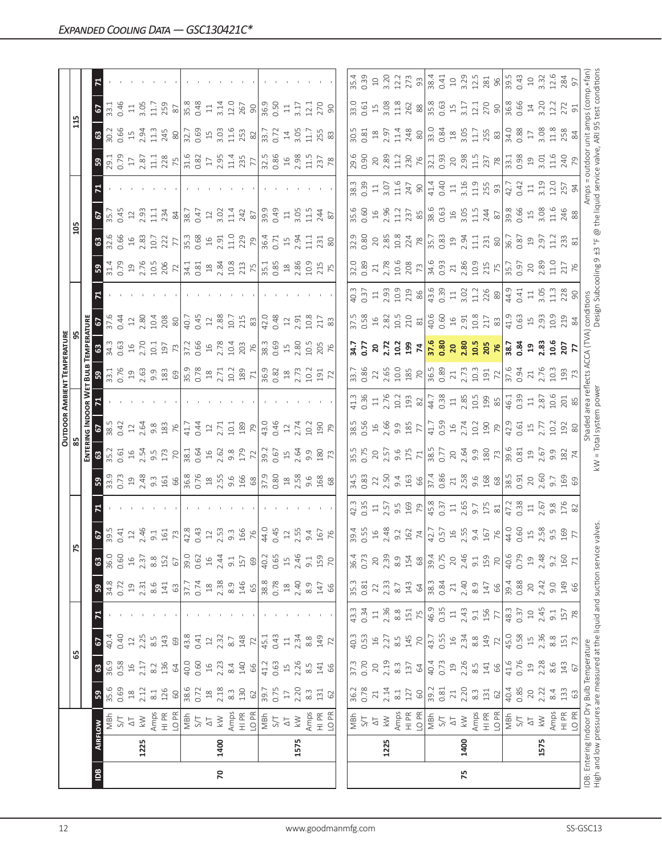|            |      |                                                                                                                  |                                                   |                        |                        |                                         |                                           |                        |                                                                           |                                                                                                                                                                                                                                                                                                                       |                                                                                                                                                                                                                                                                                                                                      |                                          |                                                                                                                                                                                   |                                                          | <b>OUTDOOR AMBIENT TEMPERATURE</b>                                                                                             |                                                                                                                                                                                                                                                                                                                     |                                                                                     |                                                                                                              |                                                                                                                                                                                                                                                                             |                |                                                                                                                                                                                                                                                                                                                                                   |                                                                                                                                                                                                                                                                                                               |                                                                                                                                                                                                                                                                                                                     |                                                                                                                            |                                                                                                     |                     |
|------------|------|------------------------------------------------------------------------------------------------------------------|---------------------------------------------------|------------------------|------------------------|-----------------------------------------|-------------------------------------------|------------------------|---------------------------------------------------------------------------|-----------------------------------------------------------------------------------------------------------------------------------------------------------------------------------------------------------------------------------------------------------------------------------------------------------------------|--------------------------------------------------------------------------------------------------------------------------------------------------------------------------------------------------------------------------------------------------------------------------------------------------------------------------------------|------------------------------------------|-----------------------------------------------------------------------------------------------------------------------------------------------------------------------------------|----------------------------------------------------------|--------------------------------------------------------------------------------------------------------------------------------|---------------------------------------------------------------------------------------------------------------------------------------------------------------------------------------------------------------------------------------------------------------------------------------------------------------------|-------------------------------------------------------------------------------------|--------------------------------------------------------------------------------------------------------------|-----------------------------------------------------------------------------------------------------------------------------------------------------------------------------------------------------------------------------------------------------------------------------|----------------|---------------------------------------------------------------------------------------------------------------------------------------------------------------------------------------------------------------------------------------------------------------------------------------------------------------------------------------------------|---------------------------------------------------------------------------------------------------------------------------------------------------------------------------------------------------------------------------------------------------------------------------------------------------------------|---------------------------------------------------------------------------------------------------------------------------------------------------------------------------------------------------------------------------------------------------------------------------------------------------------------------|----------------------------------------------------------------------------------------------------------------------------|-----------------------------------------------------------------------------------------------------|---------------------|
|            |      |                                                                                                                  |                                                   | 65                     |                        |                                         |                                           |                        | 75                                                                        |                                                                                                                                                                                                                                                                                                                       |                                                                                                                                                                                                                                                                                                                                      |                                          |                                                                                                                                                                                   |                                                          |                                                                                                                                |                                                                                                                                                                                                                                                                                                                     |                                                                                     |                                                                                                              |                                                                                                                                                                                                                                                                             | 105            |                                                                                                                                                                                                                                                                                                                                                   |                                                                                                                                                                                                                                                                                                               |                                                                                                                                                                                                                                                                                                                     | 115                                                                                                                        |                                                                                                     |                     |
|            |      |                                                                                                                  |                                                   |                        |                        |                                         |                                           |                        |                                                                           |                                                                                                                                                                                                                                                                                                                       |                                                                                                                                                                                                                                                                                                                                      | ENTERI                                   | <b>NG INDOOR</b>                                                                                                                                                                  |                                                          | BulB                                                                                                                           | EMPERATURE                                                                                                                                                                                                                                                                                                          |                                                                                     |                                                                                                              |                                                                                                                                                                                                                                                                             |                |                                                                                                                                                                                                                                                                                                                                                   |                                                                                                                                                                                                                                                                                                               |                                                                                                                                                                                                                                                                                                                     |                                                                                                                            |                                                                                                     |                     |
| <b>Sal</b> |      | <b>AIRFLOW</b>                                                                                                   | ${\tt S}$                                         | ශ                      | 67                     |                                         | ${\tt S}$                                 | $\mathbb{S}^3$         | $\frac{67}{39.5}$                                                         |                                                                                                                                                                                                                                                                                                                       |                                                                                                                                                                                                                                                                                                                                      | $\frac{3}{2}$                            |                                                                                                                                                                                   |                                                          |                                                                                                                                |                                                                                                                                                                                                                                                                                                                     |                                                                                     |                                                                                                              |                                                                                                                                                                                                                                                                             |                | $\frac{1}{2}$                                                                                                                                                                                                                                                                                                                                     |                                                                                                                                                                                                                                                                                                               |                                                                                                                                                                                                                                                                                                                     |                                                                                                                            | 6                                                                                                   |                     |
|            |      | NBh                                                                                                              | 35.6                                              | 36.9                   | 40.4                   |                                         | 34.8                                      | 36.0                   |                                                                           |                                                                                                                                                                                                                                                                                                                       | 33.9                                                                                                                                                                                                                                                                                                                                 |                                          |                                                                                                                                                                                   |                                                          | 33.1                                                                                                                           | 34.3                                                                                                                                                                                                                                                                                                                |                                                                                     |                                                                                                              |                                                                                                                                                                                                                                                                             | 32.6           | $\sqrt{35}$                                                                                                                                                                                                                                                                                                                                       |                                                                                                                                                                                                                                                                                                               |                                                                                                                                                                                                                                                                                                                     | 30.2                                                                                                                       | 33.1                                                                                                |                     |
|            |      | 5/1                                                                                                              | 0.69                                              | 0.58                   | 0.40                   |                                         | 0.72                                      | 0.60                   | 0.41                                                                      |                                                                                                                                                                                                                                                                                                                       |                                                                                                                                                                                                                                                                                                                                      | 0.61                                     | 0.42                                                                                                                                                                              |                                                          |                                                                                                                                | 0.63                                                                                                                                                                                                                                                                                                                | 0.44                                                                                |                                                                                                              |                                                                                                                                                                                                                                                                             | 0.66           | 0.45                                                                                                                                                                                                                                                                                                                                              |                                                                                                                                                                                                                                                                                                               |                                                                                                                                                                                                                                                                                                                     | 0.66                                                                                                                       | 0.46                                                                                                |                     |
|            | 1225 | $\lesssim$<br>$\overline{\circ}$                                                                                 | 2.12<br>$\stackrel{\textstyle\circ}{\rightarrow}$ | 2.17<br>$\frac{16}{1}$ | 2.25<br>$\supseteq$    |                                         | 2.31<br>$\overline{19}$                   | 2.37<br>$\frac{16}{1}$ | $2,46$<br>$2,46$<br>$9,1$<br>$161$                                        |                                                                                                                                                                                                                                                                                                                       | $\frac{1}{2}$<br>$\frac{3}{2}$ , $\frac{3}{4}$ , $\frac{3}{4}$ , $\frac{3}{4}$ , $\frac{3}{4}$ , $\frac{3}{4}$ , $\frac{3}{4}$ , $\frac{3}{4}$ , $\frac{3}{4}$ , $\frac{3}{4}$ , $\frac{3}{4}$ , $\frac{3}{4}$ , $\frac{3}{4}$ , $\frac{3}{4}$ , $\frac{3}{4}$ , $\frac{3}{4}$ , $\frac{3}{4}$ , $\frac{3}{4}$ , $\frac{3}{4}$ , $\$ | 2.54<br>$16$                             | 12.64                                                                                                                                                                             |                                                          | $-76$<br>$-2.63$<br>$-9.83$<br>$-69$                                                                                           | $16$<br>$2.70$                                                                                                                                                                                                                                                                                                      | 2.80<br>$12\,$                                                                      |                                                                                                              | $\frac{31.4}{0.79}$<br>0.79<br>2.76<br>2.72<br>2.72                                                                                                                                                                                                                         | $16^{0}$       | 2.93<br>$12\,$                                                                                                                                                                                                                                                                                                                                    |                                                                                                                                                                                                                                                                                                               | 29.1<br>0.79<br>2.87<br>2.87                                                                                                                                                                                                                                                                                        | $15.94$<br>$11.3$                                                                                                          | $\Xi$                                                                                               |                     |
|            |      | Amps                                                                                                             | $8.1\,$                                           | 8.2                    | $8.\overline{5}$       |                                         | $8.6$                                     | $8.\overline{8}$       |                                                                           |                                                                                                                                                                                                                                                                                                                       |                                                                                                                                                                                                                                                                                                                                      |                                          | $9.\overline{8}$                                                                                                                                                                  |                                                          |                                                                                                                                | 10.1                                                                                                                                                                                                                                                                                                                | 10.4                                                                                |                                                                                                              |                                                                                                                                                                                                                                                                             | 10.7           | 11.1                                                                                                                                                                                                                                                                                                                                              |                                                                                                                                                                                                                                                                                                               |                                                                                                                                                                                                                                                                                                                     |                                                                                                                            | $3.05$<br>11.7                                                                                      |                     |
|            |      | $\frac{\alpha}{\Xi}$                                                                                             | 126                                               | 136                    | 143                    |                                         | 141                                       | 152                    |                                                                           |                                                                                                                                                                                                                                                                                                                       |                                                                                                                                                                                                                                                                                                                                      | $9.5$<br>173                             | 183                                                                                                                                                                               |                                                          |                                                                                                                                | 197                                                                                                                                                                                                                                                                                                                 | 208                                                                                 |                                                                                                              |                                                                                                                                                                                                                                                                             | 222            | 234                                                                                                                                                                                                                                                                                                                                               |                                                                                                                                                                                                                                                                                                               |                                                                                                                                                                                                                                                                                                                     | 245                                                                                                                        | 259                                                                                                 |                     |
|            |      | LO <sub>PR</sub>                                                                                                 | $\rm ^{\rm o}$                                    | 64                     | $69\,$                 |                                         | 63                                        | $67\,$                 | 73                                                                        |                                                                                                                                                                                                                                                                                                                       |                                                                                                                                                                                                                                                                                                                                      | $\overline{70}$                          | 76                                                                                                                                                                                |                                                          |                                                                                                                                | 73                                                                                                                                                                                                                                                                                                                  | $\rm{SO}$                                                                           |                                                                                                              |                                                                                                                                                                                                                                                                             |                | $\rm ^{84}$                                                                                                                                                                                                                                                                                                                                       |                                                                                                                                                                                                                                                                                                               | 228                                                                                                                                                                                                                                                                                                                 | $\rm 80$                                                                                                                   | $\approx$                                                                                           |                     |
|            |      | MBh                                                                                                              | 38.6                                              | 40.0                   | 43.8                   |                                         | 37.7                                      | 39.0                   | 42.8<br>0.43                                                              |                                                                                                                                                                                                                                                                                                                       |                                                                                                                                                                                                                                                                                                                                      | $38.1$<br>0.64<br>19<br>2.62<br>9.7<br>7 | 41.7                                                                                                                                                                              |                                                          | $\begin{array}{c} 35.9 \\ 0.78 \\ 18 \end{array}$                                                                              | 37.2<br>0.66                                                                                                                                                                                                                                                                                                        | 40.7<br>0.45                                                                        |                                                                                                              | $\begin{array}{c c c c c c c c c} \hline 34.3 & 24.3 & 24.3 & 24.3 & 24.3 & 24.3 & 24.3 & 24.3 & 24.3 & 24.3 & 24.3 & 24.3 & 24.3 & 25.3 & 25.3 & 26.3 & 27.3 & 28.3 & 29.3 & 20.3 & 24.3 & 25.3 & 26.3 & 27.3 & 28.3 & 29.3 & 29.3 & 20.3 & 20.3 & 20.3 & 20.3 & 20.3 & 2$ | 35.3<br>0.68   | 38.7                                                                                                                                                                                                                                                                                                                                              |                                                                                                                                                                                                                                                                                                               |                                                                                                                                                                                                                                                                                                                     | $\begin{array}{c} 32.7 \\ 0.69 \\ 1.9 \\ 3.03 \\ 1.46 \\ 8 \\ 2.53 \\ 8 \\ \hline \end{array}$                             | 35.8<br>0.48                                                                                        |                     |
|            |      | $51$                                                                                                             | 0.72                                              | 0.60                   | 0.41                   |                                         | 0.74                                      | 0.62                   |                                                                           |                                                                                                                                                                                                                                                                                                                       |                                                                                                                                                                                                                                                                                                                                      |                                          | 0.44                                                                                                                                                                              |                                                          |                                                                                                                                |                                                                                                                                                                                                                                                                                                                     |                                                                                     |                                                                                                              |                                                                                                                                                                                                                                                                             |                | 0.47                                                                                                                                                                                                                                                                                                                                              |                                                                                                                                                                                                                                                                                                               |                                                                                                                                                                                                                                                                                                                     |                                                                                                                            |                                                                                                     |                     |
|            |      | $\overline{\Delta}$                                                                                              | $\stackrel{\textstyle\circ}{\mathcal{1}}$         | $16$                   | 12                     |                                         | $\stackrel{\textstyle\circ}{\mathcal{A}}$ | $16$                   | $12$                                                                      |                                                                                                                                                                                                                                                                                                                       |                                                                                                                                                                                                                                                                                                                                      |                                          |                                                                                                                                                                                   |                                                          |                                                                                                                                | $16$                                                                                                                                                                                                                                                                                                                | $22$                                                                                |                                                                                                              |                                                                                                                                                                                                                                                                             | $16$           | $12$                                                                                                                                                                                                                                                                                                                                              |                                                                                                                                                                                                                                                                                                               |                                                                                                                                                                                                                                                                                                                     |                                                                                                                            | $\Xi$                                                                                               |                     |
| 20         | 1400 | $\lesssim$                                                                                                       | 2.18                                              | 2.23                   | 2.32                   |                                         | $2.38$<br>8.9                             | 2.44                   |                                                                           |                                                                                                                                                                                                                                                                                                                       |                                                                                                                                                                                                                                                                                                                                      |                                          |                                                                                                                                                                                   |                                                          |                                                                                                                                | 2.78                                                                                                                                                                                                                                                                                                                | 2.88                                                                                |                                                                                                              |                                                                                                                                                                                                                                                                             |                | $3.02$<br>11.4                                                                                                                                                                                                                                                                                                                                    |                                                                                                                                                                                                                                                                                                               |                                                                                                                                                                                                                                                                                                                     |                                                                                                                            | $3.14$<br>12.0                                                                                      |                     |
|            |      | Amps<br>HI PR                                                                                                    | $8.\overline{3}$                                  | 8.4                    | 8.7                    |                                         |                                           | 9.1                    |                                                                           |                                                                                                                                                                                                                                                                                                                       |                                                                                                                                                                                                                                                                                                                                      |                                          |                                                                                                                                                                                   |                                                          | 2.71<br>10.2<br>189                                                                                                            |                                                                                                                                                                                                                                                                                                                     | 10.7                                                                                |                                                                                                              |                                                                                                                                                                                                                                                                             | $2.91$<br>11.0 |                                                                                                                                                                                                                                                                                                                                                   |                                                                                                                                                                                                                                                                                                               |                                                                                                                                                                                                                                                                                                                     |                                                                                                                            |                                                                                                     |                     |
|            |      |                                                                                                                  | 130                                               | 140                    | 148                    |                                         | 146                                       | 157                    | $2.53$<br>$9.3$<br>$166$                                                  |                                                                                                                                                                                                                                                                                                                       |                                                                                                                                                                                                                                                                                                                                      |                                          | $2.71$<br>10.1 89 P 43.0<br>$(4.30)$                                                                                                                                              |                                                          |                                                                                                                                | 10.4<br>203<br>76                                                                                                                                                                                                                                                                                                   | 215                                                                                 |                                                                                                              |                                                                                                                                                                                                                                                                             | 229            | 242                                                                                                                                                                                                                                                                                                                                               |                                                                                                                                                                                                                                                                                                               |                                                                                                                                                                                                                                                                                                                     |                                                                                                                            | 267                                                                                                 |                     |
|            |      | LO PR                                                                                                            | $62\,$                                            | 66                     | 72                     |                                         | 65                                        | $69$                   |                                                                           |                                                                                                                                                                                                                                                                                                                       |                                                                                                                                                                                                                                                                                                                                      |                                          |                                                                                                                                                                                   |                                                          | $71\,$                                                                                                                         |                                                                                                                                                                                                                                                                                                                     | $83\,$                                                                              |                                                                                                              |                                                                                                                                                                                                                                                                             |                |                                                                                                                                                                                                                                                                                                                                                   |                                                                                                                                                                                                                                                                                                               |                                                                                                                                                                                                                                                                                                                     |                                                                                                                            | 90                                                                                                  |                     |
|            |      | NBh                                                                                                              | 39.7                                              | 41.2                   | 45.1                   |                                         | 38.8                                      | 40.2                   | 44.0                                                                      |                                                                                                                                                                                                                                                                                                                       |                                                                                                                                                                                                                                                                                                                                      | $\frac{39.2}{0.67}$                      |                                                                                                                                                                                   |                                                          | 36.9<br>0.82                                                                                                                   | 38.3<br>0.69                                                                                                                                                                                                                                                                                                        | 42.0                                                                                |                                                                                                              |                                                                                                                                                                                                                                                                             | 36.4<br>0.71   | 39.9                                                                                                                                                                                                                                                                                                                                              |                                                                                                                                                                                                                                                                                                               |                                                                                                                                                                                                                                                                                                                     |                                                                                                                            | 36.9<br>0.50                                                                                        |                     |
|            |      | 5/7                                                                                                              | 0.75                                              | 0.63                   | 0.43                   |                                         | 0.78                                      | 0.65                   | 0.45                                                                      |                                                                                                                                                                                                                                                                                                                       |                                                                                                                                                                                                                                                                                                                                      |                                          |                                                                                                                                                                                   |                                                          |                                                                                                                                |                                                                                                                                                                                                                                                                                                                     | 0.48                                                                                |                                                                                                              |                                                                                                                                                                                                                                                                             |                | 0.49                                                                                                                                                                                                                                                                                                                                              |                                                                                                                                                                                                                                                                                                               |                                                                                                                                                                                                                                                                                                                     |                                                                                                                            |                                                                                                     |                     |
|            |      | $\overline{\Delta}$                                                                                              | $\Box$                                            | $\overline{\Box}$      | $\Xi$                  |                                         |                                           | $\frac{15}{1}$         |                                                                           |                                                                                                                                                                                                                                                                                                                       |                                                                                                                                                                                                                                                                                                                                      |                                          |                                                                                                                                                                                   |                                                          |                                                                                                                                | $\overline{15}$                                                                                                                                                                                                                                                                                                     | $12\,$                                                                              |                                                                                                              |                                                                                                                                                                                                                                                                             | $15$           | $\Xi$                                                                                                                                                                                                                                                                                                                                             |                                                                                                                                                                                                                                                                                                               |                                                                                                                                                                                                                                                                                                                     |                                                                                                                            | $\Xi$                                                                                               |                     |
|            | 1575 | $\lesssim$                                                                                                       | 2.20                                              | 2.26                   | 2.34                   |                                         | $18$<br>2.40                              | 2.46                   | 12.55                                                                     |                                                                                                                                                                                                                                                                                                                       |                                                                                                                                                                                                                                                                                                                                      | $15$<br>$2.64$                           |                                                                                                                                                                                   |                                                          | $18$<br>$2.73$                                                                                                                 | 2.80                                                                                                                                                                                                                                                                                                                | 2.91                                                                                |                                                                                                              |                                                                                                                                                                                                                                                                             | 2.94           | 3.05                                                                                                                                                                                                                                                                                                                                              |                                                                                                                                                                                                                                                                                                               |                                                                                                                                                                                                                                                                                                                     |                                                                                                                            | 3.17                                                                                                |                     |
|            |      | Amps                                                                                                             | $8.\overline{3}$                                  | 8.5                    | $8.8$                  |                                         | 8.9                                       | 9.1                    | 9.4                                                                       |                                                                                                                                                                                                                                                                                                                       | $18,58$<br>$0.58$<br>$168$                                                                                                                                                                                                                                                                                                           |                                          | $2,74$<br>$2,74$<br>$199$<br>$79$                                                                                                                                                 |                                                          | 10.2                                                                                                                           |                                                                                                                                                                                                                                                                                                                     | 10.8                                                                                |                                                                                                              |                                                                                                                                                                                                                                                                             | 를              | $\frac{5}{11}$                                                                                                                                                                                                                                                                                                                                    |                                                                                                                                                                                                                                                                                                               |                                                                                                                                                                                                                                                                                                                     | $14$<br>$3.05$<br>$11.7$                                                                                                   | 12.1                                                                                                |                     |
|            |      | HI PR<br>LO PR                                                                                                   | 131                                               | 141                    | 149                    |                                         | 147                                       | 159                    | 167                                                                       |                                                                                                                                                                                                                                                                                                                       |                                                                                                                                                                                                                                                                                                                                      | 9.8 R                                    |                                                                                                                                                                                   |                                                          | $191$<br>$72$                                                                                                                  | 10.5<br>205<br>76                                                                                                                                                                                                                                                                                                   | 217                                                                                 |                                                                                                              |                                                                                                                                                                                                                                                                             | 231            | 244                                                                                                                                                                                                                                                                                                                                               |                                                                                                                                                                                                                                                                                                               |                                                                                                                                                                                                                                                                                                                     | 255                                                                                                                        | 270                                                                                                 |                     |
|            |      |                                                                                                                  | 62                                                | 66                     | $\overline{z}$         |                                         | 66                                        | $\overline{7}$         |                                                                           |                                                                                                                                                                                                                                                                                                                       | 68                                                                                                                                                                                                                                                                                                                                   |                                          |                                                                                                                                                                                   |                                                          |                                                                                                                                |                                                                                                                                                                                                                                                                                                                     | 83                                                                                  |                                                                                                              |                                                                                                                                                                                                                                                                             | 80             | 87                                                                                                                                                                                                                                                                                                                                                |                                                                                                                                                                                                                                                                                                               |                                                                                                                                                                                                                                                                                                                     |                                                                                                                            | 90                                                                                                  |                     |
|            |      |                                                                                                                  |                                                   |                        |                        |                                         |                                           |                        |                                                                           |                                                                                                                                                                                                                                                                                                                       |                                                                                                                                                                                                                                                                                                                                      |                                          |                                                                                                                                                                                   |                                                          |                                                                                                                                |                                                                                                                                                                                                                                                                                                                     |                                                                                     |                                                                                                              |                                                                                                                                                                                                                                                                             |                |                                                                                                                                                                                                                                                                                                                                                   |                                                                                                                                                                                                                                                                                                               |                                                                                                                                                                                                                                                                                                                     |                                                                                                                            |                                                                                                     |                     |
|            |      | NBh                                                                                                              | 36.2                                              | 37.3                   | 40.3                   | 43.3                                    | 35.3                                      | 36.4                   |                                                                           |                                                                                                                                                                                                                                                                                                                       | 34.5                                                                                                                                                                                                                                                                                                                                 | 35.5                                     | 38.5                                                                                                                                                                              |                                                          | 33.7                                                                                                                           | $-54$                                                                                                                                                                                                                                                                                                               | 37.5                                                                                |                                                                                                              | 32.0                                                                                                                                                                                                                                                                        |                | 35.6                                                                                                                                                                                                                                                                                                                                              |                                                                                                                                                                                                                                                                                                               |                                                                                                                                                                                                                                                                                                                     | $30.5$<br>$0.81$                                                                                                           | 33.0                                                                                                | 35.4                |
|            |      | 5/1                                                                                                              | 0.78                                              | 0.70                   | 0.53                   | 0.34                                    | 0.81                                      | 0.73                   |                                                                           | 42.3<br>0.35                                                                                                                                                                                                                                                                                                          | 0.83                                                                                                                                                                                                                                                                                                                                 | 0.75                                     |                                                                                                                                                                                   | 0.36                                                     | 0.86                                                                                                                           | 5.7                                                                                                                                                                                                                                                                                                                 |                                                                                     | $\frac{40.3}{0.37}$                                                                                          | 0.89                                                                                                                                                                                                                                                                        | <b>3.80</b>    | 0.60                                                                                                                                                                                                                                                                                                                                              |                                                                                                                                                                                                                                                                                                               | 29.6<br>0.90<br>20<br>2.89<br>11.2                                                                                                                                                                                                                                                                                  |                                                                                                                            | 0.61                                                                                                | 0.39                |
|            |      | $\Delta$                                                                                                         | 21                                                | 20                     | $16$                   | $\Xi$                                   | 22                                        | 20                     |                                                                           | $\Xi$                                                                                                                                                                                                                                                                                                                 | 22                                                                                                                                                                                                                                                                                                                                   |                                          |                                                                                                                                                                                   |                                                          |                                                                                                                                | $20$                                                                                                                                                                                                                                                                                                                |                                                                                     |                                                                                                              | 21                                                                                                                                                                                                                                                                          |                | $16$                                                                                                                                                                                                                                                                                                                                              |                                                                                                                                                                                                                                                                                                               |                                                                                                                                                                                                                                                                                                                     | $18$<br>$2.97$<br>$11.4$                                                                                                   | 15                                                                                                  | $\supseteq$         |
|            | 1225 | $\leqslant$                                                                                                      | 2.14                                              | 2.19                   | 2.27                   | 2.36                                    | 2.33                                      | 2.39                   |                                                                           |                                                                                                                                                                                                                                                                                                                       |                                                                                                                                                                                                                                                                                                                                      |                                          |                                                                                                                                                                                   |                                                          |                                                                                                                                |                                                                                                                                                                                                                                                                                                                     |                                                                                     |                                                                                                              |                                                                                                                                                                                                                                                                             |                |                                                                                                                                                                                                                                                                                                                                                   |                                                                                                                                                                                                                                                                                                               |                                                                                                                                                                                                                                                                                                                     |                                                                                                                            | $3.08$<br>11.8                                                                                      |                     |
|            |      | Amps                                                                                                             | $\approx 1$                                       | $8.\overline{3}$       | $\frac{5}{8}$          | 8.8                                     | $8.7\,$                                   | 8.9                    |                                                                           |                                                                                                                                                                                                                                                                                                                       |                                                                                                                                                                                                                                                                                                                                      |                                          |                                                                                                                                                                                   |                                                          |                                                                                                                                |                                                                                                                                                                                                                                                                                                                     |                                                                                     |                                                                                                              |                                                                                                                                                                                                                                                                             |                |                                                                                                                                                                                                                                                                                                                                                   |                                                                                                                                                                                                                                                                                                               |                                                                                                                                                                                                                                                                                                                     |                                                                                                                            |                                                                                                     | 3.20<br>12.2<br>273 |
|            |      | $\begin{array}{c}\n\infty \\ \hline\n\equiv\n\end{array}$                                                        | 127                                               | 137                    | 145                    | 151                                     | 143                                       | 154                    | $\begin{array}{l} 39.65 \\ 39.61 \\ 29.43 \\ 39.54 \\ \hline \end{array}$ | $\begin{array}{c} 2.57 \\ 9.5 \\ 9.9 \\ 169 \\ 169 \\ 163 \\ 164 \\ 2.57 \\ 1.59 \\ 1.75 \\ 2.59 \\ 1.75 \\ 2.75 \\ 2.8 \\ 1.73 \\ 3.8 \\ 1.73 \\ 3.8 \\ 4.73 \\ 8 \\ 1.74 \\ 1.73 \\ 8 \\ 1.75 \\ 9 \\ 1.73 \\ 9 \\ 1.73 \\ 9 \\ 1.73 \\ 1.73 \\ 1.73 \\ 1.73 \\ 1.73 \\ 1.73 \\ 1.73 \\ 1.73 \\ 1.73 \\ 1.73 \\ 1.$ | $2.50$<br>9.4 $\underline{66}$<br>57.4 $\underline{66}$                                                                                                                                                                                                                                                                              |                                          | $\begin{array}{c c c c c c c c} \hline 16 & 0.5 & 0.5 & 0.5 & 0.5 \\ \hline 2 & 0.9 & 0.8 & 0.7 & 0.5 & 0.5 & 0.5 \\ 3 & 0.5 & 0.5 & 0.5 & 0.5 & 0.5 & 0.5 \\ \hline \end{array}$ |                                                          | $2.65$<br>$2.85$<br>$2.73$<br>$2.73$<br>$2.73$<br>$2.71$<br>$2.71$<br>$2.71$<br>$2.71$<br>$2.71$<br>$2.71$<br>$2.71$<br>$2.71$ | $2.72$<br>199 $\frac{1}{3}$ $\frac{1}{3}$ $\frac{1}{3}$ $\frac{1}{3}$ $\frac{1}{3}$ $\frac{1}{3}$ $\frac{1}{3}$ $\frac{1}{3}$ $\frac{1}{3}$ $\frac{1}{3}$ $\frac{1}{3}$ $\frac{1}{3}$ $\frac{1}{3}$ $\frac{1}{3}$ $\frac{1}{3}$ $\frac{1}{3}$ $\frac{1}{3}$ $\frac{1}{3}$ $\frac{1}{3}$ $\frac{1}{3}$ $\frac{1}{3}$ |                                                                                     | $\begin{array}{c} 2.93 \\ 10.9 \\ 2.19 \\ 8 \\ 8 \\ 9 \\ 43.6 \\ 1.2 \\ 1.2 \\ 2.8 \\ 9 \\ 9 \\ \end{array}$ | $\begin{array}{c c c c c c} \n 2.78 & 2.80 & 2.78 & 2.78 & 2.78 & 2.78 & 2.78 & 2.78 & 2.78 & 2.78 & 2.78 & 2.78 & 2.78 & 2.78 & 2.78 & 2.78 & 2.78 & 2.78 & 2.78 & 2.78 & 2.78 & 2.78 & 2.78 & 2.78 & 2.78 & 2.78 & 2.78 & 2.78 & 2.78 & 2.78 & 2.78 & 2.78 & 2.78 & 2.$   |                | $\begin{array}{c}\n 2.96 \\  2.37 \\  2.37 \\  8.5 \\  8.6 \\  0.63 \\  0.63 \\  0.63 \\  0.63 \\  0.63 \\  0.63 \\  0.63 \\  0.63 \\  0.63 \\  0.63 \\  0.63 \\  0.63 \\  0.63 \\  0.63 \\  0.63 \\  0.63 \\  0.63 \\  0.63 \\  0.63 \\  0.63 \\  0.63 \\  0.63 \\  0.63 \\  0.63 \\  0.63 \\  0.63 \\  0.63 \\  0.63 \\  0.63 \\  0.63 \\  0.6$ | $\begin{array}{c} 33.83 \\ 33.81 \\ 25.1 \\ 36.1 \\ 47.4 \\ 58.1 \\ 59.1 \\ 47.4 \\ 59.1 \\ 47.4 \\ 59.1 \\ 47.4 \\ 59.1 \\ 47.4 \\ 59.1 \\ 59.1 \\ 59.1 \\ 59.1 \\ 59.1 \\ 59.1 \\ 59.1 \\ 59.1 \\ 59.1 \\ 59.1 \\ 59.1 \\ 59.1 \\ 59.1 \\ 59.1 \\ 59.1 \\ 59.1 \\ 59.1 \\ 59.1 \\ 59.1 \\ 59.1 \\ 59.1 \\ $ | 230                                                                                                                                                                                                                                                                                                                 | 248                                                                                                                        | 262                                                                                                 |                     |
|            |      | LO <sub>PR</sub>                                                                                                 | $\rm ^6$                                          | $\mathcal{Q}$          | $\overline{C}$         | 75                                      | 64                                        | $68$                   |                                                                           |                                                                                                                                                                                                                                                                                                                       |                                                                                                                                                                                                                                                                                                                                      |                                          |                                                                                                                                                                                   |                                                          |                                                                                                                                |                                                                                                                                                                                                                                                                                                                     |                                                                                     |                                                                                                              |                                                                                                                                                                                                                                                                             |                |                                                                                                                                                                                                                                                                                                                                                   |                                                                                                                                                                                                                                                                                                               |                                                                                                                                                                                                                                                                                                                     |                                                                                                                            |                                                                                                     |                     |
|            |      | MBh                                                                                                              | 39.2                                              | 40.4<br>0.73           | 43.7                   | 46.9                                    | 38.3<br>0.84                              | 39.4<br>0.75           |                                                                           |                                                                                                                                                                                                                                                                                                                       |                                                                                                                                                                                                                                                                                                                                      |                                          |                                                                                                                                                                                   |                                                          |                                                                                                                                |                                                                                                                                                                                                                                                                                                                     |                                                                                     |                                                                                                              |                                                                                                                                                                                                                                                                             |                |                                                                                                                                                                                                                                                                                                                                                   |                                                                                                                                                                                                                                                                                                               |                                                                                                                                                                                                                                                                                                                     |                                                                                                                            |                                                                                                     | $\frac{93}{38.4}$   |
|            |      | $\overline{\Delta}$<br>5/1                                                                                       | 0.81<br>$\geq 1$                                  | $\overline{c}$         | 0.55<br>$\frac{16}{2}$ | 0.35<br>$\Xi$                           |                                           | $\overline{20}$        |                                                                           |                                                                                                                                                                                                                                                                                                                       |                                                                                                                                                                                                                                                                                                                                      |                                          |                                                                                                                                                                                   |                                                          |                                                                                                                                |                                                                                                                                                                                                                                                                                                                     |                                                                                     |                                                                                                              |                                                                                                                                                                                                                                                                             |                |                                                                                                                                                                                                                                                                                                                                                   |                                                                                                                                                                                                                                                                                                               |                                                                                                                                                                                                                                                                                                                     |                                                                                                                            |                                                                                                     |                     |
| 75         | 1400 | $\lesssim$                                                                                                       | 2.20                                              | 2.26                   | 2.34                   | 2.43                                    | $2,40$<br>$8,9$<br>$147$                  | 2.46                   |                                                                           |                                                                                                                                                                                                                                                                                                                       | $71.58$<br>$2.58$ $68$ $88$<br>$18.5$<br>$68$<br>$38.5$                                                                                                                                                                                                                                                                              |                                          |                                                                                                                                                                                   |                                                          |                                                                                                                                |                                                                                                                                                                                                                                                                                                                     |                                                                                     |                                                                                                              |                                                                                                                                                                                                                                                                             |                |                                                                                                                                                                                                                                                                                                                                                   |                                                                                                                                                                                                                                                                                                               | $\frac{8}{2}$ $\frac{1}{2}$ $\frac{3}{2}$ $\frac{3}{2}$ $\frac{3}{2}$ $\frac{3}{2}$ $\frac{3}{2}$ $\frac{3}{2}$ $\frac{3}{2}$ $\frac{3}{2}$ $\frac{3}{2}$ $\frac{3}{2}$ $\frac{3}{2}$ $\frac{3}{2}$ $\frac{3}{2}$ $\frac{3}{2}$ $\frac{3}{2}$ $\frac{3}{2}$ $\frac{3}{2}$ $\frac{3}{2}$ $\frac{3}{2}$ $\frac{3}{2}$ | $\frac{8}{33}$<br>$\frac{8}{33}$<br>$\frac{8}{33}$<br>$\frac{8}{33}$<br>$\frac{1}{23}$<br>$\frac{1}{25}$<br>$\frac{8}{33}$ | $\begin{array}{c c} 88 & 0.63 \\ 35.63 & 1.7 \\ 0.63 & 1.7 \\ 3.17 & 1.2 \\ 70 & 80 \\ \end{array}$ |                     |
|            |      | Amps                                                                                                             | $\stackrel{\textstyle\circ}{\textstyle\circ}$     | $8.\overline{5}$       | $8.8$                  | $-9.1$                                  |                                           | 9.1                    |                                                                           |                                                                                                                                                                                                                                                                                                                       |                                                                                                                                                                                                                                                                                                                                      |                                          |                                                                                                                                                                                   |                                                          |                                                                                                                                |                                                                                                                                                                                                                                                                                                                     |                                                                                     |                                                                                                              |                                                                                                                                                                                                                                                                             |                |                                                                                                                                                                                                                                                                                                                                                   |                                                                                                                                                                                                                                                                                                               |                                                                                                                                                                                                                                                                                                                     |                                                                                                                            |                                                                                                     |                     |
|            |      | HI PR                                                                                                            | 131                                               | 141                    | 149                    | 156                                     |                                           | 159                    |                                                                           |                                                                                                                                                                                                                                                                                                                       |                                                                                                                                                                                                                                                                                                                                      |                                          |                                                                                                                                                                                   |                                                          |                                                                                                                                |                                                                                                                                                                                                                                                                                                                     |                                                                                     |                                                                                                              |                                                                                                                                                                                                                                                                             |                |                                                                                                                                                                                                                                                                                                                                                   |                                                                                                                                                                                                                                                                                                               |                                                                                                                                                                                                                                                                                                                     |                                                                                                                            |                                                                                                     |                     |
|            |      | LO PR                                                                                                            | $62$                                              | 66                     | 72                     | 77                                      | 99                                        | $\overline{70}$        |                                                                           |                                                                                                                                                                                                                                                                                                                       |                                                                                                                                                                                                                                                                                                                                      |                                          |                                                                                                                                                                                   |                                                          |                                                                                                                                |                                                                                                                                                                                                                                                                                                                     |                                                                                     |                                                                                                              |                                                                                                                                                                                                                                                                             |                |                                                                                                                                                                                                                                                                                                                                                   |                                                                                                                                                                                                                                                                                                               |                                                                                                                                                                                                                                                                                                                     |                                                                                                                            |                                                                                                     |                     |
|            |      | NBh                                                                                                              | 40.4                                              | 41.6                   | 45.0                   | 48.37                                   | 39.4<br>0.88                              | 40.6                   |                                                                           |                                                                                                                                                                                                                                                                                                                       |                                                                                                                                                                                                                                                                                                                                      | 39.6<br>0.81                             |                                                                                                                                                                                   |                                                          |                                                                                                                                | $\frac{38.7}{0.84}$                                                                                                                                                                                                                                                                                                 | $\frac{1}{4}$ 3 5 5 $\frac{1}{2}$ 5 5 $\frac{1}{2}$ 5 $\frac{1}{2}$ 5 $\frac{1}{2}$ | $\frac{1}{44.9}$<br>0.41<br>3.05                                                                             |                                                                                                                                                                                                                                                                             | $\sqrt{36.7}$  | $\frac{39.8}{0.66}$                                                                                                                                                                                                                                                                                                                               |                                                                                                                                                                                                                                                                                                               |                                                                                                                                                                                                                                                                                                                     | $34.0$<br>0.88                                                                                                             | 36.8<br>0.66                                                                                        | $39.5$<br>0.43      |
|            |      | $5\sqrt{ }$                                                                                                      | 0.85                                              | 0.76                   | 0.58                   |                                         |                                           | 0.79                   |                                                                           |                                                                                                                                                                                                                                                                                                                       |                                                                                                                                                                                                                                                                                                                                      |                                          |                                                                                                                                                                                   |                                                          |                                                                                                                                |                                                                                                                                                                                                                                                                                                                     |                                                                                     |                                                                                                              |                                                                                                                                                                                                                                                                             |                |                                                                                                                                                                                                                                                                                                                                                   |                                                                                                                                                                                                                                                                                                               |                                                                                                                                                                                                                                                                                                                     |                                                                                                                            |                                                                                                     |                     |
|            |      | $\overline{\Delta}$                                                                                              | 20                                                | $\overline{c}$         | $15$                   | $\begin{array}{c}\n0 \\ 1\n\end{array}$ | $20$                                      | $\overline{c}$         |                                                                           | $11$<br>$2.67$                                                                                                                                                                                                                                                                                                        | 2.60                                                                                                                                                                                                                                                                                                                                 | $19$<br>$2.67$                           | $\frac{15}{2.77}$                                                                                                                                                                 | $\begin{array}{c} 11 \\ 2.87 \\ 10.6 \\ 201 \end{array}$ | 21<br>2.76                                                                                                                     | <b>19</b><br>2.83                                                                                                                                                                                                                                                                                                   |                                                                                     |                                                                                                              | 2.89                                                                                                                                                                                                                                                                        | $19$<br>$2.97$ | $15$ 3.08                                                                                                                                                                                                                                                                                                                                         | $\begin{array}{c} 11 \\ 3.19 \end{array}$                                                                                                                                                                                                                                                                     | $\frac{19}{3.01}$                                                                                                                                                                                                                                                                                                   | $\begin{array}{c} 17 \\ 3.08 \\ 11.8 \\ 258 \end{array}$                                                                   | $14$<br>3.20                                                                                        | $10^{10}$           |
|            | 1575 | $\geqslant$                                                                                                      | 2.22                                              | 2.28                   | 2.36                   | 2.45                                    | 2.42                                      | 2.48                   |                                                                           |                                                                                                                                                                                                                                                                                                                       |                                                                                                                                                                                                                                                                                                                                      |                                          |                                                                                                                                                                                   |                                                          |                                                                                                                                |                                                                                                                                                                                                                                                                                                                     |                                                                                     |                                                                                                              |                                                                                                                                                                                                                                                                             |                |                                                                                                                                                                                                                                                                                                                                                   |                                                                                                                                                                                                                                                                                                               |                                                                                                                                                                                                                                                                                                                     |                                                                                                                            |                                                                                                     |                     |
|            |      | Amps                                                                                                             | 8.4                                               | 8.6                    | 8.8                    | 9.1                                     | 9.0                                       | 9.2                    |                                                                           |                                                                                                                                                                                                                                                                                                                       |                                                                                                                                                                                                                                                                                                                                      |                                          |                                                                                                                                                                                   |                                                          |                                                                                                                                |                                                                                                                                                                                                                                                                                                                     |                                                                                     |                                                                                                              | $\overline{11}$                                                                                                                                                                                                                                                             | $\Xi$          |                                                                                                                                                                                                                                                                                                                                                   |                                                                                                                                                                                                                                                                                                               |                                                                                                                                                                                                                                                                                                                     |                                                                                                                            |                                                                                                     | 12.6                |
|            |      | HI PR                                                                                                            | 133                                               | 143                    | 151                    | 157                                     | 149                                       | 160                    |                                                                           | $9.8$<br>$176$<br>$82$                                                                                                                                                                                                                                                                                                | $-5.7$<br>$-169$                                                                                                                                                                                                                                                                                                                     | 9.8 Z                                    | $10.2$<br>$192$<br>80                                                                                                                                                             |                                                          | $\begin{array}{c} 10.3 \\ 193 \end{array}$                                                                                     | $rac{6}{207}$                                                                                                                                                                                                                                                                                                       | $\frac{3}{219}$                                                                     | $\frac{13}{28}$ 90                                                                                           | 217                                                                                                                                                                                                                                                                         | 233            | 11.6<br>246<br>88                                                                                                                                                                                                                                                                                                                                 | 12.0<br>257<br>94                                                                                                                                                                                                                                                                                             | 240<br>79                                                                                                                                                                                                                                                                                                           |                                                                                                                            | 12.2<br>272<br>91                                                                                   | 284                 |
|            |      | LO PR                                                                                                            | $63\,$                                            | 67                     | 73                     | $78$                                    | 66                                        | 71                     |                                                                           |                                                                                                                                                                                                                                                                                                                       |                                                                                                                                                                                                                                                                                                                                      |                                          |                                                                                                                                                                                   |                                                          |                                                                                                                                |                                                                                                                                                                                                                                                                                                                     |                                                                                     |                                                                                                              | 76                                                                                                                                                                                                                                                                          |                |                                                                                                                                                                                                                                                                                                                                                   |                                                                                                                                                                                                                                                                                                               |                                                                                                                                                                                                                                                                                                                     | 84                                                                                                                         |                                                                                                     | 5                   |
|            |      | High and low pressures are measured at the liquid and suction servic<br>DB: Entering Indoor Dry Bulb Temperature |                                                   |                        |                        |                                         |                                           |                        | e valves                                                                  |                                                                                                                                                                                                                                                                                                                       |                                                                                                                                                                                                                                                                                                                                      | kW = Total system power                  | Shaded                                                                                                                                                                            |                                                          | area reflects ACCA (TVA) conditions<br>m power<br>m power                                                                      |                                                                                                                                                                                                                                                                                                                     |                                                                                     |                                                                                                              |                                                                                                                                                                                                                                                                             |                |                                                                                                                                                                                                                                                                                                                                                   |                                                                                                                                                                                                                                                                                                               |                                                                                                                                                                                                                                                                                                                     |                                                                                                                            |                                                                                                     |                     |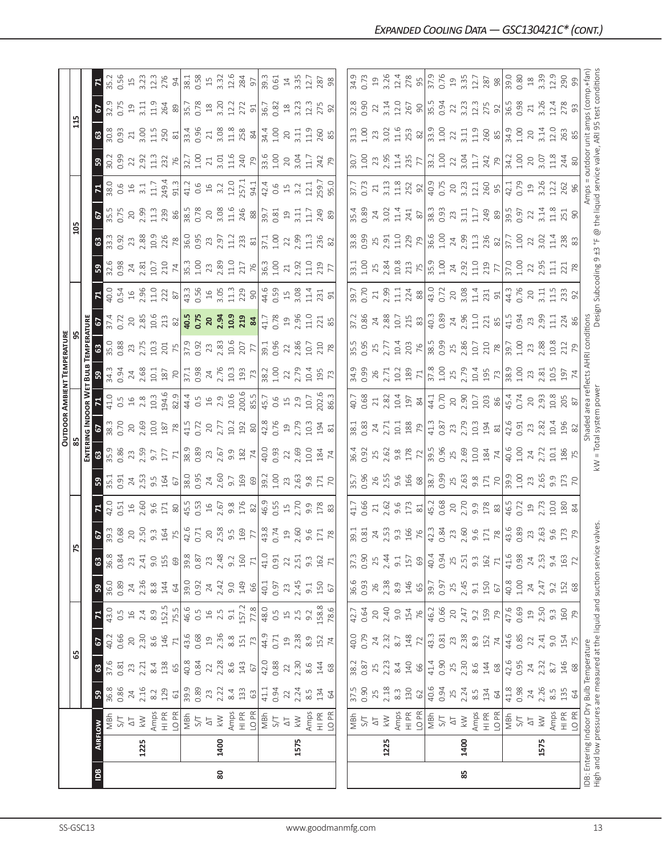|                |                |                                                                                                                   |                  |                 |                         |                  |                |                  |                                                                                                                    |                                     |                             |                         |                     |                                                           | OUTDOOR AMBIENT TEMPERATURE                                                                             |                                                                                                                           |                                                                |                                                                                                                     |                                                                                                 |                                    |                                                                                                          |                                                                                                                                                                                                                                |                                                                    |                                                                                                      |                         |                               |
|----------------|----------------|-------------------------------------------------------------------------------------------------------------------|------------------|-----------------|-------------------------|------------------|----------------|------------------|--------------------------------------------------------------------------------------------------------------------|-------------------------------------|-----------------------------|-------------------------|---------------------|-----------------------------------------------------------|---------------------------------------------------------------------------------------------------------|---------------------------------------------------------------------------------------------------------------------------|----------------------------------------------------------------|---------------------------------------------------------------------------------------------------------------------|-------------------------------------------------------------------------------------------------|------------------------------------|----------------------------------------------------------------------------------------------------------|--------------------------------------------------------------------------------------------------------------------------------------------------------------------------------------------------------------------------------|--------------------------------------------------------------------|------------------------------------------------------------------------------------------------------|-------------------------|-------------------------------|
|                |                |                                                                                                                   |                  | ය               |                         |                  |                | 75               |                                                                                                                    |                                     |                             |                         |                     |                                                           |                                                                                                         |                                                                                                                           |                                                                |                                                                                                                     |                                                                                                 | $\frac{20}{2}$                     |                                                                                                          |                                                                                                                                                                                                                                |                                                                    | $\mathbf{1}$                                                                                         |                         |                               |
|                |                |                                                                                                                   |                  |                 |                         |                  |                |                  |                                                                                                                    |                                     |                             | Enteri                  | NG INDOOR W         |                                                           | Бu                                                                                                      |                                                                                                                           |                                                                |                                                                                                                     |                                                                                                 |                                    |                                                                                                          |                                                                                                                                                                                                                                |                                                                    |                                                                                                      |                         |                               |
| $\overline{a}$ | <b>AIRFLOW</b> |                                                                                                                   | ${\tt S}$        | $\mathbbmss{3}$ | $\mathbf{c}$            | $\mathbf{z}$     | $\mathbf{a}$   | ය                | $\frac{67}{39.3}$                                                                                                  |                                     | ះ                           | $\boldsymbol{3}$        |                     |                                                           | នី                                                                                                      |                                                                                                                           |                                                                |                                                                                                                     | ၛၟ                                                                                              |                                    | <b>67</b><br>35.56                                                                                       | $\frac{1}{380}$                                                                                                                                                                                                                | <u>ន</u> ា                                                         |                                                                                                      | 6                       |                               |
|                |                | MBh                                                                                                               | 36.8             | 37.6            | 40.2                    | 43.0             | 36.0           | 36.8             |                                                                                                                    | 42.0                                | 35.1                        | 35.9                    | 38.3                | 41.0                                                      | 34.3<br>0.94                                                                                            | $\frac{1}{35.0}$                                                                                                          | 37.4<br>0.72                                                   | $\frac{40.54}{0.54}$                                                                                                | 32.6<br>0.98                                                                                    | $33.3$<br>0.92                     |                                                                                                          |                                                                                                                                                                                                                                | 30.2<br>0.99                                                       | 30.8<br>0.93                                                                                         | $\frac{1}{32.9}$        | 35.2                          |
|                |                | $\overline{\Delta}$<br>5/7                                                                                        | 0.86<br>24       | 0.81<br>23      | 0.66<br>$\overline{20}$ | 0.5              | 0.89<br>$24\,$ | 0.84<br>23       | 0.68                                                                                                               | 0.51                                | 0.91                        | 0.86                    | 0.70<br>20          | $16$<br>0.5                                               |                                                                                                         |                                                                                                                           | $\gtrsim$                                                      |                                                                                                                     |                                                                                                 |                                    |                                                                                                          |                                                                                                                                                                                                                                | 22                                                                 | $21\,$                                                                                               | 0.75<br>$\overline{19}$ | $15$                          |
|                | 1225           | $\geqslant$                                                                                                       | 2.16             | 2.21            | 2.30                    | 2.4              | 2.36           | 2.41             |                                                                                                                    | $16$<br>$2.60$                      | $24$<br>$2.53$              | 23<br>2.59              | 2.69                | 2.8                                                       | $24$<br>$2.68$<br>$10.1$<br>$187$                                                                       | 23<br>2.75                                                                                                                | 2.85                                                           | $16$<br>$2.96$                                                                                                      | $\frac{24}{2.81}$                                                                               | 23<br>2.88                         | 2.99                                                                                                     | $16$<br>$3.1$<br>$11.7$<br>$149.4$                                                                                                                                                                                             | 2.92                                                               | 3.OO                                                                                                 | 3.11                    |                               |
|                |                |                                                                                                                   | 8.2              | 8.4             | $8.6$                   | 8.9              | $8.8$          | 9.0              |                                                                                                                    | 9.6                                 |                             | 9.7                     |                     | 10.3                                                      |                                                                                                         | 10.3                                                                                                                      |                                                                |                                                                                                                     |                                                                                                 |                                    |                                                                                                          |                                                                                                                                                                                                                                | 11.3                                                               | 11.5                                                                                                 | 11.9                    | $3.23$<br>12.3                |
|                |                | Amps<br>HI PR                                                                                                     | 129              | 138             | 146                     | 152.5            | 144            | 155              | $20$<br>$2.50$<br>$9.3$<br>$164$<br>$75$<br>$72.6$<br>$16.71$                                                      | 171                                 | $9.5$<br>164                | 177                     | $\frac{10.0}{187}$  | 194.6<br>82.9                                             |                                                                                                         | 201                                                                                                                       | $\frac{10.6}{213}$                                             | $\frac{11.0}{22}$                                                                                                   | $\begin{array}{c c}\n10.7 & 10.8 \\ 210 & 10.8 \\ 74 & 10.8 \\ 10.8 & 2.8 \\ 11.0\n\end{array}$ | 10.9<br>226                        | 11.3<br>239                                                                                              |                                                                                                                                                                                                                                | 232                                                                | 250                                                                                                  | 264                     | 276                           |
|                |                | LO PR                                                                                                             | $61\,$           | 65              | $71\,$                  | 75.5             | 64             | $69$             |                                                                                                                    | $80$                                | 67                          | 71                      |                     |                                                           | $\overline{70}$                                                                                         |                                                                                                                           |                                                                |                                                                                                                     |                                                                                                 | 78                                 | 86                                                                                                       | 91.3                                                                                                                                                                                                                           | 76                                                                 | $\approx$                                                                                            | $89$                    | $\overline{6}$                |
|                |                | NBH<br>S/T                                                                                                        | 89.9<br>0.89     | 40.8            | 43.6                    | 46.6<br>0.5      | 39.0           | 39.8             |                                                                                                                    | $45.5$<br>0.53<br>16<br>2.67<br>9.8 |                             | $38.9$<br>$0.89$        | 41.5<br>0.72        |                                                           | 37.1<br>0.98                                                                                            | 37.9<br>0.92<br>2.83<br>2.83                                                                                              | 40.5<br>0.75                                                   |                                                                                                                     |                                                                                                 | $36.95$<br>0.95<br>2.97<br>2.97    | 38.5<br>0.78<br>20<br>3.08<br>11.6                                                                       |                                                                                                                                                                                                                                | $\begin{array}{c} 32.7 \\ 1.00 \\ 2.1 \\ 3.01 \\ 1.16 \end{array}$ | 33.4<br>0.96                                                                                         | 35.7<br>0.78            |                               |
|                |                |                                                                                                                   |                  | 0.84            | 0.68                    |                  | 0.92           | 0.87             |                                                                                                                    |                                     |                             |                         |                     |                                                           |                                                                                                         |                                                                                                                           |                                                                |                                                                                                                     |                                                                                                 |                                    |                                                                                                          |                                                                                                                                                                                                                                |                                                                    |                                                                                                      |                         |                               |
|                |                | $\overline{\Delta}$                                                                                               | 23               | $22$<br>$2.28$  | $\overline{19}$         | $\frac{16}{2}$   | 24             | 23               |                                                                                                                    |                                     |                             |                         |                     |                                                           |                                                                                                         |                                                                                                                           |                                                                |                                                                                                                     |                                                                                                 |                                    |                                                                                                          |                                                                                                                                                                                                                                |                                                                    | 21                                                                                                   | $^{28}$                 |                               |
| 80             | 1400           | $\geqslant$                                                                                                       | 2.22             |                 | 2.36                    | 2.5              | 2.42           | 2.48             | 20<br>2.58                                                                                                         |                                     |                             | $23$<br>$2.67$          | $\frac{20}{2.77}$   |                                                           |                                                                                                         |                                                                                                                           |                                                                |                                                                                                                     |                                                                                                 |                                    |                                                                                                          |                                                                                                                                                                                                                                |                                                                    | 3.08                                                                                                 | 3.20<br>12.2            |                               |
|                |                | Amps                                                                                                              | 8.4              | $8.6$           | 8.8                     | 9.1              | 9.0            | 9.2              |                                                                                                                    |                                     | 38.0<br>0.95<br>2.60<br>9.7 | 9.9                     | 10.2                |                                                           |                                                                                                         |                                                                                                                           |                                                                |                                                                                                                     |                                                                                                 |                                    |                                                                                                          |                                                                                                                                                                                                                                |                                                                    | 11.8                                                                                                 |                         | 38.1<br>0.58<br>13.32<br>12.6 |
|                |                | HI PR                                                                                                             | 133              | $143$           | 151                     | 157.2            | 149            | 160              | $\frac{5}{9}$ $\frac{5}{9}$                                                                                        | 176                                 | $\frac{169}{900}$           | $\frac{182}{74}$        | $\frac{2}{8}$       | $44.5$<br>$0.5$<br>$10.9$<br>$0.006$<br>$0.5$<br>$0.3006$ | $24$<br>$2.76$<br>$193$<br>$79$                                                                         | 77<br>77                                                                                                                  | $20, 34$<br>$21, 34$<br>$21, 34$<br>$84$                       | $43.3$<br>$0.56$<br>$45$<br>$0.5$<br>$5$<br>$1.3$<br>$5$<br>$9$                                                     | 217                                                                                             | $\frac{23}{81}$                    | $\frac{246}{88}$ $\frac{8}{39}$ $\frac{3}{21}$                                                           | $41.3$ 6 $-$ 6 $-$ 6 $-$ 6 $-$ 6 $-$ 6 $-$ 6 $-$ 6 $-$ 6 $-$ 6 $-$ 6 $-$ 6 $-$ 6 $-$ 6 $-$ 6 $-$ 6 $-$ 6 $-$ 6 $-$ 6 $-$ 6 $-$ 6 $-$ 6 $-$ 6 $-$ 6 $-$ 6 $-$ 6 $-$ 6 $-$ 6 $-$ 6 $-$ 6 $-$ 6 $-$ 6 $-$ 6 $-$ 6 $-$ 6 $-$ 6 $-$ | $\frac{79}{23.6}$                                                  | 258                                                                                                  | 272                     | 284<br>97                     |
|                |                | LO <sub>PR</sub>                                                                                                  | 63               | 67              | 73                      | 77.8             | 66             | $\mathcal{V}1$   |                                                                                                                    |                                     |                             |                         |                     |                                                           |                                                                                                         |                                                                                                                           |                                                                |                                                                                                                     |                                                                                                 |                                    |                                                                                                          |                                                                                                                                                                                                                                |                                                                    | 84                                                                                                   | 91                      |                               |
|                |                | $\frac{L}{2}$                                                                                                     | 41.1             | 42.0            | 44.9                    | 48.0             | 40.1           | 41.0             | $\frac{8}{43.74}$                                                                                                  | $\frac{46.9}{6.55}$ 3.70            |                             | $\frac{6}{40}$          | $\frac{42.8}{0.76}$ | $45.7$<br>0.6<br>15<br>2.9<br>10.7                        | $\frac{38.2}{ }$                                                                                        | 39.1<br>0.96                                                                                                              | 41.7<br>0.78                                                   | 44.6<br>0.59<br>15<br>3.08<br>11.4                                                                                  | $\frac{36.3}{24.00}$                                                                            | $\frac{1}{37.1}$                   |                                                                                                          |                                                                                                                                                                                                                                |                                                                    | 34.4                                                                                                 | 36.7                    | 39.3                          |
|                |                |                                                                                                                   | 0.94             | 0.88            | 0.71                    | $0.\overline{5}$ | 0.97           | 0.91             |                                                                                                                    |                                     |                             |                         |                     |                                                           | 1.00                                                                                                    |                                                                                                                           |                                                                |                                                                                                                     |                                                                                                 |                                    |                                                                                                          |                                                                                                                                                                                                                                |                                                                    | 1.00                                                                                                 | 0.82                    | 0.61                          |
|                |                | $\overline{\Delta}$                                                                                               | $22\,$           | 22              | $\overline{19}$         | $\overline{15}$  | 23             | 22               | 19                                                                                                                 |                                     |                             | 22                      | $\overline{19}$     |                                                           | 22                                                                                                      | 22                                                                                                                        | $\Xi$                                                          |                                                                                                                     | 21                                                                                              | 22                                 | $\overline{19}$                                                                                          |                                                                                                                                                                                                                                | 20                                                                 | 20                                                                                                   | $18$                    |                               |
|                | 1575           | $\stackrel{\textstyle<}{\sim}$                                                                                    | 2.24             | 2.30            | 2.38                    | 2.5              | 2.45           | 2.51             | 2.60                                                                                                               |                                     |                             |                         | 2.79                |                                                           | 2.79                                                                                                    |                                                                                                                           |                                                                |                                                                                                                     | 2.92                                                                                            | 2.99                               | $\overline{5}$                                                                                           |                                                                                                                                                                                                                                | 3.04                                                               | 3.11                                                                                                 |                         | $14$<br>3.35<br>12.7          |
|                |                | Amps                                                                                                              | $\frac{5}{8}$    | 8.6             | 8.9                     | 9.2              | 9.1            | $9.\overline{3}$ | 9.6                                                                                                                | 9.9                                 |                             | 2.69<br>10.0            | 10.3                |                                                           |                                                                                                         | 2.86<br>10.7                                                                                                              | $2.96$<br>11.0                                                 |                                                                                                                     | 11.0                                                                                            |                                    | $\Xi$                                                                                                    |                                                                                                                                                                                                                                | $\Xi$                                                              | $\frac{9}{11}$                                                                                       | $3.23$<br>$12.3$        |                               |
|                |                | $\frac{R}{I}$                                                                                                     | 134              | 144             | 152                     | 158.8            | 150            | 162              | 171                                                                                                                | 178                                 | 171                         | 184                     | 194                 | .02.6                                                     | 10.4<br>195                                                                                             | 210                                                                                                                       | 221                                                            | 231                                                                                                                 | 219                                                                                             | $\frac{13}{236}$                   | 249                                                                                                      |                                                                                                                                                                                                                                | 242                                                                | 260                                                                                                  | 275                     | 287                           |
|                |                | LO PR                                                                                                             | 64               | 68              | $\overline{7}$          | 78.6             | 67             | 71               | $78$                                                                                                               | 83                                  | $\overline{C}$              |                         | 81                  | 86.3                                                      |                                                                                                         |                                                                                                                           |                                                                |                                                                                                                     |                                                                                                 |                                    |                                                                                                          | -59.0<br>95.0                                                                                                                                                                                                                  | 79                                                                 | 85                                                                                                   | 92                      | 98                            |
|                |                |                                                                                                                   |                  |                 |                         |                  |                |                  |                                                                                                                    |                                     |                             |                         |                     |                                                           |                                                                                                         |                                                                                                                           |                                                                |                                                                                                                     |                                                                                                 |                                    |                                                                                                          |                                                                                                                                                                                                                                |                                                                    |                                                                                                      |                         |                               |
|                |                |                                                                                                                   | 37.5             | 38.2            | 40.0                    | 42.7             | 36.6           | 37.3             | 39.1                                                                                                               | 41.7                                | 35.7                        | 36.4                    | 38.1                | 40.7                                                      | 34.9                                                                                                    | 35.5                                                                                                                      | 37.2                                                           | $-59.7$                                                                                                             |                                                                                                 |                                    | 35.4                                                                                                     |                                                                                                                                                                                                                                | $-30.7$                                                            | 31.3                                                                                                 | 32.8                    | 34.9                          |
|                |                | NBM<br>S/T                                                                                                        | 0.90             | 0.87            | 0.79                    | 0.64             | 0.93           | 0.90             | 0.81                                                                                                               | 0.66                                | 0.96                        | 0.92                    | 0.83                | 0.68                                                      | 0.99                                                                                                    |                                                                                                                           | 0.86                                                           | 0.70                                                                                                                | $-1.00$                                                                                         | 0.99                               | 0.89                                                                                                     | 0.73                                                                                                                                                                                                                           | 001                                                                | 1.00                                                                                                 | 0.90                    | 0.73                          |
|                |                |                                                                                                                   | 25               | 25              | $24\,$                  | $20$             | 26             | 25               |                                                                                                                    | 21                                  | 26                          | 25                      | $24\,$              |                                                           |                                                                                                         |                                                                                                                           | 24                                                             |                                                                                                                     | 25                                                                                              |                                    |                                                                                                          | 21                                                                                                                                                                                                                             |                                                                    | 23                                                                                                   | 22                      | $\overline{1}9$               |
|                | 1225           | $\frac{\Delta T}{\Delta \Delta}$                                                                                  | 2.18             | 2.23            | 2.32                    | 2.40             | 2.38           | 2.44             | $24$<br>$2.53$                                                                                                     | 2.62                                |                             | 2.62                    | 2.71                |                                                           |                                                                                                         | 2.77                                                                                                                      | 2.88                                                           | 2.39                                                                                                                |                                                                                                 |                                    | $24$ 3.02                                                                                                |                                                                                                                                                                                                                                | 23<br>2.95                                                         | 3.02<br>11.6                                                                                         | $3.14$<br>$12.0$        | $3.26$<br>12.4                |
|                |                | Amps                                                                                                              | $8.\overline{3}$ | $8.4\,$         | $8.7\,$                 | 0.6              | 8.9            | 9.1              | $9.\overline{3}$                                                                                                   | 9.6                                 |                             | $9.8$<br>178            | 10.1                |                                                           |                                                                                                         |                                                                                                                           | 10.7                                                           | $\frac{11}{21} \times 8$                                                                                            |                                                                                                 |                                    |                                                                                                          |                                                                                                                                                                                                                                | 11.4                                                               |                                                                                                      |                         |                               |
|                |                | HI PR<br>LO PR                                                                                                    | 130              | 140             |                         | 154              | 146            | 157              |                                                                                                                    | 173                                 |                             |                         |                     |                                                           |                                                                                                         |                                                                                                                           |                                                                |                                                                                                                     |                                                                                                 |                                    | 241                                                                                                      |                                                                                                                                                                                                                                | 235                                                                | 253                                                                                                  | 267                     | 278                           |
|                |                |                                                                                                                   | $62$             | 66              | $148$ $72$              | 76               | 65             | $69$             | 166                                                                                                                | $\approx$                           | $2.56$ $9.68$               | $\overline{z}$          | 188                 | $23.82$<br>$10.4$<br>$197$<br>$84$                        | $\begin{array}{c}\n 26 \\  2.71 \\  10.2 \\  189 \\  71 \\  \hline\n 37.8 \\  1.00 \\  1.\n\end{array}$ | $\frac{203}{76}$                                                                                                          | 215                                                            |                                                                                                                     | $2.84$<br>10.8<br>213<br>$\frac{1}{35.9}$                                                       | $2.91$<br>$2.91$<br>$2.99$<br>$79$ |                                                                                                          | $\frac{3.13}{11.8}$                                                                                                                                                                                                            | $\overline{7}$                                                     | $\frac{8}{2}$                                                                                        | $90\over 15.5$<br>0.94  | 55                            |
|                |                | MBh                                                                                                               | 40.6             | 41.4            | 43.3                    | 46.2             | 39.7           | 40.4             | 42.3                                                                                                               | 45.2                                | 38.7                        | 39.5<br>0.96            | 41.3<br>0.87        | 44.1<br>0.70                                              |                                                                                                         | 38.5<br>0.99                                                                                                              | 40.3<br>0.89                                                   | $\frac{1}{4}$<br>$\frac{3}{2}$<br>$\frac{2}{3}$<br>$\frac{3}{2}$<br>$\frac{3}{2}$<br>$\frac{3}{2}$<br>$\frac{3}{2}$ |                                                                                                 | 36.6<br>1.00                       |                                                                                                          |                                                                                                                                                                                                                                | 33.2                                                               | 33.9<br>1.00                                                                                         |                         | 37.9                          |
|                |                | 5/1                                                                                                               | 0.94             | 0.90            | 0.81                    | 0.66             | 0.97           | 0.94             | 0.84                                                                                                               |                                     | 0.99                        |                         |                     |                                                           |                                                                                                         |                                                                                                                           |                                                                |                                                                                                                     |                                                                                                 |                                    |                                                                                                          |                                                                                                                                                                                                                                | 1.00                                                               |                                                                                                      |                         | 0.76                          |
|                |                | $\overline{\Delta}$                                                                                               | 25               | $25$            | 23                      | $20$             | 25             | 25               |                                                                                                                    | 20                                  |                             | 25<br>2.69              | 23                  | $20$                                                      | 25<br>2.79                                                                                              |                                                                                                                           |                                                                |                                                                                                                     | 24<br>2.92                                                                                      | $24$<br>$2.99$                     |                                                                                                          |                                                                                                                                                                                                                                | 22                                                                 | 22                                                                                                   | 22                      | $\Xi$                         |
| 85             | 1400           | $\leqslant$                                                                                                       | 2.24             | 2.30            | 2.38                    | 2.47             | 2.45           | 2.51             |                                                                                                                    |                                     | $25$<br>$2.63$<br>$9.8$     |                         | 2.79                | 2.90                                                      |                                                                                                         |                                                                                                                           |                                                                |                                                                                                                     |                                                                                                 |                                    |                                                                                                          |                                                                                                                                                                                                                                | 3.04                                                               | 3.11                                                                                                 | 3.23                    | $3.35$<br>12.7                |
|                |                | Amps<br>HI PR                                                                                                     | $\frac{5}{8}$    | 8.6             | 8.9                     | 9.2              | 9.1            | $9.\overline{3}$ |                                                                                                                    |                                     |                             |                         | 10.3                |                                                           |                                                                                                         |                                                                                                                           |                                                                |                                                                                                                     |                                                                                                 |                                    |                                                                                                          |                                                                                                                                                                                                                                | 11.7                                                               | 11.9                                                                                                 | 12.3                    |                               |
|                |                |                                                                                                                   | 134              | 144             | 152                     | 159              | 150            | 162              |                                                                                                                    | 2.70<br>9.9<br>178                  | 171                         | $\frac{10.0}{184}$      | $\frac{194}{81}$    | $\frac{10.7}{203}$                                        | $\frac{10.4}{195}$                                                                                      |                                                                                                                           |                                                                | $\begin{bmatrix} 11.4 \\ 231 \\ 91 \end{bmatrix}$                                                                   | $\frac{13}{219}$                                                                                | $\frac{11.3}{236}$                 |                                                                                                          |                                                                                                                                                                                                                                | 242                                                                | 260                                                                                                  | 275                     | 287                           |
|                |                | LO PR                                                                                                             | 64               | $68$            | $\overline{7}$          | 79               | $\sqrt{6}$     | $\mathcal{L}$    |                                                                                                                    |                                     | $\overline{70}$             |                         |                     |                                                           |                                                                                                         |                                                                                                                           |                                                                |                                                                                                                     |                                                                                                 |                                    |                                                                                                          |                                                                                                                                                                                                                                | 79                                                                 |                                                                                                      | 92                      |                               |
|                |                | MBh                                                                                                               | 41.8             | 42.6            | 44.6                    | 47.6<br>0.69     | 40.8           | 41.6             | $\begin{array}{c}\n 23 \\  216 \\  33 \\  72 \\  8 \\  78 \\  89 \\  0.83 \\  745 \\  0.63 \\  2.63\n \end{array}$ | 46.5                                | 39.9                        | 40.6<br>1.00            | 42.6<br>0.91        | 45.4<br>0.74                                              | 38.9<br>1.00                                                                                            | $\begin{array}{c}\n 25 \\  2.86 \\  1.7 \\  2.10 \\  7.8 \\  7.8 \\  7.8 \\  7.0 \\  7.0 \\  1.00 \\  1.00\n \end{array}$ | $24$<br>$2.96$<br>$1.12$<br>$2.71$<br>$85$<br>$41.5$<br>$0.94$ | 44.3<br>0.76                                                                                                        | $\frac{10}{37.00}$                                                                              | 37.7<br>1.00                       | $\begin{array}{c}\n 38.3 \\  0.93 \\  2.7 \\  1.1 \\  2.4 \\  8 \\  8 \\  9 \\  1.5 \\  9\n \end{array}$ | 42.1<br>0.79                                                                                                                                                                                                                   | 34.2                                                               | 34.9                                                                                                 | 36.5<br>0.98            | 39.0<br>0.80                  |
|                |                | $5/1$                                                                                                             | 0.98             | 0.95            | 0.85                    |                  | $1.00$         | 0.98             |                                                                                                                    | 0.72                                | $\frac{5}{1}$               |                         |                     |                                                           |                                                                                                         |                                                                                                                           |                                                                |                                                                                                                     |                                                                                                 |                                    |                                                                                                          |                                                                                                                                                                                                                                | $\frac{8}{1}$                                                      | 1.00                                                                                                 |                         |                               |
|                |                | $\overline{\Delta}$                                                                                               | 24               | 24              | $22\,$                  | $\Xi$            | 24             | $24\,$           |                                                                                                                    | $19$<br>$2.73$                      | 23                          | 24                      | 23<br>2.82          | 2.93                                                      |                                                                                                         | 23                                                                                                                        | 23<br>2.99                                                     | $\frac{20}{3.11}$                                                                                                   |                                                                                                 | 22                                 | 22                                                                                                       | 19<br>3.26                                                                                                                                                                                                                     | 20                                                                 | 20                                                                                                   | $21\,$                  |                               |
|                | 1575           | $\leqslant$                                                                                                       | 2.26             | 2.32            | 2.41                    | 2.50             | 2.47           | 2.53             |                                                                                                                    |                                     | 2.65                        | 2.72                    |                     |                                                           | $23 \over 2.81$                                                                                         | 2.88                                                                                                                      |                                                                |                                                                                                                     | 2.95                                                                                            | 3.02                               | 3.14                                                                                                     |                                                                                                                                                                                                                                | 3.07                                                               | 3.14                                                                                                 | 3.26                    | $\frac{18}{3.39}$             |
|                |                | Amps                                                                                                              | $8.\overline{5}$ | $8.7\,$         | 9.0                     | $9.\overline{3}$ | 9.2            | 9.4              |                                                                                                                    | 0.01                                | 9.9                         | $\overline{5}$          | 10.4                | 10.8                                                      | 10.5                                                                                                    | 10.8                                                                                                                      | $\Xi$                                                          | $\frac{15}{11}$                                                                                                     | 글                                                                                               |                                    | $\frac{8}{11}$                                                                                           | 12.2                                                                                                                                                                                                                           | 1.8                                                                | 12.0                                                                                                 | 12.4                    | 12.9                          |
|                |                | $\begin{array}{c}\n\infty \\ \hline\n\equiv\n\end{array}$                                                         | 135              | 146             | 154                     | 160              | 152            | 163              | 9.5<br>173<br>79                                                                                                   | $rac{180}{84}$                      | 173                         | $\frac{186}{75}$        | 196                 | 205                                                       | 197                                                                                                     | 212                                                                                                                       | 224<br>86                                                      | 233<br>92                                                                                                           | 221                                                                                             | 238<br>83                          | 251<br>90                                                                                                | 262                                                                                                                                                                                                                            | 244                                                                | 263                                                                                                  | 278                     | 290                           |
|                |                | LO <sub>PR</sub>                                                                                                  | 64               | $68$            | 75                      | 79               | 68             | $\mathcal{L}$    |                                                                                                                    |                                     | $\overline{C}$              |                         |                     |                                                           |                                                                                                         |                                                                                                                           |                                                                |                                                                                                                     |                                                                                                 |                                    |                                                                                                          |                                                                                                                                                                                                                                |                                                                    |                                                                                                      |                         |                               |
|                |                | High and low pressures are measured at the liquid and suction servic<br>IDB: Entering Indoor Dry Bulb Temperature |                  |                 |                         |                  |                |                  | e valves                                                                                                           |                                     |                             | kW = Total system power | Shaded              |                                                           | area reflects AHRI                                                                                      | conditions                                                                                                                |                                                                |                                                                                                                     |                                                                                                 |                                    |                                                                                                          | Amps                                                                                                                                                                                                                           | outdoor                                                            | Design Subcooling 9 ±3 °F @ the liquid service valve, ARI 95 test condition:<br>unit amps (comp.+fan |                         |                               |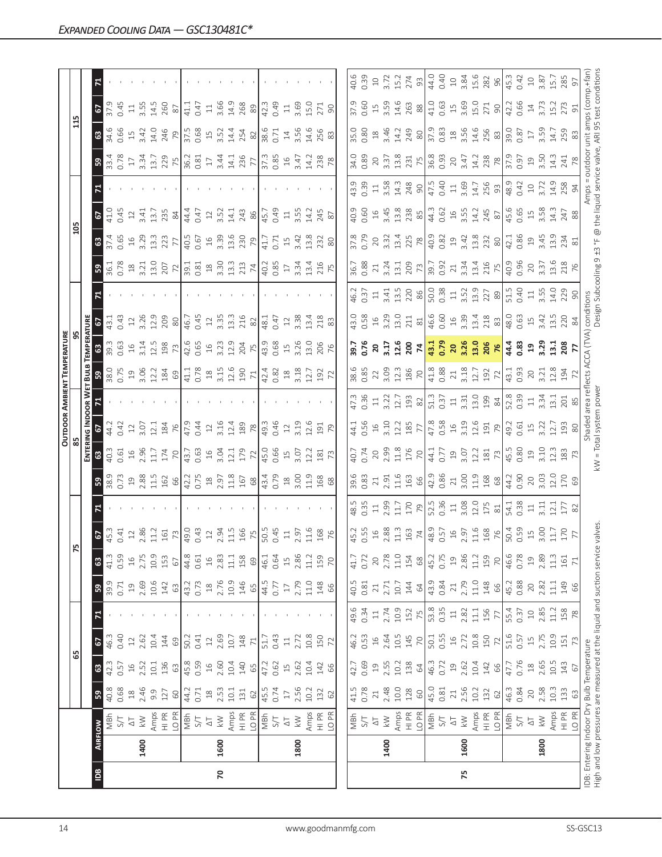|            |      |                                                                                                                  |                                                   |                   |                        |                |                 |                       |                                                   |                        |                                                          |                                                                                                  |                                                                                                                                                          |                     | <b>OUTDOOR AMBIENT TEMPERATURE</b>                                                                                                                                 |                                    |                                                                                                                    |                                                                                                                                                                                                                                                                                                                                                                                                    |                                                                                                                                                                                                                                                                                                               |                                                                                                                                                                                                                                                                                                 |                                                                |                   |                                                                                                    |                                                                                                           |                                             |                     |
|------------|------|------------------------------------------------------------------------------------------------------------------|---------------------------------------------------|-------------------|------------------------|----------------|-----------------|-----------------------|---------------------------------------------------|------------------------|----------------------------------------------------------|--------------------------------------------------------------------------------------------------|----------------------------------------------------------------------------------------------------------------------------------------------------------|---------------------|--------------------------------------------------------------------------------------------------------------------------------------------------------------------|------------------------------------|--------------------------------------------------------------------------------------------------------------------|----------------------------------------------------------------------------------------------------------------------------------------------------------------------------------------------------------------------------------------------------------------------------------------------------------------------------------------------------------------------------------------------------|---------------------------------------------------------------------------------------------------------------------------------------------------------------------------------------------------------------------------------------------------------------------------------------------------------------|-------------------------------------------------------------------------------------------------------------------------------------------------------------------------------------------------------------------------------------------------------------------------------------------------|----------------------------------------------------------------|-------------------|----------------------------------------------------------------------------------------------------|-----------------------------------------------------------------------------------------------------------|---------------------------------------------|---------------------|
|            |      |                                                                                                                  |                                                   |                   | 59                     |                |                 |                       | $\overline{5}$                                    |                        |                                                          |                                                                                                  |                                                                                                                                                          |                     |                                                                                                                                                                    |                                    |                                                                                                                    |                                                                                                                                                                                                                                                                                                                                                                                                    |                                                                                                                                                                                                                                                                                                               | 105                                                                                                                                                                                                                                                                                             |                                                                |                   |                                                                                                    | 115                                                                                                       |                                             |                     |
|            |      |                                                                                                                  |                                                   |                   |                        |                |                 |                       |                                                   |                        |                                                          | ENTERI                                                                                           | NG INDOOR W                                                                                                                                              |                     | BulB                                                                                                                                                               | EMPERATURE                         |                                                                                                                    |                                                                                                                                                                                                                                                                                                                                                                                                    |                                                                                                                                                                                                                                                                                                               |                                                                                                                                                                                                                                                                                                 |                                                                |                   |                                                                                                    |                                                                                                           |                                             |                     |
| <b>Sal</b> |      | <b>AIRFLOW</b>                                                                                                   | ${\tt S}$                                         | ය                 | 2                      |                | ္တ              | ය                     | $rac{67}{453}$                                    |                        |                                                          | $\mathbf{G}$                                                                                     | $rac{67}{44.2}$                                                                                                                                          |                     |                                                                                                                                                                    |                                    |                                                                                                                    |                                                                                                                                                                                                                                                                                                                                                                                                    |                                                                                                                                                                                                                                                                                                               |                                                                                                                                                                                                                                                                                                 | 6                                                              |                   |                                                                                                    |                                                                                                           | 6                                           |                     |
|            |      | NBh                                                                                                              | 40.8                                              | 42.3              | 46.3                   |                | 39.9            | 41.3                  |                                                   |                        | 38.9                                                     | 40.3                                                                                             |                                                                                                                                                          |                     | 38.0                                                                                                                                                               | 39.3                               | 43.1                                                                                                               |                                                                                                                                                                                                                                                                                                                                                                                                    |                                                                                                                                                                                                                                                                                                               |                                                                                                                                                                                                                                                                                                 | 41.0                                                           |                   |                                                                                                    | 34.6                                                                                                      | 37.9                                        |                     |
|            |      | 5/1                                                                                                              | 0.68                                              | 0.57              | 0.40                   |                | 0.71            | 0.59                  | 0.41                                              |                        | 0.73                                                     | 0.61                                                                                             | 0.42                                                                                                                                                     |                     | 0.75                                                                                                                                                               | 0.63                               | 0.43                                                                                                               |                                                                                                                                                                                                                                                                                                                                                                                                    |                                                                                                                                                                                                                                                                                                               | 0.65                                                                                                                                                                                                                                                                                            | 0.45                                                           |                   |                                                                                                    | 0.66                                                                                                      | 0.45                                        |                     |
|            |      | $\gtrsim$                                                                                                        | $\ensuremath{\mathop{\boxtimes}\limits^{\infty}}$ | $\frac{1}{6}$     | $\supseteq$            |                | $\overline{c}$  | $\frac{16}{1}$        | $\frac{12}{2.86}$                                 |                        |                                                          | $16$                                                                                             | $\overline{\mathfrak{u}}$                                                                                                                                |                     | $\Xi$                                                                                                                                                              | $16$                               | $12\,$                                                                                                             |                                                                                                                                                                                                                                                                                                                                                                                                    | $\begin{array}{c} 0.78 \\ 2.31 \\ 3.130 \\ 13.07 \\ 207 \\ \end{array}$                                                                                                                                                                                                                                       | $16$                                                                                                                                                                                                                                                                                            | $12\,$                                                         |                   | $33.4$<br>0.78<br>17<br>3.34<br>13.7                                                               | $15$                                                                                                      | $\Xi$                                       |                     |
|            | 1400 | $\lesssim$                                                                                                       | 2.46                                              | 2.52              | 2.62                   |                | 2.69            | 2.75                  |                                                   |                        |                                                          | 2.96                                                                                             | $3.07$<br>$12.1$                                                                                                                                         |                     | $3.06$<br>12.2                                                                                                                                                     | 3.14                               | 3.26                                                                                                               |                                                                                                                                                                                                                                                                                                                                                                                                    |                                                                                                                                                                                                                                                                                                               | 3.29                                                                                                                                                                                                                                                                                            | 3.41                                                           |                   |                                                                                                    | 3.42                                                                                                      | 3.55                                        |                     |
|            |      | Amps                                                                                                             | 9.9                                               | 10.1              | 10.4                   |                | 10.6            | 10.9                  | $\overline{11}$                                   |                        |                                                          |                                                                                                  |                                                                                                                                                          |                     |                                                                                                                                                                    | $12.5$<br>$198$                    | 12.9                                                                                                               |                                                                                                                                                                                                                                                                                                                                                                                                    |                                                                                                                                                                                                                                                                                                               | 13.3                                                                                                                                                                                                                                                                                            | 13.7                                                           |                   |                                                                                                    | 14.0                                                                                                      | 14.5                                        |                     |
|            |      | HI PR<br>LO PR                                                                                                   | 127                                               | 136               | 144                    |                | 142             | 153<br>$67\,$         | 161                                               |                        |                                                          | 174                                                                                              | 184                                                                                                                                                      |                     | 184<br>69                                                                                                                                                          | 73                                 | 209                                                                                                                |                                                                                                                                                                                                                                                                                                                                                                                                    |                                                                                                                                                                                                                                                                                                               | 223                                                                                                                                                                                                                                                                                             | 235                                                            |                   | 229                                                                                                | 246                                                                                                       | 260<br>$\overline{8}$                       |                     |
|            |      |                                                                                                                  | GO                                                | 63                | 69                     |                | 63              |                       | 73                                                |                        |                                                          |                                                                                                  | 76                                                                                                                                                       |                     |                                                                                                                                                                    |                                    | $\rm 80$                                                                                                           |                                                                                                                                                                                                                                                                                                                                                                                                    |                                                                                                                                                                                                                                                                                                               |                                                                                                                                                                                                                                                                                                 | 84                                                             |                   | 75                                                                                                 | 79                                                                                                        |                                             |                     |
|            |      | MBh<br>5/7                                                                                                       | 44.2<br>0.71                                      | 45.8<br>0.59      | 50.2<br>0.41           |                | 43.2<br>0.73    | 44.8<br>0.61          | 49.0<br>0.43                                      |                        |                                                          | 43.7                                                                                             | $47.9$<br>0.44                                                                                                                                           |                     | 41.1<br>0.78                                                                                                                                                       | $42.6$<br>0.65<br>16               | 46.7<br>0.45                                                                                                       |                                                                                                                                                                                                                                                                                                                                                                                                    |                                                                                                                                                                                                                                                                                                               | $40.5$<br>0.67                                                                                                                                                                                                                                                                                  | 44.4<br>0.47                                                   |                   |                                                                                                    |                                                                                                           | 41.1<br>0.47                                |                     |
|            |      | $\overline{\sim}$                                                                                                | $^{28}$                                           | $16$              | $22$                   |                | $^{28}$         | $\frac{16}{1}$        | $12$                                              |                        |                                                          |                                                                                                  |                                                                                                                                                          |                     | $\frac{8}{10}$                                                                                                                                                     |                                    | $12$                                                                                                               |                                                                                                                                                                                                                                                                                                                                                                                                    |                                                                                                                                                                                                                                                                                                               | 16                                                                                                                                                                                                                                                                                              | $12\,$                                                         |                   |                                                                                                    |                                                                                                           | $\Xi$                                       |                     |
| 20         | 1600 | $\gtrapprox$                                                                                                     | 2.53                                              | 2.60              | 2.69                   |                | 2.76            | 2.83                  |                                                   |                        |                                                          |                                                                                                  |                                                                                                                                                          |                     |                                                                                                                                                                    | 3.23                               | 3.35                                                                                                               |                                                                                                                                                                                                                                                                                                                                                                                                    |                                                                                                                                                                                                                                                                                                               |                                                                                                                                                                                                                                                                                                 | 3.52                                                           |                   |                                                                                                    |                                                                                                           |                                             |                     |
|            |      | Amps                                                                                                             | 10.1                                              | $10.4\,$          | 10.7                   |                | 10.9            | $11.1\,$              | 2.94<br>11.5                                      |                        |                                                          | 0.63<br>16<br>17<br>17<br>17<br>17<br>17                                                         | $3.16$<br>$12.4$                                                                                                                                         |                     | $3.15$<br>$12.6$<br>$190$                                                                                                                                          | 12.9                               | 13.3                                                                                                               |                                                                                                                                                                                                                                                                                                                                                                                                    | $\begin{array}{c c c c c c c c c} \hline 1.1 & 0.02 & 0.03 & 0.03 & 0.03 & 0.03 & 0.03 & 0.03 & 0.03 & 0.03 & 0.03 & 0.03 & 0.03 & 0.03 & 0.03 & 0.03 & 0.03 & 0.03 & 0.03 & 0.03 & 0.03 & 0.03 & 0.03 & 0.03 & 0.03 & 0.03 & 0.03 & 0.03 & 0.03 & 0.03 & 0.03 & 0.03 & 0.$                                   | $\frac{339}{13.0}$                                                                                                                                                                                                                                                                              |                                                                |                   | $36.28$ $36.34 \div 36$ $37.4 \div 36$ $38.4 \div 36$ $39.4 \div 36$ $39.4 \div 36$ $39.4 \div 36$ | 37.5<br>0.68<br>3.52<br>3.54<br>254                                                                       | 3.66<br>14.9                                |                     |
|            |      | HI PR                                                                                                            | 131                                               | 140               | 148                    |                | 146             | 158                   |                                                   |                        |                                                          |                                                                                                  |                                                                                                                                                          |                     |                                                                                                                                                                    |                                    | 216                                                                                                                |                                                                                                                                                                                                                                                                                                                                                                                                    |                                                                                                                                                                                                                                                                                                               |                                                                                                                                                                                                                                                                                                 | 14.1<br>243                                                    |                   |                                                                                                    |                                                                                                           | 268                                         |                     |
|            |      | LO PR                                                                                                            | $62$                                              | 65                | $\mathbb{Z}$           |                | 65              | 69                    | 166                                               |                        |                                                          |                                                                                                  |                                                                                                                                                          |                     | $\,$ 71                                                                                                                                                            | 204                                | $82\,$                                                                                                             |                                                                                                                                                                                                                                                                                                                                                                                                    |                                                                                                                                                                                                                                                                                                               |                                                                                                                                                                                                                                                                                                 |                                                                |                   |                                                                                                    |                                                                                                           | $89$                                        |                     |
|            |      | NBh                                                                                                              | 45.5                                              | 47.2              | 51.7                   |                | 44.5            | 46.1                  | $\overline{50.5}$                                 |                        |                                                          | $\frac{72}{45.0}$                                                                                | $\frac{89}{78}$                                                                                                                                          |                     |                                                                                                                                                                    | $\frac{9}{43.68}$                  | 48.1                                                                                                               |                                                                                                                                                                                                                                                                                                                                                                                                    |                                                                                                                                                                                                                                                                                                               | 41.7                                                                                                                                                                                                                                                                                            | $rac{86}{45.7}$                                                |                   |                                                                                                    | $\frac{82}{38.6}$                                                                                         |                                             |                     |
|            |      | 5/7                                                                                                              | 0.74                                              | 0.62              | 0.43                   |                | 0.77            | 0.64                  | 0.45                                              |                        |                                                          | 0.66                                                                                             | 0.46                                                                                                                                                     |                     | 42.4<br>0.82                                                                                                                                                       |                                    | 0.47                                                                                                               |                                                                                                                                                                                                                                                                                                                                                                                                    |                                                                                                                                                                                                                                                                                                               | 0.71                                                                                                                                                                                                                                                                                            | 0.49                                                           |                   |                                                                                                    |                                                                                                           | 42.3<br>0.49                                |                     |
|            |      | $\overline{\triangle}$                                                                                           | $\Box$                                            | $\overline{\Box}$ | $\Xi$                  |                | $\overline{17}$ | 15                    | $\Xi$                                             |                        |                                                          | $15$                                                                                             |                                                                                                                                                          |                     | $\ensuremath{\mathop{\boxtimes}\limits^{\infty}}$                                                                                                                  | $\overline{15}$                    | $\ensuremath{\mathop{\mathop{\mathbf{2}}}}$                                                                        |                                                                                                                                                                                                                                                                                                                                                                                                    |                                                                                                                                                                                                                                                                                                               | $\overline{\phantom{a}}$                                                                                                                                                                                                                                                                        | $\Xi$                                                          |                   |                                                                                                    |                                                                                                           | $\Xi$                                       |                     |
|            | 1800 | $\geq$                                                                                                           | 2.56                                              | 2.62              | 2.72                   |                | 2.79            | 2.86                  | 2.97                                              |                        |                                                          | 3.07                                                                                             |                                                                                                                                                          |                     | 3.18                                                                                                                                                               | 3.26                               | 3.38                                                                                                               |                                                                                                                                                                                                                                                                                                                                                                                                    |                                                                                                                                                                                                                                                                                                               | 3.42                                                                                                                                                                                                                                                                                            | 3.55                                                           |                   |                                                                                                    |                                                                                                           | 3.69                                        |                     |
|            |      | Amps                                                                                                             | 10.2                                              | 10.4              | 10.8                   |                | $11.0$          | 11.2                  | 11.6                                              |                        | $\begin{array}{c} 18 \\ 3.00 \\ 11.9 \\ 168 \end{array}$ | 12.2                                                                                             | $3.19$<br>$12.6$                                                                                                                                         |                     | 12.7                                                                                                                                                               | 13.0                               | 13.4                                                                                                               |                                                                                                                                                                                                                                                                                                                                                                                                    |                                                                                                                                                                                                                                                                                                               | 13.8                                                                                                                                                                                                                                                                                            | 14.2                                                           |                   |                                                                                                    | $14$<br>$3.56$<br>$14.6$<br>$256$<br>$83$                                                                 | 15.0                                        |                     |
|            |      | $H1$ PR                                                                                                          | 132                                               | 142               | 150                    |                | 148             | 159                   | 168                                               |                        |                                                          |                                                                                                  | 191                                                                                                                                                      |                     |                                                                                                                                                                    | 206                                | 218                                                                                                                |                                                                                                                                                                                                                                                                                                                                                                                                    |                                                                                                                                                                                                                                                                                                               | 232                                                                                                                                                                                                                                                                                             | 245                                                            |                   |                                                                                                    |                                                                                                           | 271                                         |                     |
|            |      | LO PR                                                                                                            | $62\,$                                            | 66                | $\overline{z}$         |                | 66              | $\overline{7}$        | 76                                                |                        | 68                                                       | $\frac{181}{73}$                                                                                 |                                                                                                                                                          |                     | $192$<br>$72$                                                                                                                                                      |                                    |                                                                                                                    |                                                                                                                                                                                                                                                                                                                                                                                                    |                                                                                                                                                                                                                                                                                                               |                                                                                                                                                                                                                                                                                                 | $\approx$                                                      |                   | 78                                                                                                 |                                                                                                           | 90                                          |                     |
|            |      |                                                                                                                  |                                                   |                   |                        |                |                 |                       |                                                   |                        |                                                          |                                                                                                  |                                                                                                                                                          |                     |                                                                                                                                                                    |                                    |                                                                                                                    |                                                                                                                                                                                                                                                                                                                                                                                                    |                                                                                                                                                                                                                                                                                                               |                                                                                                                                                                                                                                                                                                 |                                                                |                   |                                                                                                    |                                                                                                           |                                             |                     |
|            |      | NBh                                                                                                              | 41.5                                              | 42.7              | 46.2                   | 49.6           | 40.5            | 41.7                  |                                                   |                        | 39.6                                                     | 40.74<br>0.74                                                                                    | 44.1                                                                                                                                                     |                     | 38.6                                                                                                                                                               | 39.7                               | 43.0                                                                                                               |                                                                                                                                                                                                                                                                                                                                                                                                    | 36.7                                                                                                                                                                                                                                                                                                          |                                                                                                                                                                                                                                                                                                 | 40.9                                                           |                   |                                                                                                    | 35.0                                                                                                      | 37.9                                        | 40.6                |
|            |      | 5/7                                                                                                              | 0.78                                              | 0.69              | 0.53                   | 0.34           | 0.81            | 0.72                  |                                                   | 0.35                   | 0.83                                                     |                                                                                                  | 0.56                                                                                                                                                     | 0.36                | 0.85                                                                                                                                                               | 0.76                               | 0.58                                                                                                               | 46.2<br>0.37<br>11                                                                                                                                                                                                                                                                                                                                                                                 | 0.88                                                                                                                                                                                                                                                                                                          | 0.79                                                                                                                                                                                                                                                                                            | $0.60$<br>16                                                   |                   |                                                                                                    |                                                                                                           | 0.60                                        | 0.39                |
|            |      | $\overline{\triangle}$                                                                                           | $21\,$                                            | $\overline{c}$    | $16$                   | $\Xi$          | $21\,$          | 20                    |                                                   | $\Xi$                  |                                                          |                                                                                                  | $\exists$                                                                                                                                                | $\Xi$               |                                                                                                                                                                    | 20                                 | $16$<br>$3.29$                                                                                                     |                                                                                                                                                                                                                                                                                                                                                                                                    |                                                                                                                                                                                                                                                                                                               | 20                                                                                                                                                                                                                                                                                              |                                                                |                   | 34.0<br>0.89<br>2.9<br>3.3,3<br>13.8                                                               | 0.80<br>18                                                                                                | $15$                                        | $\Box$              |
|            | 1400 | $\lesssim$                                                                                                       | 2.48                                              | 2.55              | 2.64                   | 2.74           | 2.71            | 2.78                  |                                                   | 2.99<br>11.7           |                                                          |                                                                                                  |                                                                                                                                                          |                     |                                                                                                                                                                    |                                    |                                                                                                                    |                                                                                                                                                                                                                                                                                                                                                                                                    |                                                                                                                                                                                                                                                                                                               | 3.32                                                                                                                                                                                                                                                                                            | $3.\overline{45}$<br>$13.\overline{8}$                         |                   |                                                                                                    | $3.46$<br>14.2                                                                                            | $3.59$<br>$14.6$                            |                     |
|            |      | Amps                                                                                                             | 10.0                                              | 10.2              | 10.5                   | 10.9           | 10.7            | $11.0$                | $45.2$<br>$0.55$ $\leq$ $0.88$<br>$2.31$<br>$163$ |                        |                                                          |                                                                                                  |                                                                                                                                                          | 3.22<br>12.7<br>193 |                                                                                                                                                                    |                                    | $13.0$<br>$211$                                                                                                    |                                                                                                                                                                                                                                                                                                                                                                                                    |                                                                                                                                                                                                                                                                                                               | 13.4                                                                                                                                                                                                                                                                                            |                                                                |                   |                                                                                                    |                                                                                                           |                                             | 3.72<br>15.2<br>274 |
|            |      | $\frac{P}{T}$                                                                                                    | 128                                               | 138               | 145                    | 152            | 144             | 154                   |                                                   | 170                    |                                                          | 29902378                                                                                         | $\frac{3.10}{12.3}$                                                                                                                                      |                     | $\frac{3.09}{12.3}$                                                                                                                                                | 3.17<br>12.6<br>70<br>74           |                                                                                                                    |                                                                                                                                                                                                                                                                                                                                                                                                    | $\begin{array}{c} 21 \\ 3.24 \\ 13.1 \\ 209 \\ \hline \end{array}$                                                                                                                                                                                                                                            | 225                                                                                                                                                                                                                                                                                             | 238                                                            |                   | 231                                                                                                | 249                                                                                                       | 263                                         |                     |
|            |      | LO PR                                                                                                            | $\mbox{S}$                                        | $\mathcal{Q}$     | 70                     | 75             | 64              | 68                    | $\overline{74}$                                   | 79                     |                                                          |                                                                                                  |                                                                                                                                                          | $\rm 82$            |                                                                                                                                                                    |                                    |                                                                                                                    |                                                                                                                                                                                                                                                                                                                                                                                                    |                                                                                                                                                                                                                                                                                                               |                                                                                                                                                                                                                                                                                                 | 85                                                             |                   |                                                                                                    | $80$                                                                                                      | 88                                          | 93                  |
|            |      | MBh                                                                                                              | 45.0                                              | 46.3              | 50.1                   | 53.8           | 43.9            | 45.2                  |                                                   | 52.5<br>0.36           |                                                          | 44.1<br>0.77                                                                                     |                                                                                                                                                          |                     |                                                                                                                                                                    |                                    |                                                                                                                    |                                                                                                                                                                                                                                                                                                                                                                                                    |                                                                                                                                                                                                                                                                                                               |                                                                                                                                                                                                                                                                                                 |                                                                |                   |                                                                                                    |                                                                                                           |                                             | 44.0                |
|            |      | 5/7                                                                                                              | 0.81                                              | 0.72              | 0.55                   | 0.35           | 0.84            | 0.75                  |                                                   |                        |                                                          |                                                                                                  |                                                                                                                                                          |                     |                                                                                                                                                                    |                                    |                                                                                                                    |                                                                                                                                                                                                                                                                                                                                                                                                    |                                                                                                                                                                                                                                                                                                               |                                                                                                                                                                                                                                                                                                 |                                                                |                   |                                                                                                    |                                                                                                           |                                             | 0.40                |
| 75         | 1600 | $\lesssim$<br>$\overline{\triangle}$                                                                             | 2.56<br>$21\,$                                    | 2.62<br>19        | 2.72<br>$\frac{16}{2}$ | 2.82<br>$\Xi$  | $\gtrsim$       | 2.86<br>$\frac{1}{2}$ |                                                   | $\Xi$                  |                                                          | $\begin{array}{c c} 19 & 0.01 & 0.01 \\ 0.01 & 0.01 & 0.01 \\ 0.01 & 0.01 & 0.01 \\ \end{array}$ | $\sqrt{47.88}$ $\frac{8}{3}$ $\frac{10}{3}$ $\frac{10}{2}$ $\frac{10}{2}$ $\frac{10}{2}$ $\frac{10}{49}$ $\frac{10}{49}$ $\frac{10}{49}$ $\frac{10}{10}$ |                     |                                                                                                                                                                    | 43.1<br>0.79<br>20 3.20 5<br>20 76 | $\begin{array}{c c}\n\hline\n81 & 60 \\ \hline\n46.6 & 1 \\ 0.60 & 1 \\ 3.3 & 1 \\ 7.1 & 8 \\ \hline\n\end{array}$ | $\begin{array}{c c c c c c} \multicolumn{4}{c }{3.41} & \multicolumn{4}{c }{5.41} & \multicolumn{4}{c }{5.42} & \multicolumn{4}{c }{5.41} & \multicolumn{4}{c }{5.41} & \multicolumn{4}{c }{5.41} & \multicolumn{4}{c }{5.41} & \multicolumn{4}{c }{5.41} & \multicolumn{4}{c }{5.41} & \multicolumn{4}{c }{5.41} & \multicolumn{4}{c }{5.41} & \multicolumn{4}{c }{5.41} & \multicolumn{4}{c }{5$ | $\begin{array}{c} 18.7 \\ 18.7 \\ 18.4 \\ 18.4 \\ 18.4 \\ 19.4 \\ 19.4 \\ 19.4 \\ 19.4 \\ 19.5 \\ 19.5 \\ 19.6 \\ 19.5 \\ 19.6 \\ 19.6 \\ 19.7 \\ 19.7 \\ 19.7 \\ 19.8 \\ 19.8 \\ 19.8 \\ 19.8 \\ 19.8 \\ 19.8 \\ 19.8 \\ 19.8 \\ 19.8 \\ 19.8 \\ 19.8 \\ 19.8 \\ 19.8 \\ 19.8 \\ 19.8 \\ 19.8 \\ 19.8 \\ 19$ | $\begin{bmatrix} 0.9 & 0.8 & 0.8 \\ 0.8 & 0.9 & 0.3 \\ 0.9 & 0.9 & 0.3 \\ 0.9 & 0.9 & 0.3 \\ 0.9 & 0.9 & 0.3 \\ 0.9 & 0.9 & 0.3 \\ 0.9 & 0.9 & 0.3 \\ 0.9 & 0.9 & 0.3 \\ 0.9 & 0.9 & 0.3 \\ 0.9 & 0.9 & 0.3 \\ 0.9 & 0.9 & 0.3 \\ 0.9 & 0.9 & 0.3 \\ 0.9 & 0.9 & 0.3 \\ 0.9 & 0.9 & 0.3 \\ 0.9$ | $44.3$<br>0.62 $\le$ 5.53 $\frac{2}{3}$ 5.74 $\frac{2}{3}$ 8.7 |                   | $\frac{75}{36.8}$<br>36.33<br>20<br>3.47<br>3.38                                                   | $\begin{array}{c}\n 37.9 \\  0.83 \\  2.56 \\  3.54 \\  6.8 \\  7.8 \\  8.9 \\  9.0 \\  87\n \end{array}$ | $41.0$<br>0.63<br>15.0<br>3.69<br>271<br>90 | $\Box$              |
|            |      | Amps                                                                                                             | 10.2                                              | 10.4              | 10.8                   | 11.1           | 2.79<br>$11.0$  | $11.2\,$              |                                                   |                        |                                                          |                                                                                                  |                                                                                                                                                          |                     |                                                                                                                                                                    |                                    |                                                                                                                    |                                                                                                                                                                                                                                                                                                                                                                                                    |                                                                                                                                                                                                                                                                                                               |                                                                                                                                                                                                                                                                                                 |                                                                |                   |                                                                                                    |                                                                                                           |                                             |                     |
|            |      | $\frac{\text{d} \Sigma}{\text{d} \Sigma}$                                                                        | 132                                               | 142               | 150                    | 156            | 148             | 159                   |                                                   | 3.08<br>12.0<br>175    |                                                          |                                                                                                  |                                                                                                                                                          |                     |                                                                                                                                                                    |                                    |                                                                                                                    |                                                                                                                                                                                                                                                                                                                                                                                                    |                                                                                                                                                                                                                                                                                                               |                                                                                                                                                                                                                                                                                                 |                                                                |                   |                                                                                                    |                                                                                                           |                                             | 3.84<br>15.6<br>282 |
|            |      | LO PR                                                                                                            | 62                                                | 66                | 72                     | 77             | 89              | 70                    |                                                   | $\frac{1}{\infty}$     |                                                          |                                                                                                  |                                                                                                                                                          |                     |                                                                                                                                                                    |                                    |                                                                                                                    |                                                                                                                                                                                                                                                                                                                                                                                                    |                                                                                                                                                                                                                                                                                                               |                                                                                                                                                                                                                                                                                                 |                                                                |                   |                                                                                                    |                                                                                                           |                                             |                     |
|            |      | NBh                                                                                                              | 46.3                                              | 47.7              | 51.6                   | 55.4           | 45.2            | 46.6                  |                                                   | 54.1<br>0.38           |                                                          |                                                                                                  |                                                                                                                                                          |                     | $43.1$<br>0.93                                                                                                                                                     | 44.4<br>0.83                       | 48.0                                                                                                               | $\begin{array}{c} 1.5 \\ 0.40 \\ 1.5 \\ 3.55 \end{array}$                                                                                                                                                                                                                                                                                                                                          |                                                                                                                                                                                                                                                                                                               | $\frac{42.1}{0.86}$                                                                                                                                                                                                                                                                             | $\frac{45.6}{0.65}$                                            |                   | $\frac{78}{97.9}$                                                                                  |                                                                                                           | 42.2<br>0.66                                | 45.3<br>0.42        |
|            |      | 5/1                                                                                                              | 0.84                                              | 0.76              | 0.57                   | 0.37           | 0.88            | 0.78                  |                                                   |                        |                                                          |                                                                                                  |                                                                                                                                                          |                     |                                                                                                                                                                    |                                    |                                                                                                                    |                                                                                                                                                                                                                                                                                                                                                                                                    |                                                                                                                                                                                                                                                                                                               |                                                                                                                                                                                                                                                                                                 |                                                                |                   |                                                                                                    |                                                                                                           |                                             |                     |
|            |      | $\overline{\triangle}$                                                                                           | 20                                                | $\frac{8}{18}$    | $15$                   | $\overline{a}$ | 20              | $\overline{19}$       |                                                   | $\frac{11}{3.11}$      | $\frac{20}{3.03}$                                        | $19$<br>3.10                                                                                     | $15$ 3.22                                                                                                                                                | $\frac{11}{3.34}$   | $\frac{20}{3.21}$                                                                                                                                                  | 19 <sub>3.29</sub>                 | $15$<br>3.42                                                                                                       |                                                                                                                                                                                                                                                                                                                                                                                                    |                                                                                                                                                                                                                                                                                                               | 19.45                                                                                                                                                                                                                                                                                           | 15 <sub>3.58</sub>                                             | $10^{10}$         | $\begin{array}{c} 2.50 \\ 3.50 \end{array}$                                                        | $17$<br>3.59                                                                                              | $14 \over 3.73$                             | $10^{10}$           |
|            | 1800 | $\geq$                                                                                                           | 2.58                                              | 2.65              | 2.75                   | 2.85           | 2.82            | 2.89                  |                                                   |                        |                                                          |                                                                                                  |                                                                                                                                                          |                     |                                                                                                                                                                    |                                    |                                                                                                                    |                                                                                                                                                                                                                                                                                                                                                                                                    |                                                                                                                                                                                                                                                                                                               |                                                                                                                                                                                                                                                                                                 |                                                                |                   |                                                                                                    |                                                                                                           |                                             |                     |
|            |      | Amps                                                                                                             | $10.3$                                            | 10.5              | 10.9                   | 11.2           | 111             | $11.3$                |                                                   |                        | 12.0                                                     |                                                                                                  | 12.7<br>193                                                                                                                                              | $13.1$<br>$201$     |                                                                                                                                                                    |                                    |                                                                                                                    | 14.0<br>229                                                                                                                                                                                                                                                                                                                                                                                        |                                                                                                                                                                                                                                                                                                               | 13.9                                                                                                                                                                                                                                                                                            |                                                                |                   | 14.3<br>241                                                                                        | 14.7<br>259                                                                                               |                                             | 15.7                |
|            |      | HI PR                                                                                                            | 133                                               | 143               | 151                    | 158            | 149             | 161                   |                                                   | $12.1$<br>$17$<br>$82$ | 170                                                      | $12.3$<br>$183$<br>$73$                                                                          |                                                                                                                                                          |                     | $12.8$<br>194                                                                                                                                                      | 13.1<br>208<br>77                  | $13.5$ $20$ $84$                                                                                                   |                                                                                                                                                                                                                                                                                                                                                                                                    | 13.6<br>218<br>76                                                                                                                                                                                                                                                                                             | 234                                                                                                                                                                                                                                                                                             | 14.3<br>247<br>88                                              | 14.9<br>258<br>94 |                                                                                                    |                                                                                                           | 15.2<br>273<br>91                           | 285                 |
|            |      | LO PR                                                                                                            | $63\,$                                            | 67                | 73                     | $78$           | 66              | 71                    |                                                   |                        |                                                          |                                                                                                  | 80                                                                                                                                                       |                     |                                                                                                                                                                    |                                    |                                                                                                                    |                                                                                                                                                                                                                                                                                                                                                                                                    |                                                                                                                                                                                                                                                                                                               |                                                                                                                                                                                                                                                                                                 |                                                                |                   |                                                                                                    | 83                                                                                                        |                                             |                     |
|            |      | High and low pressures are measured at the liquid and suction servic<br>DB: Entering Indoor Dry Bulb Temperature |                                                   |                   |                        |                |                 |                       | e valves                                          |                        |                                                          | $kW = Total system$                                                                              | Shaded                                                                                                                                                   |                     | Amps = outdoor unit amps = outdoor = Amps = outdoor unit amps (comp.+fan<br>m power = Design Subcooling 9 ±3 °F @ the liquid service valve. ARI 95 test condition: |                                    |                                                                                                                    |                                                                                                                                                                                                                                                                                                                                                                                                    |                                                                                                                                                                                                                                                                                                               |                                                                                                                                                                                                                                                                                                 |                                                                |                   |                                                                                                    |                                                                                                           |                                             |                     |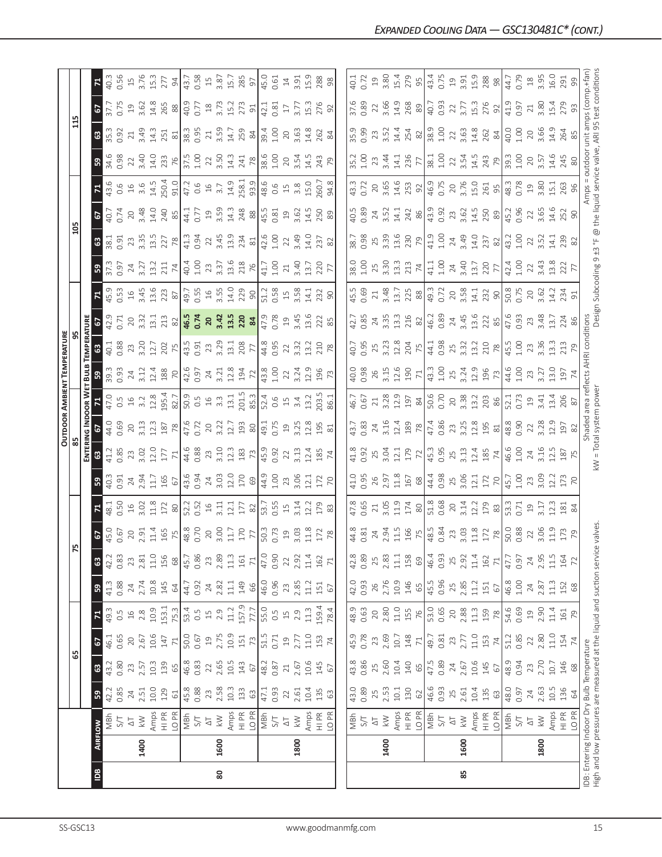|                                                                              |                |                         |              |              |                 |                |              |                           |                                                                                                                                                                                                                                                                                                                                                   |                                                 |                                     |                       | <b>OUTDOOR</b>          |                                                                                                        | AMBIENT TEMPERATURE |                              |                              |                                                                                                                                                                                     |                                                                                                                                                                                                                                                                                                     |                                   |                                                                    |                                                      |                          |                                                                              |                   |                          |
|------------------------------------------------------------------------------|----------------|-------------------------|--------------|--------------|-----------------|----------------|--------------|---------------------------|---------------------------------------------------------------------------------------------------------------------------------------------------------------------------------------------------------------------------------------------------------------------------------------------------------------------------------------------------|-------------------------------------------------|-------------------------------------|-----------------------|-------------------------|--------------------------------------------------------------------------------------------------------|---------------------|------------------------------|------------------------------|-------------------------------------------------------------------------------------------------------------------------------------------------------------------------------------|-----------------------------------------------------------------------------------------------------------------------------------------------------------------------------------------------------------------------------------------------------------------------------------------------------|-----------------------------------|--------------------------------------------------------------------|------------------------------------------------------|--------------------------|------------------------------------------------------------------------------|-------------------|--------------------------|
|                                                                              |                |                         |              | ය            |                 |                |              | 75                        |                                                                                                                                                                                                                                                                                                                                                   |                                                 |                                     |                       |                         |                                                                                                        |                     |                              |                              |                                                                                                                                                                                     |                                                                                                                                                                                                                                                                                                     | 105                               |                                                                    |                                                      |                          | $\mathbf{1}$                                                                 |                   |                          |
|                                                                              |                |                         |              |              |                 |                |              |                           |                                                                                                                                                                                                                                                                                                                                                   |                                                 |                                     | ENTERI                | as Ind                  | OOR W                                                                                                  | BULB                |                              |                              |                                                                                                                                                                                     |                                                                                                                                                                                                                                                                                                     |                                   |                                                                    |                                                      |                          |                                                                              |                   |                          |
| $\overline{B}$                                                               | <b>AIRFLOW</b> |                         | ${\tt S3}$   | ශී           | 2               | $\mathbf{r}$   | ${\tt S}$    | $\boldsymbol{\mathbb{S}}$ | 2                                                                                                                                                                                                                                                                                                                                                 | Σ.                                              | ္ဗ                                  | <u>ය</u>              | 5                       |                                                                                                        |                     |                              |                              |                                                                                                                                                                                     | ၛၟ                                                                                                                                                                                                                                                                                                  | ස                                 | e,                                                                 | $\frac{71}{43.6}$                                    | ္ဗ                       | $\boldsymbol{\mathsf{s}}$                                                    | 5                 |                          |
|                                                                              |                | MBh                     | 42.2         | 43.2         | 46.1            | 49.3           | 41.3         | 42.2                      | 45.0                                                                                                                                                                                                                                                                                                                                              | 48.1                                            | 40.3                                | 41.2                  | 44.0                    | 47.0                                                                                                   | 39.3<br>0.93        | 40.1                         | 42.9                         | 45.9                                                                                                                                                                                |                                                                                                                                                                                                                                                                                                     | 38.1                              | 40.7                                                               |                                                      | 34.6<br>0.98             | 35.3                                                                         | 37.7              | 40.3                     |
|                                                                              |                | 5/1                     | 0.85         | 0.80         | 0.65            | 0.5            | 0.88         | 0.83                      | 0.67                                                                                                                                                                                                                                                                                                                                              | 0.50                                            | 0.91                                | 0.85                  | 0.69                    | $0.5$ 16 $3.2$                                                                                         |                     | 0.88                         | 0.71                         |                                                                                                                                                                                     | 0.97                                                                                                                                                                                                                                                                                                | 0.91                              | 0.74                                                               |                                                      |                          | 0.92                                                                         | 0.75              | 0.56                     |
|                                                                              |                | $\overline{\sim}$       | 24           | 23           | 20              | 16             | 24           | 2.81<br>23                | 2.91                                                                                                                                                                                                                                                                                                                                              | 3.02<br>$\frac{1}{6}$                           | 2.94                                | 23                    | 3.13<br>$20$            |                                                                                                        | 3.12<br>24          | 3.20<br>23                   | $\frac{20}{3.32}$            | $16$<br>3.45                                                                                                                                                                        | $rac{24}{3.27}$                                                                                                                                                                                                                                                                                     | $23$                              | 20                                                                 |                                                      | $22$<br>$3.40$<br>$14.0$ | $\gtrsim$                                                                    | $\overline{c}$    | 3.76<br>$15$             |
|                                                                              | 1400           | $\geqslant$             | 10.0<br>2.51 | 10.3<br>2.57 | 10.6<br>2.67    | 10.9<br>2.8    | 2.74<br>10.8 | $11.0$                    |                                                                                                                                                                                                                                                                                                                                                   |                                                 |                                     | 12.0<br>3.02          | 12.3                    | $12.8\,$                                                                                               |                     | 12.7                         | 13.1                         |                                                                                                                                                                                     | 13.2                                                                                                                                                                                                                                                                                                | 3.35<br>13.5                      | 3.48<br>14.0                                                       |                                                      |                          | 3.49<br>14.3                                                                 | 14.8<br>3.62      | 15.3                     |
|                                                                              |                | Amps<br>HI PR           | 129          | 139          | 147             | 153.1          | 145          | 156                       | $\begin{array}{c}\n 11.4 \\  155 \\  758 \\  830 \\  0.70 \\  3.0 \\  11.7\n \end{array}$                                                                                                                                                                                                                                                         | $\begin{array}{c} 1.3 \\ 1.7 \\ 80 \end{array}$ | $11.7$<br>$50$                      |                       | 187                     |                                                                                                        | $\frac{13.4}{188}$  |                              | 213                          | $13.6$<br>$223$<br>$87$                                                                                                                                                             | 211                                                                                                                                                                                                                                                                                                 | 227                               | 240                                                                |                                                      | 233                      | 251                                                                          | 265               | 277                      |
|                                                                              |                | LO <sub>PR</sub>        | 61           | 65           | $\overline{71}$ | 75.3           | 64           | 68                        |                                                                                                                                                                                                                                                                                                                                                   |                                                 |                                     | $rac{177}{71}$        | 78                      |                                                                                                        |                     | 202                          | $82\,$                       |                                                                                                                                                                                     | 74                                                                                                                                                                                                                                                                                                  | 78                                | 85                                                                 |                                                      |                          | $81$                                                                         | $88$              | $\overline{6}$           |
|                                                                              |                | MBh                     | 45.8         | 46.8         | 50.0            | 53.4           | 44.7         | 45.7                      |                                                                                                                                                                                                                                                                                                                                                   |                                                 |                                     |                       |                         |                                                                                                        |                     |                              |                              |                                                                                                                                                                                     |                                                                                                                                                                                                                                                                                                     |                                   |                                                                    |                                                      | $\frac{76}{37.5}$        |                                                                              |                   | 43.7                     |
|                                                                              |                | 5/7                     | 0.88         | 0.83         | 0.67            | 0.5            | 0.92         | 0.86                      |                                                                                                                                                                                                                                                                                                                                                   |                                                 | 43.6<br>0.94                        | 44.6<br>0.88          | 47.6<br>0.72            |                                                                                                        | 42.6<br>0.97        | $43.5$<br>0.91<br>23<br>3.29 | $\sqrt{46.5}$                |                                                                                                                                                                                     |                                                                                                                                                                                                                                                                                                     | 41.3<br>0.94                      | 44.1<br>0.77                                                       |                                                      |                          | 38.3<br>0.95                                                                 | 40.9<br>0.77      |                          |
|                                                                              |                | $\overline{\triangle}$  | 23           | 22           | $\overline{0}$  | $\Xi$          | 24           | 23                        |                                                                                                                                                                                                                                                                                                                                                   |                                                 |                                     |                       |                         |                                                                                                        |                     |                              |                              |                                                                                                                                                                                     |                                                                                                                                                                                                                                                                                                     | 22                                |                                                                    |                                                      |                          | $\sqrt{2}$                                                                   |                   | $0.58$<br>$15$<br>$3.87$ |
| 80                                                                           | 1600           | $\leqslant$             | 2.58         | 2.65         | 2.75            | 2.9            | 2.82         | 2.89                      |                                                                                                                                                                                                                                                                                                                                                   | $\frac{52.2}{15}$<br>$\frac{52}{11}$            |                                     | 23<br>3.10            | $rac{20}{3.22}$         |                                                                                                        | $\frac{24}{3.21}$   |                              |                              |                                                                                                                                                                                     | $40.4$<br>$1.00$<br>$23$<br>$3.37$<br>$13.6$                                                                                                                                                                                                                                                        | 3.45                              | 19<br>3.59                                                         |                                                      | 22<br>3.50<br>14.3       | 3.59                                                                         | $\frac{18}{3.73}$ |                          |
|                                                                              |                | Amps                    | $10.3$       | 10.5         | 10.9            | 11.2           | 11.1         | $11.3$                    |                                                                                                                                                                                                                                                                                                                                                   | 12.1                                            | $24$<br>3.03<br>12.0                | 12.3                  | 12.7                    |                                                                                                        | 12.8                | $\overline{13.1}$            |                              |                                                                                                                                                                                     |                                                                                                                                                                                                                                                                                                     | 13.9                              | 14.3                                                               |                                                      |                          | 14.7                                                                         | 15.2              | 15.7                     |
|                                                                              |                | HI PR                   | 133          | 143          | 151             | 157.9          | 149          | 161                       | $170$                                                                                                                                                                                                                                                                                                                                             | $177\,$                                         | $\frac{69}{430}$                    | 183                   | 193                     | $\begin{array}{c} 195.4 \\ 82.7 \\ 50.9 \\ 0.5 \\ 45.3 \\ 3.3 \\ 13.1 \\ 201.5 \\ 85.3 \\ \end{array}$ | 194<br>72           | 208<br>77                    | 20, 42, 52, 84               | $49.7$<br>0.55<br>14.0<br>3.55<br>229<br>90                                                                                                                                         | 218                                                                                                                                                                                                                                                                                                 | 234                               | 248                                                                |                                                      | 241<br>78                | 259                                                                          | 273               | 285                      |
|                                                                              |                | LO PR                   | 63           | 67           | 73              | 77.7           | 89           | $\overline{71}$           |                                                                                                                                                                                                                                                                                                                                                   |                                                 |                                     |                       | $80\,$                  |                                                                                                        |                     |                              |                              |                                                                                                                                                                                     |                                                                                                                                                                                                                                                                                                     | 81                                | $88$                                                               |                                                      |                          | $\rm ^84$                                                                    | 91                | $\overline{9}$           |
|                                                                              |                | MBh                     | 47.1         | 48.2         | 51.5            | 55.0           | 46.0         | 47.0                      | 50.3                                                                                                                                                                                                                                                                                                                                              | $\frac{2}{5}$ $\frac{5}{5}$ 5 5                 |                                     | $\frac{45.9}{0.92}$   | $\sqrt{49.1}$           | 52.4                                                                                                   | $\frac{8}{43.8}$    | 44.8<br>0.95                 | $\frac{1}{47.9}$             | 51.2                                                                                                                                                                                | 41.7                                                                                                                                                                                                                                                                                                | $\frac{6}{42.6}$                  | $\frac{45.5}{0.81}$                                                |                                                      | $\frac{8.6}{1.00}$       | $39.4$<br>1.00                                                               | 42.1              | 45.0                     |
|                                                                              |                | S/T                     | 0.93         | 0.87         | 0.71            | 0.5            | 0.96         | 0.90                      |                                                                                                                                                                                                                                                                                                                                                   |                                                 |                                     |                       | 0.75                    | $0.6$<br>$1.5$<br>$3.4$                                                                                |                     |                              | 0.78                         |                                                                                                                                                                                     | 1.00                                                                                                                                                                                                                                                                                                | 1.00                              |                                                                    |                                                      |                          |                                                                              | 0.81              | 0.61                     |
|                                                                              |                | $\Delta \top$           | 22           | $21\,$       | 19              | $\frac{1}{2}$  | 23           | $\overline{2}$            |                                                                                                                                                                                                                                                                                                                                                   |                                                 | 23                                  | 22                    | $\overline{19}$         |                                                                                                        | $\overline{2}$      | 22                           | $\overline{a}$               |                                                                                                                                                                                     | 21                                                                                                                                                                                                                                                                                                  | 22                                | 19                                                                 |                                                      |                          |                                                                              | $17\,$            | $14\,$                   |
|                                                                              | 1800           | $\leqslant$             | 2.61         | 2.67         | 2.77            | 2.9            | 2.85         | 2.92                      | $\frac{19}{3.03}$                                                                                                                                                                                                                                                                                                                                 | 3.14                                            | 3.O <sub>6</sub>                    | 3.13                  | 3.25                    |                                                                                                        | 3.24                | 3.32                         | 3.45                         | $0.58$<br>$1.58$<br>$3.58$                                                                                                                                                          | 3.40                                                                                                                                                                                                                                                                                                | 3.49                              | 3.62                                                               |                                                      | 20<br>3.54<br>14.5       | $20$<br>$3.63$<br>$14.8$                                                     | 3.77              | 3.91                     |
|                                                                              |                | Amps                    | 10.4         | 10.6         | $11.0$          | 11.3           | 11.2         | 11.4                      | $11.8$<br>$172$                                                                                                                                                                                                                                                                                                                                   | 12.2                                            | 12.1                                | 12.4                  | 12.8                    | 13.2                                                                                                   | 12.9                | 13.2                         | 13.6                         | 14.1                                                                                                                                                                                | 13.7                                                                                                                                                                                                                                                                                                | 14.0                              | $\overline{4}$                                                     |                                                      |                          |                                                                              | 15.3              | 15.9                     |
|                                                                              |                | HI PR                   | 135          | 145          | 153             | 159.4          | 151          | 162                       |                                                                                                                                                                                                                                                                                                                                                   | 179                                             | 172                                 | 185                   | 195                     | .03.5                                                                                                  | 196                 | 210                          | 222                          | 232                                                                                                                                                                                 | 220                                                                                                                                                                                                                                                                                                 | 237                               | 250                                                                | .096                                                 | 243                      | 262                                                                          | 276               | 288                      |
|                                                                              |                | LO <sub>PR</sub>        | 63           | 67           | 74              | 78.4           | 67           | $\overline{71}$           | 78                                                                                                                                                                                                                                                                                                                                                |                                                 | 70                                  | $\overline{7}$        | 81                      | 86.1                                                                                                   |                     |                              |                              |                                                                                                                                                                                     |                                                                                                                                                                                                                                                                                                     |                                   | 89                                                                 | 94.8                                                 | 54                       | 84                                                                           | 95                | 98                       |
|                                                                              |                |                         |              |              |                 |                |              |                           |                                                                                                                                                                                                                                                                                                                                                   |                                                 |                                     |                       |                         |                                                                                                        |                     |                              |                              |                                                                                                                                                                                     |                                                                                                                                                                                                                                                                                                     |                                   |                                                                    |                                                      |                          |                                                                              |                   |                          |
|                                                                              |                | MBh                     | 43.0         | 43.8         | 45.9            | 48.9           | 42.0         | 42.8                      |                                                                                                                                                                                                                                                                                                                                                   | 47.8                                            | 41.0                                | 41.8                  | 43.7                    | 46.7                                                                                                   | 40.0                | 40.7                         | 42.7                         | 45.5                                                                                                                                                                                | 38.0                                                                                                                                                                                                                                                                                                | 38.7                              | 40.5                                                               | 43.3                                                 | 35.2                     | 35.9                                                                         | 37.6              | 40.1                     |
|                                                                              |                | 5/7                     | 0.89         | 0.86         | 0.78            | 0.63           | 0.93         | 0.89                      | 44.8<br>0.81                                                                                                                                                                                                                                                                                                                                      | 0.65                                            | 0.95                                | 0.92                  |                         | 0.67                                                                                                   | 0.98                | 0.95                         | 0.85                         | 0.69                                                                                                                                                                                | 001                                                                                                                                                                                                                                                                                                 | 0.98                              | 0.89                                                               | 0.72                                                 | 1.00                     | 0.99                                                                         | 0.89              | 0.72                     |
|                                                                              |                | $\overline{\triangle}$  | 25           | 25           | 23              | 20             | 26           | 25                        | 24                                                                                                                                                                                                                                                                                                                                                | 21                                              | 26                                  | 25                    | $24\,$                  | $21\,$                                                                                                 |                     | 25                           | 24                           | 21                                                                                                                                                                                  |                                                                                                                                                                                                                                                                                                     | 25                                | 24                                                                 | 20                                                   | 23                       | 23                                                                           | 22                | $\mathfrak{Q}$           |
|                                                                              | 1400           | $\lesssim$              | 2.53         | 2.60         | 2.69            | 2.80           | 2.76         | 2.83                      |                                                                                                                                                                                                                                                                                                                                                   |                                                 | 2.97                                | 3.04                  | 3.16                    |                                                                                                        | 3.15                | 3.23                         | 3.35                         |                                                                                                                                                                                     |                                                                                                                                                                                                                                                                                                     |                                   | 3.52                                                               |                                                      | 3.44                     | 3.52                                                                         | 3.66              | 3.80                     |
|                                                                              |                | Amps                    | 10.1         | 10.4         | $10.7\,$        | $11.0$         | 10.9         | $11.1\,$                  | $2.94$<br>11.5<br>16<br>7<br>2<br>48.5<br>0.8<br>4                                                                                                                                                                                                                                                                                                | $3.05$<br>11.9                                  |                                     | 12.1                  | 12.4                    | 3.28<br>12.9                                                                                           |                     | 12.8                         | 13.3                         |                                                                                                                                                                                     | 3.30<br>13.3<br>213                                                                                                                                                                                                                                                                                 | $3.39$<br>$13.6$                  | 14.1                                                               | 3.65<br>14.6                                         | 14.1                     | 14.4                                                                         | 14.9              | 15.4                     |
|                                                                              |                | HI PR                   | 130          | 140          | 148             | 155            | 146          | 158                       |                                                                                                                                                                                                                                                                                                                                                   | 174                                             |                                     | 179                   | 189                     | 197                                                                                                    | $12.6$<br>$190$     | 204                          | 216                          |                                                                                                                                                                                     |                                                                                                                                                                                                                                                                                                     | 230                               | 242                                                                | 253                                                  | 236                      | 254                                                                          | 268               | 279                      |
|                                                                              |                | LO PR                   | 62           | 65           | 71              | 76             | 65           | 69                        |                                                                                                                                                                                                                                                                                                                                                   | $\frac{8}{2}$                                   |                                     |                       | $78\,$                  |                                                                                                        |                     |                              | 82                           |                                                                                                                                                                                     | $\overline{74}$                                                                                                                                                                                                                                                                                     | $\mathbb{R}$                      |                                                                    |                                                      | $7\overline{7}$          |                                                                              | $\frac{89}{40.7}$ | $-56$                    |
|                                                                              |                | MBh                     | 46.6         | 47.5         | 49.7            | 53.0           | 45.5         | 46.4                      |                                                                                                                                                                                                                                                                                                                                                   | 51.8<br>0.68                                    | $\frac{11.8}{157}$ $\frac{8}{44.4}$ | $\frac{72}{45.3}$     | 47.4<br>0.86            | $\frac{84}{50.6}$                                                                                      | $\frac{71}{43.3}$   | $44.1$<br>0.98<br>25<br>3.32 | $46.2$<br>0.89<br>24<br>3.45 |                                                                                                                                                                                     |                                                                                                                                                                                                                                                                                                     | $\frac{1}{41.9}$                  | $\frac{86}{43}$                                                    |                                                      | $\frac{38.1}{1.00}$      | $\frac{82}{38.9}$                                                            |                   | 43.4                     |
|                                                                              |                | 5/1                     | 0.93         | 0.89         | 0.81            | 0.65           | 0.96         | 0.93                      |                                                                                                                                                                                                                                                                                                                                                   |                                                 |                                     |                       |                         |                                                                                                        |                     |                              |                              |                                                                                                                                                                                     |                                                                                                                                                                                                                                                                                                     | 1.00                              |                                                                    |                                                      |                          |                                                                              | 0.93              | 0.75                     |
|                                                                              |                | $\Delta \top$           | 25           | 24           | 23              | 20             | 25           | 25                        |                                                                                                                                                                                                                                                                                                                                                   | 20                                              | 25<br>3.06                          | 25                    | 23<br>3.25              | 20<br>3.38                                                                                             | 25                  |                              |                              |                                                                                                                                                                                     |                                                                                                                                                                                                                                                                                                     |                                   |                                                                    |                                                      |                          | 22                                                                           | 22                | $\Xi$                    |
| 85                                                                           | 1600           | $\geq$                  | 2.61         | 2.67         | 2.77            | 2.88           | 2.85         | 2.92                      |                                                                                                                                                                                                                                                                                                                                                   | 3.14                                            |                                     | 3.13                  |                         |                                                                                                        | 3.24                |                              |                              | $\begin{array}{c c} 3.48 \\ 13.7 \\ 225 \\ 80 \\ \hline \end{array} \begin{array}{c c} 3.7 \\ 8.7 \\ 49.7 \\ 0.72 \\ 0.8 \\ 0.73 \\ 0.8 \\ 14.1 \\ 232 \\ 90 \\ \hline \end{array}$ | $\begin{array}{c} 1.100 \\ 1.004 \\ 0.013 \\ 0.017 \\ 0.017 \\ 0.017 \\ 0.017 \\ 0.017 \\ 0.017 \\ 0.017 \\ 0.017 \\ 0.017 \\ 0.017 \\ 0.017 \\ 0.017 \\ 0.017 \\ 0.017 \\ 0.017 \\ 0.017 \\ 0.017 \\ 0.017 \\ 0.017 \\ 0.017 \\ 0.017 \\ 0.017 \\ 0.017 \\ 0.017 \\ 0.017 \\ 0.017 \\ 0.017 \\ 0.$ | $24$<br>3.49<br>14.0<br>237<br>82 | $\begin{array}{c} 23 \\ 3.62 \\ 14.5 \\ 250 \\ \hline \end{array}$ | $\frac{92}{46.9}$<br>0.75<br>20<br>3.76<br>261<br>25 | 22<br>3.54<br>14.5       | 3.63<br>14.8<br>262<br>84                                                    | 3.77              | 3.91                     |
|                                                                              |                | Amps                    | 10.4         | 10.6         | $11.0$          | $11.3$         | $11.2\,$     | $11.4\,$                  |                                                                                                                                                                                                                                                                                                                                                   |                                                 | $12.1$<br>$172$                     |                       |                         | 13.2<br>203                                                                                            |                     |                              |                              |                                                                                                                                                                                     |                                                                                                                                                                                                                                                                                                     |                                   |                                                                    |                                                      |                          |                                                                              | 15.3<br>276       |                          |
|                                                                              |                | HI PR                   | 135          | 145          | 153             | 159            | 151          | 162                       |                                                                                                                                                                                                                                                                                                                                                   | $12.2$<br>$179$<br>83                           |                                     | $12.4$<br>$185$<br>74 | $12.8$<br>$195$<br>$81$ |                                                                                                        | 12.9<br>196<br>73   | $13.2$<br>$78$               | $\frac{13.6}{222}$           |                                                                                                                                                                                     |                                                                                                                                                                                                                                                                                                     |                                   |                                                                    |                                                      | 243                      |                                                                              |                   | 15.9<br>288<br>98        |
|                                                                              |                | LO <sub>PR</sub>        | $63$         | 67           | 74              | 78             | 67           | $\overline{71}$           |                                                                                                                                                                                                                                                                                                                                                   |                                                 | $\overline{70}$                     |                       |                         | 86                                                                                                     |                     |                              |                              |                                                                                                                                                                                     |                                                                                                                                                                                                                                                                                                     |                                   |                                                                    |                                                      | 79                       |                                                                              | 92                |                          |
|                                                                              |                | MBh                     | 48.0         | 48.9         | 51.2            | 54.6           | 46.8         | 47.7                      | $\begin{array}{c}\n 23.03 \\  3.03 \\  1.12 \\  8.03 \\  1.03 \\  1.03 \\  1.03 \\  1.03 \\  1.03 \\  1.03 \\  1.03 \\  1.03 \\  1.03 \\  1.03 \\  1.03 \\  1.03 \\  1.03 \\  1.03 \\  1.03 \\  1.03 \\  1.03 \\  1.03 \\  1.03 \\  1.03 \\  1.03 \\  1.03 \\  1.03 \\  1.03 \\  1.03 \\  1.03 \\  1.03 \\  1.03 \\  1.03 \\  1.03 \\  1.03 \\  $ | 53.3<br>0.71                                    | 45.7<br>1.00                        | 46.6                  | 48.8<br>0.90            | 52.1<br>0.73                                                                                           | 44.6<br>1.00        | $45.5$<br>$1.00$             | 47.6                         | 50.8                                                                                                                                                                                | $42.4$<br>1.00                                                                                                                                                                                                                                                                                      | 43.7                              | 45.2<br>0.96                                                       | 48.3<br>0.78                                         | $39.3$<br>1.00           | 40.0<br>1.00                                                                 | 41.9              | 44.7                     |
|                                                                              |                | 5/1                     | 0.97         | 0.94         | 0.85            | 0.69           | 1.00         | 0.97                      |                                                                                                                                                                                                                                                                                                                                                   |                                                 |                                     | 1.00                  |                         |                                                                                                        |                     |                              | 0.93                         |                                                                                                                                                                                     |                                                                                                                                                                                                                                                                                                     | 1.00                              |                                                                    |                                                      |                          |                                                                              | 0.97              | 0.79                     |
|                                                                              |                | $\overline{\triangleq}$ | $24\,$       | 23           | 22              | $\overline{c}$ | 24           | 24                        |                                                                                                                                                                                                                                                                                                                                                   | $\Xi$                                           | 23                                  | $24\,$                | $22\,$                  | $^{01}$                                                                                                | 23                  | $23$                         | 23<br>3.48                   | $20$<br>$3.62$                                                                                                                                                                      | 22                                                                                                                                                                                                                                                                                                  | 22                                | 22                                                                 | $\frac{19}{3.80}$                                    | $20$                     | 20                                                                           | $21\,$            | $^{28}$                  |
|                                                                              | 1800           | $\geq$                  | 2.63         | 2.70         | 2.80            | 2.90           | 2.87         | 2.95                      |                                                                                                                                                                                                                                                                                                                                                   | 3.17                                            | 3.09                                | 3.16                  | 3.28                    | 3.41                                                                                                   | 3.27                | 3.36                         |                              |                                                                                                                                                                                     | 3.43                                                                                                                                                                                                                                                                                                | 3.52                              | 3.65                                                               |                                                      | 3.57                     | 3.66                                                                         | 3.80              | 3.95                     |
|                                                                              |                | Amps                    | $10.5$       | 10.7         | $11.0$          | $11.4\,$       | 11.3         | $11.5$                    |                                                                                                                                                                                                                                                                                                                                                   | 12.3                                            | 12.7                                | 12.5                  | 12.9                    | 13.4                                                                                                   | 13.0                | $\frac{33}{2}$               | $\overline{3}$               | $\frac{1}{4}$                                                                                                                                                                       | $\frac{8}{3}$                                                                                                                                                                                                                                                                                       | $\overline{14.1}$                 | 14.6                                                               | 15.1                                                 | 14.6                     | 14.9                                                                         | 15.4              | 16.0                     |
|                                                                              |                | HI PR                   | 136          | 146          | 154             | 161            | 152          | 164                       | 173                                                                                                                                                                                                                                                                                                                                               | $\frac{181}{84}$                                | 173                                 | 187                   | 197                     | 206                                                                                                    | 197                 | 213                          | 224                          | 234<br>91                                                                                                                                                                           | 222                                                                                                                                                                                                                                                                                                 | 239                               | 252<br>90                                                          | 263                                                  | 245                      | 264                                                                          | 279               | 291                      |
|                                                                              |                | LO PR                   | 64           | 68           | $\overline{7}$  | 79             | $68$         | 72                        |                                                                                                                                                                                                                                                                                                                                                   |                                                 |                                     |                       |                         |                                                                                                        |                     |                              |                              |                                                                                                                                                                                     |                                                                                                                                                                                                                                                                                                     |                                   |                                                                    | 96                                                   |                          |                                                                              |                   | 99                       |
| IDB: Entering Indoor Dry Bulb Temperature                                    |                |                         |              |              |                 |                |              |                           |                                                                                                                                                                                                                                                                                                                                                   |                                                 |                                     |                       | Shaded                  | area refl                                                                                              | lects               | AHRI conditions              |                              |                                                                                                                                                                                     |                                                                                                                                                                                                                                                                                                     |                                   |                                                                    | Amps                                                 | outdoor                  | unit amps (comp.+far                                                         |                   |                          |
| High and low pressures are measured at the liquid and suction service valves |                |                         |              |              |                 |                |              |                           |                                                                                                                                                                                                                                                                                                                                                   |                                                 |                                     |                       | kW = Total system power |                                                                                                        |                     |                              |                              |                                                                                                                                                                                     |                                                                                                                                                                                                                                                                                                     |                                   |                                                                    |                                                      |                          | Design Subcooling 9 ±3 °F @ the liquid service valve, ARI 95 test conditions |                   |                          |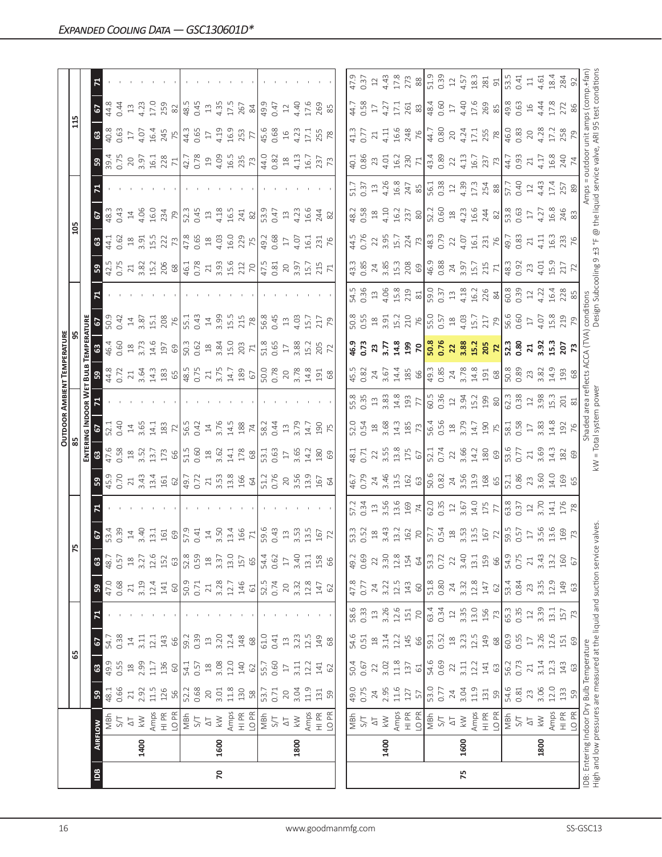|                |      |                                                                                                 |              |                 |                        |                                           |                |              |                                                       |                |                           |                                          |                                                                                     |                                             | <b>OUTDOOR AMBIENT TEMPERATURE</b>  |                        |                                                |                                             |               |                 |                 |                           |                                                                              |                 |                         |              |
|----------------|------|-------------------------------------------------------------------------------------------------|--------------|-----------------|------------------------|-------------------------------------------|----------------|--------------|-------------------------------------------------------|----------------|---------------------------|------------------------------------------|-------------------------------------------------------------------------------------|---------------------------------------------|-------------------------------------|------------------------|------------------------------------------------|---------------------------------------------|---------------|-----------------|-----------------|---------------------------|------------------------------------------------------------------------------|-----------------|-------------------------|--------------|
|                |      |                                                                                                 |              | 65              |                        |                                           |                |              | į۵                                                    |                |                           |                                          |                                                                                     |                                             |                                     |                        |                                                |                                             |               | 105             |                 |                           |                                                                              | 115             |                         |              |
|                |      |                                                                                                 |              |                 |                        |                                           |                |              |                                                       |                |                           |                                          | ENTERING INDOOR W                                                                   |                                             | BULB                                | TEMPERATURE            |                                                |                                             |               |                 |                 |                           |                                                                              |                 |                         |              |
| $\overline{a}$ |      | <b>AIRFLOW</b>                                                                                  | 59           | $\mathbbmss{3}$ | 2                      |                                           | ${\tt S}$      | $\mathbb{G}$ | 67                                                    |                | ္မွာ                      | $\mathbbmss{3}$                          | 2                                                                                   |                                             | ${\tt S}$                           | $\mathbbmss{3}$        |                                                |                                             | ္မွာ          | ය               | 5               |                           |                                                                              | ස               | 5                       |              |
|                |      | MBh                                                                                             | 0.66<br>48.1 | 49.9<br>0.55    | 0.38<br>54.7           |                                           | 0.68<br>47.0   | 48.7         | 0.39<br>53.4                                          |                | 0.70<br>45.9              | 47.6                                     | 0.40                                                                                |                                             | 44.8<br>0.72                        | 0.60<br>46.4           | 50.9<br>0.42                                   |                                             | 0.75          | 44.1            | 0.43<br>48.3    |                           | 0.75<br>39.4                                                                 | 40.8<br>0.63    | 44.8<br>0.44            |              |
|                |      | 5/7<br>$\overline{\Delta}$                                                                      | $21\,$       | $^{28}$         | $14\,$                 |                                           | 21             | 0.57<br>$18$ | $\overline{1}$                                        |                | 21                        | 0.58<br>$^{28}$                          | $14$                                                                                |                                             | $21\,$                              | $^{26}$                | $\overline{1}$                                 |                                             |               | 0.62<br>$^{28}$ | $\overline{1}$  |                           | 20                                                                           | $\overline{17}$ | 13                      |              |
|                | 1400 | $\lesssim$                                                                                      | 2.92         | 2.99            | 3.11                   |                                           | 3.19           | 3.27         | 3.40                                                  |                | 3.43                      | 3.52                                     | 3.65                                                                                |                                             | 3.64                                | 3.73                   | 3.87                                           |                                             | 3.82          | 3.91            | 4.06            |                           | 3.97                                                                         | 4.07            | 4.23                    |              |
|                |      |                                                                                                 | 11.5         | 11.7            | 12.1                   |                                           | 12.4           | 12.6         | 13.1                                                  |                | 13.4                      | 13.7                                     | 14.1                                                                                |                                             | 14.3                                | 14.6                   | 15.1                                           |                                             | 15.2          | 15.5            | 16.0            |                           | 16.1                                                                         | 16.4            | 17.0                    |              |
|                |      | Amps<br>HI PR                                                                                   | 126          | 136             | 143                    |                                           | 141            | 152          | 161                                                   |                | 161                       | 173                                      | 183                                                                                 |                                             | 183                                 | 197                    | 208                                            |                                             | 206           | 222             | 234             |                           | 228                                                                          | 245             | 259                     |              |
|                |      | LO PR                                                                                           | 56           | $60\,$          | 99                     |                                           | $60\,$         | 63           | $69$                                                  |                | 62                        | 66                                       | 72                                                                                  |                                             | $65\,$                              | $69$                   | 76                                             |                                             | 68            | 73              | 79              |                           | $\overline{71}$                                                              | 75              | $\approx$               |              |
|                |      | $\frac{1}{140}$                                                                                 | 52.2<br>0.68 | 54.1<br>0.57    | 59.2                   |                                           | 50.9           | 52.8         | 57.9                                                  |                | 49.7                      | 51.5                                     | 56.5                                                                                |                                             | 48.5                                | 50.3                   | 55.1                                           |                                             | 46.1          | 47.8            | 52.3            |                           | 42.7                                                                         | 44.3            | 48.5                    |              |
|                |      |                                                                                                 |              |                 | 0.39                   |                                           | 0.71           | 0.59         | 0.41                                                  |                | 0.72                      | 0.60                                     | 0.42                                                                                |                                             | 0.75                                | 0.62                   | 0.43                                           |                                             | 0.78          | 0.65            | 0.45            |                           | 0.78                                                                         | 0.65            | 0.45                    |              |
|                |      | $\overline{\triangle}$                                                                          | $20$         | $^{28}$         | $13$                   |                                           | $21\,$         | $^{28}$      | 14                                                    |                | $21\,$                    | $^{28}$                                  | $14\,$                                                                              |                                             | $21\,$                              | $^{28}$                | $\Xi$                                          |                                             | 21            | $\frac{8}{10}$  | $13$            |                           | $\overline{19}$                                                              | $17\,$          | $13$                    |              |
| 70             | 1600 | $\lesssim$                                                                                      | 3.01         | 3.08            | 3.20                   |                                           | 3.28           | 3.37         | 3.50                                                  |                |                           | 3.62                                     | 3.76                                                                                |                                             | 3.75                                | 3.84                   | 3.99                                           |                                             | 3.93          | 4.03            | 4.18            |                           | 4.09                                                                         | 4.19            | 4.35                    |              |
|                |      | Amps                                                                                            | $11.8$       | 12.0            | 12.4                   |                                           | 12.7           | 13.0         | 13.4                                                  |                |                           | 14.1                                     | 14.5                                                                                |                                             |                                     | 15.0                   | 15.5                                           |                                             | 15.6          | 16.0            | 16.5            |                           | 16.5<br>235                                                                  | 16.9            | 17.5                    |              |
|                |      | HI PR<br>LO PR                                                                                  | 130          | 140             | 148                    |                                           | 146            | 157          | 166                                                   |                | $3.53$<br>$13.8$<br>$166$ | 178                                      | 188                                                                                 |                                             | 14.7<br>189<br>67                   | 203                    | 215                                            |                                             | 212           | 229             | 241             |                           |                                                                              | 253             | 267                     |              |
|                |      |                                                                                                 | $58$         | 62              | $68$                   |                                           | $\mathbb{G}$   | 65           | $\overline{71}$                                       |                |                           | $68$                                     | $\,74$                                                                              |                                             |                                     | $\overline{71}$        | $78$                                           |                                             | $\mathcal{R}$ | 75              | 82              |                           | 73                                                                           | 77              | 84                      |              |
|                |      | T/S<br>S/T                                                                                      | 53.7         | 55.7            | 61.0                   |                                           | 52.5           | 54.4         | 59.6                                                  |                |                           | 53.1                                     | 58.2                                                                                |                                             | 50.0<br>0.78                        | 51.8                   | 56.8                                           |                                             | 47.5          | 49.2            | 53.9            |                           |                                                                              | 45.6            | 49.9                    |              |
|                |      |                                                                                                 | 0.71         | 0.60            | 0.41                   |                                           | 0.74           | 0.62         | 0.43                                                  |                | 51.2<br>0.76              | 0.63                                     | 0.44                                                                                |                                             |                                     | 0.65                   | 0.45                                           |                                             | 0.81          | 0.68            | 0.47            |                           | 44.0<br>0.82                                                                 | 0.68            | 0.47                    |              |
|                |      | $\overline{\Delta}$                                                                             | 20           | $\Box$          | $\Xi$                  |                                           | 20             | $17\,$       | $13$                                                  |                | 20                        | $\overline{17}$                          | $\Xi$                                                                               |                                             | $20$                                | $\Box$                 | $13$                                           |                                             | 20            | $17\,$          | $13$            |                           | $^{28}$                                                                      | $\frac{1}{6}$   | $\mathfrak{Q}$          |              |
|                | 1800 | $\lesssim$                                                                                      | 3.04         | 3.11            | 3.23                   |                                           | 3.32           | 3.40         | 3.53                                                  |                | 3.56                      | 3.65                                     | 3.79                                                                                |                                             | 3.78                                | 3.88                   | 4.03                                           |                                             | 3.97          | 4.07            | 4.23            |                           | 4.13                                                                         | 4.23            | 4.40                    |              |
|                |      |                                                                                                 | 11.9         | 12.2            | 12.5                   |                                           | 12.8           | 13.1         | 13.5                                                  |                | 13.9                      | 14.2                                     | 14.7                                                                                |                                             | 14.8                                | 15.2                   | 15.7                                           |                                             | 15.7          | 16.1            | 16.6            |                           | 16.7                                                                         | 17.1            | 17.6                    |              |
|                |      | Amps<br>HI PR                                                                                   | 131          | 141             | 149                    |                                           | 147            | 158          | 167                                                   |                | 167                       | 180                                      | 190                                                                                 |                                             | 191                                 | 205                    | 217                                            |                                             | 215           | 231             | 244             |                           | 237                                                                          | 255             | 269                     |              |
|                |      | LO PR                                                                                           | $59\,$       | 62              | $68$                   |                                           | 62             | 66           | $\overline{z}$                                        |                | $\mathcal{Q}$             | 69                                       | 75                                                                                  |                                             | $68$                                |                        | 79                                             |                                             |               |                 | 82              |                           | 73                                                                           | 78              | 85                      |              |
|                |      |                                                                                                 |              |                 |                        |                                           |                |              |                                                       |                |                           |                                          |                                                                                     |                                             |                                     |                        |                                                |                                             |               |                 |                 |                           |                                                                              |                 |                         |              |
|                |      | MBh                                                                                             | 49.0         | 50.4            | 54.6                   | 58.6                                      | 47.8           | 49.2         | 53.3                                                  | 57.2           | 46.7                      | 48.1                                     | 52.0                                                                                | 55.8                                        | 45.5                                | 46.9                   | 50.8                                           | 54.5                                        | 43.3          | 44.5            | 48.2            |                           | 40.1                                                                         | 41.3            | 44.7                    | 47.9         |
|                |      | $5/1$                                                                                           | 0.75         | 0.67            | 0.51                   | 0.33                                      | 0.77           | 0.69         | 0.52                                                  | 0.34           | 0.79                      | 0.71                                     | 0.54                                                                                | 0.35                                        | 0.82                                | 0.73                   |                                                | 0.36                                        |               | 0.76            | 0.58            | 0.37                      | 0.86                                                                         | 0.77            | 0.58                    | 0.37         |
|                |      | $\frac{\sqrt{1}}{2}$                                                                            | $24\,$       | 22              | $^{28}$                | $\ensuremath{\mathop{\mathbb{1}}}\xspace$ | 24             | 22           | $^{28}$                                               | $\Xi$          | 24                        | 22                                       |                                                                                     | $\Xi$                                       | $24\,$                              | $23$                   | $^{26}$                                        | $13$                                        |               | 22              | $^{26}$         | $\Xi$                     | 23                                                                           | 21              | $17\,$                  | $12\,$       |
|                | 1400 |                                                                                                 | 2.95         | 3.02            | 3.14                   | 3.26                                      | 3.22           | 3.30         | 3.43                                                  | 3.56           | 3.46                      | 3.55                                     | $18$<br>$3.68$<br>$14.3$                                                            | $3.83$<br>14.8                              | 3.67                                | 3.77                   | 3.91                                           |                                             | 3.85          | 3.95            | 4.10            |                           | 4.01                                                                         | 4.11            | 4.27                    | 4.43         |
|                |      |                                                                                                 | 11.6         | $11.8$          | 12.2                   | 12.6                                      | 12.5           | 12.8         | 13.2                                                  | 13.6           | 13.5                      | 13.8                                     |                                                                                     |                                             | 14.4                                | 14.8                   | 15.2                                           |                                             | 15.3          | 15.7            | 16.2            |                           | 16.2                                                                         | 16.6            | 17.1                    | 17.8         |
|                |      | Amps<br>H PR<br>LO PR                                                                           | 127          | 137             | 145                    | 151                                       | 143            | 154          | 162                                                   | 169            | 162                       | 175                                      | 185                                                                                 | 193                                         | 185<br>66                           | 199                    | 210                                            | 4.06<br>15.8<br>219<br>81                   | 208           | 224             | 237             | 4.26<br>16.8<br>247<br>85 | 230                                                                          | 248             | 261                     | 273          |
|                |      |                                                                                                 | 57           | $61$            | 66                     | 70                                        | $\rm ^{\rm o}$ | 64           | $\overline{70}$                                       | $\overline{7}$ | 63                        | 67                                       | 73                                                                                  |                                             |                                     | $\overline{z}$         | 76                                             |                                             | 69            | 73              | $\rm 80$        |                           | $\overline{71}$                                                              | 76              | $\approx$               | $88$         |
|                |      | $\frac{1}{19}$                                                                                  | 53.0<br>0.77 | 54.6<br>0.69    | 59.1                   | 63.4                                      | 51.80          | 53.3         | 57.7<br>0.54                                          | 62.0<br>0.35   | 50.82                     | 52.1<br>0.74                             | 56.4<br>0.56                                                                        | 60.5<br>0.36                                | 49.3<br>0.85                        | 50.8<br>0.76           | 55.0<br>0.57                                   | 59.0<br>0.37                                | 46.9<br>0.88  | 48.3            | 52.2<br>0.60    | 56.1<br>0.38              | 43.4<br>0.89                                                                 | 44.7            | 48.4                    | 51.9<br>0.39 |
|                |      |                                                                                                 |              |                 | 0.52                   | 0.34                                      |                | 0.72         |                                                       |                |                           |                                          |                                                                                     |                                             |                                     |                        |                                                |                                             |               | 0.79            |                 |                           |                                                                              | 0.80            | 0.60                    |              |
| 75             | 1600 | $\overline{\circ}$<br>$\stackrel{\textstyle _{\textstyle _{\textstyle _{\textstyle <}}}}{\sim}$ | 3.04<br>24   | 3.11<br>22      | 3.23<br>$\frac{8}{10}$ | 3.35<br>$12$                              | 3.32<br>24     | 3.40<br>22   | 3.53<br>$\stackrel{\textstyle\circ}{\phantom{}_{-1}}$ | 3.67<br>$12\,$ | 3.56<br>24                | 3.66<br>22                               | 3.79<br>$\ensuremath{\mathop{\boxtimes}\limits^{\mathop{\mathop{\rm s}}\nolimits}}$ | 3.94<br>$\overline{\mathfrak{L}}$           | 3.78<br>24                          | 3.88<br>$\overline{2}$ | 4.03<br>$\stackrel{\tt O}{\phantom{}_{\tt C}}$ | 4.18<br>$\Xi$                               | 3.97<br>24    | 4.07<br>22      | 4.23<br>$^{28}$ | 4.39<br>$\mathfrak{Q}$    | 4.13<br>22                                                                   | 4.24<br>20      | 4.40<br>$\overline{17}$ | 4.57         |
|                |      |                                                                                                 | 11.9         | 12.2            | 12.5                   | 13.0                                      | 12.8           | $13.1\,$     | 13.5                                                  | 14.0           | 13.9                      | 14.2                                     | $14.7\,$                                                                            |                                             | 14.8                                | 15.2                   | 15.7                                           |                                             |               | 16.1            | 16.6            |                           | 16.7                                                                         | 17.1            | 17.6                    | 18.3         |
|                |      | Amps<br>HI PR                                                                                   | 131          | 141             | 149                    | 156                                       | 147            | 159          | 167                                                   | 175            | 168                       | 180                                      | 190                                                                                 | 15.2<br>199                                 | 191                                 | 205                    | 217                                            | 16.2<br>226                                 | 15.7<br>215   | 231             | 244             | $17.3$<br>$254$           | 237                                                                          | 255             | 269                     | 281          |
|                |      | LO PR                                                                                           | 59           | $63$            | $68$                   | 73                                        | $62\,$         | 66           | 72                                                    | $\overline{7}$ | 65                        | 69                                       | 75                                                                                  | $80\,$                                      | 68                                  | $\overline{z}$         | 79                                             | 84                                          | 71            | 76              | 82              |                           | 73                                                                           | $78$            | 85                      | 91           |
|                |      | NBh                                                                                             | 54.6         | 56.2            | 60.9                   | 65.3                                      | 53.4           | 54.9<br>0.75 | 59.5                                                  | 63.8           | 52.1                      | 53.6<br>0.77                             |                                                                                     |                                             |                                     |                        |                                                |                                             | 48.3          | 49.7            | 53.8            | 57.7                      | 44.7                                                                         | 46.0            | 49.8                    | 53.5         |
|                |      | <b>S/T</b>                                                                                      | 0.81         | 0.73            | 0.55                   | 0.35                                      | 0.84           |              | 0.57                                                  | 0.37           | 0.86                      |                                          | 58.1<br>0.58                                                                        | 62.3<br>0.38                                | 50.89                               | 52.3<br>0.80           | 56.6<br>0.60                                   | 60.39                                       | 0.92          | 0.83            | 0.63            | 0.40                      | 0.93                                                                         | 0.83            | 0.63                    | 0.41         |
|                |      | $\overline{\Delta}$                                                                             | 23           | $\geq$          | $17\,$                 | $12\,$                                    | 23             | $21\,$       | $\overline{17}$                                       | $12\,$         | 23                        | $21\,$                                   | $\Gamma$                                                                            | $\ensuremath{\mathop{\mathop{\mathbf{2}}}}$ | 23                                  | $\overline{21}$        | $\overline{17}$                                | $\ensuremath{\mathop{\mathop{\mathbf{2}}}}$ | 23            | 21              | $17\,$          | $12$                      | $21\,$                                                                       | $20$            | $\overline{16}$         | $\Xi$        |
|                | 1800 | $\lesssim$                                                                                      | 3.06         | 3.14            | 3.26                   | 3.39                                      | 3.35           | 3.43         | 3.56                                                  | 3.70           | 3.60                      | 3.69                                     | 3.83                                                                                | 3.98                                        | 3.82                                | 3.92                   | 4.07                                           | 4.22                                        | 4.01          | 4.11            | 4.27            | 4.43                      | 4.17                                                                         | 4.28            | 4.44                    | 4.61         |
|                |      | Amps                                                                                            | $12.0$       | 12.3            | 12.6                   | 13.1                                      | 12.9           | 13.2         | 13.6                                                  | 14.1           | 14.0                      | 14.3                                     | 14.8                                                                                | 15.3                                        | 14.9                                | 15.3                   | 15.8                                           | 16.4                                        | 15.9          | 16.3            | 16.8            | 17.4                      | 16.8                                                                         | 17.2            | 17.8                    | 18.4         |
|                |      | $\frac{\alpha}{\pi}$                                                                            | 133          | 143             | 151                    | 157                                       | 149            | 160          | 169                                                   | 176            | 169<br>65                 | $\begin{array}{c} 182 \\ 69 \end{array}$ | 192                                                                                 | 201                                         | 193                                 | 207                    | 219                                            | 228                                         | 217           | 233             | 246<br>83       | 257<br>89                 | 240                                                                          | 258             | 272                     | 284          |
|                |      | LO <sub>PR</sub>                                                                                | 59           | 63              | 69                     | 73                                        | 63             | 67           | 73                                                    | 78             |                           |                                          |                                                                                     | $\overline{81}$                             |                                     |                        |                                                |                                             |               |                 |                 |                           |                                                                              | 79              | 86                      | 92           |
|                |      | IDB: Entering Indoor Dry Bulb Temperature                                                       |              |                 |                        |                                           |                |              |                                                       |                |                           |                                          | Shaded                                                                              |                                             | area reflects ACCA (TVA) conditions |                        |                                                |                                             |               |                 |                 |                           | Amps = outdoor unit amps (comp.+fan)                                         |                 |                         |              |
|                |      | High and low pressures are measured at the liquid and suction service valves                    |              |                 |                        |                                           |                |              |                                                       |                |                           | kW = Total system power                  |                                                                                     |                                             |                                     |                        |                                                |                                             |               |                 |                 |                           | Design Subcooling 9 ±3 °F @ the liquid service valve, ARI 95 test conditions |                 |                         |              |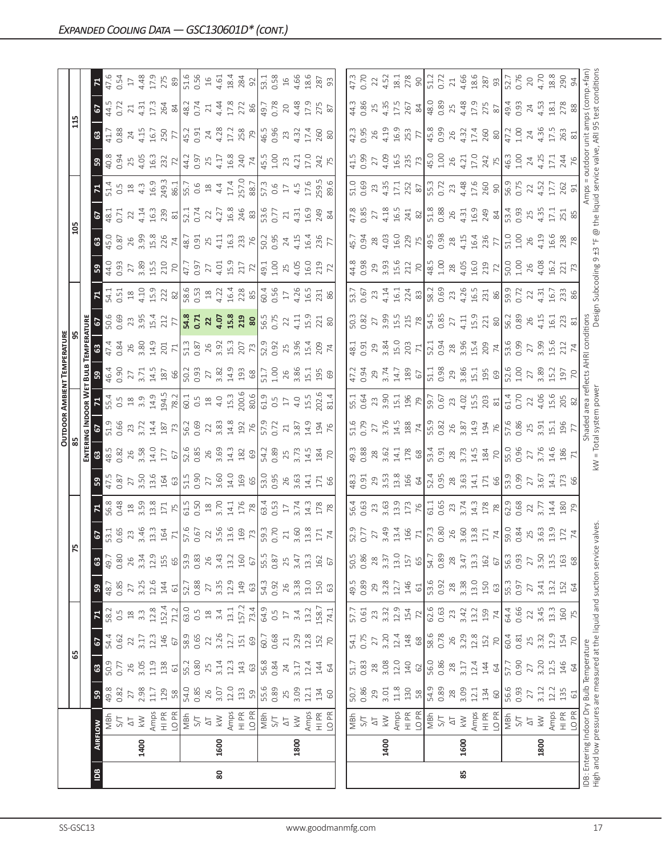|    |      |                                                                      |              |                           |                        |                          |               |             |                                                                              |                                                   |                                                                                                                                                                                                                                                                                                                      |                                                                                                   |                                                           |                                                                                          | OUTDOOR AMBIENT TEMPERATURI                                   |                                                                                                  |                                     |                                                                                                                                |                                                                                                                               |                                                                            |                                 |                                                                                                |                                                        |                                                                              |                   |                                   |
|----|------|----------------------------------------------------------------------|--------------|---------------------------|------------------------|--------------------------|---------------|-------------|------------------------------------------------------------------------------|---------------------------------------------------|----------------------------------------------------------------------------------------------------------------------------------------------------------------------------------------------------------------------------------------------------------------------------------------------------------------------|---------------------------------------------------------------------------------------------------|-----------------------------------------------------------|------------------------------------------------------------------------------------------|---------------------------------------------------------------|--------------------------------------------------------------------------------------------------|-------------------------------------|--------------------------------------------------------------------------------------------------------------------------------|-------------------------------------------------------------------------------------------------------------------------------|----------------------------------------------------------------------------|---------------------------------|------------------------------------------------------------------------------------------------|--------------------------------------------------------|------------------------------------------------------------------------------|-------------------|-----------------------------------|
|    |      |                                                                      |              | යි                        |                        |                          |               |             |                                                                              |                                                   |                                                                                                                                                                                                                                                                                                                      |                                                                                                   |                                                           |                                                                                          |                                                               |                                                                                                  |                                     |                                                                                                                                |                                                                                                                               |                                                                            |                                 |                                                                                                |                                                        |                                                                              |                   |                                   |
|    |      |                                                                      |              |                           |                        |                          |               |             |                                                                              |                                                   |                                                                                                                                                                                                                                                                                                                      |                                                                                                   |                                                           | <b>DOOR WI</b>                                                                           | Вu                                                            |                                                                                                  |                                     |                                                                                                                                |                                                                                                                               |                                                                            |                                 |                                                                                                |                                                        |                                                                              |                   |                                   |
| åg |      | <b>AIRFLOW</b>                                                       | នី           | $\boldsymbol{\mathbb{S}}$ | 2                      |                          | 59            | ${\tt G}$   |                                                                              |                                                   |                                                                                                                                                                                                                                                                                                                      |                                                                                                   |                                                           |                                                                                          |                                                               |                                                                                                  | <u>၉၂</u>                           |                                                                                                                                | ၛၟ                                                                                                                            |                                                                            |                                 |                                                                                                |                                                        |                                                                              | 61                |                                   |
|    |      | MBh                                                                  | 49.8         | 50.9                      | 54.4                   | 58.2                     | 48.7          | 49.7        | 67<br>53.1<br>0.65                                                           |                                                   | $\frac{47.5}{0.87}$                                                                                                                                                                                                                                                                                                  |                                                                                                   |                                                           | 55.4                                                                                     | 46.4                                                          |                                                                                                  |                                     |                                                                                                                                | 44.0<br>0.93                                                                                                                  |                                                                            | 18.1                            |                                                                                                | 40.8                                                   |                                                                              | 44.5              |                                   |
|    |      | 5/7                                                                  | 0.82         | 0.77                      | 0.62                   | 0.5                      | 0.85          | 0.80        |                                                                              | 0.48                                              |                                                                                                                                                                                                                                                                                                                      | 0.82                                                                                              | 0.66                                                      |                                                                                          | 0.90                                                          | 0.84                                                                                             | 0.69                                |                                                                                                                                |                                                                                                                               | 0.87                                                                       | 0.71                            |                                                                                                | 0.94                                                   | 0.88                                                                         | 0.72              | 0.54                              |
|    | 1400 | $\lesssim$<br>$\overline{\triangle}$                                 | 2.98<br>27   | 3.05<br>26                | 3.17<br>$\overline{2}$ | $3.\overline{3}$<br>$18$ | 3.25<br>27    | 3.34<br>26  | 23<br>3.46                                                                   | $\frac{18}{3.59}$                                 | 27                                                                                                                                                                                                                                                                                                                   | 3.58<br>26                                                                                        | $23 \over 3.72$                                           | $0.\overline{5}$<br>$1.\overline{8}$<br>$3.\overline{9}$                                 | 27<br>3.71                                                    | 26<br>3.80                                                                                       | 23<br>3.95<br>15.4<br>77            |                                                                                                                                | $2789$<br>$3.510$<br>$70$                                                                                                     | 26<br>3.99<br>15.8<br>74                                                   | 14.14<br>22                     |                                                                                                | 25<br>4.05<br>16.3<br>232                              | 4.15<br>24                                                                   | 1.31<br>21        | $17\,$                            |
|    |      | Amps                                                                 | 11.7         | 11.9                      | 12.3                   | 12.8                     | 12.6          | 12.9        |                                                                              | 13.8                                              | 3.50<br>13.6<br>164                                                                                                                                                                                                                                                                                                  | 14.0                                                                                              | 14.4                                                      | 14.9                                                                                     | 14.5                                                          | 14.9                                                                                             |                                     |                                                                                                                                |                                                                                                                               |                                                                            | 16.3                            |                                                                                                |                                                        | 16.7                                                                         | 17.3              | 4.48<br>17.9<br>275               |
|    |      | $\frac{\text{PR}}{\text{H}}$                                         | 129          | 138                       | 146                    | 152.4                    | 144           | 155         | $\begin{array}{c} 13.3 \\ 164 \\ \hline 71 \\ 57.6 \\ 0.67 \\ \end{array}$   |                                                   |                                                                                                                                                                                                                                                                                                                      | 177                                                                                               | 187                                                       | 194.5<br>78.2                                                                            | 187                                                           | $201$ $71$                                                                                       |                                     |                                                                                                                                |                                                                                                                               |                                                                            | 239                             |                                                                                                |                                                        | 250                                                                          | 264               |                                   |
|    |      | LO <sub>PR</sub>                                                     | 58           | $61\,$                    | $67$                   | 71.2                     | $61\,$        | 65          |                                                                              |                                                   |                                                                                                                                                                                                                                                                                                                      | 67                                                                                                |                                                           |                                                                                          | 66                                                            |                                                                                                  |                                     |                                                                                                                                |                                                                                                                               |                                                                            | $\approx$                       |                                                                                                | $\overline{z}$                                         | 77                                                                           | $\approx$         | $\otimes$                         |
|    |      | $\frac{1}{19}$                                                       | 54.0         | 55.2                      | 58.9                   | 63.0                     | 52.7          | 53.9        |                                                                              | $\frac{71}{75}$ $\frac{15}{61.5}$ $\frac{30}{18}$ | $\begin{array}{c c}\n5.5 & 0.900 \\ 0.5 & 0.500 \\ 0.5 & 0.500 \\ 0.5 & 0.500 \\ 0.5 & 0.500 \\ 0.5 & 0.500 \\ 0.5 & 0.500 \\ 0.5 & 0.500 \\ 0.5 & 0.500 \\ 0.5 & 0.500 \\ 0.5 & 0.500 \\ 0.5 & 0.500 \\ 0.5 & 0.500 \\ 0.5 & 0.500 \\ 0.5 & 0.500 \\ 0.5 & 0.500 \\ 0.5 & 0.500 \\ 0.5 & 0.500 \\ 0.5 & 0.500 \\ 0$ | 52.6<br>0.85<br>26<br>3.69                                                                        | 56.2<br>0.69<br>22<br>3.83                                | $60.1$<br>0.5<br>18<br>4.0<br>15.3                                                       | 50.2<br>0.93<br>27                                            | 51.3<br>0.87                                                                                     | 54.8<br>0.71<br>22                  |                                                                                                                                | $\frac{17.7}{47.97}$                                                                                                          | 48.7<br>0.91<br>25                                                         | $\frac{52.1}{0.74}$             |                                                                                                |                                                        | $45.2$<br>0.91                                                               | 48.2              | 51.6                              |
|    |      |                                                                      | 0.85         | 0.80                      | 0.65                   | 0.5                      | 0.88          | 0.83        |                                                                              |                                                   |                                                                                                                                                                                                                                                                                                                      |                                                                                                   |                                                           |                                                                                          |                                                               |                                                                                                  |                                     |                                                                                                                                |                                                                                                                               |                                                                            |                                 |                                                                                                |                                                        |                                                                              | 0.74              | $0.56$<br>16                      |
|    |      | $\overline{\triangle}$                                               | 26           | 25                        | 22                     | $\frac{\infty}{2}$       | 27            | 26          |                                                                              |                                                   |                                                                                                                                                                                                                                                                                                                      |                                                                                                   |                                                           |                                                                                          |                                                               |                                                                                                  |                                     |                                                                                                                                |                                                                                                                               |                                                                            | 22                              |                                                                                                |                                                        |                                                                              | $21\,$            |                                   |
| 80 | 1600 | $\gtrapprox$                                                         | 3.07         | 3.14                      | $3.26$<br>12.7         | 3.4                      | 3.35          | 3.43        |                                                                              | 3.70                                              |                                                                                                                                                                                                                                                                                                                      |                                                                                                   |                                                           |                                                                                          | $3.82$<br>14.9                                                |                                                                                                  |                                     |                                                                                                                                |                                                                                                                               | 4.11                                                                       | 4.27                            |                                                                                                |                                                        | 4.28<br>17.2                                                                 | 4.44<br>17.8      | 4.61                              |
|    |      | Amps                                                                 | 12.0         | 12.3                      |                        | 13.1                     | 12.9          | 13.2        |                                                                              | 14.1                                              |                                                                                                                                                                                                                                                                                                                      | $\frac{3}{4}$ $\frac{2}{8}$ $\frac{8}{5}$ $\frac{1}{2}$ $\frac{3}{8}$ $\frac{3}{8}$ $\frac{3}{8}$ | $\frac{48}{2}$<br>$\frac{8}{2}$<br>$\frac{16}{5}$<br>0.72 |                                                                                          |                                                               | $3.\overline{3}$ $\overline{15}.\overline{3}$ $\overline{207}$                                   | 4.07<br>15.8<br>20<br>56.5<br>50.75 |                                                                                                                                | $4.01$<br>$15.9$<br>$17$<br>$19.1$<br>$19.1$<br>$100$                                                                         | $16.3$<br>$78$ $8$ $8$<br>$50.3$<br>$50.5$                                 | 16.8                            |                                                                                                |                                                        |                                                                              |                   | 18.4                              |
|    |      | HI PR<br>LO PR                                                       | 133          | 143                       | 151                    | 157.2                    | 149           | 160         |                                                                              |                                                   |                                                                                                                                                                                                                                                                                                                      |                                                                                                   |                                                           |                                                                                          | $\begin{array}{c c}\n 3 & 6 \\  \hline\n 6 & 8\n \end{array}$ |                                                                                                  |                                     |                                                                                                                                |                                                                                                                               |                                                                            |                                 |                                                                                                |                                                        |                                                                              | 272               | 284                               |
|    |      |                                                                      | 59           | $63$                      | 69                     | 73.4                     | $63\,$        | $67\,$      |                                                                              |                                                   |                                                                                                                                                                                                                                                                                                                      |                                                                                                   |                                                           |                                                                                          |                                                               |                                                                                                  |                                     |                                                                                                                                |                                                                                                                               |                                                                            |                                 |                                                                                                |                                                        |                                                                              |                   |                                   |
|    |      | NBh<br>S/T                                                           | 55.6         | 56.8                      | 60.7                   | 64.9                     | 54.3          | 55.5        |                                                                              | $\frac{76}{8}$ $\frac{8}{34}$ $\frac{17}{4}$      |                                                                                                                                                                                                                                                                                                                      |                                                                                                   |                                                           | $200.6$<br>$80.6$<br>$61.9$<br>$0.5$<br>$17$<br>$4.0$                                    | $51.7$<br>$1.00$                                              | 52.9<br>0.92                                                                                     |                                     |                                                                                                                                |                                                                                                                               |                                                                            | 246<br>83<br>53.6<br>0.77       |                                                                                                |                                                        | $\frac{758}{16.5}$                                                           | 49.7              | $\frac{92}{53.1}$                 |
|    |      |                                                                      | 0.89         | 0.84                      | 0.68                   | $0.\overline{5}$         | 0.92          | 0.87        |                                                                              |                                                   |                                                                                                                                                                                                                                                                                                                      |                                                                                                   |                                                           |                                                                                          |                                                               |                                                                                                  |                                     |                                                                                                                                |                                                                                                                               |                                                                            |                                 |                                                                                                |                                                        |                                                                              |                   |                                   |
|    |      | $\overline{\Delta}$                                                  | 25           | 24                        | $21\,$                 | $\Box$                   | 26            | 25          | $\overline{21}$                                                              |                                                   |                                                                                                                                                                                                                                                                                                                      | 25                                                                                                | $21\,$                                                    |                                                                                          | 26                                                            | 25                                                                                               | $\overline{2}$                      |                                                                                                                                |                                                                                                                               | 24                                                                         | 21                              |                                                                                                |                                                        | 23                                                                           | 20                | $16$                              |
|    | 1800 | $\lesssim$                                                           | 3.09         | 3.17                      | 3.29                   | 3.4                      | 3.38          | 3.47        | 3.60                                                                         | 3.74                                              |                                                                                                                                                                                                                                                                                                                      | 3.73                                                                                              | 3.87                                                      |                                                                                          | 3.86                                                          | 3.96                                                                                             | 4.11                                |                                                                                                                                | 25<br>4.05                                                                                                                    | 4.15                                                                       | 1.31                            |                                                                                                | 23<br>4.21                                             | 4.32                                                                         | 4.48              | 4.66                              |
|    |      | Amps                                                                 | 12.1         | 12.4                      | 12.8                   | 13.2                     | 13.0          | $13.3$      | 13.8                                                                         | $\frac{3}{4}$                                     | $\overline{14.1}$                                                                                                                                                                                                                                                                                                    | 14.5                                                                                              | 14.9                                                      | 15.5                                                                                     | 15.1                                                          | L5.4                                                                                             | 15.9                                | 16.5                                                                                                                           | 16.0                                                                                                                          | <b>16.4</b>                                                                | $-0.9$                          |                                                                                                | 0.71                                                   | $\overline{1,4}$                                                             | 17.9              | 18.6                              |
|    |      | $\begin{array}{c}\n\infty \\ \hline\n\equiv\n\end{array}$            | 134          | 144                       | 152                    | 158.7                    | 150           | 162         | 171                                                                          | 178                                               | 171                                                                                                                                                                                                                                                                                                                  |                                                                                                   | 194                                                       | 02.6                                                                                     | 195                                                           |                                                                                                  |                                     | 231                                                                                                                            | 219                                                                                                                           | 236                                                                        | 249                             |                                                                                                | 242                                                    | 260                                                                          | 275               | 287                               |
|    |      | LO PR                                                                | $60$         | 64                        | $\overline{70}$        | 74.1                     | 63            | 67          |                                                                              |                                                   |                                                                                                                                                                                                                                                                                                                      | $\frac{184}{70}$                                                                                  |                                                           |                                                                                          |                                                               |                                                                                                  | $\frac{21}{80}$                     |                                                                                                                                |                                                                                                                               |                                                                            |                                 |                                                                                                |                                                        | 80                                                                           | $\frac{8}{2}$     | 93                                |
|    |      |                                                                      |              |                           |                        |                          |               |             |                                                                              |                                                   |                                                                                                                                                                                                                                                                                                                      |                                                                                                   |                                                           |                                                                                          |                                                               |                                                                                                  |                                     |                                                                                                                                |                                                                                                                               |                                                                            |                                 |                                                                                                |                                                        |                                                                              |                   |                                   |
|    |      |                                                                      | 50.7         | 51.7                      | 54.1                   | 57.7                     | 49.5          | 50.5        |                                                                              |                                                   | 48.3                                                                                                                                                                                                                                                                                                                 | 49.3                                                                                              | $-1.6$                                                    | 5.1                                                                                      | 47.2                                                          | 18.1                                                                                             | 50.3                                | $-3.7$                                                                                                                         |                                                                                                                               | 45.7                                                                       | 47.8                            |                                                                                                | 41.5                                                   | 12.3                                                                         | 44.3              | 47.3                              |
|    |      | NBh<br>S/T                                                           | 0.86         | 0.83                      | 0.75                   | 0.61                     | 0.89          | 0.86        | 52.9<br>0.77                                                                 | 56.4<br>0.63                                      | 0.91                                                                                                                                                                                                                                                                                                                 | 0.88                                                                                              |                                                           |                                                                                          | 0.94                                                          | 0.91                                                                                             | 0.82                                | 0.67                                                                                                                           | 44.8<br>0.98                                                                                                                  | 0.94                                                                       | 0.85                            |                                                                                                | <b>99</b>                                              | 0.95                                                                         | 0.86              | 0.70                              |
|    |      | $\overline{\Delta}$                                                  | 29           | $28$                      | 27                     | 23                       | 29            | 28          | 27                                                                           |                                                   | 29                                                                                                                                                                                                                                                                                                                   | $28$                                                                                              | $\overline{27}$                                           |                                                                                          | 29                                                            |                                                                                                  | 27                                  | 23                                                                                                                             |                                                                                                                               |                                                                            | 27                              |                                                                                                | 27                                                     | 26                                                                           | 25                | 22                                |
|    | 1400 | $\lesssim$                                                           | 3.01         | $3.08$<br>12.0            | 3.20                   | 3.32                     | 3.28          | 3.37        |                                                                              | 23.63                                             | $3.\overline{5}.\overline{3}$<br>$13.\overline{8}$                                                                                                                                                                                                                                                                   | 3.62                                                                                              | 3.76                                                      |                                                                                          | 3.74                                                          | 3.84                                                                                             |                                     |                                                                                                                                |                                                                                                                               |                                                                            |                                 |                                                                                                |                                                        |                                                                              | $4.35$<br>17.5    |                                   |
|    |      |                                                                      | $11.8$       |                           | 12.4                   | 12.9                     | $12.7$        | 13.0        |                                                                              | $13.9$<br>$173$                                   |                                                                                                                                                                                                                                                                                                                      |                                                                                                   |                                                           |                                                                                          |                                                               | $\frac{50}{203}$                                                                                 | $\frac{3.55}{15.78}$                |                                                                                                                                |                                                                                                                               | 28<br>4.03<br>16.0<br>75                                                   | $4.18$<br>$16.5$<br>$24$<br>$8$ |                                                                                                |                                                        | $1.19$<br>$16.9$                                                             |                   | $4.52$<br>$18.1$                  |
|    |      | Amps<br>HI PR                                                        | 130          | 140                       | 148                    | 154                      | 146           | 157         |                                                                              |                                                   | 166<br>64                                                                                                                                                                                                                                                                                                            | 14.1<br>178                                                                                       |                                                           |                                                                                          | $\frac{14.7}{189}$                                            |                                                                                                  |                                     |                                                                                                                                |                                                                                                                               |                                                                            |                                 |                                                                                                |                                                        |                                                                              | 267               | 278                               |
|    |      | LO PR                                                                | $58$         | $62\,$                    | $68\,$                 | 72                       | $\mathbb{G}$  | 65          |                                                                              |                                                   |                                                                                                                                                                                                                                                                                                                      |                                                                                                   |                                                           |                                                                                          |                                                               |                                                                                                  |                                     |                                                                                                                                |                                                                                                                               |                                                                            |                                 |                                                                                                |                                                        |                                                                              |                   | $\frac{1}{2}$                     |
|    |      | NBh                                                                  | 54.9         | 56.0                      | 58.6                   | 62.6                     | 53.6          | 54.7        | $\begin{array}{c} 3.49 \\ 13.4 \\ 15.7 \\ 166 \\ 71 \\ 50.80 \\ \end{array}$ | 61.1<br>0.65                                      | $52.4$<br>0.95                                                                                                                                                                                                                                                                                                       | 53.4<br>0.91                                                                                      | $\frac{14.5}{188}$ $\frac{74}{5.9}$ 0.82                  | $\begin{array}{c}\n 23 \\  3.90 \\  15.1 \\  196 \\  79 \\  8.57 \\  0.67\n \end{array}$ | 51.1<br>0.98                                                  | 52.1<br>0.94                                                                                     | 54.5<br>0.85                        |                                                                                                                                |                                                                                                                               |                                                                            | 51.8<br>0.88                    | $\begin{array}{c} 51.0 \\ 0.69 \\ 2.3 \\ 4.3 \\ 17.1 \\ 8 \\ 8 \\ 5.3 \\ 0.7 \\ 2 \end{array}$ | $4.09$<br>$16.5$<br>$18.5$<br>$78$<br>$15.0$<br>$1.00$ | $\frac{253}{77}$                                                             | $\frac{84}{48.0}$ | 51.2<br>0.72                      |
|    |      | $5\sqrt{ }$                                                          | 0.89         | 0.86                      | 0.78                   | 0.63                     | 0.92          | 0.89        |                                                                              |                                                   |                                                                                                                                                                                                                                                                                                                      |                                                                                                   |                                                           |                                                                                          |                                                               |                                                                                                  |                                     |                                                                                                                                |                                                                                                                               |                                                                            |                                 |                                                                                                |                                                        |                                                                              |                   |                                   |
|    |      | $\overline{\triangle}$                                               | $28$         | $28$                      | 26                     | 23                       | 28            | 28          | 26<br>3.60                                                                   | 23                                                |                                                                                                                                                                                                                                                                                                                      | 28                                                                                                | 26                                                        |                                                                                          |                                                               |                                                                                                  | 27                                  |                                                                                                                                |                                                                                                                               |                                                                            |                                 |                                                                                                | 26                                                     | 26                                                                           | 25                | $21\,$                            |
| 85 | 1600 | $\lesssim$                                                           | 3.09         | 3.17                      | 3.29                   | 3.42                     | 3.38          | 3.47        |                                                                              | 3.74                                              |                                                                                                                                                                                                                                                                                                                      | 3.73                                                                                              | 3.87                                                      |                                                                                          |                                                               |                                                                                                  | 4.11                                |                                                                                                                                |                                                                                                                               |                                                                            |                                 |                                                                                                | 4.21                                                   | 4.32                                                                         | 4.48<br>17.9      |                                   |
|    |      | Amps<br>$\frac{R}{I}$                                                | 12.1<br>134  | 12.4<br>144               | 12.8<br>152            | 13.2<br>159              | 13.0<br>150   | 13.3<br>162 |                                                                              | $\frac{3}{4}$                                     | $28$<br>$3.63$<br>$14.1$<br>$171$                                                                                                                                                                                                                                                                                    | 14.5                                                                                              | 14.9                                                      |                                                                                          |                                                               |                                                                                                  |                                     |                                                                                                                                |                                                                                                                               |                                                                            |                                 |                                                                                                |                                                        |                                                                              | 275               |                                   |
|    |      | LO PR                                                                | $60$         | 64                        | $\overline{70}$        | $74$                     | 63            | $67\,$      |                                                                              | $178\phantom{.}$                                  | 66                                                                                                                                                                                                                                                                                                                   | 184                                                                                               | 194                                                       | $23$<br>$4.02$<br>$15.5$<br>$203$<br>$81$                                                | $29.86$ $1.1$ $1.9$ $0$                                       |                                                                                                  | $15.9$<br>$221$<br>$80$             | $4.14$<br>$1.61$<br>$2.8$<br>$8$<br>$8$<br>$1.63$<br>$8$<br>$1.63$<br>$1.63$<br>$1.65$<br>$1.63$<br>$1.65$<br>$1.63$<br>$1.63$ | $\begin{array}{c}\n 29 \\  3.93 \\  15.0 \\  21 \\  22 \\  23 \\  34 \\  43 \\  50 \\  60 \\  72 \\  72 \\  72\n \end{array}$ | $\begin{array}{c} 49.5 \\ 0.98 \\ 28 \\ 4.15 \\ 16.4 \\ 77 \\ \end{array}$ | $26$<br>4.31<br>4.9<br>24<br>24 | 23<br>1.48<br>17.6<br>90                                                                       | $17.0$<br>$742$<br>$75$                                | 17.4<br>260<br>80                                                            | $_{\rm 87}$       | $4.66$<br>$18.6$<br>$287$<br>$93$ |
|    |      | MBh                                                                  |              | 57.7                      | 60.4                   |                          | 55.3          | 56.3        | $\frac{13.8}{171}$<br>$\frac{74}{59.0}$                                      |                                                   |                                                                                                                                                                                                                                                                                                                      |                                                                                                   |                                                           |                                                                                          |                                                               | $\begin{array}{c}\n 28 \\  3.96 \\  15.4 \\  209 \\  \hline\n 74 \\  53.6 \\  0.99\n\end{array}$ |                                     |                                                                                                                                |                                                                                                                               |                                                                            |                                 |                                                                                                | 46.3                                                   | 47.2                                                                         |                   |                                   |
|    |      | 5/1                                                                  | 56.6<br>0.93 | 0.90                      | 0.81                   | 64.4<br>0.66             | 0.97          | 0.93        |                                                                              | 62.9<br>0.68                                      | 53.9<br>0.99                                                                                                                                                                                                                                                                                                         | 55.0<br>0.96                                                                                      | 57.6<br>0.86                                              | 61.4<br>0.70                                                                             | 52.6<br>1.00                                                  |                                                                                                  | 56.2<br>0.89                        | 59.9<br>0.72                                                                                                                   | 50.0<br>1.00                                                                                                                  | 51.0<br>1.00                                                               | 53.4<br>0.93                    | 56.9<br>0.75                                                                                   | 1.00                                                   | 1.00                                                                         | 49.4<br>0.93      | 52.7<br>0.76                      |
|    |      | $\overline{\Delta}$                                                  | $27\,$       | 27                        | 25                     | 22                       | 27            | 27          | $25$<br>$3.63$                                                               | $rac{22}{3.77}$                                   | 27                                                                                                                                                                                                                                                                                                                   | 27                                                                                                | $25$<br>$3.91$                                            | 22                                                                                       | 27                                                            | 27<br>3.99                                                                                       | 26<br>4.15                          | $22$<br>4.31                                                                                                                   | $26$<br>4.08                                                                                                                  | $26$<br>4.19                                                               | 25<br>4.35                      | 22                                                                                             | 24                                                     | 24                                                                           | $24\,$            | 20                                |
|    | 1800 | $\gtrapprox$                                                         | 3.12         | 3.20                      | 3.32                   | 3.45                     | 3.41          | 3.50        |                                                                              |                                                   | 3.67                                                                                                                                                                                                                                                                                                                 | 3.76                                                                                              |                                                           | 4.06                                                                                     | 3.89                                                          |                                                                                                  |                                     |                                                                                                                                |                                                                                                                               |                                                                            |                                 | 1.52                                                                                           | 4.25                                                   | 4.36                                                                         | 4.53              | 4.70                              |
|    |      | Amps<br>HI PR                                                        | 12.2         | 12.5                      | 12.9                   | 13.3                     | 13.2          | 13.5        |                                                                              | 14.4                                              | $\frac{1}{4}$                                                                                                                                                                                                                                                                                                        | 14.6                                                                                              |                                                           | 15.6<br>205                                                                              | 15.2                                                          | $-5.6$                                                                                           | $-6.1$                              | $16.7$<br>233                                                                                                                  | 16.2<br>221                                                                                                                   |                                                                            | $\overline{C}$                  |                                                                                                | $\overline{C}$                                         |                                                                              | 18.1              | 18.8                              |
|    |      |                                                                      | 135          | 146                       | 154                    | 160                      | 152           | 163         | $\frac{3.5}{174}$                                                            | $\frac{62}{3}$                                    | 173<br>66                                                                                                                                                                                                                                                                                                            | $\frac{186}{71}$                                                                                  | $\begin{array}{c} 1.5 \\ 1.96 \end{array}$                |                                                                                          | 197                                                           |                                                                                                  |                                     |                                                                                                                                |                                                                                                                               | 16.6<br>238<br>78                                                          | 251                             | I7.7<br>262<br>91                                                                              | 244<br>76                                              | I7.5<br>263<br>81                                                            | 278<br>88         | 290                               |
|    |      | LO <sub>PR</sub>                                                     | $61$         | $\mathcal{Q}$             | 70                     | 75                       | $\mathcal{Z}$ | 68          |                                                                              |                                                   |                                                                                                                                                                                                                                                                                                                      |                                                                                                   |                                                           |                                                                                          |                                                               |                                                                                                  |                                     |                                                                                                                                |                                                                                                                               |                                                                            |                                 |                                                                                                |                                                        |                                                                              |                   |                                   |
|    |      | IDB: Entering Indoor Dry Bulb Temperature                            |              |                           |                        |                          |               |             |                                                                              |                                                   |                                                                                                                                                                                                                                                                                                                      |                                                                                                   | Shaded                                                    |                                                                                          | reflects                                                      | AHRI conditions                                                                                  |                                     |                                                                                                                                |                                                                                                                               |                                                                            | Amps                            |                                                                                                | putdoor                                                | unit amps (comp.+fan                                                         |                   |                                   |
|    |      | High and low pressures are measured at the liquid and suction servic |              |                           |                        |                          |               |             | valves                                                                       |                                                   |                                                                                                                                                                                                                                                                                                                      | kW = Total system power                                                                           |                                                           |                                                                                          |                                                               |                                                                                                  |                                     |                                                                                                                                |                                                                                                                               |                                                                            |                                 |                                                                                                |                                                        | Design Subcooling 9 ±3 °F @ the liquid service valve, ARI 95 test conditions |                   |                                   |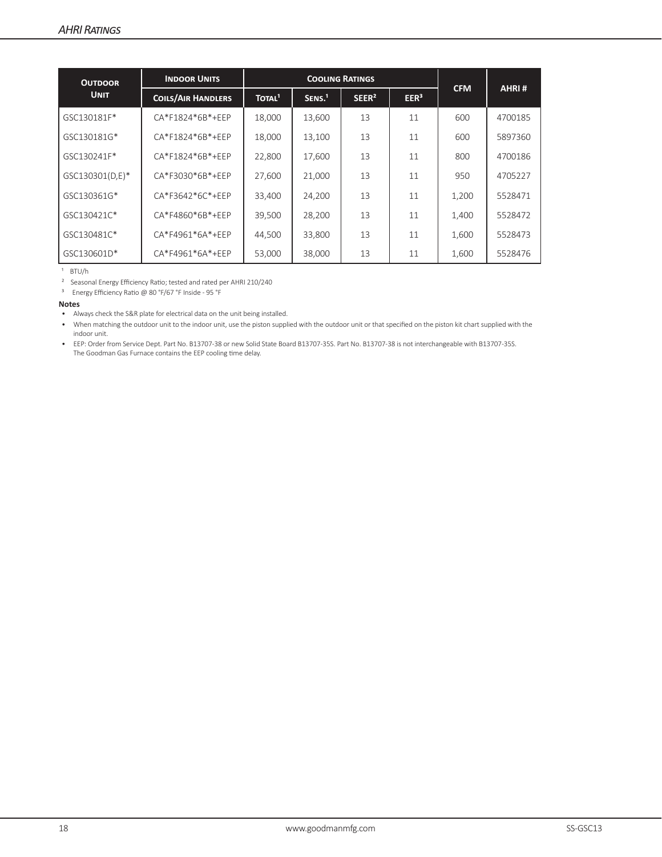| <b>OUTDOOR</b>  | <b>INDOOR UNITS</b>       |                    | <b>COOLING RATINGS</b> |                   |                  |            |         |
|-----------------|---------------------------|--------------------|------------------------|-------------------|------------------|------------|---------|
| <b>UNIT</b>     | <b>COILS/AIR HANDLERS</b> | TOTAL <sup>1</sup> | SENS <sup>1</sup>      | SEER <sup>2</sup> | EER <sup>3</sup> | <b>CFM</b> | AHRI#   |
| GSC130181F*     | CA*F1824*6B*+EEP          | 18,000             | 13,600                 | 13                | 11               | 600        | 4700185 |
| GSC130181G*     | CA*F1824*6B*+EEP          | 18,000             | 13,100                 | 13                | 11               | 600        | 5897360 |
| GSC130241F*     | CA*F1824*6B*+EEP          | 22,800             | 17.600                 | 13                | 11               | 800        | 4700186 |
| GSC130301(D,E)* | CA*F3030*6B*+EEP          | 27.600             | 21.000                 | 13                | 11               | 950        | 4705227 |
| GSC130361G*     | CA*F3642*6C*+EEP          | 33,400             | 24,200                 | 13                | 11               | 1,200      | 5528471 |
| GSC130421C*     | CA*F4860*6B*+EEP          | 39,500             | 28,200                 | 13                | 11               | 1,400      | 5528472 |
| GSC130481C*     | CA*F4961*6A*+EEP          | 44.500             | 33,800                 | 13                | 11               | 1,600      | 5528473 |
| GSC130601D*     | CA*F4961*6A*+EEP          | 53,000             | 38,000                 | 13                | 11               | 1,600      | 5528476 |

 $1$  BTU/h

² Seasonal Energy Efficiency Ratio; tested and rated per AHRI 210/240

³ Energy Efficiency Ratio @ 80 °F/67 °F Inside - 95 °F

#### **Notes**

• Always check the S&R plate for electrical data on the unit being installed.

• When matching the outdoor unit to the indoor unit, use the piston supplied with the outdoor unit or that specified on the piston kit chart supplied with the indoor unit.

• EEP: Order from Service Dept. Part No. B13707-38 or new Solid State Board B13707-35S. Part No. B13707-38 is not interchangeable with B13707-35S. The Goodman Gas Furnace contains the EEP cooling time delay.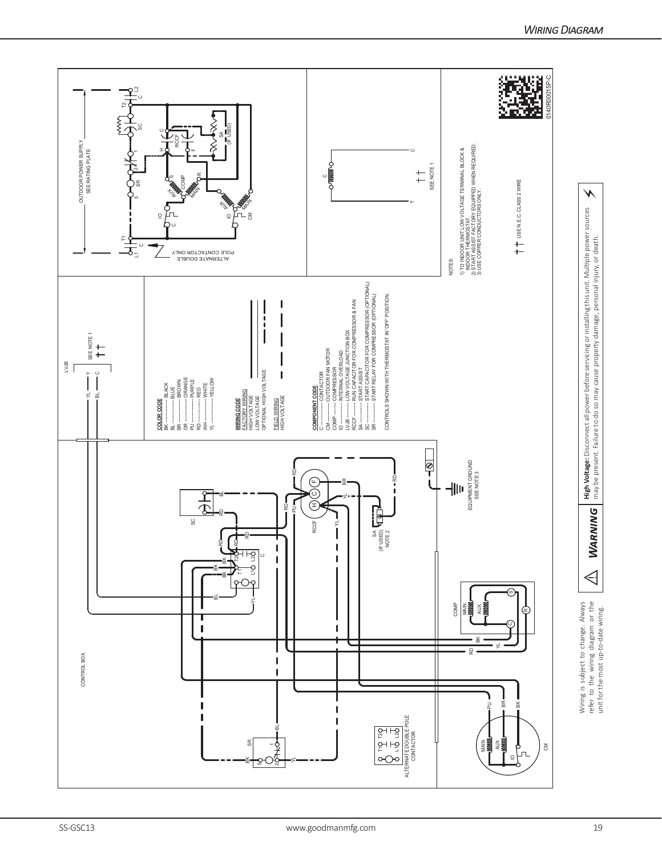